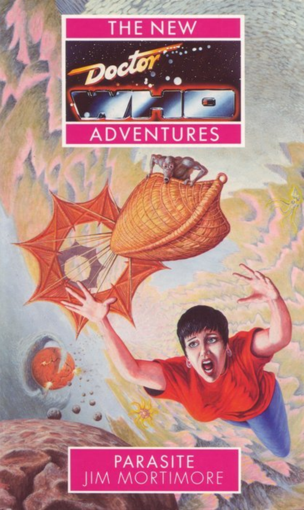

# **PARASITE**<br>JIM MORTIMORE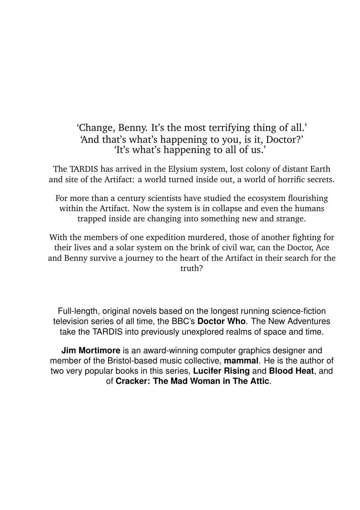#### 'Change, Benny. It's the most terrifying thing of all.' 'And that's what's happening to you, is it, Doctor?' 'It's what's happening to all of us.'

The TARDIS has arrived in the Elysium system, lost colony of distant Earth and site of the Artifact: a world turned inside out, a world of horrific secrets.

For more than a century scientists have studied the ecosystem flourishing within the Artifact. Now the system is in collapse and even the humans trapped inside are changing into something new and strange.

With the members of one expedition murdered, those of another fighting for their lives and a solar system on the brink of civil war, can the Doctor, Ace and Benny survive a journey to the heart of the Artifact in their search for the truth?

Full-length, original novels based on the longest running science-fiction television series of all time, the BBC's **Doctor Who**. The New Adventures take the TARDIS into previously unexplored realms of space and time.

**Jim Mortimore** is an award-winning computer graphics designer and member of the Bristol-based music collective, **mammal**. He is the author of two very popular books in this series, **Lucifer Rising** and **Blood Heat**, and of **Cracker: The Mad Woman in The Attic**.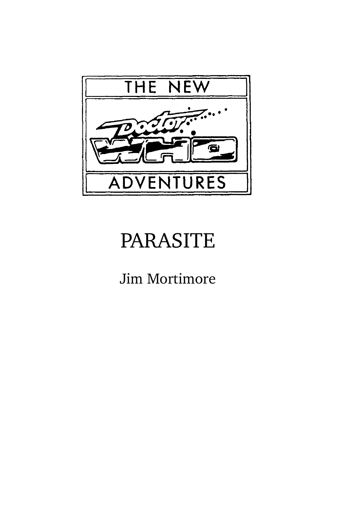

## PARASITE

### Jim Mortimore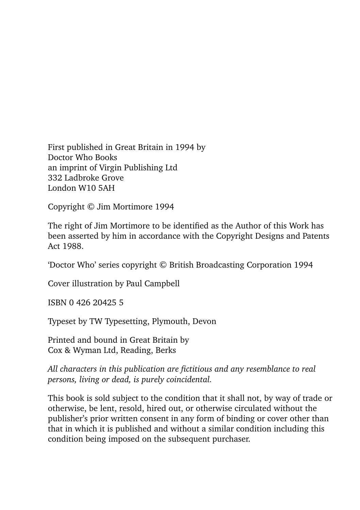First published in Great Britain in 1994 by Doctor Who Books an imprint of Virgin Publishing Ltd 332 Ladbroke Grove London W10 5AH

Copyright © Jim Mortimore 1994

The right of Jim Mortimore to be identified as the Author of this Work has been asserted by him in accordance with the Copyright Designs and Patents Act 1988.

'Doctor Who' series copyright © British Broadcasting Corporation 1994

Cover illustration by Paul Campbell

ISBN 0 426 20425 5

Typeset by TW Typesetting, Plymouth, Devon

Printed and bound in Great Britain by Cox & Wyman Ltd, Reading, Berks

*All characters in this publication are fictitious and any resemblance to real persons, living or dead, is purely coincidental.*

This book is sold subject to the condition that it shall not, by way of trade or otherwise, be lent, resold, hired out, or otherwise circulated without the publisher's prior written consent in any form of binding or cover other than that in which it is published and without a similar condition including this condition being imposed on the subsequent purchaser.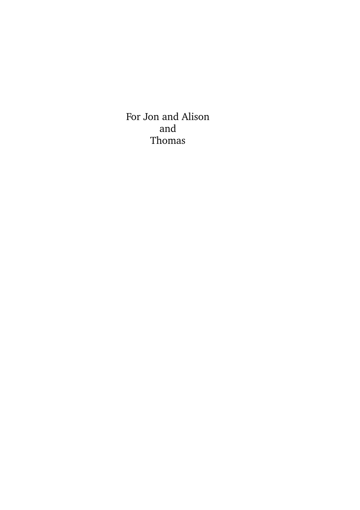For Jon and Alison and Thomas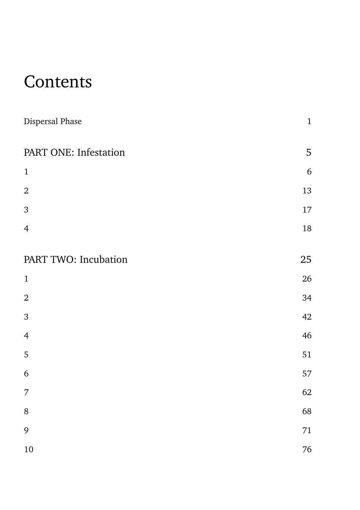### Contents

| Dispersal Phase       | $\mathbf{1}$     |
|-----------------------|------------------|
| PART ONE: Infestation | 5                |
| $\mathbf 1$           | $\boldsymbol{6}$ |
| $\sqrt{2}$            | 13               |
| 3                     | 17               |
| $\overline{4}$        | $18\,$           |
| PART TWO: Incubation  | 25               |
| $\mathbf 1$           | 26               |
| $\overline{2}$        | 34               |
| $\sqrt{3}$            | 42               |
| $\overline{4}$        | 46               |
| 5                     | 51               |
| 6                     | 57               |
| $\overline{7}$        | 62               |
| $\, 8$                | 68               |
| 9                     | 71               |
| $10\,$                | 76               |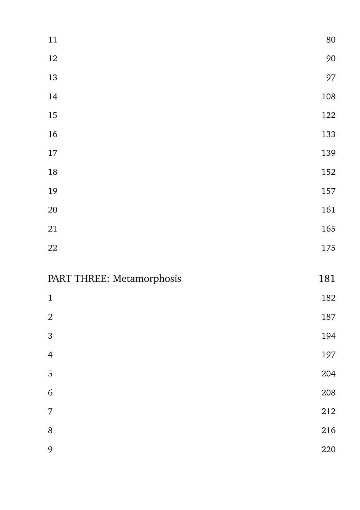| 11                        | 80      |
|---------------------------|---------|
| 12                        | 90      |
| 13                        | 97      |
| 14                        | 108     |
| 15                        | 122     |
| 16                        | 133     |
| $17\,$                    | 139     |
| 18                        | 152     |
| 19                        | $157\,$ |
| 20                        | 161     |
| 21                        | 165     |
| 22                        | 175     |
| PART THREE: Metamorphosis | 181     |
| $\mathbf 1$               | 182     |
| $\overline{c}$            | 187     |
| 3                         | 194     |
| $\overline{4}$            | 197     |
| 5                         | 204     |
| 6                         | 208     |
|                           |         |

 $7 \t212$  216 220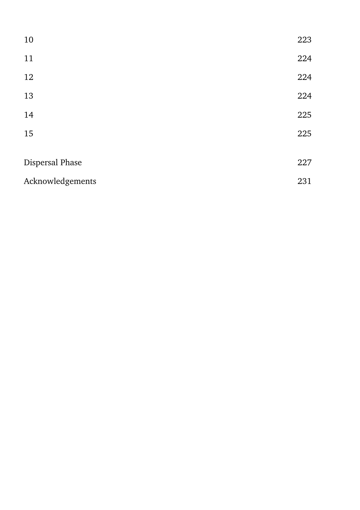| 10               | 223 |
|------------------|-----|
| 11               | 224 |
| 12               | 224 |
| 13               | 224 |
| 14               | 225 |
| 15               | 225 |
| Dispersal Phase  | 227 |
| Acknowledgements | 231 |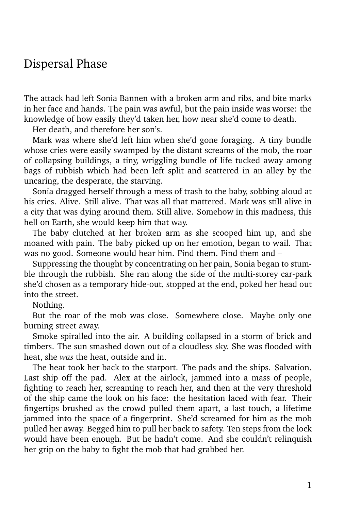### <span id="page-10-0"></span>Dispersal Phase

The attack had left Sonia Bannen with a broken arm and ribs, and bite marks in her face and hands. The pain was awful, but the pain inside was worse: the knowledge of how easily they'd taken her, how near she'd come to death.

Her death, and therefore her son's.

Mark was where she'd left him when she'd gone foraging. A tiny bundle whose cries were easily swamped by the distant screams of the mob, the roar of collapsing buildings, a tiny, wriggling bundle of life tucked away among bags of rubbish which had been left split and scattered in an alley by the uncaring, the desperate, the starving.

Sonia dragged herself through a mess of trash to the baby, sobbing aloud at his cries. Alive. Still alive. That was all that mattered. Mark was still alive in a city that was dying around them. Still alive. Somehow in this madness, this hell on Earth, she would keep him that way.

The baby clutched at her broken arm as she scooped him up, and she moaned with pain. The baby picked up on her emotion, began to wail. That was no good. Someone would hear him. Find them. Find them and –

Suppressing the thought by concentrating on her pain, Sonia began to stumble through the rubbish. She ran along the side of the multi-storey car-park she'd chosen as a temporary hide-out, stopped at the end, poked her head out into the street.

Nothing.

But the roar of the mob was close. Somewhere close. Maybe only one burning street away.

Smoke spiralled into the air. A building collapsed in a storm of brick and timbers. The sun smashed down out of a cloudless sky. She was flooded with heat, she *was* the heat, outside and in.

The heat took her back to the starport. The pads and the ships. Salvation. Last ship off the pad. Alex at the airlock, jammed into a mass of people, fighting to reach her, screaming to reach her, and then at the very threshold of the ship came the look on his face: the hesitation laced with fear. Their fingertips brushed as the crowd pulled them apart, a last touch, a lifetime jammed into the space of a fingerprint. She'd screamed for him as the mob pulled her away. Begged him to pull her back to safety. Ten steps from the lock would have been enough. But he hadn't come. And she couldn't relinquish her grip on the baby to fight the mob that had grabbed her.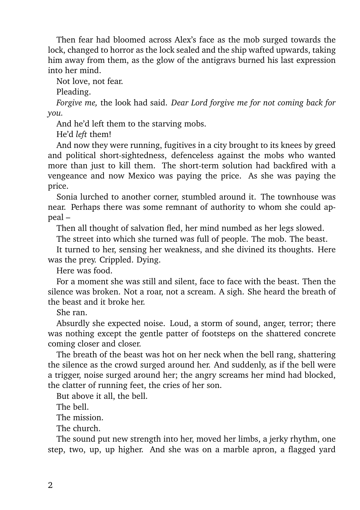Then fear had bloomed across Alex's face as the mob surged towards the lock, changed to horror as the lock sealed and the ship wafted upwards, taking him away from them, as the glow of the antigravs burned his last expression into her mind.

Not love, not fear.

Pleading.

*Forgive me,* the look had said. *Dear Lord forgive me for not coming back for you.*

And he'd left them to the starving mobs.

He'd *left* them!

And now they were running, fugitives in a city brought to its knees by greed and political short-sightedness, defenceless against the mobs who wanted more than just to kill them. The short-term solution had backfired with a vengeance and now Mexico was paying the price. As she was paying the price.

Sonia lurched to another corner, stumbled around it. The townhouse was near. Perhaps there was some remnant of authority to whom she could appeal –

Then all thought of salvation fled, her mind numbed as her legs slowed.

The street into which she turned was full of people. The mob. The beast.

It turned to her, sensing her weakness, and she divined its thoughts. Here was the prey. Crippled. Dying.

Here was food.

For a moment she was still and silent, face to face with the beast. Then the silence was broken. Not a roar, not a scream. A sigh. She heard the breath of the beast and it broke her.

She ran.

Absurdly she expected noise. Loud, a storm of sound, anger, terror; there was nothing except the gentle patter of footsteps on the shattered concrete coming closer and closer.

The breath of the beast was hot on her neck when the bell rang, shattering the silence as the crowd surged around her. And suddenly, as if the bell were a trigger, noise surged around her; the angry screams her mind had blocked, the clatter of running feet, the cries of her son.

But above it all, the bell.

The bell.

The mission.

The church.

The sound put new strength into her, moved her limbs, a jerky rhythm, one step, two, up, up higher. And she was on a marble apron, a flagged yard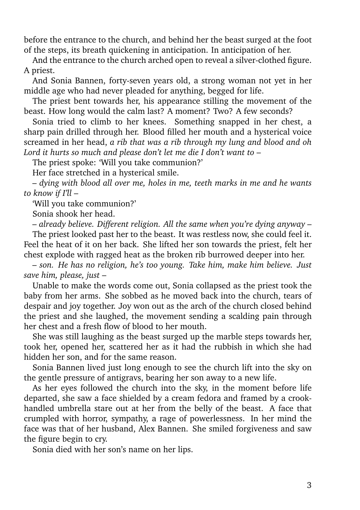before the entrance to the church, and behind her the beast surged at the foot of the steps, its breath quickening in anticipation. In anticipation of her.

And the entrance to the church arched open to reveal a silver-clothed figure. A priest.

And Sonia Bannen, forty-seven years old, a strong woman not yet in her middle age who had never pleaded for anything, begged for life.

The priest bent towards her, his appearance stilling the movement of the beast. How long would the calm last? A moment? Two? A few seconds?

Sonia tried to climb to her knees. Something snapped in her chest, a sharp pain drilled through her. Blood filled her mouth and a hysterical voice screamed in her head, *a rib that was a rib through my lung and blood and oh Lord it hurts so much and please don't let me die I don't want to –*

The priest spoke: 'Will you take communion?'

Her face stretched in a hysterical smile.

*– dying with blood all over me, holes in me, teeth marks in me and he wants to know if I'll –*

'Will you take communion?'

Sonia shook her head.

*– already believe. Different religion. All the same when you're dying anyway –*

The priest looked past her to the beast. It was restless now, she could feel it. Feel the heat of it on her back. She lifted her son towards the priest, felt her chest explode with ragged heat as the broken rib burrowed deeper into her.

*– son. He has no religion, he's too young. Take him, make him believe. Just save him, please, just –*

Unable to make the words come out, Sonia collapsed as the priest took the baby from her arms. She sobbed as he moved back into the church, tears of despair and joy together. Joy won out as the arch of the church closed behind the priest and she laughed, the movement sending a scalding pain through her chest and a fresh flow of blood to her mouth.

She was still laughing as the beast surged up the marble steps towards her, took her, opened her, scattered her as it had the rubbish in which she had hidden her son, and for the same reason.

Sonia Bannen lived just long enough to see the church lift into the sky on the gentle pressure of antigravs, bearing her son away to a new life.

As her eyes followed the church into the sky, in the moment before life departed, she saw a face shielded by a cream fedora and framed by a crookhandled umbrella stare out at her from the belly of the beast. A face that crumpled with horror, sympathy, a rage of powerlessness. In her mind the face was that of her husband, Alex Bannen. She smiled forgiveness and saw the figure begin to cry.

Sonia died with her son's name on her lips.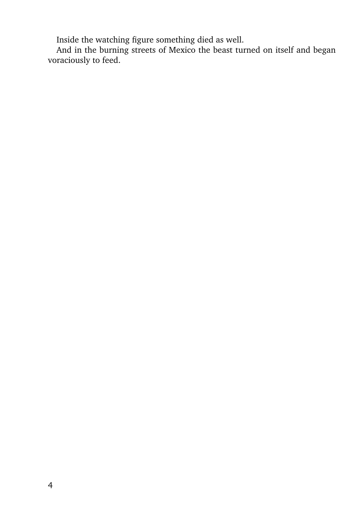Inside the watching figure something died as well.

And in the burning streets of Mexico the beast turned on itself and began voraciously to feed.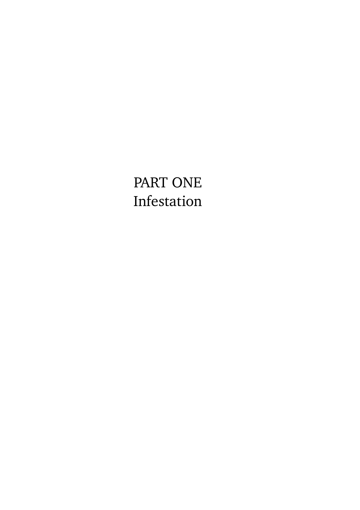<span id="page-14-0"></span>PART ONE Infestation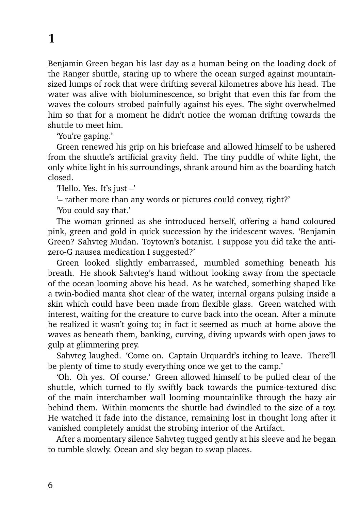<span id="page-15-0"></span>Benjamin Green began his last day as a human being on the loading dock of the Ranger shuttle, staring up to where the ocean surged against mountainsized lumps of rock that were drifting several kilometres above his head. The water was alive with bioluminescence, so bright that even this far from the waves the colours strobed painfully against his eyes. The sight overwhelmed him so that for a moment he didn't notice the woman drifting towards the shuttle to meet him.

'You're gaping.'

Green renewed his grip on his briefcase and allowed himself to be ushered from the shuttle's artificial gravity field. The tiny puddle of white light, the only white light in his surroundings, shrank around him as the boarding hatch closed.

'Hello. Yes. It's just –'

'– rather more than any words or pictures could convey, right?'

'You could say that.'

The woman grinned as she introduced herself, offering a hand coloured pink, green and gold in quick succession by the iridescent waves. 'Benjamin Green? Sahvteg Mudan. Toytown's botanist. I suppose you did take the antizero-G nausea medication I suggested?'

Green looked slightly embarrassed, mumbled something beneath his breath. He shook Sahvteg's hand without looking away from the spectacle of the ocean looming above his head. As he watched, something shaped like a twin-bodied manta shot clear of the water, internal organs pulsing inside a skin which could have been made from flexible glass. Green watched with interest, waiting for the creature to curve back into the ocean. After a minute he realized it wasn't going to; in fact it seemed as much at home above the waves as beneath them, banking, curving, diving upwards with open jaws to gulp at glimmering prey.

Sahvteg laughed. 'Come on. Captain Urquardt's itching to leave. There'll be plenty of time to study everything once we get to the camp.'

'Oh. Oh yes. Of course.' Green allowed himself to be pulled clear of the shuttle, which turned to fly swiftly back towards the pumice-textured disc of the main interchamber wall looming mountainlike through the hazy air behind them. Within moments the shuttle had dwindled to the size of a toy. He watched it fade into the distance, remaining lost in thought long after it vanished completely amidst the strobing interior of the Artifact.

After a momentary silence Sahvteg tugged gently at his sleeve and he began to tumble slowly. Ocean and sky began to swap places.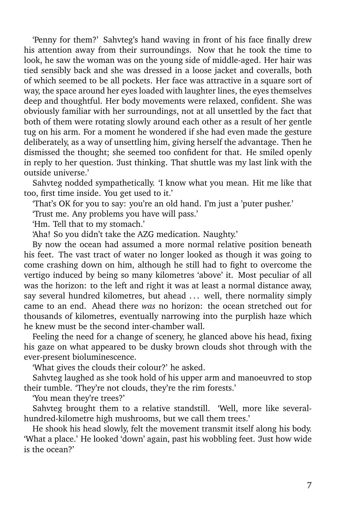'Penny for them?' Sahvteg's hand waving in front of his face finally drew his attention away from their surroundings. Now that he took the time to look, he saw the woman was on the young side of middle-aged. Her hair was tied sensibly back and she was dressed in a loose jacket and coveralls, both of which seemed to be all pockets. Her face was attractive in a square sort of way, the space around her eyes loaded with laughter lines, the eyes themselves deep and thoughtful. Her body movements were relaxed, confident. She was obviously familiar with her surroundings, not at all unsettled by the fact that both of them were rotating slowly around each other as a result of her gentle tug on his arm. For a moment he wondered if she had even made the gesture deliberately, as a way of unsettling him, giving herself the advantage. Then he dismissed the thought; she seemed too confident for that. He smiled openly in reply to her question. 'Just thinking. That shuttle was my last link with the outside universe.'

Sahvteg nodded sympathetically. 'I know what you mean. Hit me like that too, first time inside. You get used to it.'

'That's OK for you to say: you're an old hand. I'm just a 'puter pusher.'

'Trust me. Any problems you have will pass.'

'Hm. Tell that to my stomach.'

'Aha! So you didn't take the AZG medication. Naughty.'

By now the ocean had assumed a more normal relative position beneath his feet. The vast tract of water no longer looked as though it was going to come crashing down on him, although he still had to fight to overcome the vertigo induced by being so many kilometres 'above' it. Most peculiar of all was the horizon: to the left and right it was at least a normal distance away, say several hundred kilometres, but ahead ... well, there normality simply came to an end. Ahead there *was* no horizon: the ocean stretched out for thousands of kilometres, eventually narrowing into the purplish haze which he knew must be the second inter-chamber wall.

Feeling the need for a change of scenery, he glanced above his head, fixing his gaze on what appeared to be dusky brown clouds shot through with the ever-present bioluminescence.

'What gives the clouds their colour?' he asked.

Sahvteg laughed as she took hold of his upper arm and manoeuvred to stop their tumble. 'They're not clouds, they're the rim forests.'

'You mean they're trees?'

Sahvteg brought them to a relative standstill. 'Well, more like severalhundred-kilometre high mushrooms, but we call them trees.'

He shook his head slowly, felt the movement transmit itself along his body. 'What a place.' He looked 'down' again, past his wobbling feet. 'Just how wide is the ocean?'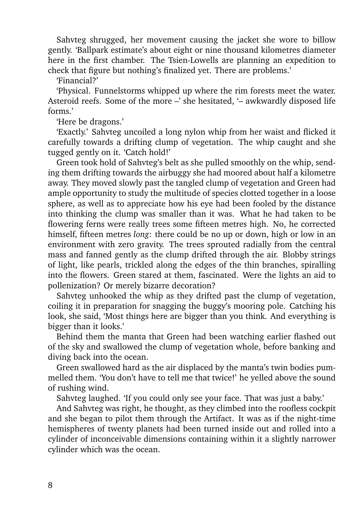Sahvteg shrugged, her movement causing the jacket she wore to billow gently. 'Ballpark estimate's about eight or nine thousand kilometres diameter here in the first chamber. The Tsien-Lowells are planning an expedition to check that figure but nothing's finalized yet. There are problems.'

'Financial?'

'Physical. Funnelstorms whipped up where the rim forests meet the water. Asteroid reefs. Some of the more –' she hesitated, '– awkwardly disposed life forms.'

'Here be dragons.'

'Exactly.' Sahvteg uncoiled a long nylon whip from her waist and flicked it carefully towards a drifting clump of vegetation. The whip caught and she tugged gently on it. 'Catch hold!'

Green took hold of Sahvteg's belt as she pulled smoothly on the whip, sending them drifting towards the airbuggy she had moored about half a kilometre away. They moved slowly past the tangled clump of vegetation and Green had ample opportunity to study the multitude of species clotted together in a loose sphere, as well as to appreciate how his eye had been fooled by the distance into thinking the clump was smaller than it was. What he had taken to be flowering ferns were really trees some fifteen metres high. No, he corrected himself, fifteen metres *long*: there could be no up or down, high or low in an environment with zero gravity. The trees sprouted radially from the central mass and fanned gently as the clump drifted through the air. Blobby strings of light, like pearls, trickled along the edges of the thin branches, spiralling into the flowers. Green stared at them, fascinated. Were the lights an aid to pollenization? Or merely bizarre decoration?

Sahvteg unhooked the whip as they drifted past the clump of vegetation, coiling it in preparation for snagging the buggy's mooring pole. Catching his look, she said, 'Most things here are bigger than you think. And everything is bigger than it looks.'

Behind them the manta that Green had been watching earlier flashed out of the sky and swallowed the clump of vegetation whole, before banking and diving back into the ocean.

Green swallowed hard as the air displaced by the manta's twin bodies pummelled them. 'You don't have to tell me that twice!' he yelled above the sound of rushing wind.

Sahvteg laughed. 'If you could only see your face. That was just a baby.'

And Sahvteg was right, he thought, as they climbed into the roofless cockpit and she began to pilot them through the Artifact. It was as if the night-time hemispheres of twenty planets had been turned inside out and rolled into a cylinder of inconceivable dimensions containing within it a slightly narrower cylinder which was the ocean.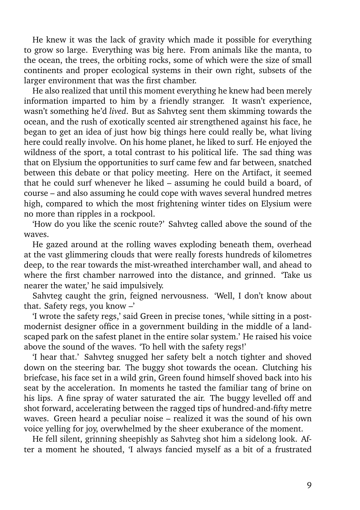He knew it was the lack of gravity which made it possible for everything to grow so large. Everything was big here. From animals like the manta, to the ocean, the trees, the orbiting rocks, some of which were the size of small continents and proper ecological systems in their own right, subsets of the larger environment that was the first chamber.

He also realized that until this moment everything he knew had been merely information imparted to him by a friendly stranger. It wasn't experience, wasn't something he'd *lived*. But as Sahvteg sent them skimming towards the ocean, and the rush of exotically scented air strengthened against his face, he began to get an idea of just how big things here could really be, what living here could really involve. On his home planet, he liked to surf. He enjoyed the wildness of the sport, a total contrast to his political life. The sad thing was that on Elysium the opportunities to surf came few and far between, snatched between this debate or that policy meeting. Here on the Artifact, it seemed that he could surf whenever he liked – assuming he could build a board, of course – and also assuming he could cope with waves several hundred metres high, compared to which the most frightening winter tides on Elysium were no more than ripples in a rockpool.

'How do you like the scenic route?' Sahvteg called above the sound of the waves.

He gazed around at the rolling waves exploding beneath them, overhead at the vast glimmering clouds that were really forests hundreds of kilometres deep, to the rear towards the mist-wreathed interchamber wall, and ahead to where the first chamber narrowed into the distance, and grinned. 'Take us nearer the water,' he said impulsively.

Sahvteg caught the grin, feigned nervousness. 'Well, I don't know about that. Safety regs, you know –'

'I wrote the safety regs,' said Green in precise tones, 'while sitting in a postmodernist designer office in a government building in the middle of a landscaped park on the safest planet in the entire solar system.' He raised his voice above the sound of the waves. 'To hell with the safety regs!'

'I hear that.' Sahvteg snugged her safety belt a notch tighter and shoved down on the steering bar. The buggy shot towards the ocean. Clutching his briefcase, his face set in a wild grin, Green found himself shoved back into his seat by the acceleration. In moments he tasted the familiar tang of brine on his lips. A fine spray of water saturated the air. The buggy levelled off and shot forward, accelerating between the ragged tips of hundred-and-fifty metre waves. Green heard a peculiar noise – realized it was the sound of his own voice yelling for joy, overwhelmed by the sheer exuberance of the moment.

He fell silent, grinning sheepishly as Sahvteg shot him a sidelong look. After a moment he shouted, 'I always fancied myself as a bit of a frustrated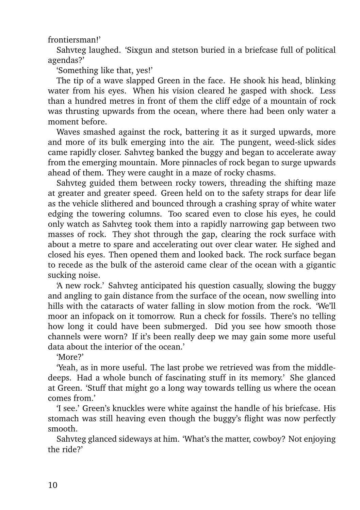frontiersman!'

Sahvteg laughed. 'Sixgun and stetson buried in a briefcase full of political agendas?'

'Something like that, yes!'

The tip of a wave slapped Green in the face. He shook his head, blinking water from his eyes. When his vision cleared he gasped with shock. Less than a hundred metres in front of them the cliff edge of a mountain of rock was thrusting upwards from the ocean, where there had been only water a moment before.

Waves smashed against the rock, battering it as it surged upwards, more and more of its bulk emerging into the air. The pungent, weed-slick sides came rapidly closer. Sahvteg banked the buggy and began to accelerate away from the emerging mountain. More pinnacles of rock began to surge upwards ahead of them. They were caught in a maze of rocky chasms.

Sahvteg guided them between rocky towers, threading the shifting maze at greater and greater speed. Green held on to the safety straps for dear life as the vehicle slithered and bounced through a crashing spray of white water edging the towering columns. Too scared even to close his eyes, he could only watch as Sahvteg took them into a rapidly narrowing gap between two masses of rock. They shot through the gap, clearing the rock surface with about a metre to spare and accelerating out over clear water. He sighed and closed his eyes. Then opened them and looked back. The rock surface began to recede as the bulk of the asteroid came clear of the ocean with a gigantic sucking noise.

'A new rock.' Sahvteg anticipated his question casually, slowing the buggy and angling to gain distance from the surface of the ocean, now swelling into hills with the cataracts of water falling in slow motion from the rock. 'We'll moor an infopack on it tomorrow. Run a check for fossils. There's no telling how long it could have been submerged. Did you see how smooth those channels were worn? If it's been really deep we may gain some more useful data about the interior of the ocean.'

'More?'

'Yeah, as in more useful. The last probe we retrieved was from the middledeeps. Had a whole bunch of fascinating stuff in its memory.' She glanced at Green. 'Stuff that might go a long way towards telling us where the ocean comes from.'

'I see.' Green's knuckles were white against the handle of his briefcase. His stomach was still heaving even though the buggy's flight was now perfectly smooth.

Sahvteg glanced sideways at him. 'What's the matter, cowboy? Not enjoying the ride?'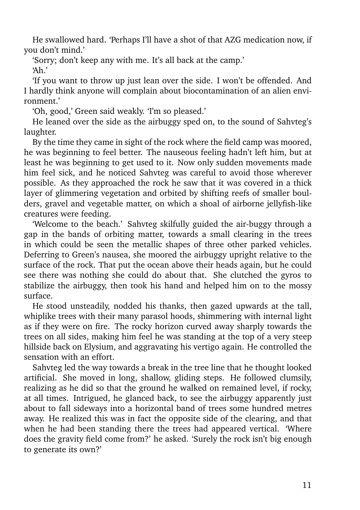He swallowed hard. 'Perhaps I'll have a shot of that AZG medication now, if you don't mind.'

'Sorry; don't keep any with me. It's all back at the camp.' 'Ah.'

'If you want to throw up just lean over the side. I won't be offended. And I hardly think anyone will complain about biocontamination of an alien environment.'

'Oh, good,' Green said weakly. 'I'm so pleased.'

He leaned over the side as the airbuggy sped on, to the sound of Sahvteg's laughter.

By the time they came in sight of the rock where the field camp was moored, he was beginning to feel better. The nauseous feeling hadn't left him, but at least he was beginning to get used to it. Now only sudden movements made him feel sick, and he noticed Sahvteg was careful to avoid those wherever possible. As they approached the rock he saw that it was covered in a thick layer of glimmering vegetation and orbited by shifting reefs of smaller boulders, gravel and vegetable matter, on which a shoal of airborne jellyfish-like creatures were feeding.

'Welcome to the beach.' Sahvteg skilfully guided the air-buggy through a gap in the bands of orbiting matter, towards a small clearing in the trees in which could be seen the metallic shapes of three other parked vehicles. Deferring to Green's nausea, she moored the airbuggy upright relative to the surface of the rock. That put the ocean above their heads again, but he could see there was nothing she could do about that. She clutched the gyros to stabilize the airbuggy, then took his hand and helped him on to the mossy surface.

He stood unsteadily, nodded his thanks, then gazed upwards at the tall, whiplike trees with their many parasol hoods, shimmering with internal light as if they were on fire. The rocky horizon curved away sharply towards the trees on all sides, making him feel he was standing at the top of a very steep hillside back on Elysium, and aggravating his vertigo again. He controlled the sensation with an effort.

Sahvteg led the way towards a break in the tree line that he thought looked artificial. She moved in long, shallow, gliding steps. He followed clumsily, realizing as he did so that the ground he walked on remained level, if rocky, at all times. Intrigued, he glanced back, to see the airbuggy apparently just about to fall sideways into a horizontal band of trees some hundred metres away. He realized this was in fact the opposite side of the clearing, and that when he had been standing there the trees had appeared vertical. 'Where does the gravity field come from?' he asked. 'Surely the rock isn't big enough to generate its own?'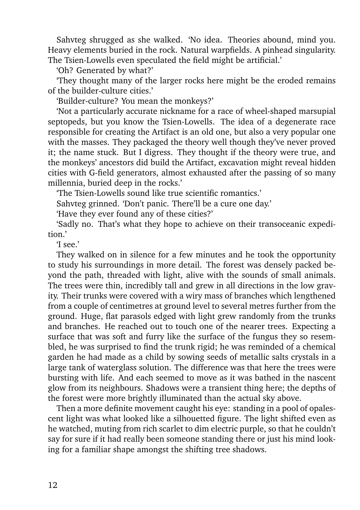Sahvteg shrugged as she walked. 'No idea. Theories abound, mind you. Heavy elements buried in the rock. Natural warpfields. A pinhead singularity. The Tsien-Lowells even speculated the field might be artificial.'

'Oh? Generated by what?'

'They thought many of the larger rocks here might be the eroded remains of the builder-culture cities.'

'Builder-culture? You mean the monkeys?'

'Not a particularly accurate nickname for a race of wheel-shaped marsupial septopeds, but you know the Tsien-Lowells. The idea of a degenerate race responsible for creating the Artifact is an old one, but also a very popular one with the masses. They packaged the theory well though they've never proved it; the name stuck. But I digress. They thought if the theory were true, and the monkeys' ancestors did build the Artifact, excavation might reveal hidden cities with G-field generators, almost exhausted after the passing of so many millennia, buried deep in the rocks.'

'The Tsien-Lowells sound like true scientific romantics.'

Sahvteg grinned. 'Don't panic. There'll be a cure one day.'

'Have they ever found any of these cities?'

'Sadly no. That's what they hope to achieve on their transoceanic expedition.'

'I see.'

They walked on in silence for a few minutes and he took the opportunity to study his surroundings in more detail. The forest was densely packed beyond the path, threaded with light, alive with the sounds of small animals. The trees were thin, incredibly tall and grew in all directions in the low gravity. Their trunks were covered with a wiry mass of branches which lengthened from a couple of centimetres at ground level to several metres further from the ground. Huge, flat parasols edged with light grew randomly from the trunks and branches. He reached out to touch one of the nearer trees. Expecting a surface that was soft and furry like the surface of the fungus they so resembled, he was surprised to find the trunk rigid; he was reminded of a chemical garden he had made as a child by sowing seeds of metallic salts crystals in a large tank of waterglass solution. The difference was that here the trees were bursting with life. And each seemed to move as it was bathed in the nascent glow from its neighbours. Shadows were a transient thing here; the depths of the forest were more brightly illuminated than the actual sky above.

Then a more definite movement caught his eye: standing in a pool of opalescent light was what looked like a silhouetted figure. The light shifted even as he watched, muting from rich scarlet to dim electric purple, so that he couldn't say for sure if it had really been someone standing there or just his mind looking for a familiar shape amongst the shifting tree shadows.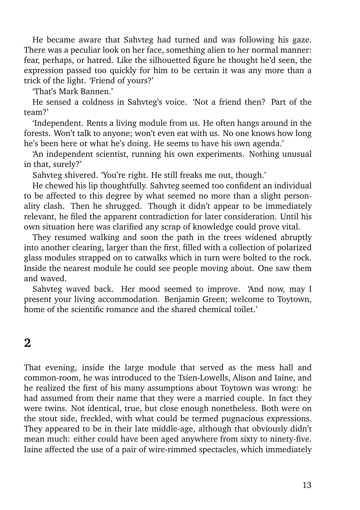He became aware that Sahvteg had turned and was following his gaze. There was a peculiar look on her face, something alien to her normal manner: fear, perhaps, or hatred. Like the silhouetted figure he thought he'd seen, the expression passed too quickly for him to be certain it was any more than a trick of the light. 'Friend of yours?'

'That's Mark Bannen.'

He sensed a coldness in Sahvteg's voice. 'Not a friend then? Part of the team?'

'Independent. Rents a living module from us. He often hangs around in the forests. Won't talk to anyone; won't even eat with us. No one knows how long he's been here or what he's doing. He seems to have his own agenda.'

'An independent scientist, running his own experiments. Nothing unusual in that, surely?'

Sahvteg shivered. 'You're right. He still freaks me out, though.'

He chewed his lip thoughtfully. Sahvteg seemed too confident an individual to be affected to this degree by what seemed no more than a slight personality clash. Then he shrugged. Though it didn't appear to be immediately relevant, he filed the apparent contradiction for later consideration. Until his own situation here was clarified any scrap of knowledge could prove vital.

They resumed walking and soon the path in the trees widened abruptly into another clearing, larger than the first, filled with a collection of polarized glass modules strapped on to catwalks which in turn were bolted to the rock. Inside the nearest module he could see people moving about. One saw them and waved.

Sahvteg waved back. Her mood seemed to improve. 'And now, may I present your living accommodation. Benjamin Green; welcome to Toytown, home of the scientific romance and the shared chemical toilet.'

### <span id="page-22-0"></span>**2**

That evening, inside the large module that served as the mess hall and common-room, he was introduced to the Tsien-Lowells, Alison and Iaine, and he realized the first of his many assumptions about Toytown was wrong: he had assumed from their name that they were a married couple. In fact they were twins. Not identical, true, but close enough nonetheless. Both were on the stout side, freckled, with what could be termed pugnacious expressions. They appeared to be in their late middle-age, although that obviously didn't mean much: either could have been aged anywhere from sixty to ninety-five. Iaine affected the use of a pair of wire-rimmed spectacles, which immediately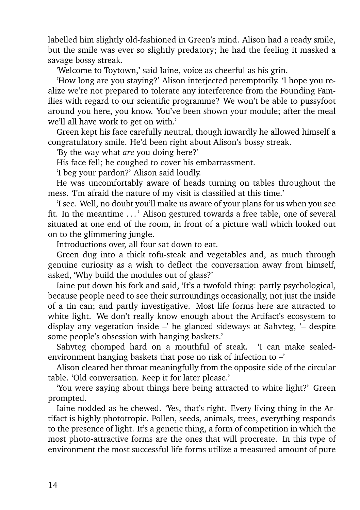labelled him slightly old-fashioned in Green's mind. Alison had a ready smile, but the smile was ever so slightly predatory; he had the feeling it masked a savage bossy streak.

'Welcome to Toytown,' said Iaine, voice as cheerful as his grin.

'How long are you staying?' Alison interjected peremptorily. 'I hope you realize we're not prepared to tolerate any interference from the Founding Families with regard to our scientific programme? We won't be able to pussyfoot around you here, you know. You've been shown your module; after the meal we'll all have work to get on with.'

Green kept his face carefully neutral, though inwardly he allowed himself a congratulatory smile. He'd been right about Alison's bossy streak.

'By the way what *are* you doing here?'

His face fell; he coughed to cover his embarrassment.

'I beg your pardon?' Alison said loudly.

He was uncomfortably aware of heads turning on tables throughout the mess. 'I'm afraid the nature of my visit is classified at this time.'

'I see. Well, no doubt you'll make us aware of your plans for us when you see fit. In the meantime . . . ' Alison gestured towards a free table, one of several situated at one end of the room, in front of a picture wall which looked out on to the glimmering jungle.

Introductions over, all four sat down to eat.

Green dug into a thick tofu-steak and vegetables and, as much through genuine curiosity as a wish to deflect the conversation away from himself, asked, 'Why build the modules out of glass?'

Iaine put down his fork and said, 'It's a twofold thing: partly psychological, because people need to see their surroundings occasionally, not just the inside of a tin can; and partly investigative. Most life forms here are attracted to white light. We don't really know enough about the Artifact's ecosystem to display any vegetation inside –' he glanced sideways at Sahvteg, '– despite some people's obsession with hanging baskets.'

Sahvteg chomped hard on a mouthful of steak. 'I can make sealedenvironment hanging baskets that pose no risk of infection to  $-$ '

Alison cleared her throat meaningfully from the opposite side of the circular table. 'Old conversation. Keep it for later please.'

'You were saying about things here being attracted to white light?' Green prompted.

Iaine nodded as he chewed. 'Yes, that's right. Every living thing in the Artifact is highly phototropic. Pollen, seeds, animals, trees, everything responds to the presence of light. It's a genetic thing, a form of competition in which the most photo-attractive forms are the ones that will procreate. In this type of environment the most successful life forms utilize a measured amount of pure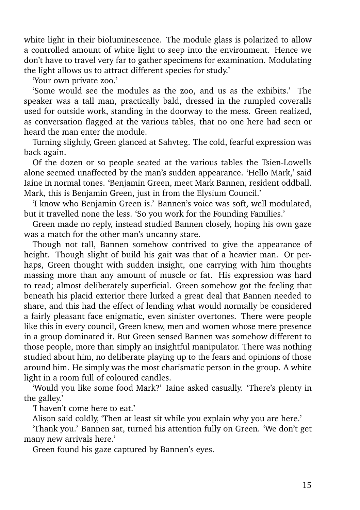white light in their bioluminescence. The module glass is polarized to allow a controlled amount of white light to seep into the environment. Hence we don't have to travel very far to gather specimens for examination. Modulating the light allows us to attract different species for study.'

'Your own private zoo.'

'Some would see the modules as the zoo, and us as the exhibits.' The speaker was a tall man, practically bald, dressed in the rumpled coveralls used for outside work, standing in the doorway to the mess. Green realized, as conversation flagged at the various tables, that no one here had seen or heard the man enter the module.

Turning slightly, Green glanced at Sahvteg. The cold, fearful expression was back again.

Of the dozen or so people seated at the various tables the Tsien-Lowells alone seemed unaffected by the man's sudden appearance. 'Hello Mark,' said Iaine in normal tones. 'Benjamin Green, meet Mark Bannen, resident oddball. Mark, this is Benjamin Green, just in from the Elysium Council.'

'I know who Benjamin Green is.' Bannen's voice was soft, well modulated, but it travelled none the less. 'So you work for the Founding Families.'

Green made no reply, instead studied Bannen closely, hoping his own gaze was a match for the other man's uncanny stare.

Though not tall, Bannen somehow contrived to give the appearance of height. Though slight of build his gait was that of a heavier man. Or perhaps, Green thought with sudden insight, one carrying with him thoughts massing more than any amount of muscle or fat. His expression was hard to read; almost deliberately superficial. Green somehow got the feeling that beneath his placid exterior there lurked a great deal that Bannen needed to share, and this had the effect of lending what would normally be considered a fairly pleasant face enigmatic, even sinister overtones. There were people like this in every council, Green knew, men and women whose mere presence in a group dominated it. But Green sensed Bannen was somehow different to those people, more than simply an insightful manipulator. There was nothing studied about him, no deliberate playing up to the fears and opinions of those around him. He simply was the most charismatic person in the group. A white light in a room full of coloured candles.

'Would you like some food Mark?' Iaine asked casually. 'There's plenty in the galley.'

'I haven't come here to eat.'

Alison said coldly, 'Then at least sit while you explain why you are here.'

'Thank you.' Bannen sat, turned his attention fully on Green. 'We don't get many new arrivals here.'

Green found his gaze captured by Bannen's eyes.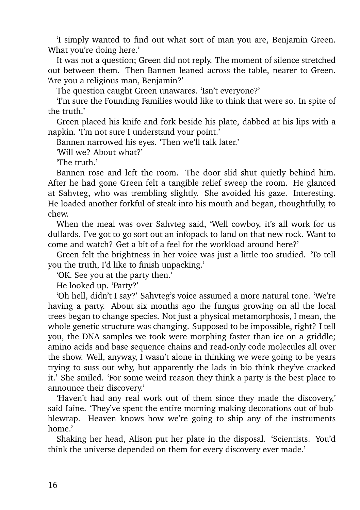'I simply wanted to find out what sort of man you are, Benjamin Green. What you're doing here.'

It was not a question; Green did not reply. The moment of silence stretched out between them. Then Bannen leaned across the table, nearer to Green. 'Are you a religious man, Benjamin?'

The question caught Green unawares. 'Isn't everyone?'

'I'm sure the Founding Families would like to think that were so. In spite of the truth.'

Green placed his knife and fork beside his plate, dabbed at his lips with a napkin. 'I'm not sure I understand your point.'

Bannen narrowed his eyes. 'Then we'll talk later.'

'Will we? About what?'

'The truth.'

Bannen rose and left the room. The door slid shut quietly behind him. After he had gone Green felt a tangible relief sweep the room. He glanced at Sahvteg, who was trembling slightly. She avoided his gaze. Interesting. He loaded another forkful of steak into his mouth and began, thoughtfully, to chew.

When the meal was over Sahvteg said, 'Well cowboy, it's all work for us dullards. I've got to go sort out an infopack to land on that new rock. Want to come and watch? Get a bit of a feel for the workload around here?'

Green felt the brightness in her voice was just a little too studied. 'To tell you the truth, I'd like to finish unpacking.'

'OK. See you at the party then.'

He looked up. 'Party?'

'Oh hell, didn't I say?' Sahvteg's voice assumed a more natural tone. 'We're having a party. About six months ago the fungus growing on all the local trees began to change species. Not just a physical metamorphosis, I mean, the whole genetic structure was changing. Supposed to be impossible, right? I tell you, the DNA samples we took were morphing faster than ice on a griddle; amino acids and base sequence chains and read-only code molecules all over the show. Well, anyway, I wasn't alone in thinking we were going to be years trying to suss out why, but apparently the lads in bio think they've cracked it.' She smiled. 'For some weird reason they think a party is the best place to announce their discovery.'

'Haven't had any real work out of them since they made the discovery,' said Iaine. 'They've spent the entire morning making decorations out of bubblewrap. Heaven knows how we're going to ship any of the instruments home.'

Shaking her head, Alison put her plate in the disposal. 'Scientists. You'd think the universe depended on them for every discovery ever made.'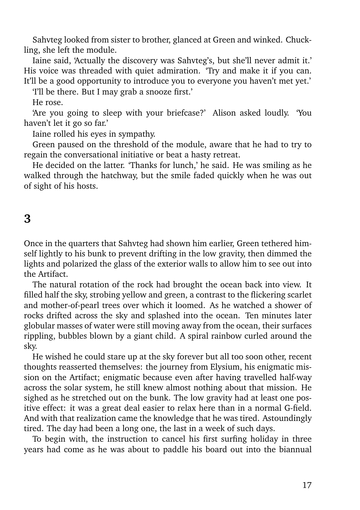Sahvteg looked from sister to brother, glanced at Green and winked. Chuckling, she left the module.

Iaine said, 'Actually the discovery was Sahvteg's, but she'll never admit it.' His voice was threaded with quiet admiration. 'Try and make it if you can. It'll be a good opportunity to introduce you to everyone you haven't met yet.'

'I'll be there. But I may grab a snooze first.'

He rose.

'Are you going to sleep with your briefcase?' Alison asked loudly. 'You haven't let it go so far.'

Iaine rolled his eyes in sympathy.

Green paused on the threshold of the module, aware that he had to try to regain the conversational initiative or beat a hasty retreat.

He decided on the latter. 'Thanks for lunch,' he said. He was smiling as he walked through the hatchway, but the smile faded quickly when he was out of sight of his hosts.

### <span id="page-26-0"></span>**3**

Once in the quarters that Sahvteg had shown him earlier, Green tethered himself lightly to his bunk to prevent drifting in the low gravity, then dimmed the lights and polarized the glass of the exterior walls to allow him to see out into the Artifact.

The natural rotation of the rock had brought the ocean back into view. It filled half the sky, strobing yellow and green, a contrast to the flickering scarlet and mother-of-pearl trees over which it loomed. As he watched a shower of rocks drifted across the sky and splashed into the ocean. Ten minutes later globular masses of water were still moving away from the ocean, their surfaces rippling, bubbles blown by a giant child. A spiral rainbow curled around the sky.

He wished he could stare up at the sky forever but all too soon other, recent thoughts reasserted themselves: the journey from Elysium, his enigmatic mission on the Artifact; enigmatic because even after having travelled half-way across the solar system, he still knew almost nothing about that mission. He sighed as he stretched out on the bunk. The low gravity had at least one positive effect: it was a great deal easier to relax here than in a normal G-field. And with that realization came the knowledge that he was tired. Astoundingly tired. The day had been a long one, the last in a week of such days.

To begin with, the instruction to cancel his first surfing holiday in three years had come as he was about to paddle his board out into the biannual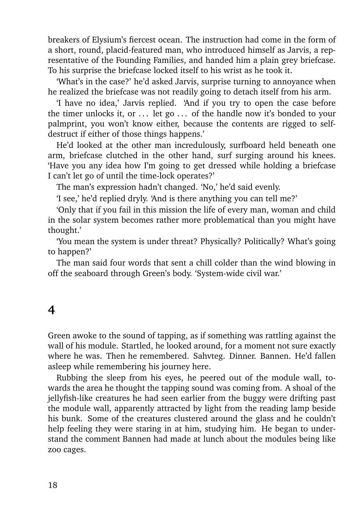breakers of Elysium's fiercest ocean. The instruction had come in the form of a short, round, placid-featured man, who introduced himself as Jarvis, a representative of the Founding Families, and handed him a plain grey briefcase. To his surprise the briefcase locked itself to his wrist as he took it.

'What's in the case?' he'd asked Jarvis, surprise turning to annoyance when he realized the briefcase was not readily going to detach itself from his arm.

'I have no idea,' Jarvis replied. 'And if you try to open the case before the timer unlocks it, or  $\dots$  let go  $\dots$  of the handle now it's bonded to your palmprint, you won't know either, because the contents are rigged to selfdestruct if either of those things happens.'

He'd looked at the other man incredulously, surfboard held beneath one arm, briefcase clutched in the other hand, surf surging around his knees. 'Have you any idea how I'm going to get dressed while holding a briefcase I can't let go of until the time-lock operates?'

The man's expression hadn't changed. 'No,' he'd said evenly.

'I see,' he'd replied dryly. 'And is there anything you can tell me?'

'Only that if you fail in this mission the life of every man, woman and child in the solar system becomes rather more problematical than you might have thought.'

'You mean the system is under threat? Physically? Politically? What's going to happen?'

<span id="page-27-0"></span>The man said four words that sent a chill colder than the wind blowing in off the seaboard through Green's body. 'System-wide civil war.'

#### **4**

Green awoke to the sound of tapping, as if something was rattling against the wall of his module. Startled, he looked around, for a moment not sure exactly where he was. Then he remembered. Sahvteg. Dinner. Bannen. He'd fallen asleep while remembering his journey here.

Rubbing the sleep from his eyes, he peered out of the module wall, towards the area he thought the tapping sound was coming from. A shoal of the jellyfish-like creatures he had seen earlier from the buggy were drifting past the module wall, apparently attracted by light from the reading lamp beside his bunk. Some of the creatures clustered around the glass and he couldn't help feeling they were staring in at him, studying him. He began to understand the comment Bannen had made at lunch about the modules being like zoo cages.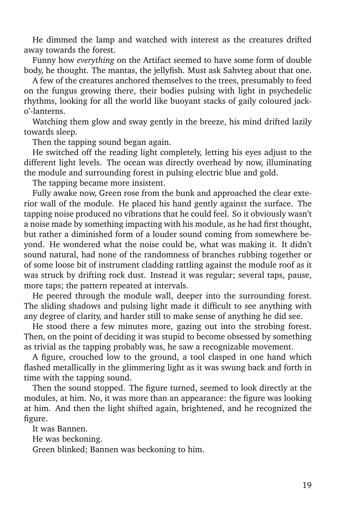He dimmed the lamp and watched with interest as the creatures drifted away towards the forest.

Funny how *everything* on the Artifact seemed to have some form of double body, he thought. The mantas, the jellyfish. Must ask Sahvteg about that one.

A few of the creatures anchored themselves to the trees, presumably to feed on the fungus growing there, their bodies pulsing with light in psychedelic rhythms, looking for all the world like buoyant stacks of gaily coloured jacko'-lanterns.

Watching them glow and sway gently in the breeze, his mind drifted lazily towards sleep.

Then the tapping sound began again.

He switched off the reading light completely, letting his eyes adjust to the different light levels. The ocean was directly overhead by now, illuminating the module and surrounding forest in pulsing electric blue and gold.

The tapping became more insistent.

Fully awake now, Green rose from the bunk and approached the clear exterior wall of the module. He placed his hand gently against the surface. The tapping noise produced no vibrations that he could feel. So it obviously wasn't a noise made by something impacting with his module, as he had first thought, but rather a diminished form of a louder sound coming from somewhere beyond. He wondered what the noise could be, what was making it. It didn't sound natural, had none of the randomness of branches rubbing together or of some loose bit of instrument cladding rattling against the module roof as it was struck by drifting rock dust. Instead it was regular; several taps, pause, more taps; the pattern repeated at intervals.

He peered through the module wall, deeper into the surrounding forest. The sliding shadows and pulsing light made it difficult to see anything with any degree of clarity, and harder still to make sense of anything he did see.

He stood there a few minutes more, gazing out into the strobing forest. Then, on the point of deciding it was stupid to become obsessed by something as trivial as the tapping probably was, he saw a recognizable movement.

A figure, crouched low to the ground, a tool clasped in one hand which flashed metallically in the glimmering light as it was swung back and forth in time with the tapping sound.

Then the sound stopped. The figure turned, seemed to look directly at the modules, at him. No, it was more than an appearance: the figure was looking at him. And then the light shifted again, brightened, and he recognized the figure.

It was Bannen.

He was beckoning.

Green blinked; Bannen was beckoning to him.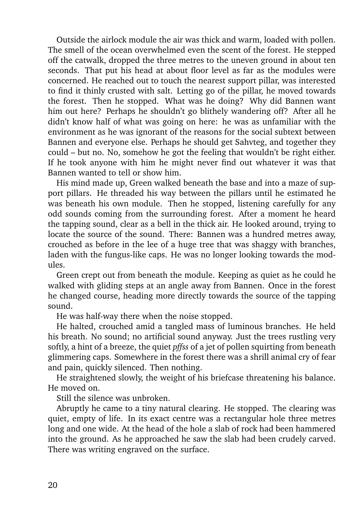Outside the airlock module the air was thick and warm, loaded with pollen. The smell of the ocean overwhelmed even the scent of the forest. He stepped off the catwalk, dropped the three metres to the uneven ground in about ten seconds. That put his head at about floor level as far as the modules were concerned. He reached out to touch the nearest support pillar, was interested to find it thinly crusted with salt. Letting go of the pillar, he moved towards the forest. Then he stopped. What was he doing? Why did Bannen want him out here? Perhaps he shouldn't go blithely wandering off? After all he didn't know half of what was going on here: he was as unfamiliar with the environment as he was ignorant of the reasons for the social subtext between Bannen and everyone else. Perhaps he should get Sahvteg, and together they could – but no. No, somehow he got the feeling that wouldn't be right either. If he took anyone with him he might never find out whatever it was that Bannen wanted to tell or show him.

His mind made up, Green walked beneath the base and into a maze of support pillars. He threaded his way between the pillars until he estimated he was beneath his own module. Then he stopped, listening carefully for any odd sounds coming from the surrounding forest. After a moment he heard the tapping sound, clear as a bell in the thick air. He looked around, trying to locate the source of the sound. There: Bannen was a hundred metres away, crouched as before in the lee of a huge tree that was shaggy with branches, laden with the fungus-like caps. He was no longer looking towards the modules.

Green crept out from beneath the module. Keeping as quiet as he could he walked with gliding steps at an angle away from Bannen. Once in the forest he changed course, heading more directly towards the source of the tapping sound.

He was half-way there when the noise stopped.

He halted, crouched amid a tangled mass of luminous branches. He held his breath. No sound; no artificial sound anyway. Just the trees rustling very softly, a hint of a breeze, the quiet *pffss* of a jet of pollen squirting from beneath glimmering caps. Somewhere in the forest there was a shrill animal cry of fear and pain, quickly silenced. Then nothing.

He straightened slowly, the weight of his briefcase threatening his balance. He moved on.

Still the silence was unbroken.

Abruptly he came to a tiny natural clearing. He stopped. The clearing was quiet, empty of life. In its exact centre was a rectangular hole three metres long and one wide. At the head of the hole a slab of rock had been hammered into the ground. As he approached he saw the slab had been crudely carved. There was writing engraved on the surface.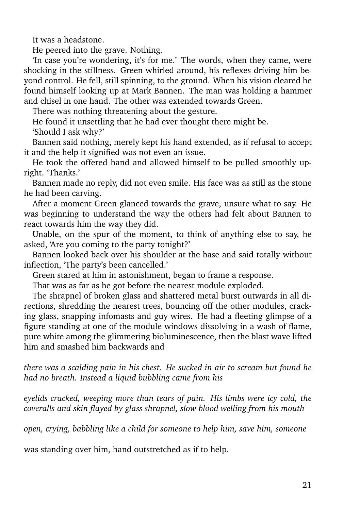It was a headstone.

He peered into the grave. Nothing.

'In case you're wondering, it's for me.' The words, when they came, were shocking in the stillness. Green whirled around, his reflexes driving him beyond control. He fell, still spinning, to the ground. When his vision cleared he found himself looking up at Mark Bannen. The man was holding a hammer and chisel in one hand. The other was extended towards Green.

There was nothing threatening about the gesture.

He found it unsettling that he had ever thought there might be.

'Should I ask why?'

Bannen said nothing, merely kept his hand extended, as if refusal to accept it and the help it signified was not even an issue.

He took the offered hand and allowed himself to be pulled smoothly upright. 'Thanks.'

Bannen made no reply, did not even smile. His face was as still as the stone he had been carving.

After a moment Green glanced towards the grave, unsure what to say. He was beginning to understand the way the others had felt about Bannen to react towards him the way they did.

Unable, on the spur of the moment, to think of anything else to say, he asked, 'Are you coming to the party tonight?'

Bannen looked back over his shoulder at the base and said totally without inflection, 'The party's been cancelled.'

Green stared at him in astonishment, began to frame a response.

That was as far as he got before the nearest module exploded.

The shrapnel of broken glass and shattered metal burst outwards in all directions, shredding the nearest trees, bouncing off the other modules, cracking glass, snapping infomasts and guy wires. He had a fleeting glimpse of a figure standing at one of the module windows dissolving in a wash of flame, pure white among the glimmering bioluminescence, then the blast wave lifted him and smashed him backwards and

*there was a scalding pain in his chest. He sucked in air to scream but found he had no breath. Instead a liquid bubbling came from his*

*eyelids cracked, weeping more than tears of pain. His limbs were icy cold, the coveralls and skin flayed by glass shrapnel, slow blood welling from his mouth*

*open, crying, babbling like a child for someone to help him, save him, someone*

was standing over him, hand outstretched as if to help.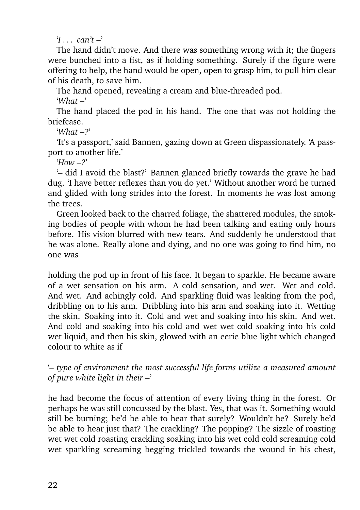$\mathcal{U}$   $\mathcal{I}$   $\mathcal{I}$   $\mathcal{I}$   $\mathcal{I}$   $\mathcal{I}$   $\mathcal{I}$   $\mathcal{I}$   $\mathcal{I}$   $\mathcal{I}$   $\mathcal{I}$   $\mathcal{I}$   $\mathcal{I}$   $\mathcal{I}$   $\mathcal{I}$   $\mathcal{I}$   $\mathcal{I}$   $\mathcal{I}$   $\mathcal{I}$   $\mathcal{I}$   $\mathcal{I}$   $\mathcal{I}$   $\mathcal{I}$   $\mathcal{I}$   $\mathcal{$ 

The hand didn't move. And there was something wrong with it; the fingers were bunched into a fist, as if holding something. Surely if the figure were offering to help, the hand would be open, open to grasp him, to pull him clear of his death, to save him.

The hand opened, revealing a cream and blue-threaded pod.

'*What –*'

The hand placed the pod in his hand. The one that was not holding the briefcase.

'*What –?*'

'It's a passport,' said Bannen, gazing down at Green dispassionately. 'A passport to another life.'

'*How –?*'

'– did I avoid the blast?' Bannen glanced briefly towards the grave he had dug. 'I have better reflexes than you do yet.' Without another word he turned and glided with long strides into the forest. In moments he was lost among the trees.

Green looked back to the charred foliage, the shattered modules, the smoking bodies of people with whom he had been talking and eating only hours before. His vision blurred with new tears. And suddenly he understood that he was alone. Really alone and dying, and no one was going to find him, no one was

holding the pod up in front of his face. It began to sparkle. He became aware of a wet sensation on his arm. A cold sensation, and wet. Wet and cold. And wet. And achingly cold. And sparkling fluid was leaking from the pod, dribbling on to his arm. Dribbling into his arm and soaking into it. Wetting the skin. Soaking into it. Cold and wet and soaking into his skin. And wet. And cold and soaking into his cold and wet wet cold soaking into his cold wet liquid, and then his skin, glowed with an eerie blue light which changed colour to white as if

'*– type of environment the most successful life forms utilize a measured amount of pure white light in their –*'

he had become the focus of attention of every living thing in the forest. Or perhaps he was still concussed by the blast. Yes, that was it. Something would still be burning; he'd be able to hear that surely? Wouldn't he? Surely he'd be able to hear just that? The crackling? The popping? The sizzle of roasting wet wet cold roasting crackling soaking into his wet cold cold screaming cold wet sparkling screaming begging trickled towards the wound in his chest,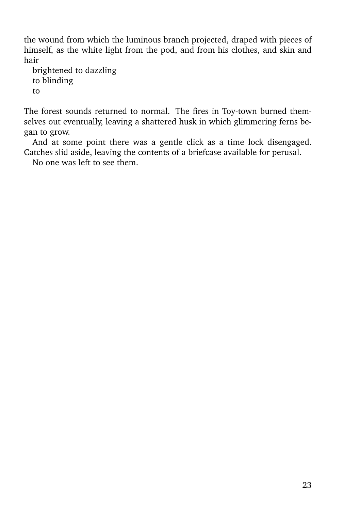the wound from which the luminous branch projected, draped with pieces of himself, as the white light from the pod, and from his clothes, and skin and hair

brightened to dazzling to blinding to

The forest sounds returned to normal. The fires in Toy-town burned themselves out eventually, leaving a shattered husk in which glimmering ferns began to grow.

And at some point there was a gentle click as a time lock disengaged. Catches slid aside, leaving the contents of a briefcase available for perusal.

No one was left to see them.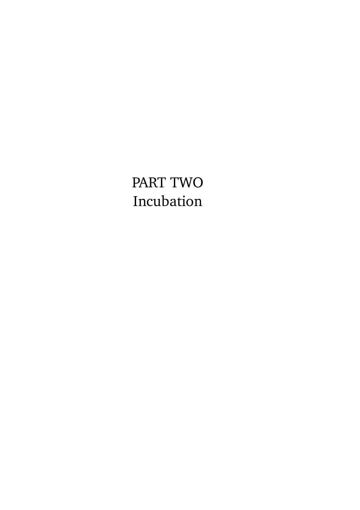<span id="page-34-0"></span>PART TWO Incubation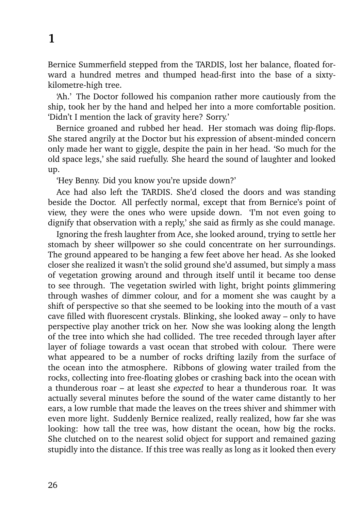<span id="page-35-0"></span>Bernice Summerfield stepped from the TARDIS, lost her balance, floated forward a hundred metres and thumped head-first into the base of a sixty-

'Ah.' The Doctor followed his companion rather more cautiously from the ship, took her by the hand and helped her into a more comfortable position. 'Didn't I mention the lack of gravity here? Sorry.'

Bernice groaned and rubbed her head. Her stomach was doing flip-flops. She stared angrily at the Doctor but his expression of absent-minded concern only made her want to giggle, despite the pain in her head. 'So much for the old space legs,' she said ruefully. She heard the sound of laughter and looked up.

'Hey Benny. Did you know you're upside down?'

Ace had also left the TARDIS. She'd closed the doors and was standing beside the Doctor. All perfectly normal, except that from Bernice's point of view, they were the ones who were upside down. 'I'm not even going to dignify that observation with a reply,' she said as firmly as she could manage.

Ignoring the fresh laughter from Ace, she looked around, trying to settle her stomach by sheer willpower so she could concentrate on her surroundings. The ground appeared to be hanging a few feet above her head. As she looked closer she realized it wasn't the solid ground she'd assumed, but simply a mass of vegetation growing around and through itself until it became too dense to see through. The vegetation swirled with light, bright points glimmering through washes of dimmer colour, and for a moment she was caught by a shift of perspective so that she seemed to be looking into the mouth of a vast cave filled with fluorescent crystals. Blinking, she looked away – only to have perspective play another trick on her. Now she was looking along the length of the tree into which she had collided. The tree receded through layer after layer of foliage towards a vast ocean that strobed with colour. There were what appeared to be a number of rocks drifting lazily from the surface of the ocean into the atmosphere. Ribbons of glowing water trailed from the rocks, collecting into free-floating globes or crashing back into the ocean with a thunderous roar – at least she *expected* to hear a thunderous roar. It was actually several minutes before the sound of the water came distantly to her ears, a low rumble that made the leaves on the trees shiver and shimmer with even more light. Suddenly Bernice realized, really realized, how far she was looking: how tall the tree was, how distant the ocean, how big the rocks. She clutched on to the nearest solid object for support and remained gazing stupidly into the distance. If this tree was really as long as it looked then every

kilometre-high tree.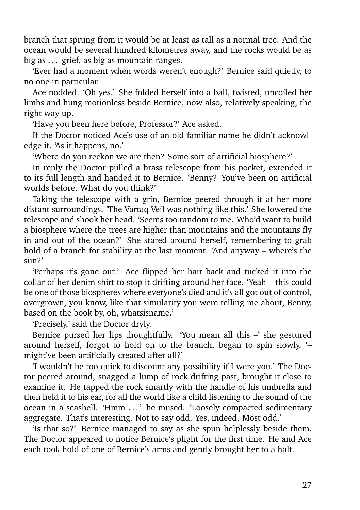branch that sprung from it would be at least as tall as a normal tree. And the ocean would be several hundred kilometres away, and the rocks would be as big as ... grief, as big as mountain ranges.

'Ever had a moment when words weren't enough?' Bernice said quietly, to no one in particular.

Ace nodded. 'Oh yes.' She folded herself into a ball, twisted, uncoiled her limbs and hung motionless beside Bernice, now also, relatively speaking, the right way up.

'Have you been here before, Professor?' Ace asked.

If the Doctor noticed Ace's use of an old familiar name he didn't acknowledge it. 'As it happens, no.'

'Where do you reckon we are then? Some sort of artificial biosphere?'

In reply the Doctor pulled a brass telescope from his pocket, extended it to its full length and handed it to Bernice. 'Benny? You've been on artificial worlds before. What do you think?'

Taking the telescope with a grin, Bernice peered through it at her more distant surroundings. 'The Vartaq Veil was nothing like this.' She lowered the telescope and shook her head. 'Seems too random to me. Who'd want to build a biosphere where the trees are higher than mountains and the mountains fly in and out of the ocean?' She stared around herself, remembering to grab hold of a branch for stability at the last moment. 'And anyway – where's the sun?'

'Perhaps it's gone out.' Ace flipped her hair back and tucked it into the collar of her denim shirt to stop it drifting around her face. 'Yeah – this could be one of those biospheres where everyone's died and it's all got out of control, overgrown, you know, like that simularity you were telling me about, Benny, based on the book by, oh, whatsisname.'

'Precisely,' said the Doctor dryly.

Bernice pursed her lips thoughtfully. 'You mean all this –' she gestured around herself, forgot to hold on to the branch, began to spin slowly, '– might've been artificially created after all?'

'I wouldn't be too quick to discount any possibility if I were you.' The Doctor peered around, snagged a lump of rock drifting past, brought it close to examine it. He tapped the rock smartly with the handle of his umbrella and then held it to his ear, for all the world like a child listening to the sound of the ocean in a seashell. 'Hmm . . . ' he mused. 'Loosely compacted sedimentary aggregate. That's interesting. Not to say odd. Yes, indeed. Most odd.'

'Is that so?' Bernice managed to say as she spun helplessly beside them. The Doctor appeared to notice Bernice's plight for the first time. He and Ace each took hold of one of Bernice's arms and gently brought her to a halt.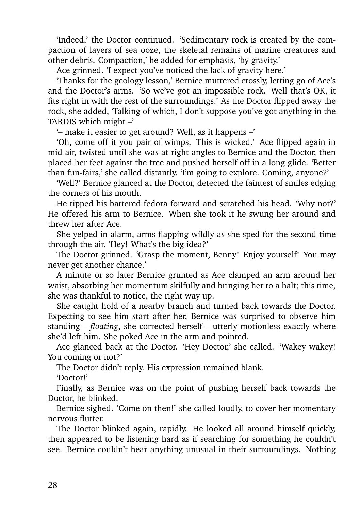'Indeed,' the Doctor continued. 'Sedimentary rock is created by the compaction of layers of sea ooze, the skeletal remains of marine creatures and other debris. Compaction,' he added for emphasis, 'by gravity.'

Ace grinned. 'I expect you've noticed the lack of gravity here.'

'Thanks for the geology lesson,' Bernice muttered crossly, letting go of Ace's and the Doctor's arms. 'So we've got an impossible rock. Well that's OK, it fits right in with the rest of the surroundings.' As the Doctor flipped away the rock, she added, 'Talking of which, I don't suppose you've got anything in the TARDIS which might –'

'– make it easier to get around? Well, as it happens –'

'Oh, come off it you pair of wimps. This is wicked.' Ace flipped again in mid-air, twisted until she was at right-angles to Bernice and the Doctor, then placed her feet against the tree and pushed herself off in a long glide. 'Better than fun-fairs,' she called distantly. 'I'm going to explore. Coming, anyone?'

'Well?' Bernice glanced at the Doctor, detected the faintest of smiles edging the corners of his mouth.

He tipped his battered fedora forward and scratched his head. 'Why not?' He offered his arm to Bernice. When she took it he swung her around and threw her after Ace.

She yelped in alarm, arms flapping wildly as she sped for the second time through the air. 'Hey! What's the big idea?'

The Doctor grinned. 'Grasp the moment, Benny! Enjoy yourself! You may never get another chance.'

A minute or so later Bernice grunted as Ace clamped an arm around her waist, absorbing her momentum skilfully and bringing her to a halt; this time, she was thankful to notice, the right way up.

She caught hold of a nearby branch and turned back towards the Doctor. Expecting to see him start after her, Bernice was surprised to observe him standing – *floating*, she corrected herself – utterly motionless exactly where she'd left him. She poked Ace in the arm and pointed.

Ace glanced back at the Doctor. 'Hey Doctor,' she called. 'Wakey wakey! You coming or not?'

The Doctor didn't reply. His expression remained blank.

'Doctor!'

Finally, as Bernice was on the point of pushing herself back towards the Doctor, he blinked.

Bernice sighed. 'Come on then!' she called loudly, to cover her momentary nervous flutter.

The Doctor blinked again, rapidly. He looked all around himself quickly, then appeared to be listening hard as if searching for something he couldn't see. Bernice couldn't hear anything unusual in their surroundings. Nothing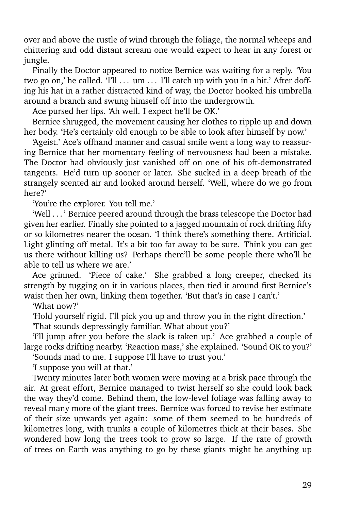over and above the rustle of wind through the foliage, the normal wheeps and chittering and odd distant scream one would expect to hear in any forest or jungle.

Finally the Doctor appeared to notice Bernice was waiting for a reply. 'You two go on,' he called.  $T1$ ... um ... I'll catch up with you in a bit.' After doffing his hat in a rather distracted kind of way, the Doctor hooked his umbrella around a branch and swung himself off into the undergrowth.

Ace pursed her lips. 'Ah well. I expect he'll be OK.'

Bernice shrugged, the movement causing her clothes to ripple up and down her body. 'He's certainly old enough to be able to look after himself by now.'

'Ageist.' Ace's offhand manner and casual smile went a long way to reassuring Bernice that her momentary feeling of nervousness had been a mistake. The Doctor had obviously just vanished off on one of his oft-demonstrated tangents. He'd turn up sooner or later. She sucked in a deep breath of the strangely scented air and looked around herself. 'Well, where do we go from here?'

'You're the explorer. You tell me.'

'Well . . . ' Bernice peered around through the brass telescope the Doctor had given her earlier. Finally she pointed to a jagged mountain of rock drifting fifty or so kilometres nearer the ocean. 'I think there's something there. Artificial. Light glinting off metal. It's a bit too far away to be sure. Think you can get us there without killing us? Perhaps there'll be some people there who'll be able to tell us where we are.'

Ace grinned. 'Piece of cake.' She grabbed a long creeper, checked its strength by tugging on it in various places, then tied it around first Bernice's waist then her own, linking them together. 'But that's in case I can't.'

'What now?'

'Hold yourself rigid. I'll pick you up and throw you in the right direction.'

'That sounds depressingly familiar. What about you?'

'I'll jump after you before the slack is taken up.' Ace grabbed a couple of large rocks drifting nearby. 'Reaction mass,' she explained. 'Sound OK to you?'

'Sounds mad to me. I suppose I'll have to trust you.'

'I suppose you will at that.'

Twenty minutes later both women were moving at a brisk pace through the air. At great effort, Bernice managed to twist herself so she could look back the way they'd come. Behind them, the low-level foliage was falling away to reveal many more of the giant trees. Bernice was forced to revise her estimate of their size upwards yet again: some of them seemed to be hundreds of kilometres long, with trunks a couple of kilometres thick at their bases. She wondered how long the trees took to grow so large. If the rate of growth of trees on Earth was anything to go by these giants might be anything up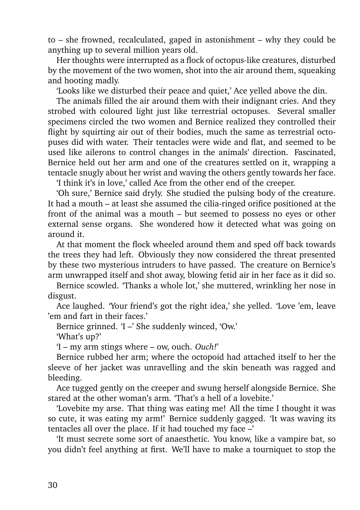to – she frowned, recalculated, gaped in astonishment – why they could be anything up to several million years old.

Her thoughts were interrupted as a flock of octopus-like creatures, disturbed by the movement of the two women, shot into the air around them, squeaking and hooting madly.

'Looks like we disturbed their peace and quiet,' Ace yelled above the din.

The animals filled the air around them with their indignant cries. And they strobed with coloured light just like terrestrial octopuses. Several smaller specimens circled the two women and Bernice realized they controlled their flight by squirting air out of their bodies, much the same as terrestrial octopuses did with water. Their tentacles were wide and flat, and seemed to be used like ailerons to control changes in the animals' direction. Fascinated, Bernice held out her arm and one of the creatures settled on it, wrapping a tentacle snugly about her wrist and waving the others gently towards her face.

'I think it's in love,' called Ace from the other end of the creeper.

'Oh sure,' Bernice said dryly. She studied the pulsing body of the creature. It had a mouth – at least she assumed the cilia-ringed orifice positioned at the front of the animal was a mouth – but seemed to possess no eyes or other external sense organs. She wondered how it detected what was going on around it.

At that moment the flock wheeled around them and sped off back towards the trees they had left. Obviously they now considered the threat presented by these two mysterious intruders to have passed. The creature on Bernice's arm unwrapped itself and shot away, blowing fetid air in her face as it did so.

Bernice scowled. 'Thanks a whole lot,' she muttered, wrinkling her nose in disgust.

Ace laughed. 'Your friend's got the right idea,' she yelled. 'Love 'em, leave 'em and fart in their faces.'

Bernice grinned. 'I –' She suddenly winced, 'Ow.'

'What's up?'

'I – my arm stings where – ow, ouch. *Ouch!*'

Bernice rubbed her arm; where the octopoid had attached itself to her the sleeve of her jacket was unravelling and the skin beneath was ragged and bleeding.

Ace tugged gently on the creeper and swung herself alongside Bernice. She stared at the other woman's arm. 'That's a hell of a lovebite.'

'Lovebite my arse. That thing was eating me! All the time I thought it was so cute, it was eating my arm!' Bernice suddenly gagged. 'It was waving its tentacles all over the place. If it had touched my face –'

'It must secrete some sort of anaesthetic. You know, like a vampire bat, so you didn't feel anything at first. We'll have to make a tourniquet to stop the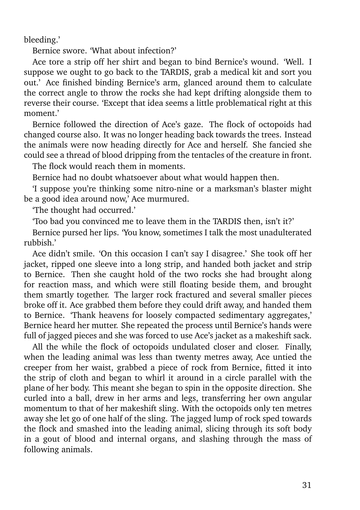bleeding.'

Bernice swore. 'What about infection?'

Ace tore a strip off her shirt and began to bind Bernice's wound. 'Well. I suppose we ought to go back to the TARDIS, grab a medical kit and sort you out.' Ace finished binding Bernice's arm, glanced around them to calculate the correct angle to throw the rocks she had kept drifting alongside them to reverse their course. 'Except that idea seems a little problematical right at this moment.'

Bernice followed the direction of Ace's gaze. The flock of octopoids had changed course also. It was no longer heading back towards the trees. Instead the animals were now heading directly for Ace and herself. She fancied she could see a thread of blood dripping from the tentacles of the creature in front.

The flock would reach them in moments.

Bernice had no doubt whatsoever about what would happen then.

'I suppose you're thinking some nitro-nine or a marksman's blaster might be a good idea around now,' Ace murmured.

'The thought had occurred.'

'Too bad you convinced me to leave them in the TARDIS then, isn't it?'

Bernice pursed her lips. 'You know, sometimes I talk the most unadulterated rubbish.'

Ace didn't smile. 'On this occasion I can't say I disagree.' She took off her jacket, ripped one sleeve into a long strip, and handed both jacket and strip to Bernice. Then she caught hold of the two rocks she had brought along for reaction mass, and which were still floating beside them, and brought them smartly together. The larger rock fractured and several smaller pieces broke off it. Ace grabbed them before they could drift away, and handed them to Bernice. 'Thank heavens for loosely compacted sedimentary aggregates,' Bernice heard her mutter. She repeated the process until Bernice's hands were full of jagged pieces and she was forced to use Ace's jacket as a makeshift sack.

All the while the flock of octopoids undulated closer and closer. Finally, when the leading animal was less than twenty metres away, Ace untied the creeper from her waist, grabbed a piece of rock from Bernice, fitted it into the strip of cloth and began to whirl it around in a circle parallel with the plane of her body. This meant she began to spin in the opposite direction. She curled into a ball, drew in her arms and legs, transferring her own angular momentum to that of her makeshift sling. With the octopoids only ten metres away she let go of one half of the sling. The jagged lump of rock sped towards the flock and smashed into the leading animal, slicing through its soft body in a gout of blood and internal organs, and slashing through the mass of following animals.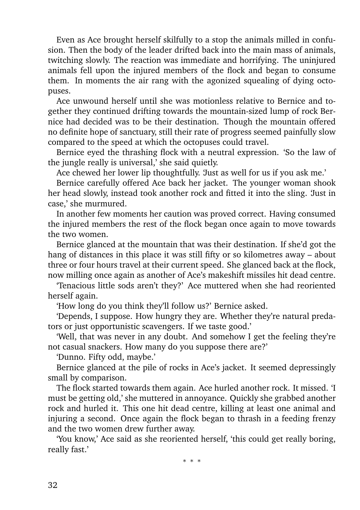Even as Ace brought herself skilfully to a stop the animals milled in confusion. Then the body of the leader drifted back into the main mass of animals, twitching slowly. The reaction was immediate and horrifying. The uninjured animals fell upon the injured members of the flock and began to consume them. In moments the air rang with the agonized squealing of dying octopuses.

Ace unwound herself until she was motionless relative to Bernice and together they continued drifting towards the mountain-sized lump of rock Bernice had decided was to be their destination. Though the mountain offered no definite hope of sanctuary, still their rate of progress seemed painfully slow compared to the speed at which the octopuses could travel.

Bernice eyed the thrashing flock with a neutral expression. 'So the law of the jungle really is universal,' she said quietly.

Ace chewed her lower lip thoughtfully. 'Just as well for us if you ask me.'

Bernice carefully offered Ace back her jacket. The younger woman shook her head slowly, instead took another rock and fitted it into the sling. 'Just in case,' she murmured.

In another few moments her caution was proved correct. Having consumed the injured members the rest of the flock began once again to move towards the two women.

Bernice glanced at the mountain that was their destination. If she'd got the hang of distances in this place it was still fifty or so kilometres away – about three or four hours travel at their current speed. She glanced back at the flock, now milling once again as another of Ace's makeshift missiles hit dead centre.

'Tenacious little sods aren't they?' Ace muttered when she had reoriented herself again.

'How long do you think they'll follow us?' Bernice asked.

'Depends, I suppose. How hungry they are. Whether they're natural predators or just opportunistic scavengers. If we taste good.'

'Well, that was never in any doubt. And somehow I get the feeling they're not casual snackers. How many do you suppose there are?'

'Dunno. Fifty odd, maybe.'

Bernice glanced at the pile of rocks in Ace's jacket. It seemed depressingly small by comparison.

The flock started towards them again. Ace hurled another rock. It missed. 'I must be getting old,' she muttered in annoyance. Quickly she grabbed another rock and hurled it. This one hit dead centre, killing at least one animal and injuring a second. Once again the flock began to thrash in a feeding frenzy and the two women drew further away.

'You know,' Ace said as she reoriented herself, 'this could get really boring, really fast.'

∗ ∗ ∗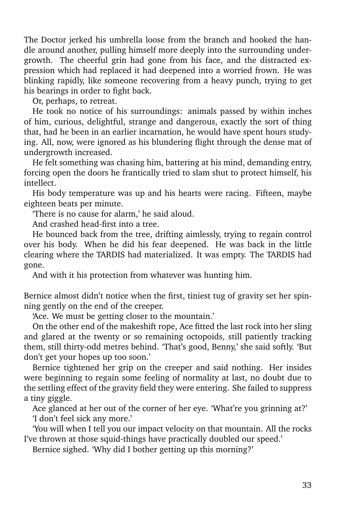The Doctor jerked his umbrella loose from the branch and hooked the handle around another, pulling himself more deeply into the surrounding undergrowth. The cheerful grin had gone from his face, and the distracted expression which had replaced it had deepened into a worried frown. He was blinking rapidly, like someone recovering from a heavy punch, trying to get his bearings in order to fight back.

Or, perhaps, to retreat.

He took no notice of his surroundings: animals passed by within inches of him, curious, delightful, strange and dangerous, exactly the sort of thing that, had he been in an earlier incarnation, he would have spent hours studying. All, now, were ignored as his blundering flight through the dense mat of undergrowth increased.

He felt something was chasing him, battering at his mind, demanding entry, forcing open the doors he frantically tried to slam shut to protect himself, his intellect.

His body temperature was up and his hearts were racing. Fifteen, maybe eighteen beats per minute.

'There is no cause for alarm,' he said aloud.

And crashed head-first into a tree.

He bounced back from the tree, drifting aimlessly, trying to regain control over his body. When he did his fear deepened. He was back in the little clearing where the TARDIS had materialized. It was empty. The TARDIS had gone.

And with it his protection from whatever was hunting him.

Bernice almost didn't notice when the first, tiniest tug of gravity set her spinning gently on the end of the creeper.

'Ace. We must be getting closer to the mountain.'

On the other end of the makeshift rope, Ace fitted the last rock into her sling and glared at the twenty or so remaining octopoids, still patiently tracking them, still thirty-odd metres behind. 'That's good, Benny,' she said softly. 'But don't get your hopes up too soon.'

Bernice tightened her grip on the creeper and said nothing. Her insides were beginning to regain some feeling of normality at last, no doubt due to the settling effect of the gravity field they were entering. She failed to suppress a tiny giggle.

Ace glanced at her out of the corner of her eye. 'What're you grinning at?' 'I don't feel sick any more.'

'You will when I tell you our impact velocity on that mountain. All the rocks I've thrown at those squid-things have practically doubled our speed.'

Bernice sighed. 'Why did I bother getting up this morning?'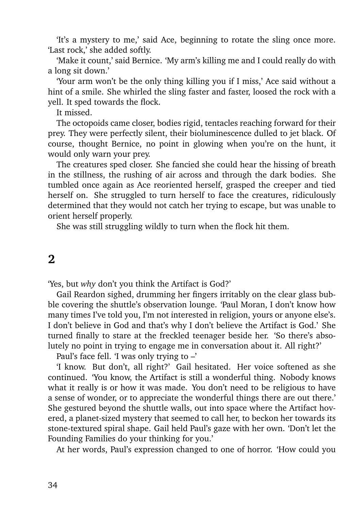'It's a mystery to me,' said Ace, beginning to rotate the sling once more. 'Last rock,' she added softly.

'Make it count,' said Bernice. 'My arm's killing me and I could really do with a long sit down.'

'Your arm won't be the only thing killing you if I miss,' Ace said without a hint of a smile. She whirled the sling faster and faster, loosed the rock with a yell. It sped towards the flock.

It missed.

The octopoids came closer, bodies rigid, tentacles reaching forward for their prey. They were perfectly silent, their bioluminescence dulled to jet black. Of course, thought Bernice, no point in glowing when you're on the hunt, it would only warn your prey.

The creatures sped closer. She fancied she could hear the hissing of breath in the stillness, the rushing of air across and through the dark bodies. She tumbled once again as Ace reoriented herself, grasped the creeper and tied herself on. She struggled to turn herself to face the creatures, ridiculously determined that they would not catch her trying to escape, but was unable to orient herself properly.

She was still struggling wildly to turn when the flock hit them.

## **2**

'Yes, but *why* don't you think the Artifact is God?'

Gail Reardon sighed, drumming her fingers irritably on the clear glass bubble covering the shuttle's observation lounge. 'Paul Moran, I don't know how many times I've told you, I'm not interested in religion, yours or anyone else's. I don't believe in God and that's why I don't believe the Artifact is God.' She turned finally to stare at the freckled teenager beside her. 'So there's absolutely no point in trying to engage me in conversation about it. All right?'

Paul's face fell. 'I was only trying to –'

'I know. But don't, all right?' Gail hesitated. Her voice softened as she continued. 'You know, the Artifact is still a wonderful thing. Nobody knows what it really is or how it was made. You don't need to be religious to have a sense of wonder, or to appreciate the wonderful things there are out there.' She gestured beyond the shuttle walls, out into space where the Artifact hovered, a planet-sized mystery that seemed to call her, to beckon her towards its stone-textured spiral shape. Gail held Paul's gaze with her own. 'Don't let the Founding Families do your thinking for you.'

At her words, Paul's expression changed to one of horror. 'How could you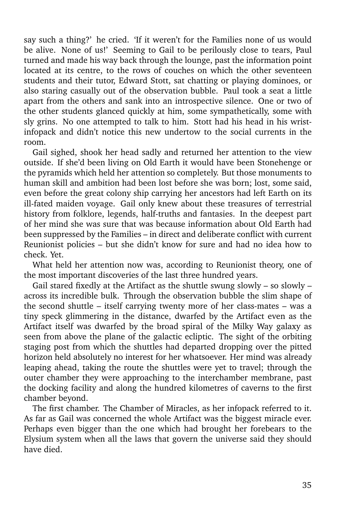say such a thing?' he cried. 'If it weren't for the Families none of us would be alive. None of us!' Seeming to Gail to be perilously close to tears, Paul turned and made his way back through the lounge, past the information point located at its centre, to the rows of couches on which the other seventeen students and their tutor, Edward Stott, sat chatting or playing dominoes, or also staring casually out of the observation bubble. Paul took a seat a little apart from the others and sank into an introspective silence. One or two of the other students glanced quickly at him, some sympathetically, some with sly grins. No one attempted to talk to him. Stott had his head in his wristinfopack and didn't notice this new undertow to the social currents in the room.

Gail sighed, shook her head sadly and returned her attention to the view outside. If she'd been living on Old Earth it would have been Stonehenge or the pyramids which held her attention so completely. But those monuments to human skill and ambition had been lost before she was born; lost, some said, even before the great colony ship carrying her ancestors had left Earth on its ill-fated maiden voyage. Gail only knew about these treasures of terrestrial history from folklore, legends, half-truths and fantasies. In the deepest part of her mind she was sure that was because information about Old Earth had been suppressed by the Families – in direct and deliberate conflict with current Reunionist policies – but she didn't know for sure and had no idea how to check. Yet.

What held her attention now was, according to Reunionist theory, one of the most important discoveries of the last three hundred years.

Gail stared fixedly at the Artifact as the shuttle swung slowly – so slowly – across its incredible bulk. Through the observation bubble the slim shape of the second shuttle – itself carrying twenty more of her class-mates – was a tiny speck glimmering in the distance, dwarfed by the Artifact even as the Artifact itself was dwarfed by the broad spiral of the Milky Way galaxy as seen from above the plane of the galactic ecliptic. The sight of the orbiting staging post from which the shuttles had departed dropping over the pitted horizon held absolutely no interest for her whatsoever. Her mind was already leaping ahead, taking the route the shuttles were yet to travel; through the outer chamber they were approaching to the interchamber membrane, past the docking facility and along the hundred kilometres of caverns to the first chamber beyond.

The first chamber. The Chamber of Miracles, as her infopack referred to it. As far as Gail was concerned the whole Artifact was the biggest miracle ever. Perhaps even bigger than the one which had brought her forebears to the Elysium system when all the laws that govern the universe said they should have died.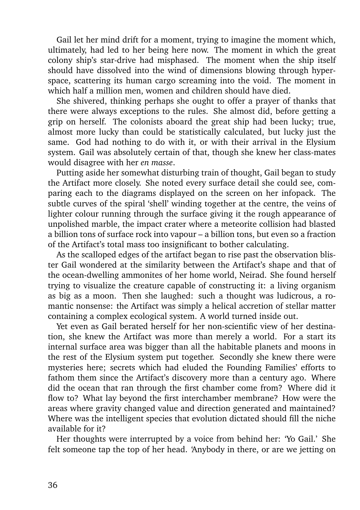Gail let her mind drift for a moment, trying to imagine the moment which, ultimately, had led to her being here now. The moment in which the great colony ship's star-drive had misphased. The moment when the ship itself should have dissolved into the wind of dimensions blowing through hyperspace, scattering its human cargo screaming into the void. The moment in which half a million men, women and children should have died.

She shivered, thinking perhaps she ought to offer a prayer of thanks that there were always exceptions to the rules. She almost did, before getting a grip on herself. The colonists aboard the great ship had been lucky; true, almost more lucky than could be statistically calculated, but lucky just the same. God had nothing to do with it, or with their arrival in the Elysium system. Gail was absolutely certain of that, though she knew her class-mates would disagree with her *en masse*.

Putting aside her somewhat disturbing train of thought, Gail began to study the Artifact more closely. She noted every surface detail she could see, comparing each to the diagrams displayed on the screen on her infopack. The subtle curves of the spiral 'shell' winding together at the centre, the veins of lighter colour running through the surface giving it the rough appearance of unpolished marble, the impact crater where a meteorite collision had blasted a billion tons of surface rock into vapour – a billion tons, but even so a fraction of the Artifact's total mass too insignificant to bother calculating.

As the scalloped edges of the artifact began to rise past the observation blister Gail wondered at the similarity between the Artifact's shape and that of the ocean-dwelling ammonites of her home world, Neirad. She found herself trying to visualize the creature capable of constructing it: a living organism as big as a moon. Then she laughed: such a thought was ludicrous, a romantic nonsense: the Artifact was simply a helical accretion of stellar matter containing a complex ecological system. A world turned inside out.

Yet even as Gail berated herself for her non-scientific view of her destination, she knew the Artifact was more than merely a world. For a start its internal surface area was bigger than all the habitable planets and moons in the rest of the Elysium system put together. Secondly she knew there were mysteries here; secrets which had eluded the Founding Families' efforts to fathom them since the Artifact's discovery more than a century ago. Where did the ocean that ran through the first chamber come from? Where did it flow to? What lay beyond the first interchamber membrane? How were the areas where gravity changed value and direction generated and maintained? Where was the intelligent species that evolution dictated should fill the niche available for it?

Her thoughts were interrupted by a voice from behind her: 'Yo Gail.' She felt someone tap the top of her head. 'Anybody in there, or are we jetting on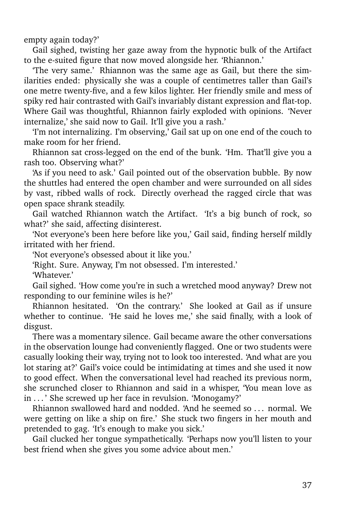empty again today?'

Gail sighed, twisting her gaze away from the hypnotic bulk of the Artifact to the e-suited figure that now moved alongside her. 'Rhiannon.'

'The very same.' Rhiannon was the same age as Gail, but there the similarities ended: physically she was a couple of centimetres taller than Gail's one metre twenty-five, and a few kilos lighter. Her friendly smile and mess of spiky red hair contrasted with Gail's invariably distant expression and flat-top. Where Gail was thoughtful, Rhiannon fairly exploded with opinions. 'Never internalize,' she said now to Gail. It'll give you a rash.'

'I'm not internalizing. I'm observing,' Gail sat up on one end of the couch to make room for her friend.

Rhiannon sat cross-legged on the end of the bunk. 'Hm. That'll give you a rash too. Observing what?'

'As if you need to ask.' Gail pointed out of the observation bubble. By now the shuttles had entered the open chamber and were surrounded on all sides by vast, ribbed walls of rock. Directly overhead the ragged circle that was open space shrank steadily.

Gail watched Rhiannon watch the Artifact. 'It's a big bunch of rock, so what?' she said, affecting disinterest.

'Not everyone's been here before like you,' Gail said, finding herself mildly irritated with her friend.

'Not everyone's obsessed about it like you.'

'Right. Sure. Anyway, I'm not obsessed. I'm interested.'

'Whatever.'

Gail sighed. 'How come you're in such a wretched mood anyway? Drew not responding to our feminine wiles is he?'

Rhiannon hesitated. 'On the contrary.' She looked at Gail as if unsure whether to continue. 'He said he loves me,' she said finally, with a look of disgust.

There was a momentary silence. Gail became aware the other conversations in the observation lounge had conveniently flagged. One or two students were casually looking their way, trying not to look too interested. 'And what are you lot staring at?' Gail's voice could be intimidating at times and she used it now to good effect. When the conversational level had reached its previous norm, she scrunched closer to Rhiannon and said in a whisper, 'You mean love as in . . . ' She screwed up her face in revulsion. 'Monogamy?'

Rhiannon swallowed hard and nodded. 'And he seemed so . . . normal. We were getting on like a ship on fire.' She stuck two fingers in her mouth and pretended to gag. 'It's enough to make you sick.'

Gail clucked her tongue sympathetically. 'Perhaps now you'll listen to your best friend when she gives you some advice about men.'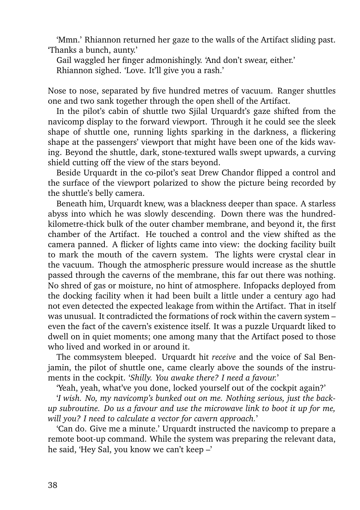'Mmn.' Rhiannon returned her gaze to the walls of the Artifact sliding past. 'Thanks a bunch, aunty.'

Gail waggled her finger admonishingly. 'And don't swear, either.' Rhiannon sighed. 'Love. It'll give you a rash.'

Nose to nose, separated by five hundred metres of vacuum. Ranger shuttles one and two sank together through the open shell of the Artifact.

In the pilot's cabin of shuttle two Sjilal Urquardt's gaze shifted from the navicomp display to the forward viewport. Through it he could see the sleek shape of shuttle one, running lights sparking in the darkness, a flickering shape at the passengers' viewport that might have been one of the kids waving. Beyond the shuttle, dark, stone-textured walls swept upwards, a curving shield cutting off the view of the stars beyond.

Beside Urquardt in the co-pilot's seat Drew Chandor flipped a control and the surface of the viewport polarized to show the picture being recorded by the shuttle's belly camera.

Beneath him, Urquardt knew, was a blackness deeper than space. A starless abyss into which he was slowly descending. Down there was the hundredkilometre-thick bulk of the outer chamber membrane, and beyond it, the first chamber of the Artifact. He touched a control and the view shifted as the camera panned. A flicker of lights came into view: the docking facility built to mark the mouth of the cavern system. The lights were crystal clear in the vacuum. Though the atmospheric pressure would increase as the shuttle passed through the caverns of the membrane, this far out there was nothing. No shred of gas or moisture, no hint of atmosphere. Infopacks deployed from the docking facility when it had been built a little under a century ago had not even detected the expected leakage from within the Artifact. That in itself was unusual. It contradicted the formations of rock within the cavern system – even the fact of the cavern's existence itself. It was a puzzle Urquardt liked to dwell on in quiet moments; one among many that the Artifact posed to those who lived and worked in or around it.

The commsystem bleeped. Urquardt hit *receive* and the voice of Sal Benjamin, the pilot of shuttle one, came clearly above the sounds of the instruments in the cockpit. '*Shilly. You awake there? I need a favour.*'

'Yeah, yeah, what've you done, locked yourself out of the cockpit again?'

'*I wish. No, my navicomp's bunked out on me. Nothing serious, just the backup subroutine. Do us a favour and use the microwave link to boot it up for me, will you? I need to calculate a vector for cavern approach.*'

'Can do. Give me a minute.' Urquardt instructed the navicomp to prepare a remote boot-up command. While the system was preparing the relevant data, he said, 'Hey Sal, you know we can't keep –'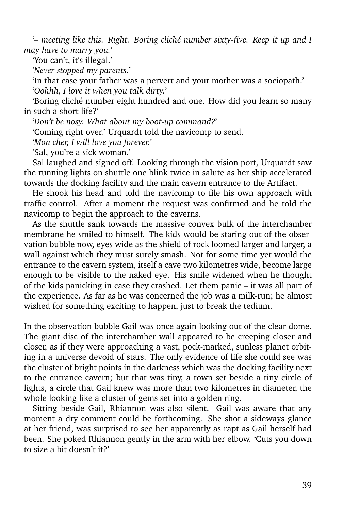'*– meeting like this. Right. Boring cliché number sixty-five. Keep it up and I may have to marry you.*'

'You can't, it's illegal.'

'*Never stopped my parents.*'

'In that case your father was a pervert and your mother was a sociopath.' '*Oohhh, I love it when you talk dirty.*'

'Boring cliché number eight hundred and one. How did you learn so many in such a short life?'

'*Don't be nosy. What about my boot-up command?*'

'Coming right over.' Urquardt told the navicomp to send.

'*Mon cher, I will love you forever.*'

'Sal, you're a sick woman.'

Sal laughed and signed off. Looking through the vision port, Urquardt saw the running lights on shuttle one blink twice in salute as her ship accelerated towards the docking facility and the main cavern entrance to the Artifact.

He shook his head and told the navicomp to file his own approach with traffic control. After a moment the request was confirmed and he told the navicomp to begin the approach to the caverns.

As the shuttle sank towards the massive convex bulk of the interchamber membrane he smiled to himself. The kids would be staring out of the observation bubble now, eyes wide as the shield of rock loomed larger and larger, a wall against which they must surely smash. Not for some time yet would the entrance to the cavern system, itself a cave two kilometres wide, become large enough to be visible to the naked eye. His smile widened when he thought of the kids panicking in case they crashed. Let them panic – it was all part of the experience. As far as he was concerned the job was a milk-run; he almost wished for something exciting to happen, just to break the tedium.

In the observation bubble Gail was once again looking out of the clear dome. The giant disc of the interchamber wall appeared to be creeping closer and closer, as if they were approaching a vast, pock-marked, sunless planet orbiting in a universe devoid of stars. The only evidence of life she could see was the cluster of bright points in the darkness which was the docking facility next to the entrance cavern; but that was tiny, a town set beside a tiny circle of lights, a circle that Gail knew was more than two kilometres in diameter, the whole looking like a cluster of gems set into a golden ring.

Sitting beside Gail, Rhiannon was also silent. Gail was aware that any moment a dry comment could be forthcoming. She shot a sideways glance at her friend, was surprised to see her apparently as rapt as Gail herself had been. She poked Rhiannon gently in the arm with her elbow. 'Cuts you down to size a bit doesn't it?'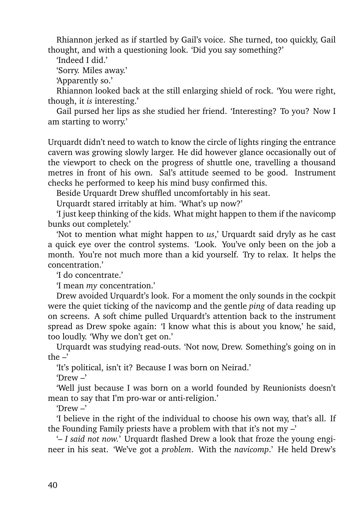Rhiannon jerked as if startled by Gail's voice. She turned, too quickly, Gail thought, and with a questioning look. 'Did you say something?'

'Indeed I did.'

'Sorry. Miles away.'

'Apparently so.'

Rhiannon looked back at the still enlarging shield of rock. 'You were right, though, it *is* interesting.'

Gail pursed her lips as she studied her friend. 'Interesting? To you? Now I am starting to worry.'

Urquardt didn't need to watch to know the circle of lights ringing the entrance cavern was growing slowly larger. He did however glance occasionally out of the viewport to check on the progress of shuttle one, travelling a thousand metres in front of his own. Sal's attitude seemed to be good. Instrument checks he performed to keep his mind busy confirmed this.

Beside Urquardt Drew shuffled uncomfortably in his seat.

Urquardt stared irritably at him. 'What's up now?'

'I just keep thinking of the kids. What might happen to them if the navicomp bunks out completely.'

'Not to mention what might happen to *us*,' Urquardt said dryly as he cast a quick eye over the control systems. 'Look. You've only been on the job a month. You're not much more than a kid yourself. Try to relax. It helps the concentration.'

'I do concentrate.'

'I mean *my* concentration.'

Drew avoided Urquardt's look. For a moment the only sounds in the cockpit were the quiet ticking of the navicomp and the gentle *ping* of data reading up on screens. A soft chime pulled Urquardt's attention back to the instrument spread as Drew spoke again: 'I know what this is about you know,' he said, too loudly. 'Why we don't get on.'

Urquardt was studying read-outs. 'Not now, Drew. Something's going on in  $the -$ 

'It's political, isn't it? Because I was born on Neirad.'

'Drew –'

'Well just because I was born on a world founded by Reunionists doesn't mean to say that I'm pro-war or anti-religion.'

'Drew –'

'I believe in the right of the individual to choose his own way, that's all. If the Founding Family priests have a problem with that it's not my  $-$ '

'*– I said not now.*' Urquardt flashed Drew a look that froze the young engineer in his seat. 'We've got a *problem*. With the *navicomp*.' He held Drew's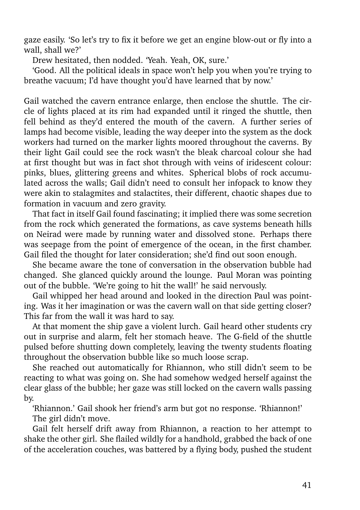gaze easily. 'So let's try to fix it before we get an engine blow-out or fly into a wall, shall we?'

Drew hesitated, then nodded. 'Yeah. Yeah, OK, sure.'

'Good. All the political ideals in space won't help you when you're trying to breathe vacuum; I'd have thought you'd have learned that by now.'

Gail watched the cavern entrance enlarge, then enclose the shuttle. The circle of lights placed at its rim had expanded until it ringed the shuttle, then fell behind as they'd entered the mouth of the cavern. A further series of lamps had become visible, leading the way deeper into the system as the dock workers had turned on the marker lights moored throughout the caverns. By their light Gail could see the rock wasn't the bleak charcoal colour she had at first thought but was in fact shot through with veins of iridescent colour: pinks, blues, glittering greens and whites. Spherical blobs of rock accumulated across the walls; Gail didn't need to consult her infopack to know they were akin to stalagmites and stalactites, their different, chaotic shapes due to formation in vacuum and zero gravity.

That fact in itself Gail found fascinating; it implied there was some secretion from the rock which generated the formations, as cave systems beneath hills on Neirad were made by running water and dissolved stone. Perhaps there was seepage from the point of emergence of the ocean, in the first chamber. Gail filed the thought for later consideration; she'd find out soon enough.

She became aware the tone of conversation in the observation bubble had changed. She glanced quickly around the lounge. Paul Moran was pointing out of the bubble. 'We're going to hit the wall!' he said nervously.

Gail whipped her head around and looked in the direction Paul was pointing. Was it her imagination or was the cavern wall on that side getting closer? This far from the wall it was hard to say.

At that moment the ship gave a violent lurch. Gail heard other students cry out in surprise and alarm, felt her stomach heave. The G-field of the shuttle pulsed before shutting down completely, leaving the twenty students floating throughout the observation bubble like so much loose scrap.

She reached out automatically for Rhiannon, who still didn't seem to be reacting to what was going on. She had somehow wedged herself against the clear glass of the bubble; her gaze was still locked on the cavern walls passing by.

'Rhiannon.' Gail shook her friend's arm but got no response. 'Rhiannon!' The girl didn't move.

Gail felt herself drift away from Rhiannon, a reaction to her attempt to shake the other girl. She flailed wildly for a handhold, grabbed the back of one of the acceleration couches, was battered by a flying body, pushed the student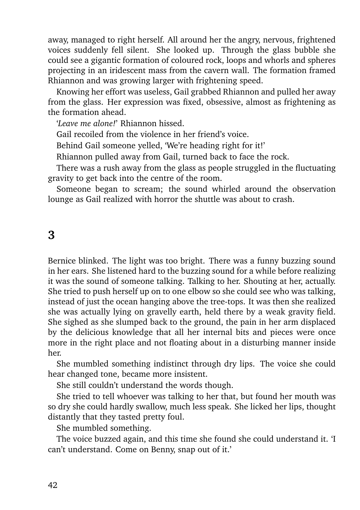away, managed to right herself. All around her the angry, nervous, frightened voices suddenly fell silent. She looked up. Through the glass bubble she could see a gigantic formation of coloured rock, loops and whorls and spheres projecting in an iridescent mass from the cavern wall. The formation framed Rhiannon and was growing larger with frightening speed.

Knowing her effort was useless, Gail grabbed Rhiannon and pulled her away from the glass. Her expression was fixed, obsessive, almost as frightening as the formation ahead.

'*Leave me alone!*' Rhiannon hissed.

Gail recoiled from the violence in her friend's voice.

Behind Gail someone yelled, 'We're heading right for it!'

Rhiannon pulled away from Gail, turned back to face the rock.

There was a rush away from the glass as people struggled in the fluctuating gravity to get back into the centre of the room.

Someone began to scream; the sound whirled around the observation lounge as Gail realized with horror the shuttle was about to crash.

## **3**

Bernice blinked. The light was too bright. There was a funny buzzing sound in her ears. She listened hard to the buzzing sound for a while before realizing it was the sound of someone talking. Talking to her. Shouting at her, actually. She tried to push herself up on to one elbow so she could see who was talking, instead of just the ocean hanging above the tree-tops. It was then she realized she was actually lying on gravelly earth, held there by a weak gravity field. She sighed as she slumped back to the ground, the pain in her arm displaced by the delicious knowledge that all her internal bits and pieces were once more in the right place and not floating about in a disturbing manner inside her.

She mumbled something indistinct through dry lips. The voice she could hear changed tone, became more insistent.

She still couldn't understand the words though.

She tried to tell whoever was talking to her that, but found her mouth was so dry she could hardly swallow, much less speak. She licked her lips, thought distantly that they tasted pretty foul.

She mumbled something.

The voice buzzed again, and this time she found she could understand it. 'I can't understand. Come on Benny, snap out of it.'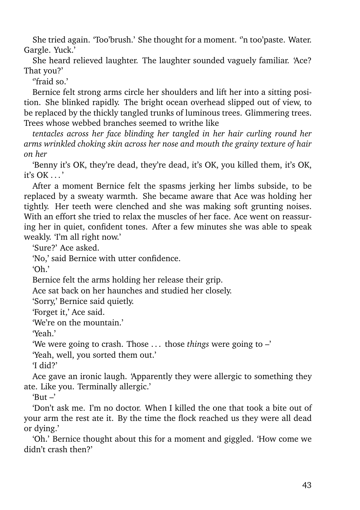She tried again. 'Too'brush.' She thought for a moment. ''n too'paste. Water. Gargle. Yuck.'

She heard relieved laughter. The laughter sounded vaguely familiar. 'Ace? That you?'

''fraid so.'

Bernice felt strong arms circle her shoulders and lift her into a sitting position. She blinked rapidly. The bright ocean overhead slipped out of view, to be replaced by the thickly tangled trunks of luminous trees. Glimmering trees. Trees whose webbed branches seemed to writhe like

*tentacles across her face blinding her tangled in her hair curling round her arms wrinkled choking skin across her nose and mouth the grainy texture of hair on her*

'Benny it's OK, they're dead, they're dead, it's OK, you killed them, it's OK,  $i\dot{r}$ 's OK  $\cdots$ 

After a moment Bernice felt the spasms jerking her limbs subside, to be replaced by a sweaty warmth. She became aware that Ace was holding her tightly. Her teeth were clenched and she was making soft grunting noises. With an effort she tried to relax the muscles of her face. Ace went on reassuring her in quiet, confident tones. After a few minutes she was able to speak weakly. 'I'm all right now.'

'Sure?' Ace asked.

'No,' said Bernice with utter confidence.

 $'$ Oh $'$ 

Bernice felt the arms holding her release their grip.

Ace sat back on her haunches and studied her closely.

'Sorry,' Bernice said quietly.

'Forget it,' Ace said.

'We're on the mountain.'

'Yeah.'

'We were going to crash. Those . . . those *things* were going to –'

'Yeah, well, you sorted them out.'

'I did?'

Ace gave an ironic laugh. 'Apparently they were allergic to something they ate. Like you. Terminally allergic.'

'But  $-$ '

'Don't ask me. I'm no doctor. When I killed the one that took a bite out of your arm the rest ate it. By the time the flock reached us they were all dead or dying.'

'Oh.' Bernice thought about this for a moment and giggled. 'How come we didn't crash then?'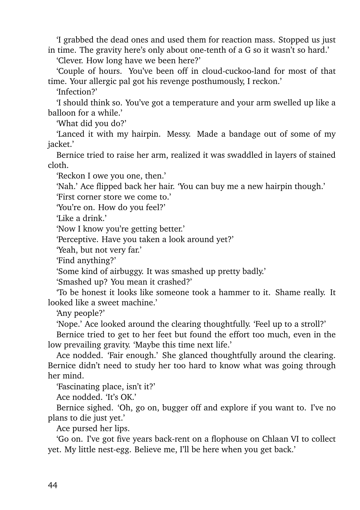'I grabbed the dead ones and used them for reaction mass. Stopped us just in time. The gravity here's only about one-tenth of a G so it wasn't so hard.'

'Clever. How long have we been here?'

'Couple of hours. You've been off in cloud-cuckoo-land for most of that time. Your allergic pal got his revenge posthumously, I reckon.'

'Infection?'

'I should think so. You've got a temperature and your arm swelled up like a balloon for a while.'

'What did you do?'

'Lanced it with my hairpin. Messy. Made a bandage out of some of my jacket.'

Bernice tried to raise her arm, realized it was swaddled in layers of stained cloth.

'Reckon I owe you one, then.'

'Nah.' Ace flipped back her hair. 'You can buy me a new hairpin though.'

'First corner store we come to.'

'You're on. How do you feel?'

'Like a drink.'

'Now I know you're getting better.'

'Perceptive. Have you taken a look around yet?'

'Yeah, but not very far.'

'Find anything?'

'Some kind of airbuggy. It was smashed up pretty badly.'

'Smashed up? You mean it crashed?'

'To be honest it looks like someone took a hammer to it. Shame really. It looked like a sweet machine.'

'Any people?'

'Nope.' Ace looked around the clearing thoughtfully. 'Feel up to a stroll?'

Bernice tried to get to her feet but found the effort too much, even in the low prevailing gravity. 'Maybe this time next life.'

Ace nodded. 'Fair enough.' She glanced thoughtfully around the clearing. Bernice didn't need to study her too hard to know what was going through her mind.

'Fascinating place, isn't it?'

Ace nodded. 'It's OK.'

Bernice sighed. 'Oh, go on, bugger off and explore if you want to. I've no plans to die just yet.'

Ace pursed her lips.

'Go on. I've got five years back-rent on a flophouse on Chlaan VI to collect yet. My little nest-egg. Believe me, I'll be here when you get back.'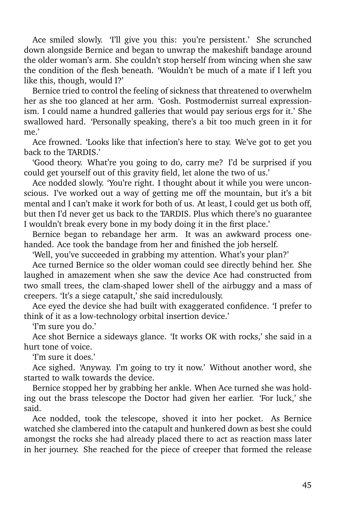Ace smiled slowly. 'I'll give you this: you're persistent.' She scrunched down alongside Bernice and began to unwrap the makeshift bandage around the older woman's arm. She couldn't stop herself from wincing when she saw the condition of the flesh beneath. 'Wouldn't be much of a mate if I left you like this, though, would I?'

Bernice tried to control the feeling of sickness that threatened to overwhelm her as she too glanced at her arm. 'Gosh. Postmodernist surreal expressionism. I could name a hundred galleries that would pay serious ergs for it.' She swallowed hard. 'Personally speaking, there's a bit too much green in it for me.'

Ace frowned. 'Looks like that infection's here to stay. We've got to get you back to the TARDIS.'

'Good theory. What're you going to do, carry me? I'd be surprised if you could get yourself out of this gravity field, let alone the two of us.'

Ace nodded slowly. 'You're right. I thought about it while you were unconscious. I've worked out a way of getting me off the mountain, but it's a bit mental and I can't make it work for both of us. At least, I could get us both off, but then I'd never get us back to the TARDIS. Plus which there's no guarantee I wouldn't break every bone in my body doing it in the first place.'

Bernice began to rebandage her arm. It was an awkward process onehanded. Ace took the bandage from her and finished the job herself.

'Well, you've succeeded in grabbing my attention. What's your plan?'

Ace turned Bernice so the older woman could see directly behind her. She laughed in amazement when she saw the device Ace had constructed from two small trees, the clam-shaped lower shell of the airbuggy and a mass of creepers. 'It's a siege catapult,' she said incredulously.

Ace eyed the device she had built with exaggerated confidence. 'I prefer to think of it as a low-technology orbital insertion device.'

'I'm sure you do.'

Ace shot Bernice a sideways glance. 'It works OK with rocks,' she said in a hurt tone of voice.

'I'm sure it does.'

Ace sighed. 'Anyway. I'm going to try it now.' Without another word, she started to walk towards the device.

Bernice stopped her by grabbing her ankle. When Ace turned she was holding out the brass telescope the Doctor had given her earlier. 'For luck,' she said.

Ace nodded, took the telescope, shoved it into her pocket. As Bernice watched she clambered into the catapult and hunkered down as best she could amongst the rocks she had already placed there to act as reaction mass later in her journey. She reached for the piece of creeper that formed the release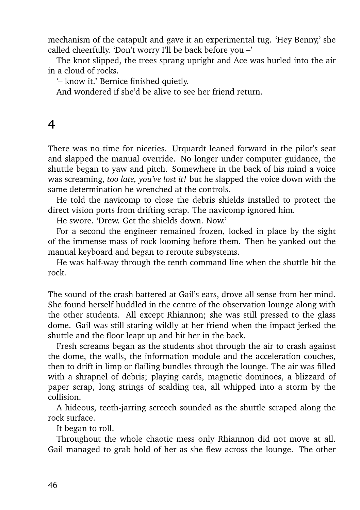mechanism of the catapult and gave it an experimental tug. 'Hey Benny,' she called cheerfully. 'Don't worry I'll be back before you –'

The knot slipped, the trees sprang upright and Ace was hurled into the air in a cloud of rocks.

'– know it.' Bernice finished quietly.

And wondered if she'd be alive to see her friend return.

## **4**

There was no time for niceties. Urquardt leaned forward in the pilot's seat and slapped the manual override. No longer under computer guidance, the shuttle began to yaw and pitch. Somewhere in the back of his mind a voice was screaming, *too late, you've lost it!* but he slapped the voice down with the same determination he wrenched at the controls.

He told the navicomp to close the debris shields installed to protect the direct vision ports from drifting scrap. The navicomp ignored him.

He swore. 'Drew. Get the shields down. Now.'

For a second the engineer remained frozen, locked in place by the sight of the immense mass of rock looming before them. Then he yanked out the manual keyboard and began to reroute subsystems.

He was half-way through the tenth command line when the shuttle hit the rock.

The sound of the crash battered at Gail's ears, drove all sense from her mind. She found herself huddled in the centre of the observation lounge along with the other students. All except Rhiannon; she was still pressed to the glass dome. Gail was still staring wildly at her friend when the impact jerked the shuttle and the floor leapt up and hit her in the back.

Fresh screams began as the students shot through the air to crash against the dome, the walls, the information module and the acceleration couches, then to drift in limp or flailing bundles through the lounge. The air was filled with a shrapnel of debris; playing cards, magnetic dominoes, a blizzard of paper scrap, long strings of scalding tea, all whipped into a storm by the collision.

A hideous, teeth-jarring screech sounded as the shuttle scraped along the rock surface.

It began to roll.

Throughout the whole chaotic mess only Rhiannon did not move at all. Gail managed to grab hold of her as she flew across the lounge. The other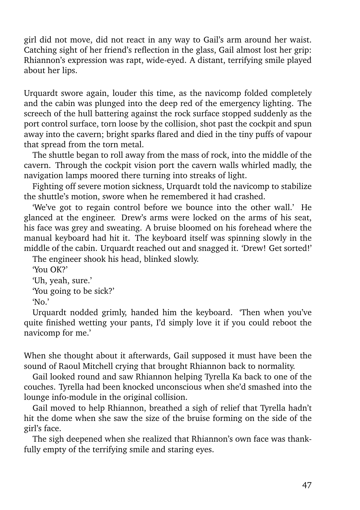girl did not move, did not react in any way to Gail's arm around her waist. Catching sight of her friend's reflection in the glass, Gail almost lost her grip: Rhiannon's expression was rapt, wide-eyed. A distant, terrifying smile played about her lips.

Urquardt swore again, louder this time, as the navicomp folded completely and the cabin was plunged into the deep red of the emergency lighting. The screech of the hull battering against the rock surface stopped suddenly as the port control surface, torn loose by the collision, shot past the cockpit and spun away into the cavern; bright sparks flared and died in the tiny puffs of vapour that spread from the torn metal.

The shuttle began to roll away from the mass of rock, into the middle of the cavern. Through the cockpit vision port the cavern walls whirled madly, the navigation lamps moored there turning into streaks of light.

Fighting off severe motion sickness, Urquardt told the navicomp to stabilize the shuttle's motion, swore when he remembered it had crashed.

'We've got to regain control before we bounce into the other wall.' He glanced at the engineer. Drew's arms were locked on the arms of his seat, his face was grey and sweating. A bruise bloomed on his forehead where the manual keyboard had hit it. The keyboard itself was spinning slowly in the middle of the cabin. Urquardt reached out and snagged it. 'Drew! Get sorted!'

The engineer shook his head, blinked slowly.

'You OK?'

'Uh, yeah, sure.'

'You going to be sick?'

 $'$ No.'

Urquardt nodded grimly, handed him the keyboard. 'Then when you've quite finished wetting your pants, I'd simply love it if you could reboot the navicomp for me.'

When she thought about it afterwards, Gail supposed it must have been the sound of Raoul Mitchell crying that brought Rhiannon back to normality.

Gail looked round and saw Rhiannon helping Tyrella Ka back to one of the couches. Tyrella had been knocked unconscious when she'd smashed into the lounge info-module in the original collision.

Gail moved to help Rhiannon, breathed a sigh of relief that Tyrella hadn't hit the dome when she saw the size of the bruise forming on the side of the girl's face.

The sigh deepened when she realized that Rhiannon's own face was thankfully empty of the terrifying smile and staring eyes.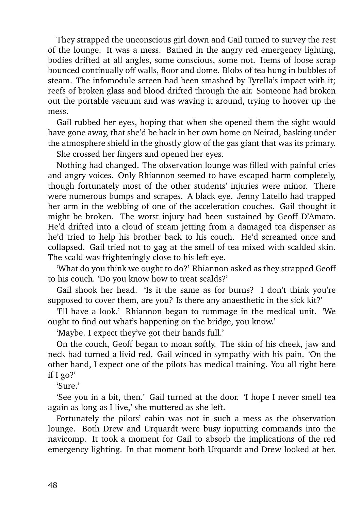They strapped the unconscious girl down and Gail turned to survey the rest of the lounge. It was a mess. Bathed in the angry red emergency lighting, bodies drifted at all angles, some conscious, some not. Items of loose scrap bounced continually off walls, floor and dome. Blobs of tea hung in bubbles of steam. The infomodule screen had been smashed by Tyrella's impact with it; reefs of broken glass and blood drifted through the air. Someone had broken out the portable vacuum and was waving it around, trying to hoover up the mess.

Gail rubbed her eyes, hoping that when she opened them the sight would have gone away, that she'd be back in her own home on Neirad, basking under the atmosphere shield in the ghostly glow of the gas giant that was its primary.

She crossed her fingers and opened her eyes.

Nothing had changed. The observation lounge was filled with painful cries and angry voices. Only Rhiannon seemed to have escaped harm completely, though fortunately most of the other students' injuries were minor. There were numerous bumps and scrapes. A black eye. Jenny Latello had trapped her arm in the webbing of one of the acceleration couches. Gail thought it might be broken. The worst injury had been sustained by Geoff D'Amato. He'd drifted into a cloud of steam jetting from a damaged tea dispenser as he'd tried to help his brother back to his couch. He'd screamed once and collapsed. Gail tried not to gag at the smell of tea mixed with scalded skin. The scald was frighteningly close to his left eye.

'What do you think we ought to do?' Rhiannon asked as they strapped Geoff to his couch. 'Do you know how to treat scalds?'

Gail shook her head. 'Is it the same as for burns? I don't think you're supposed to cover them, are you? Is there any anaesthetic in the sick kit?'

'I'll have a look.' Rhiannon began to rummage in the medical unit. 'We ought to find out what's happening on the bridge, you know.'

'Maybe. I expect they've got their hands full.'

On the couch, Geoff began to moan softly. The skin of his cheek, jaw and neck had turned a livid red. Gail winced in sympathy with his pain. 'On the other hand, I expect one of the pilots has medical training. You all right here if I go?'

'Sure.'

'See you in a bit, then.' Gail turned at the door. 'I hope I never smell tea again as long as I live,' she muttered as she left.

Fortunately the pilots' cabin was not in such a mess as the observation lounge. Both Drew and Urquardt were busy inputting commands into the navicomp. It took a moment for Gail to absorb the implications of the red emergency lighting. In that moment both Urquardt and Drew looked at her.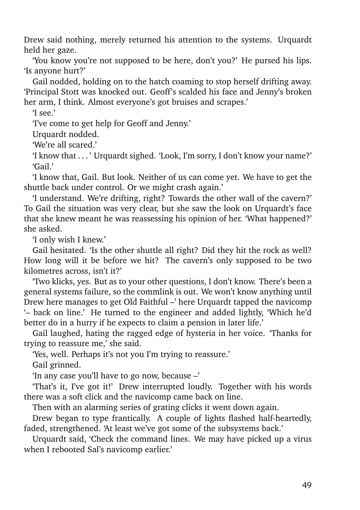Drew said nothing, merely returned his attention to the systems. Urquardt held her gaze.

'You know you're not supposed to be here, don't you?' He pursed his lips. 'Is anyone hurt?'

Gail nodded, holding on to the hatch coaming to stop herself drifting away. 'Principal Stott was knocked out. Geoff's scalded his face and Jenny's broken her arm, I think. Almost everyone's got bruises and scrapes.'

'I see.'

'I've come to get help for Geoff and Jenny.'

Urquardt nodded.

'We're all scared.'

'I know that . . . ' Urquardt sighed. 'Look, I'm sorry, I don't know your name?' 'Gail.'

'I know that, Gail. But look. Neither of us can come yet. We have to get the shuttle back under control. Or we might crash again.'

'I understand. We're drifting, right? Towards the other wall of the cavern?' To Gail the situation was very clear, but she saw the look on Urquardt's face that she knew meant he was reassessing his opinion of her. 'What happened?' she asked.

'I only wish I knew.'

Gail hesitated. 'Is the other shuttle all right? Did they hit the rock as well? How long will it be before we hit? The cavern's only supposed to be two kilometres across, isn't it?'

'Two klicks, yes. But as to your other questions, I don't know. There's been a general systems failure, so the commlink is out. We won't know anything until Drew here manages to get Old Faithful –' here Urquardt tapped the navicomp '– back on line.' He turned to the engineer and added lightly, 'Which he'd better do in a hurry if he expects to claim a pension in later life.'

Gail laughed, hating the ragged edge of hysteria in her voice. 'Thanks for trying to reassure me,' she said.

'Yes, well. Perhaps it's not you I'm trying to reassure.'

Gail grinned.

'In any case you'll have to go now, because –'

'That's it, I've got it!' Drew interrupted loudly. Together with his words there was a soft click and the navicomp came back on line.

Then with an alarming series of grating clicks it went down again.

Drew began to type frantically. A couple of lights flashed half-heartedly, faded, strengthened. 'At least we've got some of the subsystems back.'

Urquardt said, 'Check the command lines. We may have picked up a virus when I rebooted Sal's navicomp earlier.'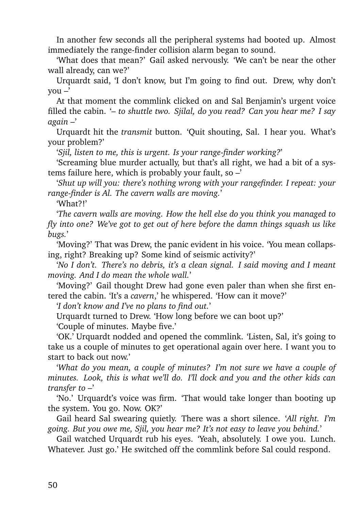In another few seconds all the peripheral systems had booted up. Almost immediately the range-finder collision alarm began to sound.

'What does that mean?' Gail asked nervously. 'We can't be near the other wall already, can we?'

Urquardt said, 'I don't know, but I'm going to find out. Drew, why don't  $vou -'$ 

At that moment the commlink clicked on and Sal Benjamin's urgent voice filled the cabin. '*– to shuttle two. Sjilal, do you read? Can you hear me? I say again –*'

Urquardt hit the *transmit* button. 'Quit shouting, Sal. I hear you. What's your problem?'

'*Sjil, listen to me, this is urgent. Is your range-finder working?*'

'Screaming blue murder actually, but that's all right, we had a bit of a systems failure here, which is probably your fault, so –'

'*Shut up will you: there's nothing wrong with your rangefinder. I repeat: your range-finder is Al. The cavern walls are moving.*'

'What?!'

'*The cavern walls are moving. How the hell else do you think you managed to fly into one? We've got to get out of here before the damn things squash us like bugs.*'

'Moving?' That was Drew, the panic evident in his voice. 'You mean collapsing, right? Breaking up? Some kind of seismic activity?'

'*No I don't. There's no debris, it's a clean signal. I said moving and I meant moving. And I do mean the whole wall.*'

'Moving?' Gail thought Drew had gone even paler than when she first entered the cabin. 'It's a *cavern*,' he whispered. 'How can it move?'

'*I don't know and I've no plans to find out.*'

Urquardt turned to Drew. 'How long before we can boot up?'

'Couple of minutes. Maybe five.'

'OK.' Urquardt nodded and opened the commlink. 'Listen, Sal, it's going to take us a couple of minutes to get operational again over here. I want you to start to back out now.'

'*What do you mean, a couple of minutes? I'm not sure we have a couple of minutes. Look, this is what we'll do. I'll dock and you and the other kids can transfer to –*'

'No.' Urquardt's voice was firm. 'That would take longer than booting up the system. You go. Now. OK?'

Gail heard Sal swearing quietly. There was a short silence. '*All right. I'm going. But you owe me, Sjil, you hear me? It's not easy to leave you behind.*'

Gail watched Urquardt rub his eyes. 'Yeah, absolutely. I owe you. Lunch. Whatever. Just go.' He switched off the commlink before Sal could respond.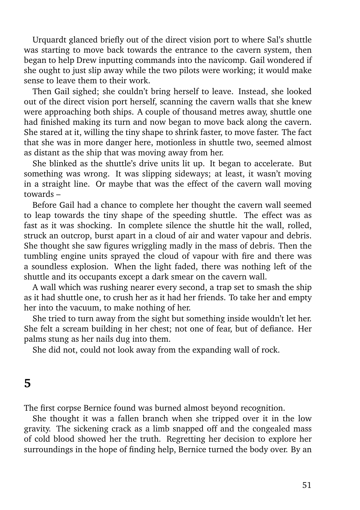Urquardt glanced briefly out of the direct vision port to where Sal's shuttle was starting to move back towards the entrance to the cavern system, then began to help Drew inputting commands into the navicomp. Gail wondered if she ought to just slip away while the two pilots were working; it would make sense to leave them to their work.

Then Gail sighed; she couldn't bring herself to leave. Instead, she looked out of the direct vision port herself, scanning the cavern walls that she knew were approaching both ships. A couple of thousand metres away, shuttle one had finished making its turn and now began to move back along the cavern. She stared at it, willing the tiny shape to shrink faster, to move faster. The fact that she was in more danger here, motionless in shuttle two, seemed almost as distant as the ship that was moving away from her.

She blinked as the shuttle's drive units lit up. It began to accelerate. But something was wrong. It was slipping sideways; at least, it wasn't moving in a straight line. Or maybe that was the effect of the cavern wall moving towards –

Before Gail had a chance to complete her thought the cavern wall seemed to leap towards the tiny shape of the speeding shuttle. The effect was as fast as it was shocking. In complete silence the shuttle hit the wall, rolled, struck an outcrop, burst apart in a cloud of air and water vapour and debris. She thought she saw figures wriggling madly in the mass of debris. Then the tumbling engine units sprayed the cloud of vapour with fire and there was a soundless explosion. When the light faded, there was nothing left of the shuttle and its occupants except a dark smear on the cavern wall.

A wall which was rushing nearer every second, a trap set to smash the ship as it had shuttle one, to crush her as it had her friends. To take her and empty her into the vacuum, to make nothing of her.

She tried to turn away from the sight but something inside wouldn't let her. She felt a scream building in her chest; not one of fear, but of defiance. Her palms stung as her nails dug into them.

She did not, could not look away from the expanding wall of rock.

#### **5**

The first corpse Bernice found was burned almost beyond recognition.

She thought it was a fallen branch when she tripped over it in the low gravity. The sickening crack as a limb snapped off and the congealed mass of cold blood showed her the truth. Regretting her decision to explore her surroundings in the hope of finding help, Bernice turned the body over. By an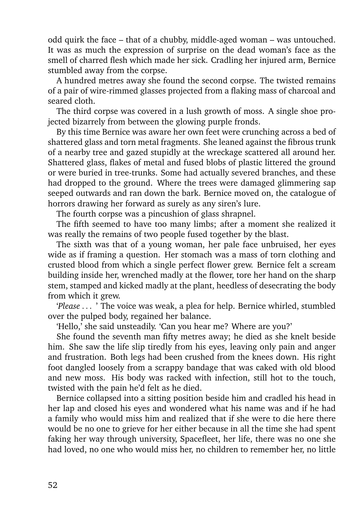odd quirk the face – that of a chubby, middle-aged woman – was untouched. It was as much the expression of surprise on the dead woman's face as the smell of charred flesh which made her sick. Cradling her injured arm, Bernice stumbled away from the corpse.

A hundred metres away she found the second corpse. The twisted remains of a pair of wire-rimmed glasses projected from a flaking mass of charcoal and seared cloth.

The third corpse was covered in a lush growth of moss. A single shoe projected bizarrely from between the glowing purple fronds.

By this time Bernice was aware her own feet were crunching across a bed of shattered glass and torn metal fragments. She leaned against the fibrous trunk of a nearby tree and gazed stupidly at the wreckage scattered all around her. Shattered glass, flakes of metal and fused blobs of plastic littered the ground or were buried in tree-trunks. Some had actually severed branches, and these had dropped to the ground. Where the trees were damaged glimmering sap seeped outwards and ran down the bark. Bernice moved on, the catalogue of horrors drawing her forward as surely as any siren's lure.

The fourth corpse was a pincushion of glass shrapnel.

The fifth seemed to have too many limbs; after a moment she realized it was really the remains of two people fused together by the blast.

The sixth was that of a young woman, her pale face unbruised, her eyes wide as if framing a question. Her stomach was a mass of torn clothing and crusted blood from which a single perfect flower grew. Bernice felt a scream building inside her, wrenched madly at the flower, tore her hand on the sharp stem, stamped and kicked madly at the plant, heedless of desecrating the body from which it grew.

'*Please . . .* ' The voice was weak, a plea for help. Bernice whirled, stumbled over the pulped body, regained her balance.

'Hello,' she said unsteadily. 'Can you hear me? Where are you?'

She found the seventh man fifty metres away; he died as she knelt beside him. She saw the life slip tiredly from his eyes, leaving only pain and anger and frustration. Both legs had been crushed from the knees down. His right foot dangled loosely from a scrappy bandage that was caked with old blood and new moss. His body was racked with infection, still hot to the touch, twisted with the pain he'd felt as he died.

Bernice collapsed into a sitting position beside him and cradled his head in her lap and closed his eyes and wondered what his name was and if he had a family who would miss him and realized that if she were to die here there would be no one to grieve for her either because in all the time she had spent faking her way through university, Spacefleet, her life, there was no one she had loved, no one who would miss her, no children to remember her, no little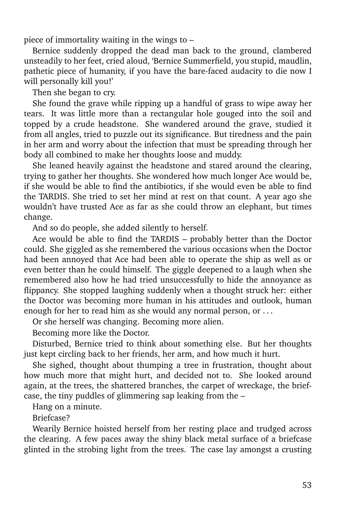piece of immortality waiting in the wings to –

Bernice suddenly dropped the dead man back to the ground, clambered unsteadily to her feet, cried aloud, 'Bernice Summerfield, you stupid, maudlin, pathetic piece of humanity, if you have the bare-faced audacity to die now I will personally kill you!'

Then she began to cry.

She found the grave while ripping up a handful of grass to wipe away her tears. It was little more than a rectangular hole gouged into the soil and topped by a crude headstone. She wandered around the grave, studied it from all angles, tried to puzzle out its significance. But tiredness and the pain in her arm and worry about the infection that must be spreading through her body all combined to make her thoughts loose and muddy.

She leaned heavily against the headstone and stared around the clearing, trying to gather her thoughts. She wondered how much longer Ace would be, if she would be able to find the antibiotics, if she would even be able to find the TARDIS. She tried to set her mind at rest on that count. A year ago she wouldn't have trusted Ace as far as she could throw an elephant, but times change.

And so do people, she added silently to herself.

Ace would be able to find the TARDIS – probably better than the Doctor could. She giggled as she remembered the various occasions when the Doctor had been annoyed that Ace had been able to operate the ship as well as or even better than he could himself. The giggle deepened to a laugh when she remembered also how he had tried unsuccessfully to hide the annoyance as flippancy. She stopped laughing suddenly when a thought struck her: either the Doctor was becoming more human in his attitudes and outlook, human enough for her to read him as she would any normal person, or . . .

Or she herself was changing. Becoming more alien.

Becoming more like the Doctor.

Disturbed, Bernice tried to think about something else. But her thoughts just kept circling back to her friends, her arm, and how much it hurt.

She sighed, thought about thumping a tree in frustration, thought about how much more that might hurt, and decided not to. She looked around again, at the trees, the shattered branches, the carpet of wreckage, the briefcase, the tiny puddles of glimmering sap leaking from the –

Hang on a minute.

Briefcase?

Wearily Bernice hoisted herself from her resting place and trudged across the clearing. A few paces away the shiny black metal surface of a briefcase glinted in the strobing light from the trees. The case lay amongst a crusting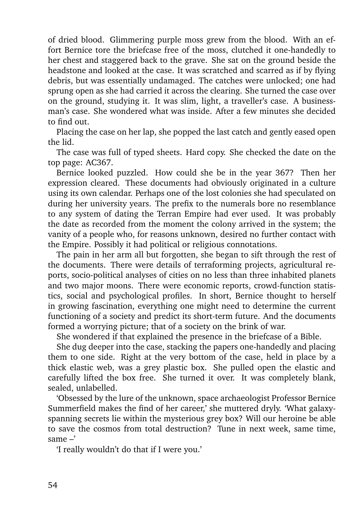of dried blood. Glimmering purple moss grew from the blood. With an effort Bernice tore the briefcase free of the moss, clutched it one-handedly to her chest and staggered back to the grave. She sat on the ground beside the headstone and looked at the case. It was scratched and scarred as if by flying debris, but was essentially undamaged. The catches were unlocked; one had sprung open as she had carried it across the clearing. She turned the case over on the ground, studying it. It was slim, light, a traveller's case. A businessman's case. She wondered what was inside. After a few minutes she decided to find out.

Placing the case on her lap, she popped the last catch and gently eased open the lid.

The case was full of typed sheets. Hard copy. She checked the date on the top page: AC367.

Bernice looked puzzled. How could she be in the year 367? Then her expression cleared. These documents had obviously originated in a culture using its own calendar. Perhaps one of the lost colonies she had speculated on during her university years. The prefix to the numerals bore no resemblance to any system of dating the Terran Empire had ever used. It was probably the date as recorded from the moment the colony arrived in the system; the vanity of a people who, for reasons unknown, desired no further contact with the Empire. Possibly it had political or religious connotations.

The pain in her arm all but forgotten, she began to sift through the rest of the documents. There were details of terraforming projects, agricultural reports, socio-political analyses of cities on no less than three inhabited planets and two major moons. There were economic reports, crowd-function statistics, social and psychological profiles. In short, Bernice thought to herself in growing fascination, everything one might need to determine the current functioning of a society and predict its short-term future. And the documents formed a worrying picture; that of a society on the brink of war.

She wondered if that explained the presence in the briefcase of a Bible.

She dug deeper into the case, stacking the papers one-handedly and placing them to one side. Right at the very bottom of the case, held in place by a thick elastic web, was a grey plastic box. She pulled open the elastic and carefully lifted the box free. She turned it over. It was completely blank, sealed, unlabelled.

'Obsessed by the lure of the unknown, space archaeologist Professor Bernice Summerfield makes the find of her career,' she muttered dryly. 'What galaxyspanning secrets lie within the mysterious grey box? Will our heroine be able to save the cosmos from total destruction? Tune in next week, same time, same –'

'I really wouldn't do that if I were you.'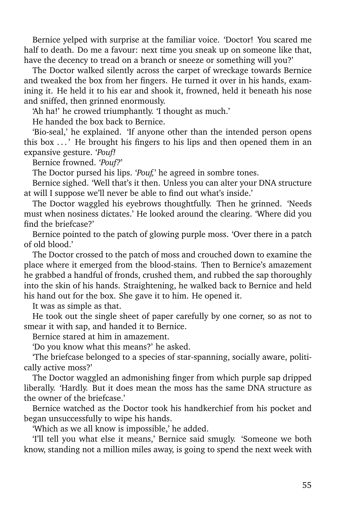Bernice yelped with surprise at the familiar voice. 'Doctor! You scared me half to death. Do me a favour: next time you sneak up on someone like that, have the decency to tread on a branch or sneeze or something will you?'

The Doctor walked silently across the carpet of wreckage towards Bernice and tweaked the box from her fingers. He turned it over in his hands, examining it. He held it to his ear and shook it, frowned, held it beneath his nose and sniffed, then grinned enormously.

'Ah ha!' he crowed triumphantly. 'I thought as much.'

He handed the box back to Bernice.

'Bio-seal,' he explained. 'If anyone other than the intended person opens this box . . . ' He brought his fingers to his lips and then opened them in an expansive gesture. '*Pouf!*

Bernice frowned. '*Pouf?*'

The Doctor pursed his lips. '*Pouf,*' he agreed in sombre tones.

Bernice sighed. 'Well that's it then. Unless you can alter your DNA structure at will I suppose we'll never be able to find out what's inside.'

The Doctor waggled his eyebrows thoughtfully. Then he grinned. 'Needs must when nosiness dictates.' He looked around the clearing. 'Where did you find the briefcase?'

Bernice pointed to the patch of glowing purple moss. 'Over there in a patch of old blood.'

The Doctor crossed to the patch of moss and crouched down to examine the place where it emerged from the blood-stains. Then to Bernice's amazement he grabbed a handful of fronds, crushed them, and rubbed the sap thoroughly into the skin of his hands. Straightening, he walked back to Bernice and held his hand out for the box. She gave it to him. He opened it.

It was as simple as that.

He took out the single sheet of paper carefully by one corner, so as not to smear it with sap, and handed it to Bernice.

Bernice stared at him in amazement.

'Do you know what this means?' he asked.

'The briefcase belonged to a species of star-spanning, socially aware, politically active moss?'

The Doctor waggled an admonishing finger from which purple sap dripped liberally. 'Hardly. But it does mean the moss has the same DNA structure as the owner of the briefcase.'

Bernice watched as the Doctor took his handkerchief from his pocket and began unsuccessfully to wipe his hands.

'Which as we all know is impossible,' he added.

'I'll tell you what else it means,' Bernice said smugly. 'Someone we both know, standing not a million miles away, is going to spend the next week with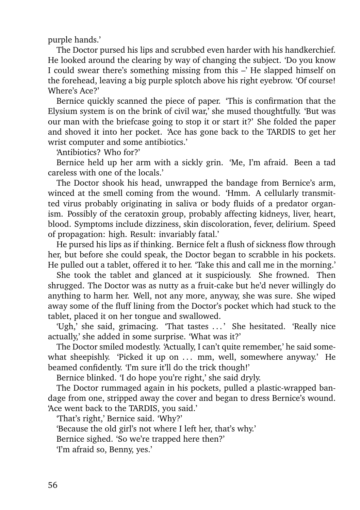purple hands.'

The Doctor pursed his lips and scrubbed even harder with his handkerchief. He looked around the clearing by way of changing the subject. 'Do you know I could swear there's something missing from this –' He slapped himself on the forehead, leaving a big purple splotch above his right eyebrow. 'Of course! Where's Ace?'

Bernice quickly scanned the piece of paper. 'This is confirmation that the Elysium system is on the brink of civil war,' she mused thoughtfully. 'But was our man with the briefcase going to stop it or start it?' She folded the paper and shoved it into her pocket. 'Ace has gone back to the TARDIS to get her wrist computer and some antibiotics.'

'Antibiotics? Who for?'

Bernice held up her arm with a sickly grin. 'Me, I'm afraid. Been a tad careless with one of the locals.'

The Doctor shook his head, unwrapped the bandage from Bernice's arm, winced at the smell coming from the wound. 'Hmm. A cellularly transmitted virus probably originating in saliva or body fluids of a predator organism. Possibly of the ceratoxin group, probably affecting kidneys, liver, heart, blood. Symptoms include dizziness, skin discoloration, fever, delirium. Speed of propagation: high. Result: invariably fatal.'

He pursed his lips as if thinking. Bernice felt a flush of sickness flow through her, but before she could speak, the Doctor began to scrabble in his pockets. He pulled out a tablet, offered it to her. 'Take this and call me in the morning.'

She took the tablet and glanced at it suspiciously. She frowned. Then shrugged. The Doctor was as nutty as a fruit-cake but he'd never willingly do anything to harm her. Well, not any more, anyway, she was sure. She wiped away some of the fluff lining from the Doctor's pocket which had stuck to the tablet, placed it on her tongue and swallowed.

'Ugh,' she said, grimacing. 'That tastes ...' She hesitated. 'Really nice actually,' she added in some surprise. 'What was it?'

The Doctor smiled modestly. 'Actually, I can't quite remember,' he said somewhat sheepishly. 'Picked it up on ... mm, well, somewhere anyway.' He beamed confidently. 'I'm sure it'll do the trick though!'

Bernice blinked. 'I do hope you're right,' she said dryly.

The Doctor rummaged again in his pockets, pulled a plastic-wrapped bandage from one, stripped away the cover and began to dress Bernice's wound. 'Ace went back to the TARDIS, you said.'

'That's right,' Bernice said. 'Why?'

'Because the old girl's not where I left her, that's why.'

Bernice sighed. 'So we're trapped here then?'

'I'm afraid so, Benny, yes.'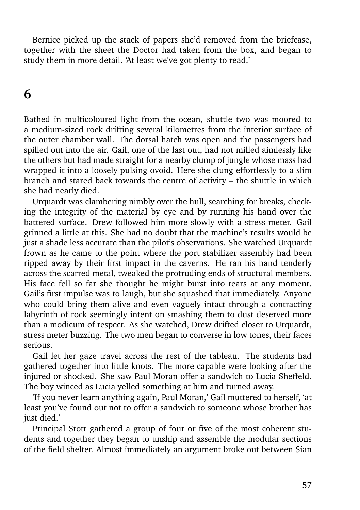Bernice picked up the stack of papers she'd removed from the briefcase, together with the sheet the Doctor had taken from the box, and began to study them in more detail. 'At least we've got plenty to read.'

# **6**

Bathed in multicoloured light from the ocean, shuttle two was moored to a medium-sized rock drifting several kilometres from the interior surface of the outer chamber wall. The dorsal hatch was open and the passengers had spilled out into the air. Gail, one of the last out, had not milled aimlessly like the others but had made straight for a nearby clump of jungle whose mass had wrapped it into a loosely pulsing ovoid. Here she clung effortlessly to a slim branch and stared back towards the centre of activity – the shuttle in which she had nearly died.

Urquardt was clambering nimbly over the hull, searching for breaks, checking the integrity of the material by eye and by running his hand over the battered surface. Drew followed him more slowly with a stress meter. Gail grinned a little at this. She had no doubt that the machine's results would be just a shade less accurate than the pilot's observations. She watched Urquardt frown as he came to the point where the port stabilizer assembly had been ripped away by their first impact in the caverns. He ran his hand tenderly across the scarred metal, tweaked the protruding ends of structural members. His face fell so far she thought he might burst into tears at any moment. Gail's first impulse was to laugh, but she squashed that immediately. Anyone who could bring them alive and even vaguely intact through a contracting labyrinth of rock seemingly intent on smashing them to dust deserved more than a modicum of respect. As she watched, Drew drifted closer to Urquardt, stress meter buzzing. The two men began to converse in low tones, their faces serious.

Gail let her gaze travel across the rest of the tableau. The students had gathered together into little knots. The more capable were looking after the injured or shocked. She saw Paul Moran offer a sandwich to Lucia Sheffeld. The boy winced as Lucia yelled something at him and turned away.

'If you never learn anything again, Paul Moran,' Gail muttered to herself, 'at least you've found out not to offer a sandwich to someone whose brother has just died.'

Principal Stott gathered a group of four or five of the most coherent students and together they began to unship and assemble the modular sections of the field shelter. Almost immediately an argument broke out between Sian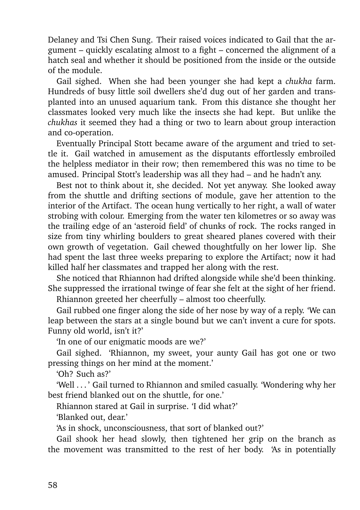Delaney and Tsi Chen Sung. Their raised voices indicated to Gail that the argument – quickly escalating almost to a fight – concerned the alignment of a hatch seal and whether it should be positioned from the inside or the outside of the module.

Gail sighed. When she had been younger she had kept a *chukha* farm. Hundreds of busy little soil dwellers she'd dug out of her garden and transplanted into an unused aquarium tank. From this distance she thought her classmates looked very much like the insects she had kept. But unlike the *chukhas* it seemed they had a thing or two to learn about group interaction and co-operation.

Eventually Principal Stott became aware of the argument and tried to settle it. Gail watched in amusement as the disputants effortlessly embroiled the helpless mediator in their row; then remembered this was no time to be amused. Principal Stott's leadership was all they had – and he hadn't any.

Best not to think about it, she decided. Not yet anyway. She looked away from the shuttle and drifting sections of module, gave her attention to the interior of the Artifact. The ocean hung vertically to her right, a wall of water strobing with colour. Emerging from the water ten kilometres or so away was the trailing edge of an 'asteroid field' of chunks of rock. The rocks ranged in size from tiny whirling boulders to great sheared planes covered with their own growth of vegetation. Gail chewed thoughtfully on her lower lip. She had spent the last three weeks preparing to explore the Artifact; now it had killed half her classmates and trapped her along with the rest.

She noticed that Rhiannon had drifted alongside while she'd been thinking. She suppressed the irrational twinge of fear she felt at the sight of her friend.

Rhiannon greeted her cheerfully – almost too cheerfully.

Gail rubbed one finger along the side of her nose by way of a reply. 'We can leap between the stars at a single bound but we can't invent a cure for spots. Funny old world, isn't it?'

'In one of our enigmatic moods are we?'

Gail sighed. 'Rhiannon, my sweet, your aunty Gail has got one or two pressing things on her mind at the moment.'

'Oh? Such as?'

'Well . . . ' Gail turned to Rhiannon and smiled casually. 'Wondering why her best friend blanked out on the shuttle, for one.'

Rhiannon stared at Gail in surprise. 'I did what?'

'Blanked out, dear.'

'As in shock, unconsciousness, that sort of blanked out?'

Gail shook her head slowly, then tightened her grip on the branch as the movement was transmitted to the rest of her body. 'As in potentially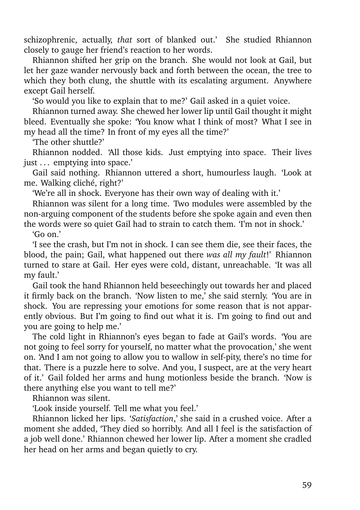schizophrenic, actually, *that* sort of blanked out.' She studied Rhiannon closely to gauge her friend's reaction to her words.

Rhiannon shifted her grip on the branch. She would not look at Gail, but let her gaze wander nervously back and forth between the ocean, the tree to which they both clung, the shuttle with its escalating argument. Anywhere except Gail herself.

'So would you like to explain that to me?' Gail asked in a quiet voice.

Rhiannon turned away. She chewed her lower lip until Gail thought it might bleed. Eventually she spoke: 'You know what I think of most? What I see in my head all the time? In front of my eyes all the time?'

'The other shuttle?'

Rhiannon nodded. 'All those kids. Just emptying into space. Their lives just . . . emptying into space.'

Gail said nothing. Rhiannon uttered a short, humourless laugh. 'Look at me. Walking cliché, right?'

'We're all in shock. Everyone has their own way of dealing with it.'

Rhiannon was silent for a long time. Two modules were assembled by the non-arguing component of the students before she spoke again and even then the words were so quiet Gail had to strain to catch them. 'I'm not in shock.' 'Go on.'

'I see the crash, but I'm not in shock. I can see them die, see their faces, the blood, the pain; Gail, what happened out there *was all my fault*!' Rhiannon turned to stare at Gail. Her eyes were cold, distant, unreachable. 'It was all my fault.'

Gail took the hand Rhiannon held beseechingly out towards her and placed it firmly back on the branch. 'Now listen to me,' she said sternly. 'You are in shock. You are repressing your emotions for some reason that is not apparently obvious. But I'm going to find out what it is. I'm going to find out and you are going to help me.'

The cold light in Rhiannon's eyes began to fade at Gail's words. 'You are not going to feel sorry for yourself, no matter what the provocation,' she went on. 'And I am not going to allow you to wallow in self-pity, there's no time for that. There is a puzzle here to solve. And you, I suspect, are at the very heart of it.' Gail folded her arms and hung motionless beside the branch. 'Now is there anything else you want to tell me?'

Rhiannon was silent.

'Look inside yourself. Tell me what you feel.'

Rhiannon licked her lips. '*Satisfaction*,' she said in a crushed voice. After a moment she added, 'They died so horribly. And all I feel is the satisfaction of a job well done.' Rhiannon chewed her lower lip. After a moment she cradled her head on her arms and began quietly to cry.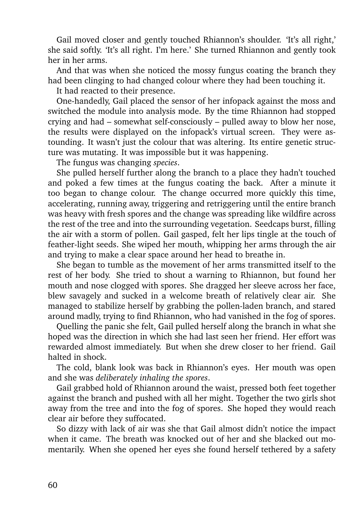Gail moved closer and gently touched Rhiannon's shoulder. 'It's all right,' she said softly. 'It's all right. I'm here.' She turned Rhiannon and gently took her in her arms.

And that was when she noticed the mossy fungus coating the branch they had been clinging to had changed colour where they had been touching it.

It had reacted to their presence.

One-handedly, Gail placed the sensor of her infopack against the moss and switched the module into analysis mode. By the time Rhiannon had stopped crying and had – somewhat self-consciously – pulled away to blow her nose, the results were displayed on the infopack's virtual screen. They were astounding. It wasn't just the colour that was altering. Its entire genetic structure was mutating. It was impossible but it was happening.

The fungus was changing *species*.

She pulled herself further along the branch to a place they hadn't touched and poked a few times at the fungus coating the back. After a minute it too began to change colour. The change occurred more quickly this time, accelerating, running away, triggering and retriggering until the entire branch was heavy with fresh spores and the change was spreading like wildfire across the rest of the tree and into the surrounding vegetation. Seedcaps burst, filling the air with a storm of pollen. Gail gasped, felt her lips tingle at the touch of feather-light seeds. She wiped her mouth, whipping her arms through the air and trying to make a clear space around her head to breathe in.

She began to tumble as the movement of her arms transmitted itself to the rest of her body. She tried to shout a warning to Rhiannon, but found her mouth and nose clogged with spores. She dragged her sleeve across her face, blew savagely and sucked in a welcome breath of relatively clear air. She managed to stabilize herself by grabbing the pollen-laden branch, and stared around madly, trying to find Rhiannon, who had vanished in the fog of spores.

Quelling the panic she felt, Gail pulled herself along the branch in what she hoped was the direction in which she had last seen her friend. Her effort was rewarded almost immediately. But when she drew closer to her friend. Gail halted in shock.

The cold, blank look was back in Rhiannon's eyes. Her mouth was open and she was *deliberately inhaling the spores*.

Gail grabbed hold of Rhiannon around the waist, pressed both feet together against the branch and pushed with all her might. Together the two girls shot away from the tree and into the fog of spores. She hoped they would reach clear air before they suffocated.

So dizzy with lack of air was she that Gail almost didn't notice the impact when it came. The breath was knocked out of her and she blacked out momentarily. When she opened her eyes she found herself tethered by a safety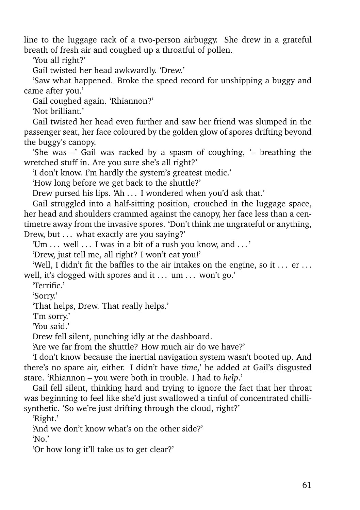line to the luggage rack of a two-person airbuggy. She drew in a grateful breath of fresh air and coughed up a throatful of pollen.

'You all right?'

Gail twisted her head awkwardly. 'Drew.'

'Saw what happened. Broke the speed record for unshipping a buggy and came after you.'

Gail coughed again. 'Rhiannon?'

'Not brilliant'

Gail twisted her head even further and saw her friend was slumped in the passenger seat, her face coloured by the golden glow of spores drifting beyond the buggy's canopy.

'She was –' Gail was racked by a spasm of coughing, '– breathing the wretched stuff in. Are you sure she's all right?'

'I don't know. I'm hardly the system's greatest medic.'

'How long before we get back to the shuttle?'

Drew pursed his lips. 'Ah . . . I wondered when you'd ask that.'

Gail struggled into a half-sitting position, crouched in the luggage space, her head and shoulders crammed against the canopy, her face less than a centimetre away from the invasive spores. 'Don't think me ungrateful or anything, Drew, but . . . what exactly are you saying?'

'Um  $\dots$  well  $\dots$  I was in a bit of a rush you know, and  $\dots$ '

'Drew, just tell me, all right? I won't eat you!'

'Well, I didn't fit the baffles to the air intakes on the engine, so it ... er ... well, it's clogged with spores and it ... um ... won't go.'

'Terrific.'

'Sorry.'

'That helps, Drew. That really helps.'

'I'm sorry.'

'You said.'

Drew fell silent, punching idly at the dashboard.

'Are we far from the shuttle? How much air do we have?'

'I don't know because the inertial navigation system wasn't booted up. And there's no spare air, either. I didn't have *time*,' he added at Gail's disgusted stare. 'Rhiannon – you were both in trouble. I had to *help*.'

Gail fell silent, thinking hard and trying to ignore the fact that her throat was beginning to feel like she'd just swallowed a tinful of concentrated chillisynthetic. 'So we're just drifting through the cloud, right?'

'Right.'

'And we don't know what's on the other side?'

 $N<sub>0</sub>$ 

'Or how long it'll take us to get clear?'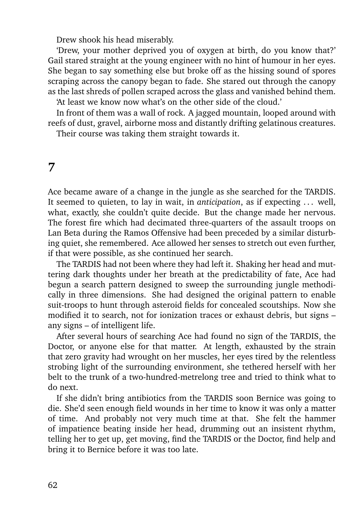Drew shook his head miserably.

'Drew, your mother deprived you of oxygen at birth, do you know that?' Gail stared straight at the young engineer with no hint of humour in her eyes. She began to say something else but broke off as the hissing sound of spores scraping across the canopy began to fade. She stared out through the canopy as the last shreds of pollen scraped across the glass and vanished behind them.

'At least we know now what's on the other side of the cloud.'

In front of them was a wall of rock. A jagged mountain, looped around with reefs of dust, gravel, airborne moss and distantly drifting gelatinous creatures.

Their course was taking them straight towards it.

#### **7**

Ace became aware of a change in the jungle as she searched for the TARDIS. It seemed to quieten, to lay in wait, in *anticipation*, as if expecting . . . well, what, exactly, she couldn't quite decide. But the change made her nervous. The forest fire which had decimated three-quarters of the assault troops on Lan Beta during the Ramos Offensive had been preceded by a similar disturbing quiet, she remembered. Ace allowed her senses to stretch out even further, if that were possible, as she continued her search.

The TARDIS had not been where they had left it. Shaking her head and muttering dark thoughts under her breath at the predictability of fate, Ace had begun a search pattern designed to sweep the surrounding jungle methodically in three dimensions. She had designed the original pattern to enable suit-troops to hunt through asteroid fields for concealed scoutships. Now she modified it to search, not for ionization traces or exhaust debris, but signs – any signs – of intelligent life.

After several hours of searching Ace had found no sign of the TARDIS, the Doctor, or anyone else for that matter. At length, exhausted by the strain that zero gravity had wrought on her muscles, her eyes tired by the relentless strobing light of the surrounding environment, she tethered herself with her belt to the trunk of a two-hundred-metrelong tree and tried to think what to do next.

If she didn't bring antibiotics from the TARDIS soon Bernice was going to die. She'd seen enough field wounds in her time to know it was only a matter of time. And probably not very much time at that. She felt the hammer of impatience beating inside her head, drumming out an insistent rhythm, telling her to get up, get moving, find the TARDIS or the Doctor, find help and bring it to Bernice before it was too late.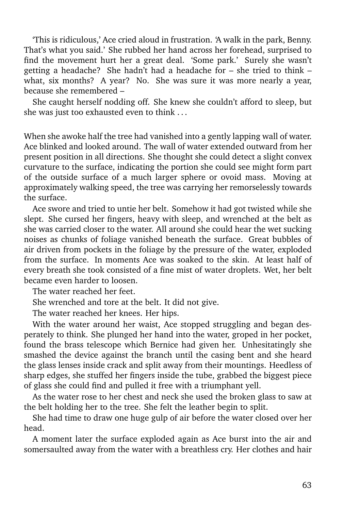'This is ridiculous,' Ace cried aloud in frustration. 'A walk in the park, Benny. That's what you said.' She rubbed her hand across her forehead, surprised to find the movement hurt her a great deal. 'Some park.' Surely she wasn't getting a headache? She hadn't had a headache for – she tried to think – what, six months? A year? No. She was sure it was more nearly a year, because she remembered –

She caught herself nodding off. She knew she couldn't afford to sleep, but she was just too exhausted even to think . . .

When she awoke half the tree had vanished into a gently lapping wall of water. Ace blinked and looked around. The wall of water extended outward from her present position in all directions. She thought she could detect a slight convex curvature to the surface, indicating the portion she could see might form part of the outside surface of a much larger sphere or ovoid mass. Moving at approximately walking speed, the tree was carrying her remorselessly towards the surface.

Ace swore and tried to untie her belt. Somehow it had got twisted while she slept. She cursed her fingers, heavy with sleep, and wrenched at the belt as she was carried closer to the water. All around she could hear the wet sucking noises as chunks of foliage vanished beneath the surface. Great bubbles of air driven from pockets in the foliage by the pressure of the water, exploded from the surface. In moments Ace was soaked to the skin. At least half of every breath she took consisted of a fine mist of water droplets. Wet, her belt became even harder to loosen.

The water reached her feet.

She wrenched and tore at the belt. It did not give.

The water reached her knees. Her hips.

With the water around her waist, Ace stopped struggling and began desperately to think. She plunged her hand into the water, groped in her pocket, found the brass telescope which Bernice had given her. Unhesitatingly she smashed the device against the branch until the casing bent and she heard the glass lenses inside crack and split away from their mountings. Heedless of sharp edges, she stuffed her fingers inside the tube, grabbed the biggest piece of glass she could find and pulled it free with a triumphant yell.

As the water rose to her chest and neck she used the broken glass to saw at the belt holding her to the tree. She felt the leather begin to split.

She had time to draw one huge gulp of air before the water closed over her head.

A moment later the surface exploded again as Ace burst into the air and somersaulted away from the water with a breathless cry. Her clothes and hair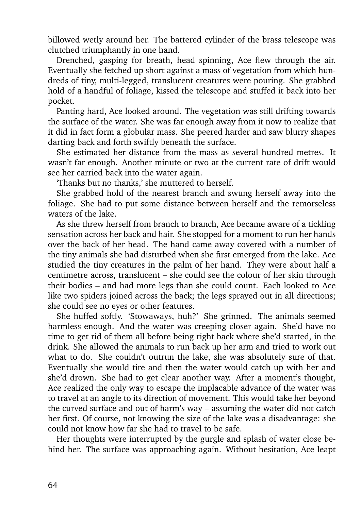billowed wetly around her. The battered cylinder of the brass telescope was clutched triumphantly in one hand.

Drenched, gasping for breath, head spinning, Ace flew through the air. Eventually she fetched up short against a mass of vegetation from which hundreds of tiny, multi-legged, translucent creatures were pouring. She grabbed hold of a handful of foliage, kissed the telescope and stuffed it back into her pocket.

Panting hard, Ace looked around. The vegetation was still drifting towards the surface of the water. She was far enough away from it now to realize that it did in fact form a globular mass. She peered harder and saw blurry shapes darting back and forth swiftly beneath the surface.

She estimated her distance from the mass as several hundred metres. It wasn't far enough. Another minute or two at the current rate of drift would see her carried back into the water again.

'Thanks but no thanks,' she muttered to herself.

She grabbed hold of the nearest branch and swung herself away into the foliage. She had to put some distance between herself and the remorseless waters of the lake.

As she threw herself from branch to branch, Ace became aware of a tickling sensation across her back and hair. She stopped for a moment to run her hands over the back of her head. The hand came away covered with a number of the tiny animals she had disturbed when she first emerged from the lake. Ace studied the tiny creatures in the palm of her hand. They were about half a centimetre across, translucent – she could see the colour of her skin through their bodies – and had more legs than she could count. Each looked to Ace like two spiders joined across the back; the legs sprayed out in all directions; she could see no eyes or other features.

She huffed softly. 'Stowaways, huh?' She grinned. The animals seemed harmless enough. And the water was creeping closer again. She'd have no time to get rid of them all before being right back where she'd started, in the drink. She allowed the animals to run back up her arm and tried to work out what to do. She couldn't outrun the lake, she was absolutely sure of that. Eventually she would tire and then the water would catch up with her and she'd drown. She had to get clear another way. After a moment's thought, Ace realized the only way to escape the implacable advance of the water was to travel at an angle to its direction of movement. This would take her beyond the curved surface and out of harm's way – assuming the water did not catch her first. Of course, not knowing the size of the lake was a disadvantage: she could not know how far she had to travel to be safe.

Her thoughts were interrupted by the gurgle and splash of water close behind her. The surface was approaching again. Without hesitation, Ace leapt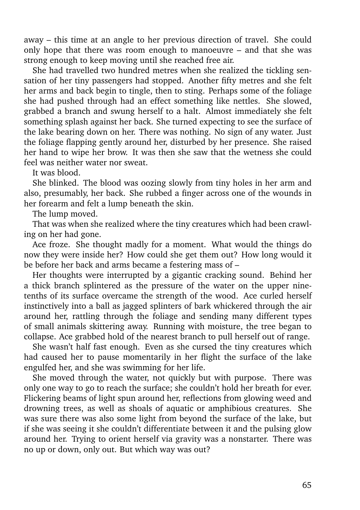away – this time at an angle to her previous direction of travel. She could only hope that there was room enough to manoeuvre – and that she was strong enough to keep moving until she reached free air.

She had travelled two hundred metres when she realized the tickling sensation of her tiny passengers had stopped. Another fifty metres and she felt her arms and back begin to tingle, then to sting. Perhaps some of the foliage she had pushed through had an effect something like nettles. She slowed, grabbed a branch and swung herself to a halt. Almost immediately she felt something splash against her back. She turned expecting to see the surface of the lake bearing down on her. There was nothing. No sign of any water. Just the foliage flapping gently around her, disturbed by her presence. She raised her hand to wipe her brow. It was then she saw that the wetness she could feel was neither water nor sweat.

It was blood.

She blinked. The blood was oozing slowly from tiny holes in her arm and also, presumably, her back. She rubbed a finger across one of the wounds in her forearm and felt a lump beneath the skin.

The lump moved.

That was when she realized where the tiny creatures which had been crawling on her had gone.

Ace froze. She thought madly for a moment. What would the things do now they were inside her? How could she get them out? How long would it be before her back and arms became a festering mass of –

Her thoughts were interrupted by a gigantic cracking sound. Behind her a thick branch splintered as the pressure of the water on the upper ninetenths of its surface overcame the strength of the wood. Ace curled herself instinctively into a ball as jagged splinters of bark whickered through the air around her, rattling through the foliage and sending many different types of small animals skittering away. Running with moisture, the tree began to collapse. Ace grabbed hold of the nearest branch to pull herself out of range.

She wasn't half fast enough. Even as she cursed the tiny creatures which had caused her to pause momentarily in her flight the surface of the lake engulfed her, and she was swimming for her life.

She moved through the water, not quickly but with purpose. There was only one way to go to reach the surface; she couldn't hold her breath for ever. Flickering beams of light spun around her, reflections from glowing weed and drowning trees, as well as shoals of aquatic or amphibious creatures. She was sure there was also some light from beyond the surface of the lake, but if she was seeing it she couldn't differentiate between it and the pulsing glow around her. Trying to orient herself via gravity was a nonstarter. There was no up or down, only out. But which way was out?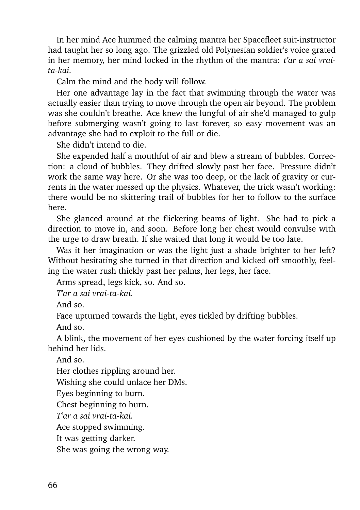In her mind Ace hummed the calming mantra her Spacefleet suit-instructor had taught her so long ago. The grizzled old Polynesian soldier's voice grated in her memory, her mind locked in the rhythm of the mantra: *t'ar a sai vraita-kai.*

Calm the mind and the body will follow.

Her one advantage lay in the fact that swimming through the water was actually easier than trying to move through the open air beyond. The problem was she couldn't breathe. Ace knew the lungful of air she'd managed to gulp before submerging wasn't going to last forever, so easy movement was an advantage she had to exploit to the full or die.

She didn't intend to die.

She expended half a mouthful of air and blew a stream of bubbles. Correction: a cloud of bubbles. They drifted slowly past her face. Pressure didn't work the same way here. Or she was too deep, or the lack of gravity or currents in the water messed up the physics. Whatever, the trick wasn't working: there would be no skittering trail of bubbles for her to follow to the surface here.

She glanced around at the flickering beams of light. She had to pick a direction to move in, and soon. Before long her chest would convulse with the urge to draw breath. If she waited that long it would be too late.

Was it her imagination or was the light just a shade brighter to her left? Without hesitating she turned in that direction and kicked off smoothly, feeling the water rush thickly past her palms, her legs, her face.

Arms spread, legs kick, so. And so.

*T'ar a sai vrai-ta-kai.*

And so.

Face upturned towards the light, eyes tickled by drifting bubbles.

And so.

A blink, the movement of her eyes cushioned by the water forcing itself up behind her lids.

And so.

Her clothes rippling around her.

Wishing she could unlace her DMs.

Eyes beginning to burn.

Chest beginning to burn.

*T'ar a sai vrai-ta-kai.*

Ace stopped swimming.

It was getting darker.

She was going the wrong way.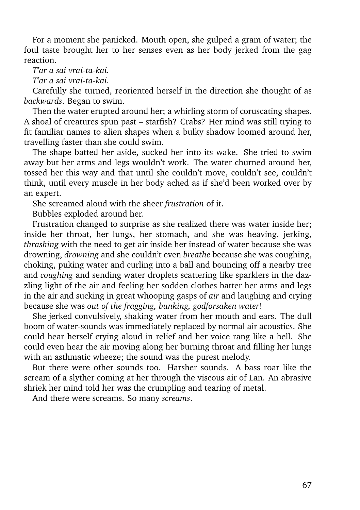For a moment she panicked. Mouth open, she gulped a gram of water; the foul taste brought her to her senses even as her body jerked from the gag reaction.

*T'ar a sai vrai-ta-kai.*

*T'ar a sai vrai-ta-kai.*

Carefully she turned, reoriented herself in the direction she thought of as *backwards*. Began to swim.

Then the water erupted around her; a whirling storm of coruscating shapes. A shoal of creatures spun past – starfish? Crabs? Her mind was still trying to fit familiar names to alien shapes when a bulky shadow loomed around her, travelling faster than she could swim.

The shape batted her aside, sucked her into its wake. She tried to swim away but her arms and legs wouldn't work. The water churned around her, tossed her this way and that until she couldn't move, couldn't see, couldn't think, until every muscle in her body ached as if she'd been worked over by an expert.

She screamed aloud with the sheer *frustration* of it.

Bubbles exploded around her.

Frustration changed to surprise as she realized there was water inside her; inside her throat, her lungs, her stomach, and she was heaving, jerking, *thrashing* with the need to get air inside her instead of water because she was drowning, *drowning* and she couldn't even *breathe* because she was coughing, choking, puking water and curling into a ball and bouncing off a nearby tree and *coughing* and sending water droplets scattering like sparklers in the dazzling light of the air and feeling her sodden clothes batter her arms and legs in the air and sucking in great whooping gasps of *air* and laughing and crying because she was *out of the fragging, bunking, godforsaken water*!

She jerked convulsively, shaking water from her mouth and ears. The dull boom of water-sounds was immediately replaced by normal air acoustics. She could hear herself crying aloud in relief and her voice rang like a bell. She could even hear the air moving along her burning throat and filling her lungs with an asthmatic wheeze; the sound was the purest melody.

But there were other sounds too. Harsher sounds. A bass roar like the scream of a slyther coming at her through the viscous air of Lan. An abrasive shriek her mind told her was the crumpling and tearing of metal.

And there were screams. So many *screams*.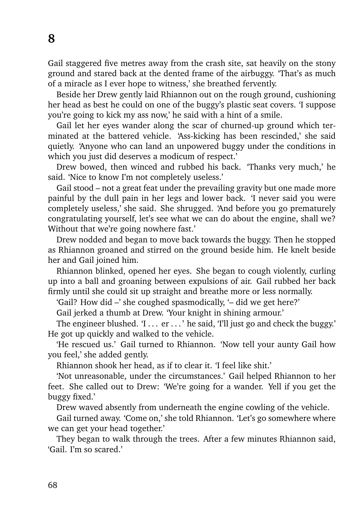Gail staggered five metres away from the crash site, sat heavily on the stony ground and stared back at the dented frame of the airbuggy. 'That's as much of a miracle as I ever hope to witness,' she breathed fervently.

Beside her Drew gently laid Rhiannon out on the rough ground, cushioning her head as best he could on one of the buggy's plastic seat covers. 'I suppose you're going to kick my ass now,' he said with a hint of a smile.

Gail let her eyes wander along the scar of churned-up ground which terminated at the battered vehicle. 'Ass-kicking has been rescinded,' she said quietly. 'Anyone who can land an unpowered buggy under the conditions in which you just did deserves a modicum of respect.'

Drew bowed, then winced and rubbed his back. 'Thanks very much,' he said. 'Nice to know I'm not completely useless.'

Gail stood – not a great feat under the prevailing gravity but one made more painful by the dull pain in her legs and lower back. 'I never said you were completely useless,' she said. She shrugged. 'And before you go prematurely congratulating yourself, let's see what we can do about the engine, shall we? Without that we're going nowhere fast.'

Drew nodded and began to move back towards the buggy. Then he stopped as Rhiannon groaned and stirred on the ground beside him. He knelt beside her and Gail joined him.

Rhiannon blinked, opened her eyes. She began to cough violently, curling up into a ball and groaning between expulsions of air. Gail rubbed her back firmly until she could sit up straight and breathe more or less normally.

'Gail? How did –' she coughed spasmodically, '– did we get here?'

Gail jerked a thumb at Drew. 'Your knight in shining armour.'

The engineer blushed. ' $I \ldots$  er  $\ldots$ ' he said, 'I'll just go and check the buggy.' He got up quickly and walked to the vehicle.

'He rescued us.' Gail turned to Rhiannon. 'Now tell your aunty Gail how you feel,' she added gently.

Rhiannon shook her head, as if to clear it. 'I feel like shit.'

'Not unreasonable, under the circumstances.' Gail helped Rhiannon to her feet. She called out to Drew: 'We're going for a wander. Yell if you get the buggy fixed.'

Drew waved absently from underneath the engine cowling of the vehicle.

Gail turned away. 'Come on,' she told Rhiannon. 'Let's go somewhere where we can get your head together.'

They began to walk through the trees. After a few minutes Rhiannon said, 'Gail. I'm so scared.'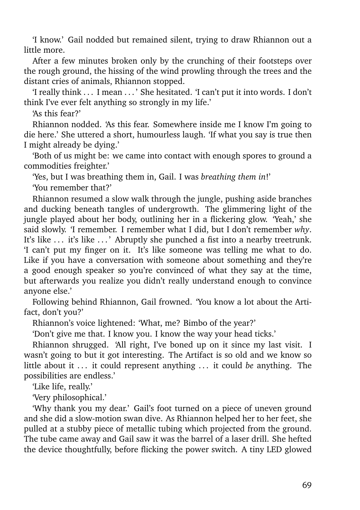'I know.' Gail nodded but remained silent, trying to draw Rhiannon out a little more.

After a few minutes broken only by the crunching of their footsteps over the rough ground, the hissing of the wind prowling through the trees and the distant cries of animals, Rhiannon stopped.

'I really think . . . I mean . . . ' She hesitated. 'I can't put it into words. I don't think I've ever felt anything so strongly in my life.'

'As this fear?'

Rhiannon nodded. 'As this fear. Somewhere inside me I know I'm going to die here.' She uttered a short, humourless laugh. 'If what you say is true then I might already be dying.'

'Both of us might be: we came into contact with enough spores to ground a commodities freighter.'

'Yes, but I was breathing them in, Gail. I was *breathing them in*!'

'You remember that?'

Rhiannon resumed a slow walk through the jungle, pushing aside branches and ducking beneath tangles of undergrowth. The glimmering light of the jungle played about her body, outlining her in a flickering glow. 'Yeah,' she said slowly. 'I remember. I remember what I did, but I don't remember *why*. It's like ... it's like ...' Abruptly she punched a fist into a nearby treetrunk. 'I can't put my finger on it. It's like someone was telling me what to do. Like if you have a conversation with someone about something and they're a good enough speaker so you're convinced of what they say at the time, but afterwards you realize you didn't really understand enough to convince anyone else.'

Following behind Rhiannon, Gail frowned. 'You know a lot about the Artifact, don't you?'

Rhiannon's voice lightened: 'What, me? Bimbo of the year?'

'Don't give me that. I know you. I know the way your head ticks.'

Rhiannon shrugged. 'All right, I've boned up on it since my last visit. I wasn't going to but it got interesting. The Artifact is so old and we know so little about it ... it could represent anything ... it could *be* anything. The possibilities are endless.'

'Like life, really.'

'Very philosophical.'

'Why thank you my dear.' Gail's foot turned on a piece of uneven ground and she did a slow-motion swan dive. As Rhiannon helped her to her feet, she pulled at a stubby piece of metallic tubing which projected from the ground. The tube came away and Gail saw it was the barrel of a laser drill. She hefted the device thoughtfully, before flicking the power switch. A tiny LED glowed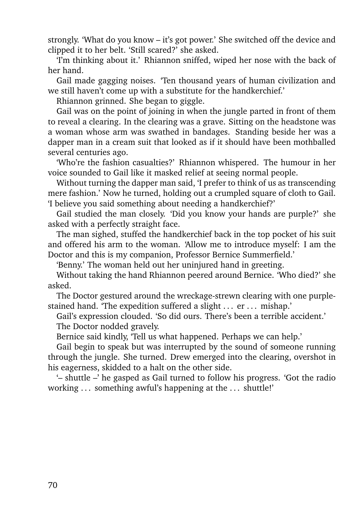strongly. 'What do you know – it's got power.' She switched off the device and clipped it to her belt. 'Still scared?' she asked.

'I'm thinking about it.' Rhiannon sniffed, wiped her nose with the back of her hand.

Gail made gagging noises. 'Ten thousand years of human civilization and we still haven't come up with a substitute for the handkerchief.'

Rhiannon grinned. She began to giggle.

Gail was on the point of joining in when the jungle parted in front of them to reveal a clearing. In the clearing was a grave. Sitting on the headstone was a woman whose arm was swathed in bandages. Standing beside her was a dapper man in a cream suit that looked as if it should have been mothballed several centuries ago.

'Who're the fashion casualties?' Rhiannon whispered. The humour in her voice sounded to Gail like it masked relief at seeing normal people.

Without turning the dapper man said, 'I prefer to think of us as transcending mere fashion.' Now he turned, holding out a crumpled square of cloth to Gail. 'I believe you said something about needing a handkerchief?'

Gail studied the man closely. 'Did you know your hands are purple?' she asked with a perfectly straight face.

The man sighed, stuffed the handkerchief back in the top pocket of his suit and offered his arm to the woman. 'Allow me to introduce myself: I am the Doctor and this is my companion, Professor Bernice Summerfield.'

'Benny.' The woman held out her uninjured hand in greeting.

Without taking the hand Rhiannon peered around Bernice. 'Who died?' she asked.

The Doctor gestured around the wreckage-strewn clearing with one purplestained hand. 'The expedition suffered a slight . . . er . . . mishap.'

Gail's expression clouded. 'So did ours. There's been a terrible accident.' The Doctor nodded gravely.

Bernice said kindly, 'Tell us what happened. Perhaps we can help.'

Gail begin to speak but was interrupted by the sound of someone running through the jungle. She turned. Drew emerged into the clearing, overshot in his eagerness, skidded to a halt on the other side.

'– shuttle –' he gasped as Gail turned to follow his progress. 'Got the radio working ... something awful's happening at the ... shuttle!'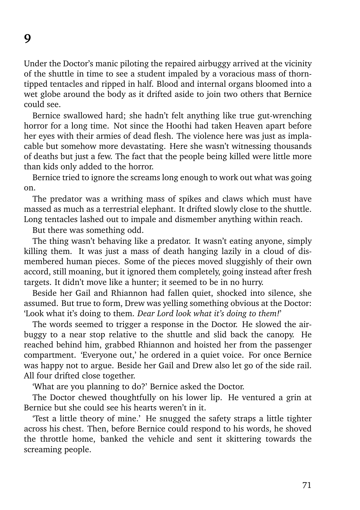Under the Doctor's manic piloting the repaired airbuggy arrived at the vicinity of the shuttle in time to see a student impaled by a voracious mass of thorntipped tentacles and ripped in half. Blood and internal organs bloomed into a wet globe around the body as it drifted aside to join two others that Bernice could see.

Bernice swallowed hard; she hadn't felt anything like true gut-wrenching horror for a long time. Not since the Hoothi had taken Heaven apart before her eyes with their armies of dead flesh. The violence here was just as implacable but somehow more devastating. Here she wasn't witnessing thousands of deaths but just a few. The fact that the people being killed were little more than kids only added to the horror.

Bernice tried to ignore the screams long enough to work out what was going on.

The predator was a writhing mass of spikes and claws which must have massed as much as a terrestrial elephant. It drifted slowly close to the shuttle. Long tentacles lashed out to impale and dismember anything within reach.

But there was something odd.

The thing wasn't behaving like a predator. It wasn't eating anyone, simply killing them. It was just a mass of death hanging lazily in a cloud of dismembered human pieces. Some of the pieces moved sluggishly of their own accord, still moaning, but it ignored them completely, going instead after fresh targets. It didn't move like a hunter; it seemed to be in no hurry.

Beside her Gail and Rhiannon had fallen quiet, shocked into silence, she assumed. But true to form, Drew was yelling something obvious at the Doctor: 'Look what it's doing to them. *Dear Lord look what it's doing to them!*'

The words seemed to trigger a response in the Doctor. He slowed the airbuggy to a near stop relative to the shuttle and slid back the canopy. He reached behind him, grabbed Rhiannon and hoisted her from the passenger compartment. 'Everyone out,' he ordered in a quiet voice. For once Bernice was happy not to argue. Beside her Gail and Drew also let go of the side rail. All four drifted close together.

'What are you planning to do?' Bernice asked the Doctor.

The Doctor chewed thoughtfully on his lower lip. He ventured a grin at Bernice but she could see his hearts weren't in it.

'Test a little theory of mine.' He snugged the safety straps a little tighter across his chest. Then, before Bernice could respond to his words, he shoved the throttle home, banked the vehicle and sent it skittering towards the screaming people.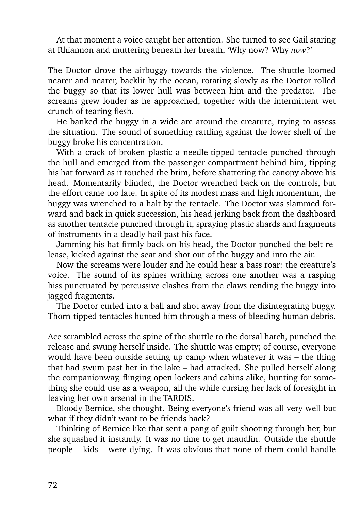At that moment a voice caught her attention. She turned to see Gail staring at Rhiannon and muttering beneath her breath, 'Why now? Why *now*?'

The Doctor drove the airbuggy towards the violence. The shuttle loomed nearer and nearer, backlit by the ocean, rotating slowly as the Doctor rolled the buggy so that its lower hull was between him and the predator. The screams grew louder as he approached, together with the intermittent wet crunch of tearing flesh.

He banked the buggy in a wide arc around the creature, trying to assess the situation. The sound of something rattling against the lower shell of the buggy broke his concentration.

With a crack of broken plastic a needle-tipped tentacle punched through the hull and emerged from the passenger compartment behind him, tipping his hat forward as it touched the brim, before shattering the canopy above his head. Momentarily blinded, the Doctor wrenched back on the controls, but the effort came too late. In spite of its modest mass and high momentum, the buggy was wrenched to a halt by the tentacle. The Doctor was slammed forward and back in quick succession, his head jerking back from the dashboard as another tentacle punched through it, spraying plastic shards and fragments of instruments in a deadly hail past his face.

Jamming his hat firmly back on his head, the Doctor punched the belt release, kicked against the seat and shot out of the buggy and into the air.

Now the screams were louder and he could hear a bass roar: the creature's voice. The sound of its spines writhing across one another was a rasping hiss punctuated by percussive clashes from the claws rending the buggy into jagged fragments.

The Doctor curled into a ball and shot away from the disintegrating buggy. Thorn-tipped tentacles hunted him through a mess of bleeding human debris.

Ace scrambled across the spine of the shuttle to the dorsal hatch, punched the release and swung herself inside. The shuttle was empty; of course, everyone would have been outside setting up camp when whatever it was – the thing that had swum past her in the lake – had attacked. She pulled herself along the companionway, flinging open lockers and cabins alike, hunting for something she could use as a weapon, all the while cursing her lack of foresight in leaving her own arsenal in the TARDIS.

Bloody Bernice, she thought. Being everyone's friend was all very well but what if they didn't want to be friends back?

Thinking of Bernice like that sent a pang of guilt shooting through her, but she squashed it instantly. It was no time to get maudlin. Outside the shuttle people – kids – were dying. It was obvious that none of them could handle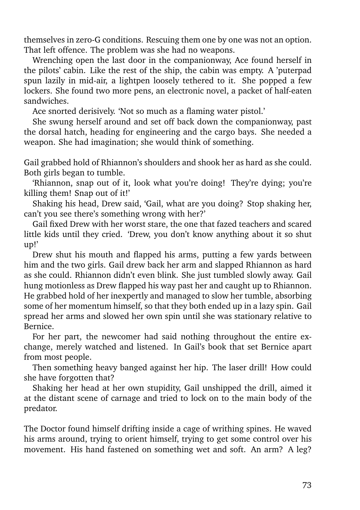themselves in zero-G conditions. Rescuing them one by one was not an option. That left offence. The problem was she had no weapons.

Wrenching open the last door in the companionway, Ace found herself in the pilots' cabin. Like the rest of the ship, the cabin was empty. A 'puterpad spun lazily in mid-air, a lightpen loosely tethered to it. She popped a few lockers. She found two more pens, an electronic novel, a packet of half-eaten sandwiches.

Ace snorted derisively. 'Not so much as a flaming water pistol.'

She swung herself around and set off back down the companionway, past the dorsal hatch, heading for engineering and the cargo bays. She needed a weapon. She had imagination; she would think of something.

Gail grabbed hold of Rhiannon's shoulders and shook her as hard as she could. Both girls began to tumble.

'Rhiannon, snap out of it, look what you're doing! They're dying; you're killing them! Snap out of it!'

Shaking his head, Drew said, 'Gail, what are you doing? Stop shaking her, can't you see there's something wrong with her?'

Gail fixed Drew with her worst stare, the one that fazed teachers and scared little kids until they cried. 'Drew, you don't know anything about it so shut up!'

Drew shut his mouth and flapped his arms, putting a few yards between him and the two girls. Gail drew back her arm and slapped Rhiannon as hard as she could. Rhiannon didn't even blink. She just tumbled slowly away. Gail hung motionless as Drew flapped his way past her and caught up to Rhiannon. He grabbed hold of her inexpertly and managed to slow her tumble, absorbing some of her momentum himself, so that they both ended up in a lazy spin. Gail spread her arms and slowed her own spin until she was stationary relative to Bernice.

For her part, the newcomer had said nothing throughout the entire exchange, merely watched and listened. In Gail's book that set Bernice apart from most people.

Then something heavy banged against her hip. The laser drill! How could she have forgotten that?

Shaking her head at her own stupidity, Gail unshipped the drill, aimed it at the distant scene of carnage and tried to lock on to the main body of the predator.

The Doctor found himself drifting inside a cage of writhing spines. He waved his arms around, trying to orient himself, trying to get some control over his movement. His hand fastened on something wet and soft. An arm? A leg?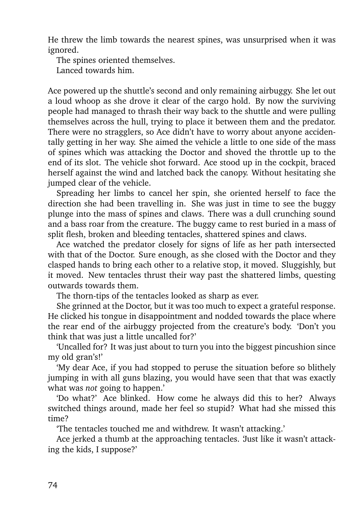He threw the limb towards the nearest spines, was unsurprised when it was ignored.

The spines oriented themselves. Lanced towards him.

Ace powered up the shuttle's second and only remaining airbuggy. She let out a loud whoop as she drove it clear of the cargo hold. By now the surviving people had managed to thrash their way back to the shuttle and were pulling themselves across the hull, trying to place it between them and the predator. There were no stragglers, so Ace didn't have to worry about anyone accidentally getting in her way. She aimed the vehicle a little to one side of the mass of spines which was attacking the Doctor and shoved the throttle up to the end of its slot. The vehicle shot forward. Ace stood up in the cockpit, braced herself against the wind and latched back the canopy. Without hesitating she jumped clear of the vehicle.

Spreading her limbs to cancel her spin, she oriented herself to face the direction she had been travelling in. She was just in time to see the buggy plunge into the mass of spines and claws. There was a dull crunching sound and a bass roar from the creature. The buggy came to rest buried in a mass of split flesh, broken and bleeding tentacles, shattered spines and claws.

Ace watched the predator closely for signs of life as her path intersected with that of the Doctor. Sure enough, as she closed with the Doctor and they clasped hands to bring each other to a relative stop, it moved. Sluggishly, but it moved. New tentacles thrust their way past the shattered limbs, questing outwards towards them.

The thorn-tips of the tentacles looked as sharp as ever.

She grinned at the Doctor, but it was too much to expect a grateful response. He clicked his tongue in disappointment and nodded towards the place where the rear end of the airbuggy projected from the creature's body. 'Don't you think that was just a little uncalled for?'

'Uncalled for? It was just about to turn you into the biggest pincushion since my old gran's!'

'My dear Ace, if you had stopped to peruse the situation before so blithely jumping in with all guns blazing, you would have seen that that was exactly what was *not* going to happen.'

'Do what?' Ace blinked. How come he always did this to her? Always switched things around, made her feel so stupid? What had she missed this time?

'The tentacles touched me and withdrew. It wasn't attacking.'

Ace jerked a thumb at the approaching tentacles. 'Just like it wasn't attacking the kids, I suppose?'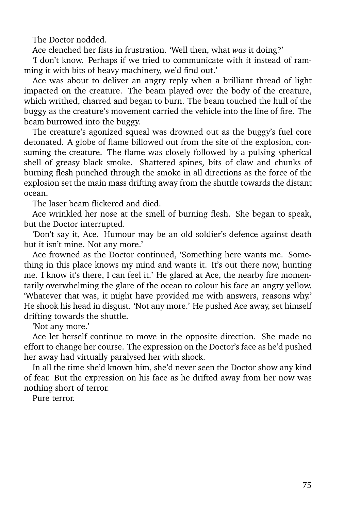The Doctor nodded.

Ace clenched her fists in frustration. 'Well then, what *was* it doing?'

'I don't know. Perhaps if we tried to communicate with it instead of ramming it with bits of heavy machinery, we'd find out.'

Ace was about to deliver an angry reply when a brilliant thread of light impacted on the creature. The beam played over the body of the creature, which writhed, charred and began to burn. The beam touched the hull of the buggy as the creature's movement carried the vehicle into the line of fire. The beam burrowed into the buggy.

The creature's agonized squeal was drowned out as the buggy's fuel core detonated. A globe of flame billowed out from the site of the explosion, consuming the creature. The flame was closely followed by a pulsing spherical shell of greasy black smoke. Shattered spines, bits of claw and chunks of burning flesh punched through the smoke in all directions as the force of the explosion set the main mass drifting away from the shuttle towards the distant ocean.

The laser beam flickered and died.

Ace wrinkled her nose at the smell of burning flesh. She began to speak, but the Doctor interrupted.

'Don't say it, Ace. Humour may be an old soldier's defence against death but it isn't mine. Not any more.'

Ace frowned as the Doctor continued, 'Something here wants me. Something in this place knows my mind and wants it. It's out there now, hunting me. I know it's there, I can feel it.' He glared at Ace, the nearby fire momentarily overwhelming the glare of the ocean to colour his face an angry yellow. 'Whatever that was, it might have provided me with answers, reasons why.' He shook his head in disgust. 'Not any more.' He pushed Ace away, set himself drifting towards the shuttle.

'Not any more.'

Ace let herself continue to move in the opposite direction. She made no effort to change her course. The expression on the Doctor's face as he'd pushed her away had virtually paralysed her with shock.

In all the time she'd known him, she'd never seen the Doctor show any kind of fear. But the expression on his face as he drifted away from her now was nothing short of terror.

Pure terror.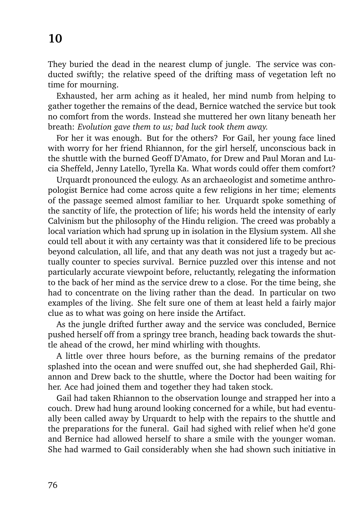They buried the dead in the nearest clump of jungle. The service was conducted swiftly; the relative speed of the drifting mass of vegetation left no time for mourning.

Exhausted, her arm aching as it healed, her mind numb from helping to gather together the remains of the dead, Bernice watched the service but took no comfort from the words. Instead she muttered her own litany beneath her breath: *Evolution gave them to us; bad luck took them away.*

For her it was enough. But for the others? For Gail, her young face lined with worry for her friend Rhiannon, for the girl herself, unconscious back in the shuttle with the burned Geoff D'Amato, for Drew and Paul Moran and Lucia Sheffeld, Jenny Latello, Tyrella Ka. What words could offer them comfort?

Urquardt pronounced the eulogy. As an archaeologist and sometime anthropologist Bernice had come across quite a few religions in her time; elements of the passage seemed almost familiar to her. Urquardt spoke something of the sanctity of life, the protection of life; his words held the intensity of early Calvinism but the philosophy of the Hindu religion. The creed was probably a local variation which had sprung up in isolation in the Elysium system. All she could tell about it with any certainty was that it considered life to be precious beyond calculation, all life, and that any death was not just a tragedy but actually counter to species survival. Bernice puzzled over this intense and not particularly accurate viewpoint before, reluctantly, relegating the information to the back of her mind as the service drew to a close. For the time being, she had to concentrate on the living rather than the dead. In particular on two examples of the living. She felt sure one of them at least held a fairly major clue as to what was going on here inside the Artifact.

As the jungle drifted further away and the service was concluded, Bernice pushed herself off from a springy tree branch, heading back towards the shuttle ahead of the crowd, her mind whirling with thoughts.

A little over three hours before, as the burning remains of the predator splashed into the ocean and were snuffed out, she had shepherded Gail, Rhiannon and Drew back to the shuttle, where the Doctor had been waiting for her. Ace had joined them and together they had taken stock.

Gail had taken Rhiannon to the observation lounge and strapped her into a couch. Drew had hung around looking concerned for a while, but had eventually been called away by Urquardt to help with the repairs to the shuttle and the preparations for the funeral. Gail had sighed with relief when he'd gone and Bernice had allowed herself to share a smile with the younger woman. She had warmed to Gail considerably when she had shown such initiative in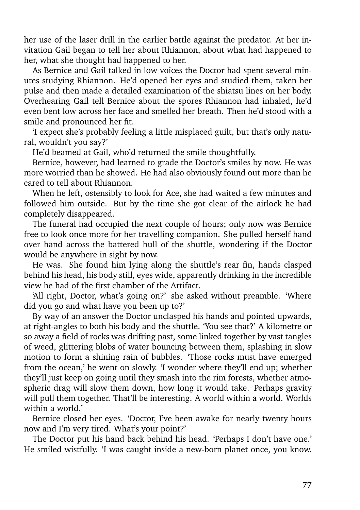her use of the laser drill in the earlier battle against the predator. At her invitation Gail began to tell her about Rhiannon, about what had happened to her, what she thought had happened to her.

As Bernice and Gail talked in low voices the Doctor had spent several minutes studying Rhiannon. He'd opened her eyes and studied them, taken her pulse and then made a detailed examination of the shiatsu lines on her body. Overhearing Gail tell Bernice about the spores Rhiannon had inhaled, he'd even bent low across her face and smelled her breath. Then he'd stood with a smile and pronounced her fit.

'I expect she's probably feeling a little misplaced guilt, but that's only natural, wouldn't you say?'

He'd beamed at Gail, who'd returned the smile thoughtfully.

Bernice, however, had learned to grade the Doctor's smiles by now. He was more worried than he showed. He had also obviously found out more than he cared to tell about Rhiannon.

When he left, ostensibly to look for Ace, she had waited a few minutes and followed him outside. But by the time she got clear of the airlock he had completely disappeared.

The funeral had occupied the next couple of hours; only now was Bernice free to look once more for her travelling companion. She pulled herself hand over hand across the battered hull of the shuttle, wondering if the Doctor would be anywhere in sight by now.

He was. She found him lying along the shuttle's rear fin, hands clasped behind his head, his body still, eyes wide, apparently drinking in the incredible view he had of the first chamber of the Artifact.

'All right, Doctor, what's going on?' she asked without preamble. 'Where did you go and what have you been up to?'

By way of an answer the Doctor unclasped his hands and pointed upwards, at right-angles to both his body and the shuttle. 'You see that?' A kilometre or so away a field of rocks was drifting past, some linked together by vast tangles of weed, glittering blobs of water bouncing between them, splashing in slow motion to form a shining rain of bubbles. 'Those rocks must have emerged from the ocean,' he went on slowly. 'I wonder where they'll end up; whether they'll just keep on going until they smash into the rim forests, whether atmospheric drag will slow them down, how long it would take. Perhaps gravity will pull them together. That'll be interesting. A world within a world. Worlds within a world.

Bernice closed her eyes. 'Doctor, I've been awake for nearly twenty hours now and I'm very tired. What's your point?'

The Doctor put his hand back behind his head. 'Perhaps I don't have one.' He smiled wistfully. 'I was caught inside a new-born planet once, you know.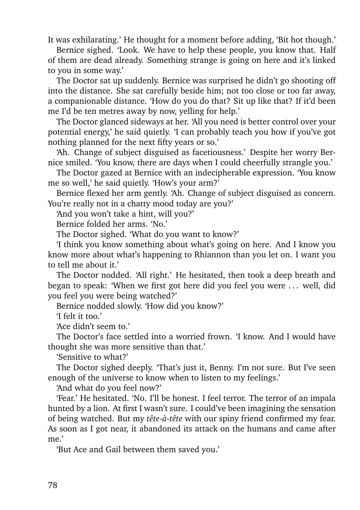It was exhilarating.' He thought for a moment before adding, 'Bit hot though.'

Bernice sighed. 'Look. We have to help these people, you know that. Half of them are dead already. Something strange is going on here and it's linked to you in some way.'

The Doctor sat up suddenly. Bernice was surprised he didn't go shooting off into the distance. She sat carefully beside him; not too close or too far away, a companionable distance. 'How do you do that? Sit up like that? If it'd been me I'd be ten metres away by now, yelling for help.'

The Doctor glanced sideways at her. 'All you need is better control over your potential energy,' he said quietly. 'I can probably teach you how if you've got nothing planned for the next fifty years or so.'

'Ah. Change of subject disguised as facetiousness.' Despite her worry Bernice smiled. 'You know, there are days when I could cheerfully strangle you.'

The Doctor gazed at Bernice with an indecipherable expression. 'You know me so well,' he said quietly. 'How's your arm?'

Bernice flexed her arm gently. 'Ah. Change of subject disguised as concern. You're really not in a chatty mood today are you?'

'And you won't take a hint, will you?'

Bernice folded her arms. 'No.'

The Doctor sighed. 'What do you want to know?'

'I think you know something about what's going on here. And I know you know more about what's happening to Rhiannon than you let on. I want you to tell me about it.'

The Doctor nodded. 'All right.' He hesitated, then took a deep breath and began to speak: 'When we first got here did you feel you were . . . well, did you feel you were being watched?'

Bernice nodded slowly. 'How did you know?'

'I felt it too.'

'Ace didn't seem to.'

The Doctor's face settled into a worried frown. 'I know. And I would have thought she was more sensitive than that.'

'Sensitive to what?'

The Doctor sighed deeply. 'That's just it, Benny. I'm not sure. But I've seen enough of the universe to know when to listen to my feelings.'

'And what do you feel now?'

'Fear.' He hesitated. 'No. I'll be honest. I feel terror. The terror of an impala hunted by a lion. At first I wasn't sure. I could've been imagining the sensation of being watched. But my *tête-à-tête* with our spiny friend confirmed my fear. As soon as I got near, it abandoned its attack on the humans and came after me.'

'But Ace and Gail between them saved you.'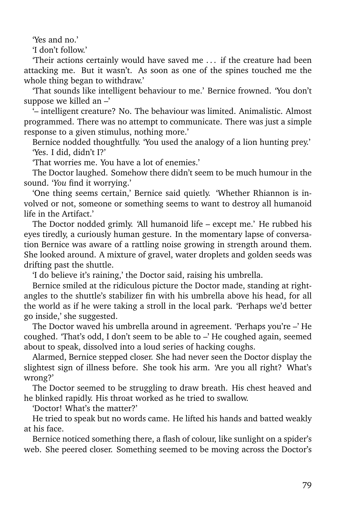'Yes and no.'

'I don't follow.'

'Their actions certainly would have saved me . . . if the creature had been attacking me. But it wasn't. As soon as one of the spines touched me the whole thing began to withdraw.'

'That sounds like intelligent behaviour to me.' Bernice frowned. 'You don't suppose we killed an –'

'– intelligent creature? No. The behaviour was limited. Animalistic. Almost programmed. There was no attempt to communicate. There was just a simple response to a given stimulus, nothing more.'

Bernice nodded thoughtfully. 'You used the analogy of a lion hunting prey.' 'Yes. I did, didn't I?'

'That worries me. You have a lot of enemies.'

The Doctor laughed. Somehow there didn't seem to be much humour in the sound. '*You* find it worrying.'

'One thing seems certain,' Bernice said quietly. 'Whether Rhiannon is involved or not, someone or something seems to want to destroy all humanoid life in the Artifact<sup>'</sup>

The Doctor nodded grimly. 'All humanoid life – except me.' He rubbed his eyes tiredly, a curiously human gesture. In the momentary lapse of conversation Bernice was aware of a rattling noise growing in strength around them. She looked around. A mixture of gravel, water droplets and golden seeds was drifting past the shuttle.

'I do believe it's raining,' the Doctor said, raising his umbrella.

Bernice smiled at the ridiculous picture the Doctor made, standing at rightangles to the shuttle's stabilizer fin with his umbrella above his head, for all the world as if he were taking a stroll in the local park. 'Perhaps we'd better go inside,' she suggested.

The Doctor waved his umbrella around in agreement. 'Perhaps you're –' He coughed. 'That's odd, I don't seem to be able to –' He coughed again, seemed about to speak, dissolved into a loud series of hacking coughs.

Alarmed, Bernice stepped closer. She had never seen the Doctor display the slightest sign of illness before. She took his arm. 'Are you all right? What's wrong?'

The Doctor seemed to be struggling to draw breath. His chest heaved and he blinked rapidly. His throat worked as he tried to swallow.

'Doctor! What's the matter?'

He tried to speak but no words came. He lifted his hands and batted weakly at his face.

Bernice noticed something there, a flash of colour, like sunlight on a spider's web. She peered closer. Something seemed to be moving across the Doctor's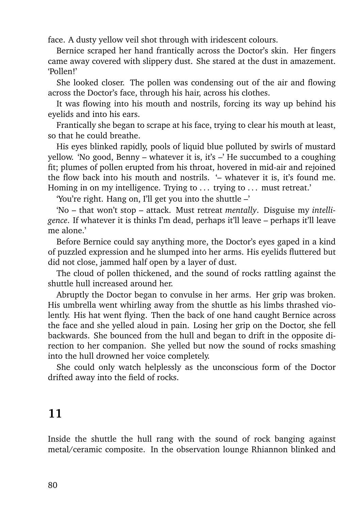face. A dusty yellow veil shot through with iridescent colours.

Bernice scraped her hand frantically across the Doctor's skin. Her fingers came away covered with slippery dust. She stared at the dust in amazement. 'Pollen!'

She looked closer. The pollen was condensing out of the air and flowing across the Doctor's face, through his hair, across his clothes.

It was flowing into his mouth and nostrils, forcing its way up behind his eyelids and into his ears.

Frantically she began to scrape at his face, trying to clear his mouth at least, so that he could breathe.

His eyes blinked rapidly, pools of liquid blue polluted by swirls of mustard yellow. 'No good, Benny – whatever it is, it's –' He succumbed to a coughing fit; plumes of pollen erupted from his throat, hovered in mid-air and rejoined the flow back into his mouth and nostrils. '– whatever it is, it's found me. Homing in on my intelligence. Trying to ... trying to ... must retreat.'

'You're right. Hang on, I'll get you into the shuttle –'

'No – that won't stop – attack. Must retreat *mentally*. Disguise my *intelligence*. If whatever it is thinks I'm dead, perhaps it'll leave – perhaps it'll leave me alone.'

Before Bernice could say anything more, the Doctor's eyes gaped in a kind of puzzled expression and he slumped into her arms. His eyelids fluttered but did not close, jammed half open by a layer of dust.

The cloud of pollen thickened, and the sound of rocks rattling against the shuttle hull increased around her.

Abruptly the Doctor began to convulse in her arms. Her grip was broken. His umbrella went whirling away from the shuttle as his limbs thrashed violently. His hat went flying. Then the back of one hand caught Bernice across the face and she yelled aloud in pain. Losing her grip on the Doctor, she fell backwards. She bounced from the hull and began to drift in the opposite direction to her companion. She yelled but now the sound of rocks smashing into the hull drowned her voice completely.

She could only watch helplessly as the unconscious form of the Doctor drifted away into the field of rocks.

## **11**

Inside the shuttle the hull rang with the sound of rock banging against metal/ceramic composite. In the observation lounge Rhiannon blinked and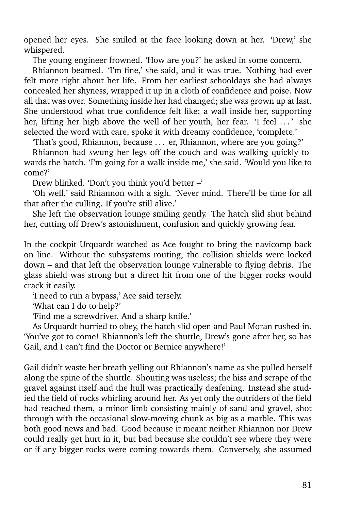opened her eyes. She smiled at the face looking down at her. 'Drew,' she whispered.

The young engineer frowned. 'How are you?' he asked in some concern.

Rhiannon beamed. 'I'm fine,' she said, and it was true. Nothing had ever felt more right about her life. From her earliest schooldays she had always concealed her shyness, wrapped it up in a cloth of confidence and poise. Now all that was over. Something inside her had changed; she was grown up at last. She understood what true confidence felt like; a wall inside her, supporting her, lifting her high above the well of her youth, her fear. 'I feel ...' she selected the word with care, spoke it with dreamy confidence, 'complete.'

'That's good, Rhiannon, because . . . er, Rhiannon, where are you going?'

Rhiannon had swung her legs off the couch and was walking quickly towards the hatch. 'I'm going for a walk inside me,' she said. 'Would you like to come?'

Drew blinked. 'Don't you think you'd better –'

'Oh well,' said Rhiannon with a sigh. 'Never mind. There'll be time for all that after the culling. If you're still alive.'

She left the observation lounge smiling gently. The hatch slid shut behind her, cutting off Drew's astonishment, confusion and quickly growing fear.

In the cockpit Urquardt watched as Ace fought to bring the navicomp back on line. Without the subsystems routing, the collision shields were locked down – and that left the observation lounge vulnerable to flying debris. The glass shield was strong but a direct hit from one of the bigger rocks would crack it easily.

'I need to run a bypass,' Ace said tersely.

'What can I do to help?'

'Find me a screwdriver. And a sharp knife.'

As Urquardt hurried to obey, the hatch slid open and Paul Moran rushed in. 'You've got to come! Rhiannon's left the shuttle, Drew's gone after her, so has Gail, and I can't find the Doctor or Bernice anywhere!'

Gail didn't waste her breath yelling out Rhiannon's name as she pulled herself along the spine of the shuttle. Shouting was useless; the hiss and scrape of the gravel against itself and the hull was practically deafening. Instead she studied the field of rocks whirling around her. As yet only the outriders of the field had reached them, a minor limb consisting mainly of sand and gravel, shot through with the occasional slow-moving chunk as big as a marble. This was both good news and bad. Good because it meant neither Rhiannon nor Drew could really get hurt in it, but bad because she couldn't see where they were or if any bigger rocks were coming towards them. Conversely, she assumed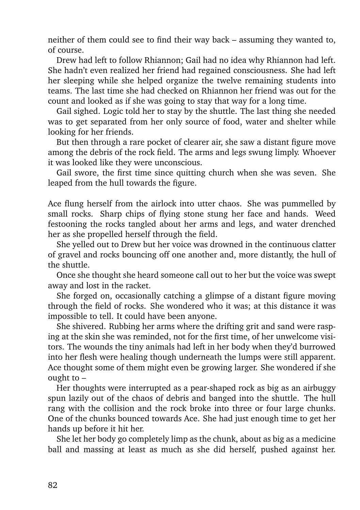neither of them could see to find their way back – assuming they wanted to, of course.

Drew had left to follow Rhiannon; Gail had no idea why Rhiannon had left. She hadn't even realized her friend had regained consciousness. She had left her sleeping while she helped organize the twelve remaining students into teams. The last time she had checked on Rhiannon her friend was out for the count and looked as if she was going to stay that way for a long time.

Gail sighed. Logic told her to stay by the shuttle. The last thing she needed was to get separated from her only source of food, water and shelter while looking for her friends.

But then through a rare pocket of clearer air, she saw a distant figure move among the debris of the rock field. The arms and legs swung limply. Whoever it was looked like they were unconscious.

Gail swore, the first time since quitting church when she was seven. She leaped from the hull towards the figure.

Ace flung herself from the airlock into utter chaos. She was pummelled by small rocks. Sharp chips of flying stone stung her face and hands. Weed festooning the rocks tangled about her arms and legs, and water drenched her as she propelled herself through the field.

She yelled out to Drew but her voice was drowned in the continuous clatter of gravel and rocks bouncing off one another and, more distantly, the hull of the shuttle.

Once she thought she heard someone call out to her but the voice was swept away and lost in the racket.

She forged on, occasionally catching a glimpse of a distant figure moving through the field of rocks. She wondered who it was; at this distance it was impossible to tell. It could have been anyone.

She shivered. Rubbing her arms where the drifting grit and sand were rasping at the skin she was reminded, not for the first time, of her unwelcome visitors. The wounds the tiny animals had left in her body when they'd burrowed into her flesh were healing though underneath the lumps were still apparent. Ace thought some of them might even be growing larger. She wondered if she  $output to -$ 

Her thoughts were interrupted as a pear-shaped rock as big as an airbuggy spun lazily out of the chaos of debris and banged into the shuttle. The hull rang with the collision and the rock broke into three or four large chunks. One of the chunks bounced towards Ace. She had just enough time to get her hands up before it hit her.

She let her body go completely limp as the chunk, about as big as a medicine ball and massing at least as much as she did herself, pushed against her.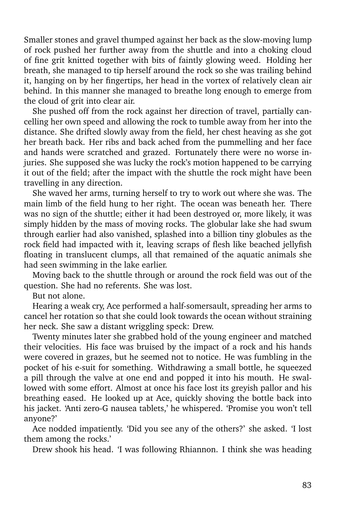Smaller stones and gravel thumped against her back as the slow-moving lump of rock pushed her further away from the shuttle and into a choking cloud of fine grit knitted together with bits of faintly glowing weed. Holding her breath, she managed to tip herself around the rock so she was trailing behind it, hanging on by her fingertips, her head in the vortex of relatively clean air behind. In this manner she managed to breathe long enough to emerge from the cloud of grit into clear air.

She pushed off from the rock against her direction of travel, partially cancelling her own speed and allowing the rock to tumble away from her into the distance. She drifted slowly away from the field, her chest heaving as she got her breath back. Her ribs and back ached from the pummelling and her face and hands were scratched and grazed. Fortunately there were no worse injuries. She supposed she was lucky the rock's motion happened to be carrying it out of the field; after the impact with the shuttle the rock might have been travelling in any direction.

She waved her arms, turning herself to try to work out where she was. The main limb of the field hung to her right. The ocean was beneath her. There was no sign of the shuttle; either it had been destroyed or, more likely, it was simply hidden by the mass of moving rocks. The globular lake she had swum through earlier had also vanished, splashed into a billion tiny globules as the rock field had impacted with it, leaving scraps of flesh like beached jellyfish floating in translucent clumps, all that remained of the aquatic animals she had seen swimming in the lake earlier.

Moving back to the shuttle through or around the rock field was out of the question. She had no referents. She was lost.

But not alone.

Hearing a weak cry, Ace performed a half-somersault, spreading her arms to cancel her rotation so that she could look towards the ocean without straining her neck. She saw a distant wriggling speck: Drew.

Twenty minutes later she grabbed hold of the young engineer and matched their velocities. His face was bruised by the impact of a rock and his hands were covered in grazes, but he seemed not to notice. He was fumbling in the pocket of his e-suit for something. Withdrawing a small bottle, he squeezed a pill through the valve at one end and popped it into his mouth. He swallowed with some effort. Almost at once his face lost its grevish pallor and his breathing eased. He looked up at Ace, quickly shoving the bottle back into his jacket. 'Anti zero-G nausea tablets,' he whispered. 'Promise you won't tell anyone?'

Ace nodded impatiently. 'Did you see any of the others?' she asked. 'I lost them among the rocks.'

Drew shook his head. 'I was following Rhiannon. I think she was heading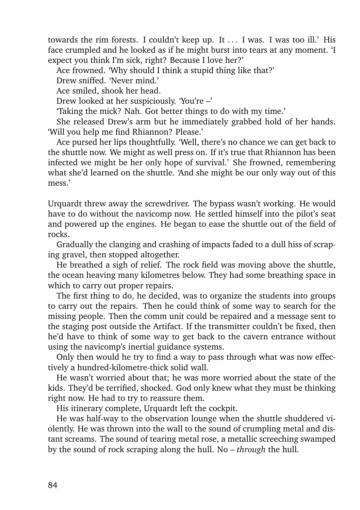towards the rim forests. I couldn't keep up. It . . . I was. I was too ill.' His face crumpled and he looked as if he might burst into tears at any moment. 'I expect you think I'm sick, right? Because I love her?'

Ace frowned. 'Why should I think a stupid thing like that?'

Drew sniffed. 'Never mind.'

Ace smiled, shook her head.

Drew looked at her suspiciously. 'You're –'

'Taking the mick? Nah. Got better things to do with my time.'

She released Drew's arm but he immediately grabbed hold of her hands. 'Will you help me find Rhiannon? Please.'

Ace pursed her lips thoughtfully. 'Well, there's no chance we can get back to the shuttle now. We might as well press on. If it's true that Rhiannon has been infected we might be her only hope of survival.' She frowned, remembering what she'd learned on the shuttle. 'And she might be our only way out of this mess<sup>'</sup>

Urquardt threw away the screwdriver. The bypass wasn't working. He would have to do without the navicomp now. He settled himself into the pilot's seat and powered up the engines. He began to ease the shuttle out of the field of rocks.

Gradually the clanging and crashing of impacts faded to a dull hiss of scraping gravel, then stopped altogether.

He breathed a sigh of relief. The rock field was moving above the shuttle, the ocean heaving many kilometres below. They had some breathing space in which to carry out proper repairs.

The first thing to do, he decided, was to organize the students into groups to carry out the repairs. Then he could think of some way to search for the missing people. Then the comm unit could be repaired and a message sent to the staging post outside the Artifact. If the transmitter couldn't be fixed, then he'd have to think of some way to get back to the cavern entrance without using the navicomp's inertial guidance systems.

Only then would he try to find a way to pass through what was now effectively a hundred-kilometre-thick solid wall.

He wasn't worried about that; he was more worried about the state of the kids. They'd be terrified, shocked. God only knew what they must be thinking right now. He had to try to reassure them.

His itinerary complete, Urquardt left the cockpit.

He was half-way to the observation lounge when the shuttle shuddered violently. He was thrown into the wall to the sound of crumpling metal and distant screams. The sound of tearing metal rose, a metallic screeching swamped by the sound of rock scraping along the hull. No – *through* the hull.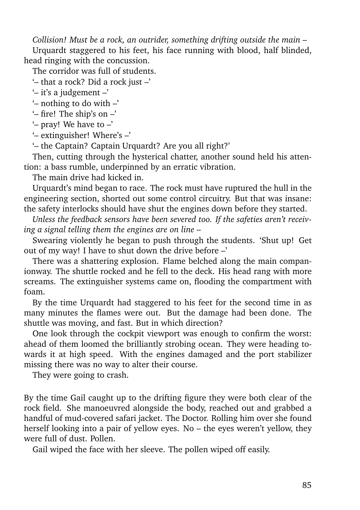*Collision! Must be a rock, an outrider, something drifting outside the main –* Urquardt staggered to his feet, his face running with blood, half blinded, head ringing with the concussion.

The corridor was full of students.

'– that a rock? Did a rock just –'

'– it's a judgement –'

 $-$  nothing to do with  $-$ '

'– fire! The ship's on –'

 $-$  pray! We have to  $-$ '

'– extinguisher! Where's –'

'– the Captain? Captain Urquardt? Are you all right?'

Then, cutting through the hysterical chatter, another sound held his attention: a bass rumble, underpinned by an erratic vibration.

The main drive had kicked in.

Urquardt's mind began to race. The rock must have ruptured the hull in the engineering section, shorted out some control circuitry. But that was insane: the safety interlocks should have shut the engines down before they started.

*Unless the feedback sensors have been severed too. If the safeties aren't receiving a signal telling them the engines are on line –*

Swearing violently he began to push through the students. 'Shut up! Get out of my way! I have to shut down the drive before –'

There was a shattering explosion. Flame belched along the main companionway. The shuttle rocked and he fell to the deck. His head rang with more screams. The extinguisher systems came on, flooding the compartment with foam.

By the time Urquardt had staggered to his feet for the second time in as many minutes the flames were out. But the damage had been done. The shuttle was moving, and fast. But in which direction?

One look through the cockpit viewport was enough to confirm the worst: ahead of them loomed the brilliantly strobing ocean. They were heading towards it at high speed. With the engines damaged and the port stabilizer missing there was no way to alter their course.

They were going to crash.

By the time Gail caught up to the drifting figure they were both clear of the rock field. She manoeuvred alongside the body, reached out and grabbed a handful of mud-covered safari jacket. The Doctor. Rolling him over she found herself looking into a pair of yellow eyes. No – the eyes weren't yellow, they were full of dust. Pollen.

Gail wiped the face with her sleeve. The pollen wiped off easily.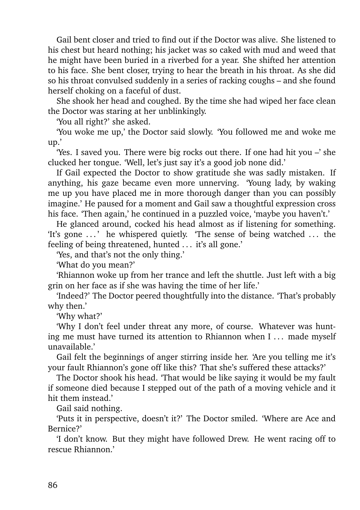Gail bent closer and tried to find out if the Doctor was alive. She listened to his chest but heard nothing; his jacket was so caked with mud and weed that he might have been buried in a riverbed for a year. She shifted her attention to his face. She bent closer, trying to hear the breath in his throat. As she did so his throat convulsed suddenly in a series of racking coughs – and she found herself choking on a faceful of dust.

She shook her head and coughed. By the time she had wiped her face clean the Doctor was staring at her unblinkingly.

'You all right?' she asked.

'You woke me up,' the Doctor said slowly. 'You followed me and woke me up.'

'Yes. I saved you. There were big rocks out there. If one had hit you –' she clucked her tongue. 'Well, let's just say it's a good job none did.'

If Gail expected the Doctor to show gratitude she was sadly mistaken. If anything, his gaze became even more unnerving. 'Young lady, by waking me up you have placed me in more thorough danger than you can possibly imagine.' He paused for a moment and Gail saw a thoughtful expression cross his face. 'Then again,' he continued in a puzzled voice, 'maybe you haven't.'

He glanced around, cocked his head almost as if listening for something. 'It's gone ...' he whispered quietly. 'The sense of being watched ... the feeling of being threatened, hunted . . . it's all gone.'

'Yes, and that's not the only thing.'

'What do you mean?'

'Rhiannon woke up from her trance and left the shuttle. Just left with a big grin on her face as if she was having the time of her life.'

'Indeed?' The Doctor peered thoughtfully into the distance. 'That's probably why then.'

'Why what?'

'Why I don't feel under threat any more, of course. Whatever was hunting me must have turned its attention to Rhiannon when I . . . made myself unavailable.'

Gail felt the beginnings of anger stirring inside her. 'Are you telling me it's your fault Rhiannon's gone off like this? That she's suffered these attacks?'

The Doctor shook his head. 'That would be like saying it would be my fault if someone died because I stepped out of the path of a moving vehicle and it hit them instead<sup>'</sup>

Gail said nothing.

'Puts it in perspective, doesn't it?' The Doctor smiled. 'Where are Ace and Bernice?'

'I don't know. But they might have followed Drew. He went racing off to rescue Rhiannon.'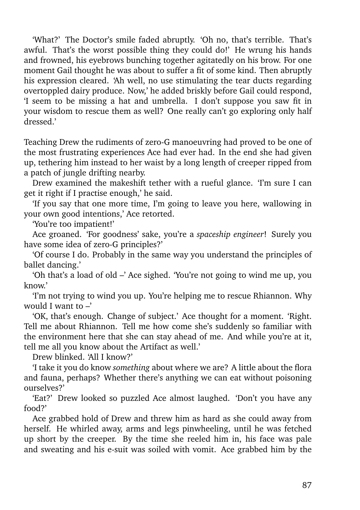'What?' The Doctor's smile faded abruptly. 'Oh no, that's terrible. That's awful. That's the worst possible thing they could do!' He wrung his hands and frowned, his eyebrows bunching together agitatedly on his brow. For one moment Gail thought he was about to suffer a fit of some kind. Then abruptly his expression cleared. 'Ah well, no use stimulating the tear ducts regarding overtoppled dairy produce. Now,' he added briskly before Gail could respond, 'I seem to be missing a hat and umbrella. I don't suppose you saw fit in your wisdom to rescue them as well? One really can't go exploring only half dressed.'

Teaching Drew the rudiments of zero-G manoeuvring had proved to be one of the most frustrating experiences Ace had ever had. In the end she had given up, tethering him instead to her waist by a long length of creeper ripped from a patch of jungle drifting nearby.

Drew examined the makeshift tether with a rueful glance. 'I'm sure I can get it right if I practise enough,' he said.

'If you say that one more time, I'm going to leave you here, wallowing in your own good intentions,' Ace retorted.

'You're too impatient!'

Ace groaned. 'For goodness' sake, you're a *spaceship engineer*! Surely you have some idea of zero-G principles?'

'Of course I do. Probably in the same way you understand the principles of ballet dancing.'

'Oh that's a load of old –' Ace sighed. 'You're not going to wind me up, you  $k$ now'

'I'm not trying to wind you up. You're helping me to rescue Rhiannon. Why would I want to  $-$ '

'OK, that's enough. Change of subject.' Ace thought for a moment. 'Right. Tell me about Rhiannon. Tell me how come she's suddenly so familiar with the environment here that she can stay ahead of me. And while you're at it, tell me all you know about the Artifact as well.'

Drew blinked. 'All I know?'

'I take it you do know *something* about where we are? A little about the flora and fauna, perhaps? Whether there's anything we can eat without poisoning ourselves?'

'Eat?' Drew looked so puzzled Ace almost laughed. 'Don't you have any food?'

Ace grabbed hold of Drew and threw him as hard as she could away from herself. He whirled away, arms and legs pinwheeling, until he was fetched up short by the creeper. By the time she reeled him in, his face was pale and sweating and his e-suit was soiled with vomit. Ace grabbed him by the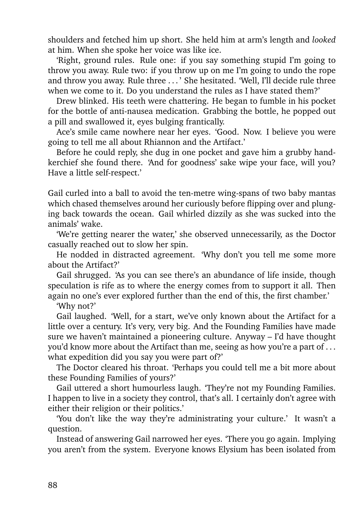shoulders and fetched him up short. She held him at arm's length and *looked* at him. When she spoke her voice was like ice.

'Right, ground rules. Rule one: if you say something stupid I'm going to throw you away. Rule two: if you throw up on me I'm going to undo the rope and throw you away. Rule three . . . ' She hesitated. 'Well, I'll decide rule three when we come to it. Do you understand the rules as I have stated them?'

Drew blinked. His teeth were chattering. He began to fumble in his pocket for the bottle of anti-nausea medication. Grabbing the bottle, he popped out a pill and swallowed it, eyes bulging frantically.

Ace's smile came nowhere near her eyes. 'Good. Now. I believe you were going to tell me all about Rhiannon and the Artifact.'

Before he could reply, she dug in one pocket and gave him a grubby handkerchief she found there. 'And for goodness' sake wipe your face, will you? Have a little self-respect.'

Gail curled into a ball to avoid the ten-metre wing-spans of two baby mantas which chased themselves around her curiously before flipping over and plunging back towards the ocean. Gail whirled dizzily as she was sucked into the animals' wake.

'We're getting nearer the water,' she observed unnecessarily, as the Doctor casually reached out to slow her spin.

He nodded in distracted agreement. 'Why don't you tell me some more about the Artifact?'

Gail shrugged. 'As you can see there's an abundance of life inside, though speculation is rife as to where the energy comes from to support it all. Then again no one's ever explored further than the end of this, the first chamber.'

'Why not?'

Gail laughed. 'Well, for a start, we've only known about the Artifact for a little over a century. It's very, very big. And the Founding Families have made sure we haven't maintained a pioneering culture. Anyway – I'd have thought you'd know more about the Artifact than me, seeing as how you're a part of . . . what expedition did you say you were part of?'

The Doctor cleared his throat. 'Perhaps you could tell me a bit more about these Founding Families of yours?'

Gail uttered a short humourless laugh. 'They're not my Founding Families. I happen to live in a society they control, that's all. I certainly don't agree with either their religion or their politics.'

'You don't like the way they're administrating your culture.' It wasn't a question.

Instead of answering Gail narrowed her eyes. 'There you go again. Implying you aren't from the system. Everyone knows Elysium has been isolated from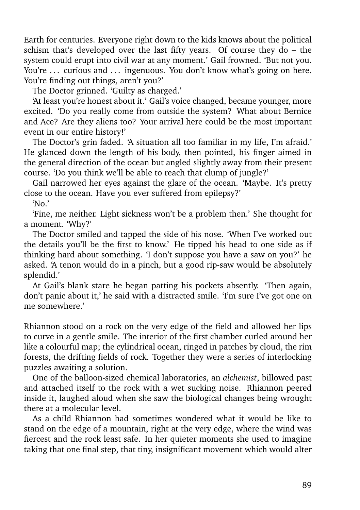Earth for centuries. Everyone right down to the kids knows about the political schism that's developed over the last fifty years. Of course they do – the system could erupt into civil war at any moment.' Gail frowned. 'But not you. You're ... curious and ... ingenuous. You don't know what's going on here. You're finding out things, aren't you?'

The Doctor grinned. 'Guilty as charged.'

'At least you're honest about it.' Gail's voice changed, became younger, more excited. 'Do you really come from outside the system? What about Bernice and Ace? Are they aliens too? Your arrival here could be the most important event in our entire history!'

The Doctor's grin faded. 'A situation all too familiar in my life, I'm afraid.' He glanced down the length of his body, then pointed, his finger aimed in the general direction of the ocean but angled slightly away from their present course. 'Do you think we'll be able to reach that clump of jungle?'

Gail narrowed her eyes against the glare of the ocean. 'Maybe. It's pretty close to the ocean. Have you ever suffered from epilepsy?'

 $'$ No.'

'Fine, me neither. Light sickness won't be a problem then.' She thought for a moment. 'Why?'

The Doctor smiled and tapped the side of his nose. 'When I've worked out the details you'll be the first to know.' He tipped his head to one side as if thinking hard about something. 'I don't suppose you have a saw on you?' he asked. 'A tenon would do in a pinch, but a good rip-saw would be absolutely splendid.'

At Gail's blank stare he began patting his pockets absently. 'Then again, don't panic about it,' he said with a distracted smile. 'I'm sure I've got one on me somewhere.'

Rhiannon stood on a rock on the very edge of the field and allowed her lips to curve in a gentle smile. The interior of the first chamber curled around her like a colourful map; the cylindrical ocean, ringed in patches by cloud, the rim forests, the drifting fields of rock. Together they were a series of interlocking puzzles awaiting a solution.

One of the balloon-sized chemical laboratories, an *alchemist*, billowed past and attached itself to the rock with a wet sucking noise. Rhiannon peered inside it, laughed aloud when she saw the biological changes being wrought there at a molecular level.

As a child Rhiannon had sometimes wondered what it would be like to stand on the edge of a mountain, right at the very edge, where the wind was fiercest and the rock least safe. In her quieter moments she used to imagine taking that one final step, that tiny, insignificant movement which would alter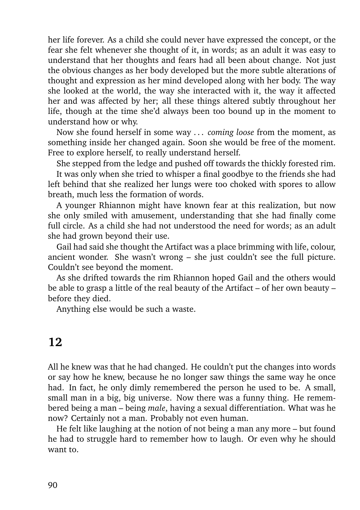her life forever. As a child she could never have expressed the concept, or the fear she felt whenever she thought of it, in words; as an adult it was easy to understand that her thoughts and fears had all been about change. Not just the obvious changes as her body developed but the more subtle alterations of thought and expression as her mind developed along with her body. The way she looked at the world, the way she interacted with it, the way it affected her and was affected by her; all these things altered subtly throughout her life, though at the time she'd always been too bound up in the moment to understand how or why.

Now she found herself in some way . . . *coming loose* from the moment, as something inside her changed again. Soon she would be free of the moment. Free to explore herself, to really understand herself.

She stepped from the ledge and pushed off towards the thickly forested rim.

It was only when she tried to whisper a final goodbye to the friends she had left behind that she realized her lungs were too choked with spores to allow breath, much less the formation of words.

A younger Rhiannon might have known fear at this realization, but now she only smiled with amusement, understanding that she had finally come full circle. As a child she had not understood the need for words; as an adult she had grown beyond their use.

Gail had said she thought the Artifact was a place brimming with life, colour, ancient wonder. She wasn't wrong – she just couldn't see the full picture. Couldn't see beyond the moment.

As she drifted towards the rim Rhiannon hoped Gail and the others would be able to grasp a little of the real beauty of the Artifact – of her own beauty – before they died.

Anything else would be such a waste.

## **12**

All he knew was that he had changed. He couldn't put the changes into words or say how he knew, because he no longer saw things the same way he once had. In fact, he only dimly remembered the person he used to be. A small, small man in a big, big universe. Now there was a funny thing. He remembered being a man – being *male*, having a sexual differentiation. What was he now? Certainly not a man. Probably not even human.

He felt like laughing at the notion of not being a man any more – but found he had to struggle hard to remember how to laugh. Or even why he should want to.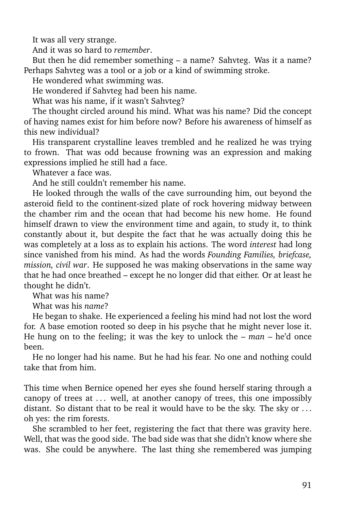It was all very strange.

And it was so hard to *remember*.

But then he did remember something – a name? Sahvteg. Was it a name? Perhaps Sahvteg was a tool or a job or a kind of swimming stroke.

He wondered what swimming was.

He wondered if Sahvteg had been his name.

What was his name, if it wasn't Sahvteg?

The thought circled around his mind. What was his name? Did the concept of having names exist for him before now? Before his awareness of himself as this new individual?

His transparent crystalline leaves trembled and he realized he was trying to frown. That was odd because frowning was an expression and making expressions implied he still had a face.

Whatever a face was.

And he still couldn't remember his name.

He looked through the walls of the cave surrounding him, out beyond the asteroid field to the continent-sized plate of rock hovering midway between the chamber rim and the ocean that had become his new home. He found himself drawn to view the environment time and again, to study it, to think constantly about it, but despite the fact that he was actually doing this he was completely at a loss as to explain his actions. The word *interest* had long since vanished from his mind. As had the words *Founding Families, briefcase, mission, civil war*. He supposed he was making observations in the same way that he had once breathed – except he no longer did that either. Or at least he thought he didn't.

What was his name?

What was his *name*?

He began to shake. He experienced a feeling his mind had not lost the word for. A base emotion rooted so deep in his psyche that he might never lose it. He hung on to the feeling; it was the key to unlock the – *man* – he'd once been.

He no longer had his name. But he had his fear. No one and nothing could take that from him.

This time when Bernice opened her eyes she found herself staring through a canopy of trees at ... well, at another canopy of trees, this one impossibly distant. So distant that to be real it would have to be the sky. The sky or ... oh yes: the rim forests.

She scrambled to her feet, registering the fact that there was gravity here. Well, that was the good side. The bad side was that she didn't know where she was. She could be anywhere. The last thing she remembered was jumping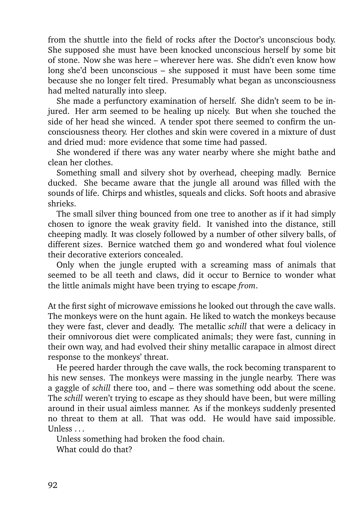from the shuttle into the field of rocks after the Doctor's unconscious body. She supposed she must have been knocked unconscious herself by some bit of stone. Now she was here – wherever here was. She didn't even know how long she'd been unconscious – she supposed it must have been some time because she no longer felt tired. Presumably what began as unconsciousness had melted naturally into sleep.

She made a perfunctory examination of herself. She didn't seem to be injured. Her arm seemed to be healing up nicely. But when she touched the side of her head she winced. A tender spot there seemed to confirm the unconsciousness theory. Her clothes and skin were covered in a mixture of dust and dried mud: more evidence that some time had passed.

She wondered if there was any water nearby where she might bathe and clean her clothes.

Something small and silvery shot by overhead, cheeping madly. Bernice ducked. She became aware that the jungle all around was filled with the sounds of life. Chirps and whistles, squeals and clicks. Soft hoots and abrasive shrieks.

The small silver thing bounced from one tree to another as if it had simply chosen to ignore the weak gravity field. It vanished into the distance, still cheeping madly. It was closely followed by a number of other silvery balls, of different sizes. Bernice watched them go and wondered what foul violence their decorative exteriors concealed.

Only when the jungle erupted with a screaming mass of animals that seemed to be all teeth and claws, did it occur to Bernice to wonder what the little animals might have been trying to escape *from*.

At the first sight of microwave emissions he looked out through the cave walls. The monkeys were on the hunt again. He liked to watch the monkeys because they were fast, clever and deadly. The metallic *schill* that were a delicacy in their omnivorous diet were complicated animals; they were fast, cunning in their own way, and had evolved their shiny metallic carapace in almost direct response to the monkeys' threat.

He peered harder through the cave walls, the rock becoming transparent to his new senses. The monkeys were massing in the jungle nearby. There was a gaggle of *schill* there too, and – there was something odd about the scene. The *schill* weren't trying to escape as they should have been, but were milling around in their usual aimless manner. As if the monkeys suddenly presented no threat to them at all. That was odd. He would have said impossible. Unless . . .

Unless something had broken the food chain.

What could do that?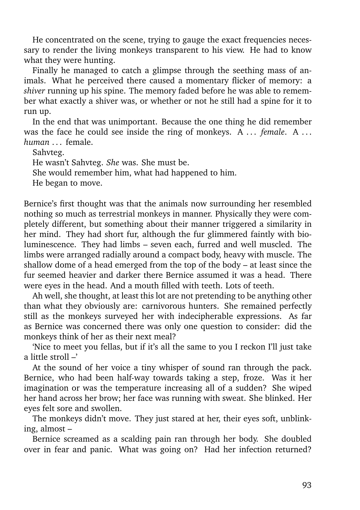He concentrated on the scene, trying to gauge the exact frequencies necessary to render the living monkeys transparent to his view. He had to know what they were hunting.

Finally he managed to catch a glimpse through the seething mass of animals. What he perceived there caused a momentary flicker of memory: a *shiver* running up his spine. The memory faded before he was able to remember what exactly a shiver was, or whether or not he still had a spine for it to run up.

In the end that was unimportant. Because the one thing he did remember was the face he could see inside the ring of monkeys. A . . . *female*. A . . . *human* . . . female.

Sahvteg.

He wasn't Sahvteg. *She* was. She must be.

She would remember him, what had happened to him.

He began to move.

Bernice's first thought was that the animals now surrounding her resembled nothing so much as terrestrial monkeys in manner. Physically they were completely different, but something about their manner triggered a similarity in her mind. They had short fur, although the fur glimmered faintly with bioluminescence. They had limbs – seven each, furred and well muscled. The limbs were arranged radially around a compact body, heavy with muscle. The shallow dome of a head emerged from the top of the body – at least since the fur seemed heavier and darker there Bernice assumed it was a head. There were eyes in the head. And a mouth filled with teeth. Lots of teeth.

Ah well, she thought, at least this lot are not pretending to be anything other than what they obviously are: carnivorous hunters. She remained perfectly still as the monkeys surveyed her with indecipherable expressions. As far as Bernice was concerned there was only one question to consider: did the monkeys think of her as their next meal?

'Nice to meet you fellas, but if it's all the same to you I reckon I'll just take a little stroll –'

At the sound of her voice a tiny whisper of sound ran through the pack. Bernice, who had been half-way towards taking a step, froze. Was it her imagination or was the temperature increasing all of a sudden? She wiped her hand across her brow; her face was running with sweat. She blinked. Her eyes felt sore and swollen.

The monkeys didn't move. They just stared at her, their eyes soft, unblinking, almost –

Bernice screamed as a scalding pain ran through her body. She doubled over in fear and panic. What was going on? Had her infection returned?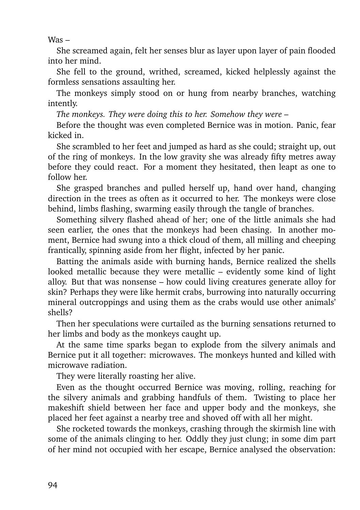Was –

She screamed again, felt her senses blur as layer upon layer of pain flooded into her mind.

She fell to the ground, writhed, screamed, kicked helplessly against the formless sensations assaulting her.

The monkeys simply stood on or hung from nearby branches, watching intently.

*The monkeys. They were doing this to her. Somehow they were –*

Before the thought was even completed Bernice was in motion. Panic, fear kicked in.

She scrambled to her feet and jumped as hard as she could; straight up, out of the ring of monkeys. In the low gravity she was already fifty metres away before they could react. For a moment they hesitated, then leapt as one to follow her.

She grasped branches and pulled herself up, hand over hand, changing direction in the trees as often as it occurred to her. The monkeys were close behind, limbs flashing, swarming easily through the tangle of branches.

Something silvery flashed ahead of her; one of the little animals she had seen earlier, the ones that the monkeys had been chasing. In another moment, Bernice had swung into a thick cloud of them, all milling and cheeping frantically, spinning aside from her flight, infected by her panic.

Batting the animals aside with burning hands, Bernice realized the shells looked metallic because they were metallic – evidently some kind of light alloy. But that was nonsense – how could living creatures generate alloy for skin? Perhaps they were like hermit crabs, burrowing into naturally occurring mineral outcroppings and using them as the crabs would use other animals' shells?

Then her speculations were curtailed as the burning sensations returned to her limbs and body as the monkeys caught up.

At the same time sparks began to explode from the silvery animals and Bernice put it all together: microwaves. The monkeys hunted and killed with microwave radiation.

They were literally roasting her alive.

Even as the thought occurred Bernice was moving, rolling, reaching for the silvery animals and grabbing handfuls of them. Twisting to place her makeshift shield between her face and upper body and the monkeys, she placed her feet against a nearby tree and shoved off with all her might.

She rocketed towards the monkeys, crashing through the skirmish line with some of the animals clinging to her. Oddly they just clung; in some dim part of her mind not occupied with her escape, Bernice analysed the observation: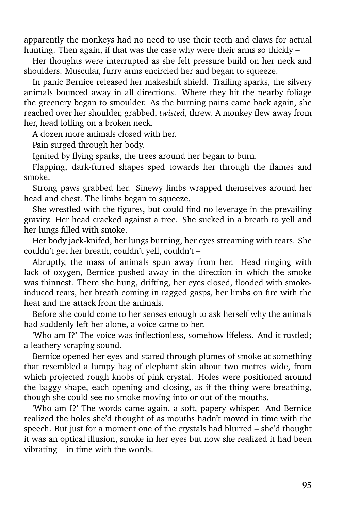apparently the monkeys had no need to use their teeth and claws for actual hunting. Then again, if that was the case why were their arms so thickly –

Her thoughts were interrupted as she felt pressure build on her neck and shoulders. Muscular, furry arms encircled her and began to squeeze.

In panic Bernice released her makeshift shield. Trailing sparks, the silvery animals bounced away in all directions. Where they hit the nearby foliage the greenery began to smoulder. As the burning pains came back again, she reached over her shoulder, grabbed, *twisted*, threw. A monkey flew away from her, head lolling on a broken neck.

A dozen more animals closed with her.

Pain surged through her body.

Ignited by flying sparks, the trees around her began to burn.

Flapping, dark-furred shapes sped towards her through the flames and smoke.

Strong paws grabbed her. Sinewy limbs wrapped themselves around her head and chest. The limbs began to squeeze.

She wrestled with the figures, but could find no leverage in the prevailing gravity. Her head cracked against a tree. She sucked in a breath to yell and her lungs filled with smoke.

Her body jack-knifed, her lungs burning, her eyes streaming with tears. She couldn't get her breath, couldn't yell, couldn't –

Abruptly, the mass of animals spun away from her. Head ringing with lack of oxygen, Bernice pushed away in the direction in which the smoke was thinnest. There she hung, drifting, her eyes closed, flooded with smokeinduced tears, her breath coming in ragged gasps, her limbs on fire with the heat and the attack from the animals.

Before she could come to her senses enough to ask herself why the animals had suddenly left her alone, a voice came to her.

'Who am I?' The voice was inflectionless, somehow lifeless. And it rustled; a leathery scraping sound.

Bernice opened her eyes and stared through plumes of smoke at something that resembled a lumpy bag of elephant skin about two metres wide, from which projected rough knobs of pink crystal. Holes were positioned around the baggy shape, each opening and closing, as if the thing were breathing, though she could see no smoke moving into or out of the mouths.

'Who am I?' The words came again, a soft, papery whisper. And Bernice realized the holes she'd thought of as mouths hadn't moved in time with the speech. But just for a moment one of the crystals had blurred – she'd thought it was an optical illusion, smoke in her eyes but now she realized it had been vibrating – in time with the words.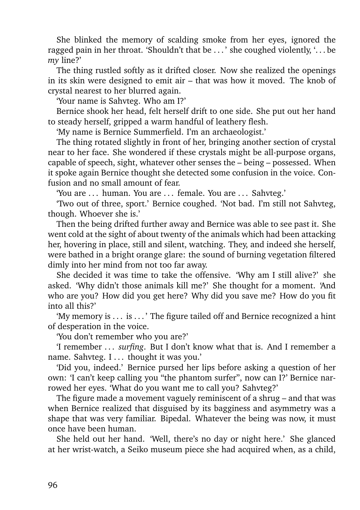She blinked the memory of scalding smoke from her eyes, ignored the ragged pain in her throat. 'Shouldn't that be . . . ' she coughed violently, '. . . be *my* line?'

The thing rustled softly as it drifted closer. Now she realized the openings in its skin were designed to emit air – that was how it moved. The knob of crystal nearest to her blurred again.

'Your name is Sahvteg. Who am I?'

Bernice shook her head, felt herself drift to one side. She put out her hand to steady herself, gripped a warm handful of leathery flesh.

'My name is Bernice Summerfield. I'm an archaeologist.'

The thing rotated slightly in front of her, bringing another section of crystal near to her face. She wondered if these crystals might be all-purpose organs, capable of speech, sight, whatever other senses the – being – possessed. When it spoke again Bernice thought she detected some confusion in the voice. Confusion and no small amount of fear.

'You are . . . human. You are . . . female. You are . . . Sahvteg.'

'Two out of three, sport.' Bernice coughed. 'Not bad. I'm still not Sahvteg, though. Whoever she is.'

Then the being drifted further away and Bernice was able to see past it. She went cold at the sight of about twenty of the animals which had been attacking her, hovering in place, still and silent, watching. They, and indeed she herself, were bathed in a bright orange glare: the sound of burning vegetation filtered dimly into her mind from not too far away.

She decided it was time to take the offensive. 'Why am I still alive?' she asked. 'Why didn't those animals kill me?' She thought for a moment. 'And who are you? How did you get here? Why did you save me? How do you fit into all this?'

'My memory is . . . is . . . ' The figure tailed off and Bernice recognized a hint of desperation in the voice.

'You don't remember who you are?'

'I remember . . . *surfing*. But I don't know what that is. And I remember a name. Sahvteg. I ... thought it was you.'

'Did you, indeed.' Bernice pursed her lips before asking a question of her own: 'I can't keep calling you "the phantom surfer", now can I?' Bernice narrowed her eyes. 'What do you want me to call you? Sahvteg?'

The figure made a movement vaguely reminiscent of a shrug – and that was when Bernice realized that disguised by its bagginess and asymmetry was a shape that was very familiar. Bipedal. Whatever the being was now, it must once have been human.

She held out her hand. 'Well, there's no day or night here.' She glanced at her wrist-watch, a Seiko museum piece she had acquired when, as a child,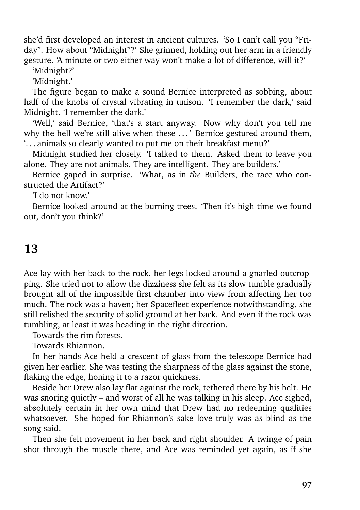she'd first developed an interest in ancient cultures. 'So I can't call you "Friday". How about "Midnight"?' She grinned, holding out her arm in a friendly gesture. 'A minute or two either way won't make a lot of difference, will it?'

'Midnight?'

'Midnight.'

The figure began to make a sound Bernice interpreted as sobbing, about half of the knobs of crystal vibrating in unison. 'I remember the dark,' said Midnight. 'I remember the dark.'

'Well,' said Bernice, 'that's a start anyway. Now why don't you tell me why the hell we're still alive when these ...' Bernice gestured around them, '. . . animals so clearly wanted to put me on their breakfast menu?'

Midnight studied her closely. 'I talked to them. Asked them to leave you alone. They are not animals. They are intelligent. They are builders.'

Bernice gaped in surprise. 'What, as in *the* Builders, the race who constructed the Artifact?'

'I do not know.'

Bernice looked around at the burning trees. 'Then it's high time we found out, don't you think?'

## **13**

Ace lay with her back to the rock, her legs locked around a gnarled outcropping. She tried not to allow the dizziness she felt as its slow tumble gradually brought all of the impossible first chamber into view from affecting her too much. The rock was a haven; her Spacefleet experience notwithstanding, she still relished the security of solid ground at her back. And even if the rock was tumbling, at least it was heading in the right direction.

Towards the rim forests.

Towards Rhiannon.

In her hands Ace held a crescent of glass from the telescope Bernice had given her earlier. She was testing the sharpness of the glass against the stone, flaking the edge, honing it to a razor quickness.

Beside her Drew also lay flat against the rock, tethered there by his belt. He was snoring quietly – and worst of all he was talking in his sleep. Ace sighed, absolutely certain in her own mind that Drew had no redeeming qualities whatsoever. She hoped for Rhiannon's sake love truly was as blind as the song said.

Then she felt movement in her back and right shoulder. A twinge of pain shot through the muscle there, and Ace was reminded yet again, as if she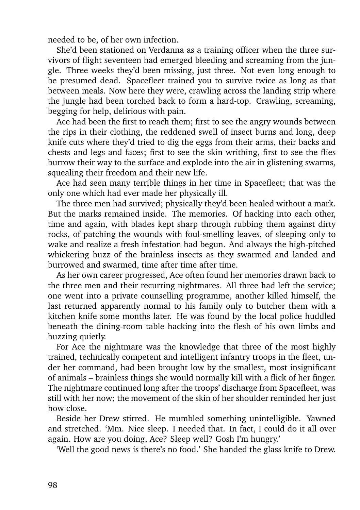needed to be, of her own infection.

She'd been stationed on Verdanna as a training officer when the three survivors of flight seventeen had emerged bleeding and screaming from the jungle. Three weeks they'd been missing, just three. Not even long enough to be presumed dead. Spacefleet trained you to survive twice as long as that between meals. Now here they were, crawling across the landing strip where the jungle had been torched back to form a hard-top. Crawling, screaming, begging for help, delirious with pain.

Ace had been the first to reach them; first to see the angry wounds between the rips in their clothing, the reddened swell of insect burns and long, deep knife cuts where they'd tried to dig the eggs from their arms, their backs and chests and legs and faces; first to see the skin writhing, first to see the flies burrow their way to the surface and explode into the air in glistening swarms, squealing their freedom and their new life.

Ace had seen many terrible things in her time in Spacefleet; that was the only one which had ever made her physically ill.

The three men had survived; physically they'd been healed without a mark. But the marks remained inside. The memories. Of hacking into each other, time and again, with blades kept sharp through rubbing them against dirty rocks, of patching the wounds with foul-smelling leaves, of sleeping only to wake and realize a fresh infestation had begun. And always the high-pitched whickering buzz of the brainless insects as they swarmed and landed and burrowed and swarmed, time after time after time.

As her own career progressed, Ace often found her memories drawn back to the three men and their recurring nightmares. All three had left the service; one went into a private counselling programme, another killed himself, the last returned apparently normal to his family only to butcher them with a kitchen knife some months later. He was found by the local police huddled beneath the dining-room table hacking into the flesh of his own limbs and buzzing quietly.

For Ace the nightmare was the knowledge that three of the most highly trained, technically competent and intelligent infantry troops in the fleet, under her command, had been brought low by the smallest, most insignificant of animals – brainless things she would normally kill with a flick of her finger. The nightmare continued long after the troops' discharge from Spacefleet, was still with her now; the movement of the skin of her shoulder reminded her just how close.

Beside her Drew stirred. He mumbled something unintelligible. Yawned and stretched. 'Mm. Nice sleep. I needed that. In fact, I could do it all over again. How are you doing, Ace? Sleep well? Gosh I'm hungry.'

'Well the good news is there's no food.' She handed the glass knife to Drew.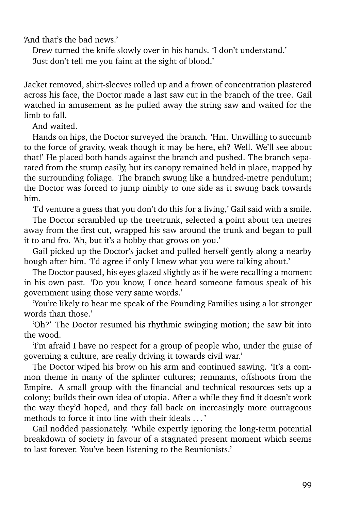'And that's the bad news.'

Drew turned the knife slowly over in his hands. 'I don't understand.' 'Just don't tell me you faint at the sight of blood.'

Jacket removed, shirt-sleeves rolled up and a frown of concentration plastered across his face, the Doctor made a last saw cut in the branch of the tree. Gail watched in amusement as he pulled away the string saw and waited for the limb to fall.

And waited.

Hands on hips, the Doctor surveyed the branch. 'Hm. Unwilling to succumb to the force of gravity, weak though it may be here, eh? Well. We'll see about that!' He placed both hands against the branch and pushed. The branch separated from the stump easily, but its canopy remained held in place, trapped by the surrounding foliage. The branch swung like a hundred-metre pendulum; the Doctor was forced to jump nimbly to one side as it swung back towards him.

'I'd venture a guess that you don't do this for a living,' Gail said with a smile.

The Doctor scrambled up the treetrunk, selected a point about ten metres away from the first cut, wrapped his saw around the trunk and began to pull it to and fro. 'Ah, but it's a hobby that grows on you.'

Gail picked up the Doctor's jacket and pulled herself gently along a nearby bough after him. 'I'd agree if only I knew what you were talking about.'

The Doctor paused, his eyes glazed slightly as if he were recalling a moment in his own past. 'Do you know, I once heard someone famous speak of his government using those very same words.'

'You're likely to hear me speak of the Founding Families using a lot stronger words than those.'

'Oh?' The Doctor resumed his rhythmic swinging motion; the saw bit into the wood.

'I'm afraid I have no respect for a group of people who, under the guise of governing a culture, are really driving it towards civil war.'

The Doctor wiped his brow on his arm and continued sawing. 'It's a common theme in many of the splinter cultures; remnants, offshoots from the Empire. A small group with the financial and technical resources sets up a colony; builds their own idea of utopia. After a while they find it doesn't work the way they'd hoped, and they fall back on increasingly more outrageous methods to force it into line with their ideals . . . '

Gail nodded passionately. 'While expertly ignoring the long-term potential breakdown of society in favour of a stagnated present moment which seems to last forever. You've been listening to the Reunionists.'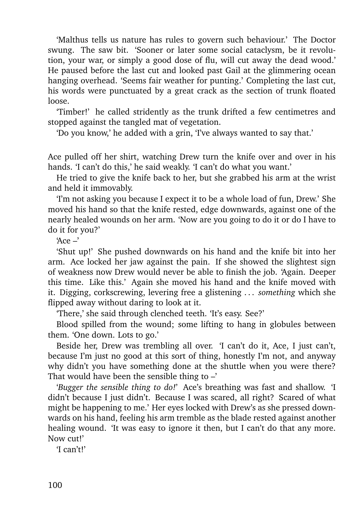'Malthus tells us nature has rules to govern such behaviour.' The Doctor swung. The saw bit. 'Sooner or later some social cataclysm, be it revolution, your war, or simply a good dose of flu, will cut away the dead wood.' He paused before the last cut and looked past Gail at the glimmering ocean hanging overhead. 'Seems fair weather for punting.' Completing the last cut, his words were punctuated by a great crack as the section of trunk floated loose.

'Timber!' he called stridently as the trunk drifted a few centimetres and stopped against the tangled mat of vegetation.

'Do you know,' he added with a grin, 'I've always wanted to say that.'

Ace pulled off her shirt, watching Drew turn the knife over and over in his hands. 'I can't do this,' he said weakly. 'I can't do what you want.'

He tried to give the knife back to her, but she grabbed his arm at the wrist and held it immovably.

'I'm not asking you because I expect it to be a whole load of fun, Drew.' She moved his hand so that the knife rested, edge downwards, against one of the nearly healed wounds on her arm. 'Now are you going to do it or do I have to do it for you?'

'Ace  $-$ '

'Shut up!' She pushed downwards on his hand and the knife bit into her arm. Ace locked her jaw against the pain. If she showed the slightest sign of weakness now Drew would never be able to finish the job. 'Again. Deeper this time. Like this.' Again she moved his hand and the knife moved with it. Digging, corkscrewing, levering free a glistening . . . *something* which she flipped away without daring to look at it.

'There,' she said through clenched teeth. 'It's easy. See?'

Blood spilled from the wound; some lifting to hang in globules between them. 'One down. Lots to go.'

Beside her, Drew was trembling all over. 'I can't do it, Ace, I just can't, because I'm just no good at this sort of thing, honestly I'm not, and anyway why didn't you have something done at the shuttle when you were there? That would have been the sensible thing to  $-$ '

'*Bugger the sensible thing to do!*' Ace's breathing was fast and shallow. 'I didn't because I just didn't. Because I was scared, all right? Scared of what might be happening to me.' Her eyes locked with Drew's as she pressed downwards on his hand, feeling his arm tremble as the blade rested against another healing wound. 'It was easy to ignore it then, but I can't do that any more. Now cut!'

'I can't!'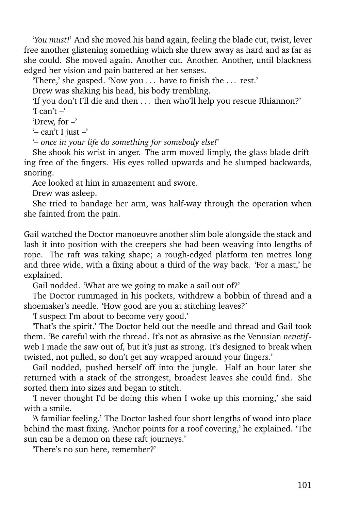'*You must!*' And she moved his hand again, feeling the blade cut, twist, lever free another glistening something which she threw away as hard and as far as she could. She moved again. Another cut. Another. Another, until blackness edged her vision and pain battered at her senses.

'There,' she gasped. 'Now you . . . have to finish the . . . rest.'

Drew was shaking his head, his body trembling.

'If you don't I'll die and then . . . then who'll help you rescue Rhiannon?' 'I can't  $-$ '

'Drew, for –'

 $-$  can't I just  $-$ '

'*– once in your life do something for somebody else!*'

She shook his wrist in anger. The arm moved limply, the glass blade drifting free of the fingers. His eyes rolled upwards and he slumped backwards, snoring.

Ace looked at him in amazement and swore.

Drew was asleep.

She tried to bandage her arm, was half-way through the operation when she fainted from the pain.

Gail watched the Doctor manoeuvre another slim bole alongside the stack and lash it into position with the creepers she had been weaving into lengths of rope. The raft was taking shape; a rough-edged platform ten metres long and three wide, with a fixing about a third of the way back. 'For a mast,' he explained.

Gail nodded. 'What are we going to make a sail out of?'

The Doctor rummaged in his pockets, withdrew a bobbin of thread and a shoemaker's needle. 'How good are you at stitching leaves?'

'I suspect I'm about to become very good.'

'That's the spirit.' The Doctor held out the needle and thread and Gail took them. 'Be careful with the thread. It's not as abrasive as the Venusian *nenetif*web I made the saw out of, but it's just as strong. It's designed to break when twisted, not pulled, so don't get any wrapped around your fingers.'

Gail nodded, pushed herself off into the jungle. Half an hour later she returned with a stack of the strongest, broadest leaves she could find. She sorted them into sizes and began to stitch.

'I never thought I'd be doing this when I woke up this morning,' she said with a smile.

'A familiar feeling.' The Doctor lashed four short lengths of wood into place behind the mast fixing. 'Anchor points for a roof covering,' he explained. 'The sun can be a demon on these raft journeys.'

'There's no sun here, remember?'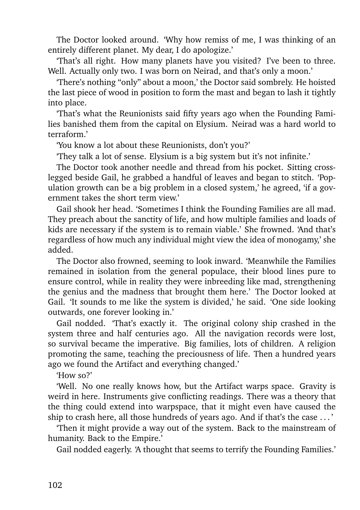The Doctor looked around. 'Why how remiss of me, I was thinking of an entirely different planet. My dear, I do apologize.'

'That's all right. How many planets have you visited? I've been to three. Well. Actually only two. I was born on Neirad, and that's only a moon.'

'There's nothing "only" about a moon,' the Doctor said sombrely. He hoisted the last piece of wood in position to form the mast and began to lash it tightly into place.

'That's what the Reunionists said fifty years ago when the Founding Families banished them from the capital on Elysium. Neirad was a hard world to terraform.'

'You know a lot about these Reunionists, don't you?'

'They talk a lot of sense. Elysium is a big system but it's not infinite.'

The Doctor took another needle and thread from his pocket. Sitting crosslegged beside Gail, he grabbed a handful of leaves and began to stitch. 'Population growth can be a big problem in a closed system,' he agreed, 'if a government takes the short term view.'

Gail shook her head. 'Sometimes I think the Founding Families are all mad. They preach about the sanctity of life, and how multiple families and loads of kids are necessary if the system is to remain viable.' She frowned. 'And that's regardless of how much any individual might view the idea of monogamy,' she added.

The Doctor also frowned, seeming to look inward. 'Meanwhile the Families remained in isolation from the general populace, their blood lines pure to ensure control, while in reality they were inbreeding like mad, strengthening the genius and the madness that brought them here.' The Doctor looked at Gail. 'It sounds to me like the system is divided,' he said. 'One side looking outwards, one forever looking in.'

Gail nodded. 'That's exactly it. The original colony ship crashed in the system three and half centuries ago. All the navigation records were lost, so survival became the imperative. Big families, lots of children. A religion promoting the same, teaching the preciousness of life. Then a hundred years ago we found the Artifact and everything changed.'

'How so?'

'Well. No one really knows how, but the Artifact warps space. Gravity is weird in here. Instruments give conflicting readings. There was a theory that the thing could extend into warpspace, that it might even have caused the ship to crash here, all those hundreds of years ago. And if that's the case . . . '

'Then it might provide a way out of the system. Back to the mainstream of humanity. Back to the Empire.'

Gail nodded eagerly. 'A thought that seems to terrify the Founding Families.'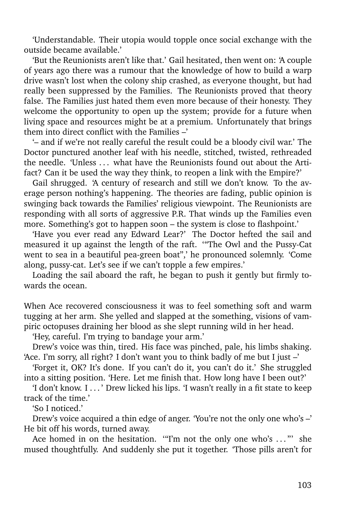'Understandable. Their utopia would topple once social exchange with the outside became available.'

'But the Reunionists aren't like that.' Gail hesitated, then went on: 'A couple of years ago there was a rumour that the knowledge of how to build a warp drive wasn't lost when the colony ship crashed, as everyone thought, but had really been suppressed by the Families. The Reunionists proved that theory false. The Families just hated them even more because of their honesty. They welcome the opportunity to open up the system; provide for a future when living space and resources might be at a premium. Unfortunately that brings them into direct conflict with the Families –'

'– and if we're not really careful the result could be a bloody civil war.' The Doctor punctured another leaf with his needle, stitched, twisted, rethreaded the needle. 'Unless . . . what have the Reunionists found out about the Artifact? Can it be used the way they think, to reopen a link with the Empire?'

Gail shrugged. 'A century of research and still we don't know. To the average person nothing's happening. The theories are fading, public opinion is swinging back towards the Families' religious viewpoint. The Reunionists are responding with all sorts of aggressive P.R. That winds up the Families even more. Something's got to happen soon – the system is close to flashpoint.'

'Have you ever read any Edward Lear?' The Doctor hefted the sail and measured it up against the length of the raft. '"The Owl and the Pussy-Cat went to sea in a beautiful pea-green boat",' he pronounced solemnly. 'Come along, pussy-cat. Let's see if we can't topple a few empires.'

Loading the sail aboard the raft, he began to push it gently but firmly towards the ocean.

When Ace recovered consciousness it was to feel something soft and warm tugging at her arm. She yelled and slapped at the something, visions of vampiric octopuses draining her blood as she slept running wild in her head.

'Hey, careful. I'm trying to bandage your arm.'

Drew's voice was thin, tired. His face was pinched, pale, his limbs shaking. 'Ace. I'm sorry, all right? I don't want you to think badly of me but I just –'

'Forget it, OK? It's done. If you can't do it, you can't do it.' She struggled into a sitting position. 'Here. Let me finish that. How long have I been out?'

'I don't know. I . . . ' Drew licked his lips. 'I wasn't really in a fit state to keep track of the time.'

'So I noticed.'

Drew's voice acquired a thin edge of anger. 'You're not the only one who's –' He bit off his words, turned away.

Ace homed in on the hesitation. "Tm not the only one who's ..."' she mused thoughtfully. And suddenly she put it together. 'Those pills aren't for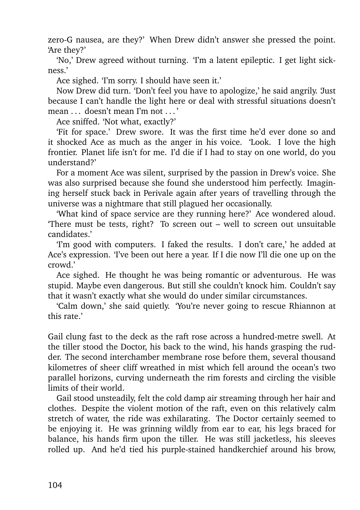zero-G nausea, are they?' When Drew didn't answer she pressed the point. 'Are they?'

'No,' Drew agreed without turning. 'I'm a latent epileptic. I get light sickness.'

Ace sighed. 'I'm sorry. I should have seen it.'

Now Drew did turn. 'Don't feel you have to apologize,' he said angrily. 'Just because I can't handle the light here or deal with stressful situations doesn't mean . . . doesn't mean I'm not . . . '

Ace sniffed. 'Not what, exactly?'

'Fit for space.' Drew swore. It was the first time he'd ever done so and it shocked Ace as much as the anger in his voice. 'Look. I love the high frontier. Planet life isn't for me. I'd die if I had to stay on one world, do you understand?'

For a moment Ace was silent, surprised by the passion in Drew's voice. She was also surprised because she found she understood him perfectly. Imagining herself stuck back in Perivale again after years of travelling through the universe was a nightmare that still plagued her occasionally.

'What kind of space service are they running here?' Ace wondered aloud. 'There must be tests, right? To screen out – well to screen out unsuitable candidates.'

'I'm good with computers. I faked the results. I don't care,' he added at Ace's expression. 'I've been out here a year. If I die now I'll die one up on the crowd.'

Ace sighed. He thought he was being romantic or adventurous. He was stupid. Maybe even dangerous. But still she couldn't knock him. Couldn't say that it wasn't exactly what she would do under similar circumstances.

'Calm down,' she said quietly. 'You're never going to rescue Rhiannon at this rate.'

Gail clung fast to the deck as the raft rose across a hundred-metre swell. At the tiller stood the Doctor, his back to the wind, his hands grasping the rudder. The second interchamber membrane rose before them, several thousand kilometres of sheer cliff wreathed in mist which fell around the ocean's two parallel horizons, curving underneath the rim forests and circling the visible limits of their world.

Gail stood unsteadily, felt the cold damp air streaming through her hair and clothes. Despite the violent motion of the raft, even on this relatively calm stretch of water, the ride was exhilarating. The Doctor certainly seemed to be enjoying it. He was grinning wildly from ear to ear, his legs braced for balance, his hands firm upon the tiller. He was still jacketless, his sleeves rolled up. And he'd tied his purple-stained handkerchief around his brow,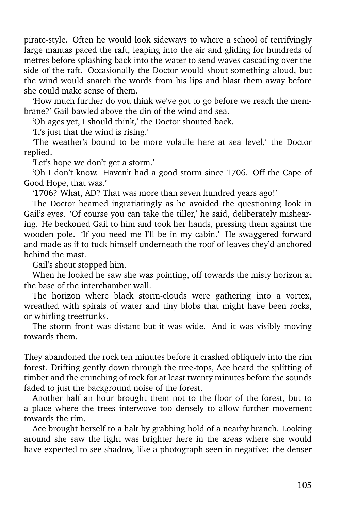pirate-style. Often he would look sideways to where a school of terrifyingly large mantas paced the raft, leaping into the air and gliding for hundreds of metres before splashing back into the water to send waves cascading over the side of the raft. Occasionally the Doctor would shout something aloud, but the wind would snatch the words from his lips and blast them away before she could make sense of them.

'How much further do you think we've got to go before we reach the membrane?' Gail bawled above the din of the wind and sea.

'Oh ages yet, I should think,' the Doctor shouted back.

'It's just that the wind is rising.'

'The weather's bound to be more volatile here at sea level,' the Doctor replied.

'Let's hope we don't get a storm.'

'Oh I don't know. Haven't had a good storm since 1706. Off the Cape of Good Hope, that was.'

'1706? What, AD? That was more than seven hundred years ago!'

The Doctor beamed ingratiatingly as he avoided the questioning look in Gail's eyes. 'Of course you can take the tiller,' he said, deliberately mishearing. He beckoned Gail to him and took her hands, pressing them against the wooden pole. 'If you need me I'll be in my cabin.' He swaggered forward and made as if to tuck himself underneath the roof of leaves they'd anchored behind the mast.

Gail's shout stopped him.

When he looked he saw she was pointing, off towards the misty horizon at the base of the interchamber wall.

The horizon where black storm-clouds were gathering into a vortex, wreathed with spirals of water and tiny blobs that might have been rocks, or whirling treetrunks.

The storm front was distant but it was wide. And it was visibly moving towards them.

They abandoned the rock ten minutes before it crashed obliquely into the rim forest. Drifting gently down through the tree-tops, Ace heard the splitting of timber and the crunching of rock for at least twenty minutes before the sounds faded to just the background noise of the forest.

Another half an hour brought them not to the floor of the forest, but to a place where the trees interwove too densely to allow further movement towards the rim.

Ace brought herself to a halt by grabbing hold of a nearby branch. Looking around she saw the light was brighter here in the areas where she would have expected to see shadow, like a photograph seen in negative: the denser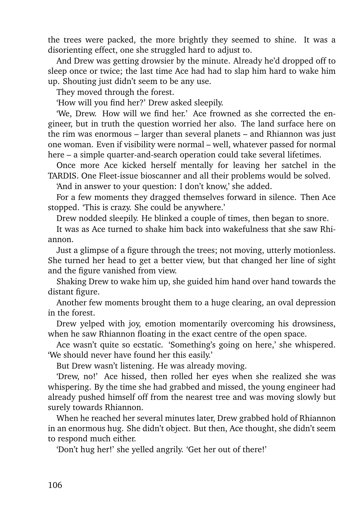the trees were packed, the more brightly they seemed to shine. It was a disorienting effect, one she struggled hard to adjust to.

And Drew was getting drowsier by the minute. Already he'd dropped off to sleep once or twice; the last time Ace had had to slap him hard to wake him up. Shouting just didn't seem to be any use.

They moved through the forest.

'How will you find her?' Drew asked sleepily.

'We, Drew. How will we find her.' Ace frowned as she corrected the engineer, but in truth the question worried her also. The land surface here on the rim was enormous – larger than several planets – and Rhiannon was just one woman. Even if visibility were normal – well, whatever passed for normal here – a simple quarter-and-search operation could take several lifetimes.

Once more Ace kicked herself mentally for leaving her satchel in the TARDIS. One Fleet-issue bioscanner and all their problems would be solved.

'And in answer to your question: I don't know,' she added.

For a few moments they dragged themselves forward in silence. Then Ace stopped. 'This is crazy. She could be anywhere.'

Drew nodded sleepily. He blinked a couple of times, then began to snore.

It was as Ace turned to shake him back into wakefulness that she saw Rhiannon.

Just a glimpse of a figure through the trees; not moving, utterly motionless. She turned her head to get a better view, but that changed her line of sight and the figure vanished from view.

Shaking Drew to wake him up, she guided him hand over hand towards the distant figure.

Another few moments brought them to a huge clearing, an oval depression in the forest.

Drew yelped with joy, emotion momentarily overcoming his drowsiness, when he saw Rhiannon floating in the exact centre of the open space.

Ace wasn't quite so ecstatic. 'Something's going on here,' she whispered. 'We should never have found her this easily.'

But Drew wasn't listening. He was already moving.

'Drew, no!' Ace hissed, then rolled her eyes when she realized she was whispering. By the time she had grabbed and missed, the young engineer had already pushed himself off from the nearest tree and was moving slowly but surely towards Rhiannon.

When he reached her several minutes later, Drew grabbed hold of Rhiannon in an enormous hug. She didn't object. But then, Ace thought, she didn't seem to respond much either.

'Don't hug her!' she yelled angrily. 'Get her out of there!'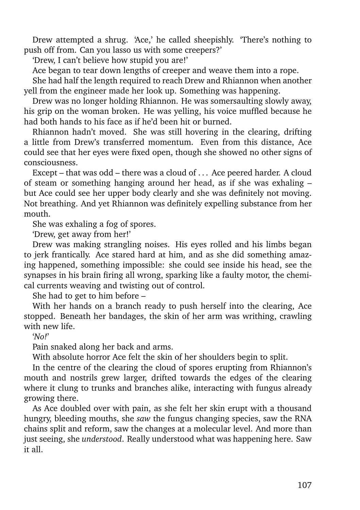Drew attempted a shrug. 'Ace,' he called sheepishly. 'There's nothing to push off from. Can you lasso us with some creepers?'

'Drew, I can't believe how stupid you are!'

Ace began to tear down lengths of creeper and weave them into a rope.

She had half the length required to reach Drew and Rhiannon when another yell from the engineer made her look up. Something was happening.

Drew was no longer holding Rhiannon. He was somersaulting slowly away, his grip on the woman broken. He was yelling, his voice muffled because he had both hands to his face as if he'd been hit or burned.

Rhiannon hadn't moved. She was still hovering in the clearing, drifting a little from Drew's transferred momentum. Even from this distance, Ace could see that her eyes were fixed open, though she showed no other signs of consciousness.

Except – that was odd – there was a cloud of . . . Ace peered harder. A cloud of steam or something hanging around her head, as if she was exhaling – but Ace could see her upper body clearly and she was definitely not moving. Not breathing. And yet Rhiannon was definitely expelling substance from her mouth.

She was exhaling a fog of spores.

'Drew, get away from her!'

Drew was making strangling noises. His eyes rolled and his limbs began to jerk frantically. Ace stared hard at him, and as she did something amazing happened, something impossible: she could see inside his head, see the synapses in his brain firing all wrong, sparking like a faulty motor, the chemical currents weaving and twisting out of control.

She had to get to him before –

With her hands on a branch ready to push herself into the clearing, Ace stopped. Beneath her bandages, the skin of her arm was writhing, crawling with new life.

## '*No!*'

Pain snaked along her back and arms.

With absolute horror Ace felt the skin of her shoulders begin to split.

In the centre of the clearing the cloud of spores erupting from Rhiannon's mouth and nostrils grew larger, drifted towards the edges of the clearing where it clung to trunks and branches alike, interacting with fungus already growing there.

As Ace doubled over with pain, as she felt her skin erupt with a thousand hungry, bleeding mouths, she *saw* the fungus changing species, saw the RNA chains split and reform, saw the changes at a molecular level. And more than just seeing, she *understood*. Really understood what was happening here. Saw it all.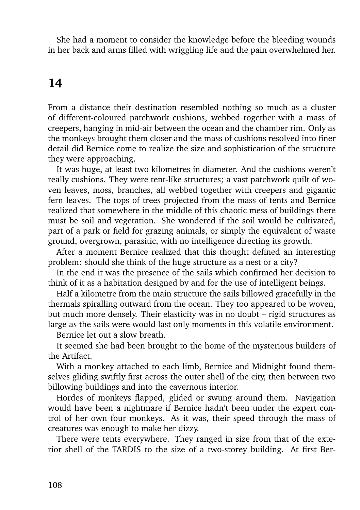She had a moment to consider the knowledge before the bleeding wounds in her back and arms filled with wriggling life and the pain overwhelmed her.

## **14**

From a distance their destination resembled nothing so much as a cluster of different-coloured patchwork cushions, webbed together with a mass of creepers, hanging in mid-air between the ocean and the chamber rim. Only as the monkeys brought them closer and the mass of cushions resolved into finer detail did Bernice come to realize the size and sophistication of the structure they were approaching.

It was huge, at least two kilometres in diameter. And the cushions weren't really cushions. They were tent-like structures; a vast patchwork quilt of woven leaves, moss, branches, all webbed together with creepers and gigantic fern leaves. The tops of trees projected from the mass of tents and Bernice realized that somewhere in the middle of this chaotic mess of buildings there must be soil and vegetation. She wondered if the soil would be cultivated, part of a park or field for grazing animals, or simply the equivalent of waste ground, overgrown, parasitic, with no intelligence directing its growth.

After a moment Bernice realized that this thought defined an interesting problem: should she think of the huge structure as a nest or a city?

In the end it was the presence of the sails which confirmed her decision to think of it as a habitation designed by and for the use of intelligent beings.

Half a kilometre from the main structure the sails billowed gracefully in the thermals spiralling outward from the ocean. They too appeared to be woven, but much more densely. Their elasticity was in no doubt – rigid structures as large as the sails were would last only moments in this volatile environment.

Bernice let out a slow breath.

It seemed she had been brought to the home of the mysterious builders of the Artifact.

With a monkey attached to each limb, Bernice and Midnight found themselves gliding swiftly first across the outer shell of the city, then between two billowing buildings and into the cavernous interior.

Hordes of monkeys flapped, glided or swung around them. Navigation would have been a nightmare if Bernice hadn't been under the expert control of her own four monkeys. As it was, their speed through the mass of creatures was enough to make her dizzy.

There were tents everywhere. They ranged in size from that of the exterior shell of the TARDIS to the size of a two-storey building. At first Ber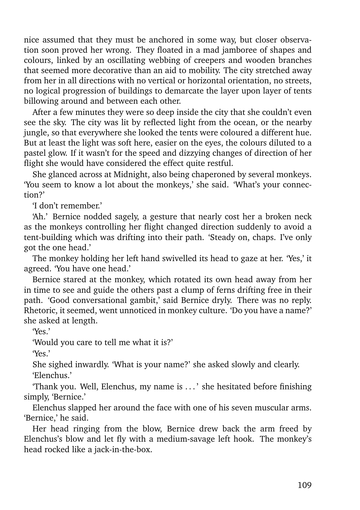nice assumed that they must be anchored in some way, but closer observation soon proved her wrong. They floated in a mad jamboree of shapes and colours, linked by an oscillating webbing of creepers and wooden branches that seemed more decorative than an aid to mobility. The city stretched away from her in all directions with no vertical or horizontal orientation, no streets, no logical progression of buildings to demarcate the layer upon layer of tents billowing around and between each other.

After a few minutes they were so deep inside the city that she couldn't even see the sky. The city was lit by reflected light from the ocean, or the nearby jungle, so that everywhere she looked the tents were coloured a different hue. But at least the light was soft here, easier on the eyes, the colours diluted to a pastel glow. If it wasn't for the speed and dizzying changes of direction of her flight she would have considered the effect quite restful.

She glanced across at Midnight, also being chaperoned by several monkeys. 'You seem to know a lot about the monkeys,' she said. 'What's your connection?'

'I don't remember.'

'Ah.' Bernice nodded sagely, a gesture that nearly cost her a broken neck as the monkeys controlling her flight changed direction suddenly to avoid a tent-building which was drifting into their path. 'Steady on, chaps. I've only got the one head.'

The monkey holding her left hand swivelled its head to gaze at her. 'Yes,' it agreed. 'You have one head.'

Bernice stared at the monkey, which rotated its own head away from her in time to see and guide the others past a clump of ferns drifting free in their path. 'Good conversational gambit,' said Bernice dryly. There was no reply. Rhetoric, it seemed, went unnoticed in monkey culture. 'Do you have a name?' she asked at length.

'Yes.'

'Would you care to tell me what it is?'

'Yes.'

She sighed inwardly. 'What is your name?' she asked slowly and clearly. 'Elenchus.'

'Thank you. Well, Elenchus, my name is . . . ' she hesitated before finishing simply, 'Bernice.'

Elenchus slapped her around the face with one of his seven muscular arms. 'Bernice,' he said.

Her head ringing from the blow, Bernice drew back the arm freed by Elenchus's blow and let fly with a medium-savage left hook. The monkey's head rocked like a jack-in-the-box.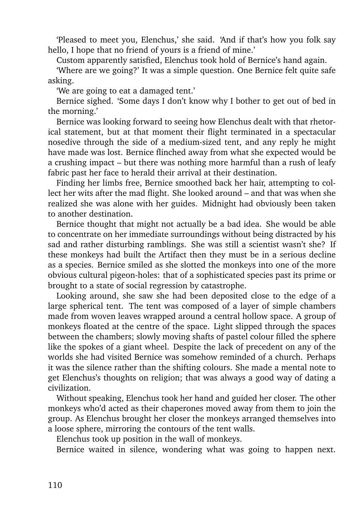'Pleased to meet you, Elenchus,' she said. 'And if that's how you folk say hello, I hope that no friend of yours is a friend of mine.'

Custom apparently satisfied, Elenchus took hold of Bernice's hand again.

'Where are we going?' It was a simple question. One Bernice felt quite safe asking.

'We are going to eat a damaged tent.'

Bernice sighed. 'Some days I don't know why I bother to get out of bed in the morning.'

Bernice was looking forward to seeing how Elenchus dealt with that rhetorical statement, but at that moment their flight terminated in a spectacular nosedive through the side of a medium-sized tent, and any reply he might have made was lost. Bernice flinched away from what she expected would be a crushing impact – but there was nothing more harmful than a rush of leafy fabric past her face to herald their arrival at their destination.

Finding her limbs free, Bernice smoothed back her hair, attempting to collect her wits after the mad flight. She looked around – and that was when she realized she was alone with her guides. Midnight had obviously been taken to another destination.

Bernice thought that might not actually be a bad idea. She would be able to concentrate on her immediate surroundings without being distracted by his sad and rather disturbing ramblings. She was still a scientist wasn't she? If these monkeys had built the Artifact then they must be in a serious decline as a species. Bernice smiled as she slotted the monkeys into one of the more obvious cultural pigeon-holes: that of a sophisticated species past its prime or brought to a state of social regression by catastrophe.

Looking around, she saw she had been deposited close to the edge of a large spherical tent. The tent was composed of a layer of simple chambers made from woven leaves wrapped around a central hollow space. A group of monkeys floated at the centre of the space. Light slipped through the spaces between the chambers; slowly moving shafts of pastel colour filled the sphere like the spokes of a giant wheel. Despite the lack of precedent on any of the worlds she had visited Bernice was somehow reminded of a church. Perhaps it was the silence rather than the shifting colours. She made a mental note to get Elenchus's thoughts on religion; that was always a good way of dating a civilization.

Without speaking, Elenchus took her hand and guided her closer. The other monkeys who'd acted as their chaperones moved away from them to join the group. As Elenchus brought her closer the monkeys arranged themselves into a loose sphere, mirroring the contours of the tent walls.

Elenchus took up position in the wall of monkeys.

Bernice waited in silence, wondering what was going to happen next.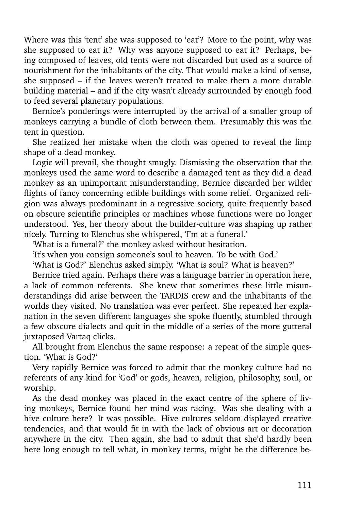Where was this 'tent' she was supposed to 'eat'? More to the point, why was she supposed to eat it? Why was anyone supposed to eat it? Perhaps, being composed of leaves, old tents were not discarded but used as a source of nourishment for the inhabitants of the city. That would make a kind of sense, she supposed – if the leaves weren't treated to make them a more durable building material – and if the city wasn't already surrounded by enough food to feed several planetary populations.

Bernice's ponderings were interrupted by the arrival of a smaller group of monkeys carrying a bundle of cloth between them. Presumably this was the tent in question.

She realized her mistake when the cloth was opened to reveal the limp shape of a dead monkey.

Logic will prevail, she thought smugly. Dismissing the observation that the monkeys used the same word to describe a damaged tent as they did a dead monkey as an unimportant misunderstanding, Bernice discarded her wilder flights of fancy concerning edible buildings with some relief. Organized religion was always predominant in a regressive society, quite frequently based on obscure scientific principles or machines whose functions were no longer understood. Yes, her theory about the builder-culture was shaping up rather nicely. Turning to Elenchus she whispered, 'I'm at a funeral.'

'What is a funeral?' the monkey asked without hesitation.

'It's when you consign someone's soul to heaven. To be with God.'

'What is God?' Elenchus asked simply. 'What is soul? What is heaven?'

Bernice tried again. Perhaps there was a language barrier in operation here, a lack of common referents. She knew that sometimes these little misunderstandings did arise between the TARDIS crew and the inhabitants of the worlds they visited. No translation was ever perfect. She repeated her explanation in the seven different languages she spoke fluently, stumbled through a few obscure dialects and quit in the middle of a series of the more gutteral juxtaposed Vartaq clicks.

All brought from Elenchus the same response: a repeat of the simple question. 'What is God?'

Very rapidly Bernice was forced to admit that the monkey culture had no referents of any kind for 'God' or gods, heaven, religion, philosophy, soul, or worship.

As the dead monkey was placed in the exact centre of the sphere of living monkeys, Bernice found her mind was racing. Was she dealing with a hive culture here? It was possible. Hive cultures seldom displayed creative tendencies, and that would fit in with the lack of obvious art or decoration anywhere in the city. Then again, she had to admit that she'd hardly been here long enough to tell what, in monkey terms, might be the difference be-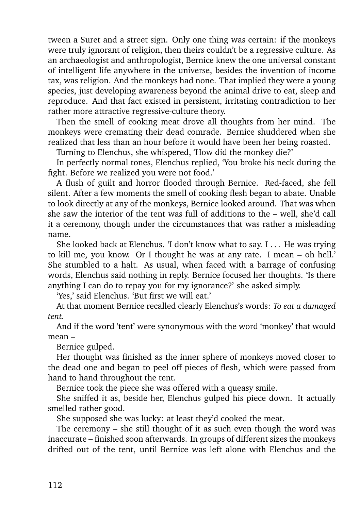tween a Suret and a street sign. Only one thing was certain: if the monkeys were truly ignorant of religion, then theirs couldn't be a regressive culture. As an archaeologist and anthropologist, Bernice knew the one universal constant of intelligent life anywhere in the universe, besides the invention of income tax, was religion. And the monkeys had none. That implied they were a young species, just developing awareness beyond the animal drive to eat, sleep and reproduce. And that fact existed in persistent, irritating contradiction to her rather more attractive regressive-culture theory.

Then the smell of cooking meat drove all thoughts from her mind. The monkeys were cremating their dead comrade. Bernice shuddered when she realized that less than an hour before it would have been her being roasted.

Turning to Elenchus, she whispered, 'How did the monkey die?'

In perfectly normal tones, Elenchus replied, 'You broke his neck during the fight. Before we realized you were not food.'

A flush of guilt and horror flooded through Bernice. Red-faced, she fell silent. After a few moments the smell of cooking flesh began to abate. Unable to look directly at any of the monkeys, Bernice looked around. That was when she saw the interior of the tent was full of additions to the – well, she'd call it a ceremony, though under the circumstances that was rather a misleading name.

She looked back at Elenchus. 'I don't know what to say. I . . . He was trying to kill me, you know. Or I thought he was at any rate. I mean – oh hell.' She stumbled to a halt. As usual, when faced with a barrage of confusing words, Elenchus said nothing in reply. Bernice focused her thoughts. 'Is there anything I can do to repay you for my ignorance?' she asked simply.

'Yes,' said Elenchus. 'But first we will eat.'

At that moment Bernice recalled clearly Elenchus's words: *To eat a damaged tent.*

And if the word 'tent' were synonymous with the word 'monkey' that would mean –

Bernice gulped.

Her thought was finished as the inner sphere of monkeys moved closer to the dead one and began to peel off pieces of flesh, which were passed from hand to hand throughout the tent.

Bernice took the piece she was offered with a queasy smile.

She sniffed it as, beside her, Elenchus gulped his piece down. It actually smelled rather good.

She supposed she was lucky: at least they'd cooked the meat.

The ceremony – she still thought of it as such even though the word was inaccurate – finished soon afterwards. In groups of different sizes the monkeys drifted out of the tent, until Bernice was left alone with Elenchus and the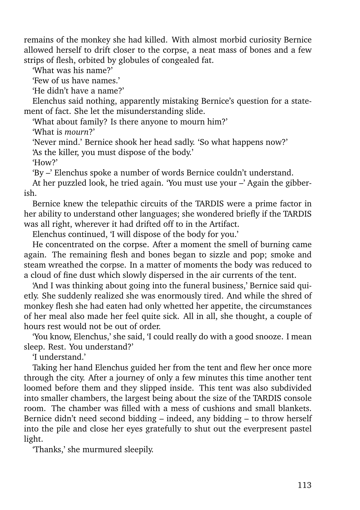remains of the monkey she had killed. With almost morbid curiosity Bernice allowed herself to drift closer to the corpse, a neat mass of bones and a few strips of flesh, orbited by globules of congealed fat.

'What was his name?'

'Few of us have names.'

'He didn't have a name?'

Elenchus said nothing, apparently mistaking Bernice's question for a statement of fact. She let the misunderstanding slide.

'What about family? Is there anyone to mourn him?'

'What is *mourn*?'

'Never mind.' Bernice shook her head sadly. 'So what happens now?'

'As the killer, you must dispose of the body.'

'How?'

'By –' Elenchus spoke a number of words Bernice couldn't understand.

At her puzzled look, he tried again. 'You must use your –' Again the gibberish.

Bernice knew the telepathic circuits of the TARDIS were a prime factor in her ability to understand other languages; she wondered briefly if the TARDIS was all right, wherever it had drifted off to in the Artifact.

Elenchus continued, 'I will dispose of the body for you.'

He concentrated on the corpse. After a moment the smell of burning came again. The remaining flesh and bones began to sizzle and pop; smoke and steam wreathed the corpse. In a matter of moments the body was reduced to a cloud of fine dust which slowly dispersed in the air currents of the tent.

'And I was thinking about going into the funeral business,' Bernice said quietly. She suddenly realized she was enormously tired. And while the shred of monkey flesh she had eaten had only whetted her appetite, the circumstances of her meal also made her feel quite sick. All in all, she thought, a couple of hours rest would not be out of order.

'You know, Elenchus,' she said, 'I could really do with a good snooze. I mean sleep. Rest. You understand?'

'I understand.'

Taking her hand Elenchus guided her from the tent and flew her once more through the city. After a journey of only a few minutes this time another tent loomed before them and they slipped inside. This tent was also subdivided into smaller chambers, the largest being about the size of the TARDIS console room. The chamber was filled with a mess of cushions and small blankets. Bernice didn't need second bidding – indeed, any bidding – to throw herself into the pile and close her eyes gratefully to shut out the everpresent pastel light.

'Thanks,' she murmured sleepily.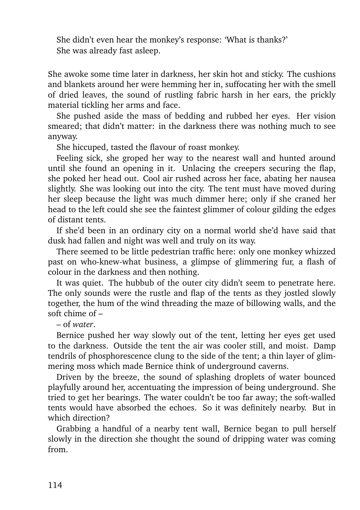She didn't even hear the monkey's response: 'What is thanks?' She was already fast asleep.

She awoke some time later in darkness, her skin hot and sticky. The cushions and blankets around her were hemming her in, suffocating her with the smell of dried leaves, the sound of rustling fabric harsh in her ears, the prickly material tickling her arms and face.

She pushed aside the mass of bedding and rubbed her eyes. Her vision smeared; that didn't matter: in the darkness there was nothing much to see anyway.

She hiccuped, tasted the flavour of roast monkey.

Feeling sick, she groped her way to the nearest wall and hunted around until she found an opening in it. Unlacing the creepers securing the flap, she poked her head out. Cool air rushed across her face, abating her nausea slightly. She was looking out into the city. The tent must have moved during her sleep because the light was much dimmer here; only if she craned her head to the left could she see the faintest glimmer of colour gilding the edges of distant tents.

If she'd been in an ordinary city on a normal world she'd have said that dusk had fallen and night was well and truly on its way.

There seemed to be little pedestrian traffic here: only one monkey whizzed past on who-knew-what business, a glimpse of glimmering fur, a flash of colour in the darkness and then nothing.

It was quiet. The hubbub of the outer city didn't seem to penetrate here. The only sounds were the rustle and flap of the tents as they jostled slowly together, the hum of the wind threading the maze of billowing walls, and the soft chime of –

– of *water*.

Bernice pushed her way slowly out of the tent, letting her eyes get used to the darkness. Outside the tent the air was cooler still, and moist. Damp tendrils of phosphorescence clung to the side of the tent; a thin layer of glimmering moss which made Bernice think of underground caverns.

Driven by the breeze, the sound of splashing droplets of water bounced playfully around her, accentuating the impression of being underground. She tried to get her bearings. The water couldn't be too far away; the soft-walled tents would have absorbed the echoes. So it was definitely nearby. But in which direction?

Grabbing a handful of a nearby tent wall, Bernice began to pull herself slowly in the direction she thought the sound of dripping water was coming from.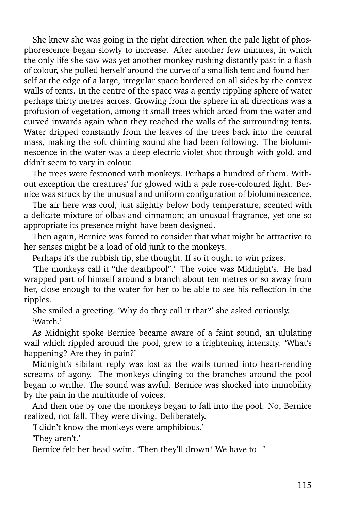She knew she was going in the right direction when the pale light of phosphorescence began slowly to increase. After another few minutes, in which the only life she saw was yet another monkey rushing distantly past in a flash of colour, she pulled herself around the curve of a smallish tent and found herself at the edge of a large, irregular space bordered on all sides by the convex walls of tents. In the centre of the space was a gently rippling sphere of water perhaps thirty metres across. Growing from the sphere in all directions was a profusion of vegetation, among it small trees which arced from the water and curved inwards again when they reached the walls of the surrounding tents. Water dripped constantly from the leaves of the trees back into the central mass, making the soft chiming sound she had been following. The bioluminescence in the water was a deep electric violet shot through with gold, and didn't seem to vary in colour.

The trees were festooned with monkeys. Perhaps a hundred of them. Without exception the creatures' fur glowed with a pale rose-coloured light. Bernice was struck by the unusual and uniform configuration of bioluminescence.

The air here was cool, just slightly below body temperature, scented with a delicate mixture of olbas and cinnamon; an unusual fragrance, yet one so appropriate its presence might have been designed.

Then again, Bernice was forced to consider that what might be attractive to her senses might be a load of old junk to the monkeys.

Perhaps it's the rubbish tip, she thought. If so it ought to win prizes.

'The monkeys call it "the deathpool".' The voice was Midnight's. He had wrapped part of himself around a branch about ten metres or so away from her, close enough to the water for her to be able to see his reflection in the ripples.

She smiled a greeting. 'Why do they call it that?' she asked curiously. 'Watch'

As Midnight spoke Bernice became aware of a faint sound, an ululating wail which rippled around the pool, grew to a frightening intensity. 'What's happening? Are they in pain?'

Midnight's sibilant reply was lost as the wails turned into heart-rending screams of agony. The monkeys clinging to the branches around the pool began to writhe. The sound was awful. Bernice was shocked into immobility by the pain in the multitude of voices.

And then one by one the monkeys began to fall into the pool. No, Bernice realized, not fall. They were diving. Deliberately.

'I didn't know the monkeys were amphibious.'

'They aren't.'

Bernice felt her head swim. 'Then they'll drown! We have to –'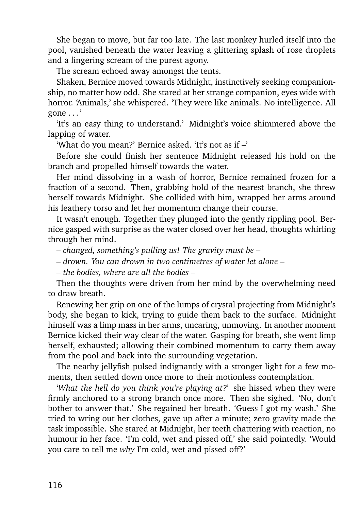She began to move, but far too late. The last monkey hurled itself into the pool, vanished beneath the water leaving a glittering splash of rose droplets and a lingering scream of the purest agony.

The scream echoed away amongst the tents.

Shaken, Bernice moved towards Midnight, instinctively seeking companionship, no matter how odd. She stared at her strange companion, eyes wide with horror. 'Animals,' she whispered. 'They were like animals. No intelligence. All gone . . . '

'It's an easy thing to understand.' Midnight's voice shimmered above the lapping of water.

'What do you mean?' Bernice asked. 'It's not as if –'

Before she could finish her sentence Midnight released his hold on the branch and propelled himself towards the water.

Her mind dissolving in a wash of horror, Bernice remained frozen for a fraction of a second. Then, grabbing hold of the nearest branch, she threw herself towards Midnight. She collided with him, wrapped her arms around his leathery torso and let her momentum change their course.

It wasn't enough. Together they plunged into the gently rippling pool. Bernice gasped with surprise as the water closed over her head, thoughts whirling through her mind.

*– changed, something's pulling us! The gravity must be –*

*– drown. You can drown in two centimetres of water let alone –*

*– the bodies, where are all the bodies –*

Then the thoughts were driven from her mind by the overwhelming need to draw breath.

Renewing her grip on one of the lumps of crystal projecting from Midnight's body, she began to kick, trying to guide them back to the surface. Midnight himself was a limp mass in her arms, uncaring, unmoving. In another moment Bernice kicked their way clear of the water. Gasping for breath, she went limp herself, exhausted; allowing their combined momentum to carry them away from the pool and back into the surrounding vegetation.

The nearby jellyfish pulsed indignantly with a stronger light for a few moments, then settled down once more to their motionless contemplation.

'*What the hell do you think you're playing at?*' she hissed when they were firmly anchored to a strong branch once more. Then she sighed. 'No, don't bother to answer that.' She regained her breath. 'Guess I got my wash.' She tried to wring out her clothes, gave up after a minute; zero gravity made the task impossible. She stared at Midnight, her teeth chattering with reaction, no humour in her face. 'I'm cold, wet and pissed off,' she said pointedly. 'Would you care to tell me *why* I'm cold, wet and pissed off?'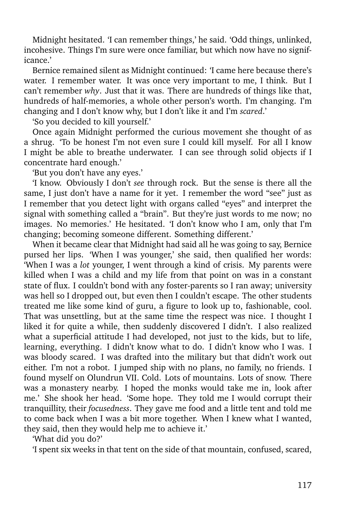Midnight hesitated. 'I can remember things,' he said. 'Odd things, unlinked, incohesive. Things I'm sure were once familiar, but which now have no significance.'

Bernice remained silent as Midnight continued: 'I came here because there's water. I remember water. It was once very important to me, I think. But I can't remember *why*. Just that it was. There are hundreds of things like that, hundreds of half-memories, a whole other person's worth. I'm changing. I'm changing and I don't know why, but I don't like it and I'm *scared*.'

'So you decided to kill yourself.'

Once again Midnight performed the curious movement she thought of as a shrug. 'To be honest I'm not even sure I could kill myself. For all I know I might be able to breathe underwater. I can see through solid objects if I concentrate hard enough.'

'But you don't have any eyes.'

'I know. Obviously I don't *see* through rock. But the sense is there all the same, I just don't have a name for it yet. I remember the word "see" just as I remember that you detect light with organs called "eyes" and interpret the signal with something called a "brain". But they're just words to me now; no images. No memories.' He hesitated. 'I don't know who I am, only that I'm changing; becoming someone different. Something different.'

When it became clear that Midnight had said all he was going to say, Bernice pursed her lips. 'When I was younger,' she said, then qualified her words: 'When I was a *lot* younger, I went through a kind of crisis. My parents were killed when I was a child and my life from that point on was in a constant state of flux. I couldn't bond with any foster-parents so I ran away; university was hell so I dropped out, but even then I couldn't escape. The other students treated me like some kind of guru, a figure to look up to, fashionable, cool. That was unsettling, but at the same time the respect was nice. I thought I liked it for quite a while, then suddenly discovered I didn't. I also realized what a superficial attitude I had developed, not just to the kids, but to life, learning, everything. I didn't know what to do. I didn't know who I was. I was bloody scared. I was drafted into the military but that didn't work out either. I'm not a robot. I jumped ship with no plans, no family, no friends. I found myself on Olundrun VII. Cold. Lots of mountains. Lots of snow. There was a monastery nearby. I hoped the monks would take me in, look after me.' She shook her head. 'Some hope. They told me I would corrupt their tranquillity, their *focusedness*. They gave me food and a little tent and told me to come back when I was a bit more together. When I knew what I wanted, they said, then they would help me to achieve it.'

'What did you do?'

'I spent six weeks in that tent on the side of that mountain, confused, scared,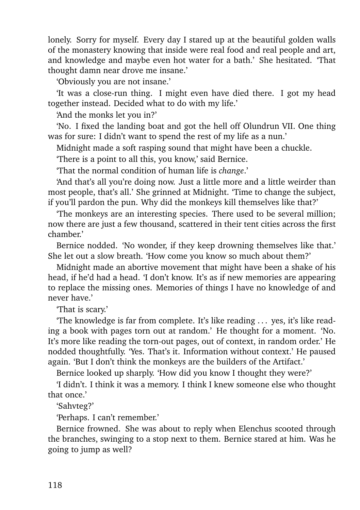lonely. Sorry for myself. Every day I stared up at the beautiful golden walls of the monastery knowing that inside were real food and real people and art, and knowledge and maybe even hot water for a bath.' She hesitated. 'That thought damn near drove me insane.'

'Obviously you are not insane.'

'It was a close-run thing. I might even have died there. I got my head together instead. Decided what to do with my life.'

'And the monks let you in?'

'No. I fixed the landing boat and got the hell off Olundrun VII. One thing was for sure: I didn't want to spend the rest of my life as a nun.'

Midnight made a soft rasping sound that might have been a chuckle.

'There is a point to all this, you know,' said Bernice.

'That the normal condition of human life is *change*.'

'And that's all you're doing now. Just a little more and a little weirder than most people, that's all.' She grinned at Midnight. 'Time to change the subject, if you'll pardon the pun. Why did the monkeys kill themselves like that?'

'The monkeys are an interesting species. There used to be several million; now there are just a few thousand, scattered in their tent cities across the first chamber.'

Bernice nodded. 'No wonder, if they keep drowning themselves like that.' She let out a slow breath. 'How come you know so much about them?'

Midnight made an abortive movement that might have been a shake of his head, if he'd had a head. 'I don't know. It's as if new memories are appearing to replace the missing ones. Memories of things I have no knowledge of and never have.'

'That is scary.'

'The knowledge is far from complete. It's like reading . . . yes, it's like reading a book with pages torn out at random.' He thought for a moment. 'No. It's more like reading the torn-out pages, out of context, in random order.' He nodded thoughtfully. 'Yes. That's it. Information without context.' He paused again. 'But I don't think the monkeys are the builders of the Artifact.'

Bernice looked up sharply. 'How did you know I thought they were?'

'I didn't. I think it was a memory. I think I knew someone else who thought that once?

'Sahvteg?'

'Perhaps. I can't remember.'

Bernice frowned. She was about to reply when Elenchus scooted through the branches, swinging to a stop next to them. Bernice stared at him. Was he going to jump as well?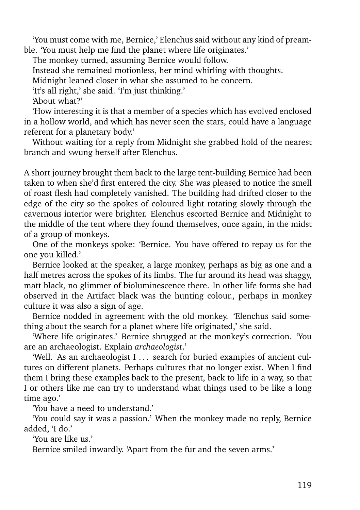'You must come with me, Bernice,' Elenchus said without any kind of preamble. 'You must help me find the planet where life originates.'

The monkey turned, assuming Bernice would follow.

Instead she remained motionless, her mind whirling with thoughts.

Midnight leaned closer in what she assumed to be concern.

'It's all right,' she said. 'I'm just thinking.'

'About what?'

'How interesting it is that a member of a species which has evolved enclosed in a hollow world, and which has never seen the stars, could have a language referent for a planetary body.'

Without waiting for a reply from Midnight she grabbed hold of the nearest branch and swung herself after Elenchus.

A short journey brought them back to the large tent-building Bernice had been taken to when she'd first entered the city. She was pleased to notice the smell of roast flesh had completely vanished. The building had drifted closer to the edge of the city so the spokes of coloured light rotating slowly through the cavernous interior were brighter. Elenchus escorted Bernice and Midnight to the middle of the tent where they found themselves, once again, in the midst of a group of monkeys.

One of the monkeys spoke: 'Bernice. You have offered to repay us for the one you killed.'

Bernice looked at the speaker, a large monkey, perhaps as big as one and a half metres across the spokes of its limbs. The fur around its head was shaggy, matt black, no glimmer of bioluminescence there. In other life forms she had observed in the Artifact black was the hunting colour., perhaps in monkey culture it was also a sign of age.

Bernice nodded in agreement with the old monkey. 'Elenchus said something about the search for a planet where life originated,' she said.

'Where life originates.' Bernice shrugged at the monkey's correction. 'You are an archaeologist. Explain *archaeologist*.'

'Well. As an archaeologist I ... search for buried examples of ancient cultures on different planets. Perhaps cultures that no longer exist. When I find them I bring these examples back to the present, back to life in a way, so that I or others like me can try to understand what things used to be like a long time ago.'

'You have a need to understand.'

'You could say it was a passion.' When the monkey made no reply, Bernice added, 'I do.'

'You are like us.'

Bernice smiled inwardly. 'Apart from the fur and the seven arms.'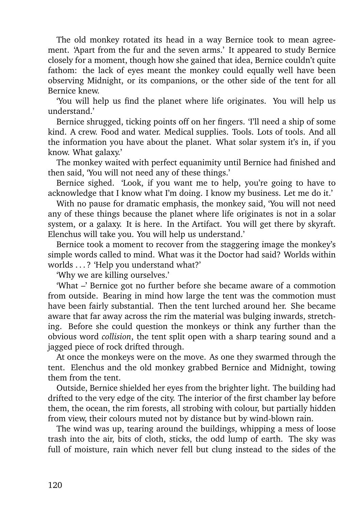The old monkey rotated its head in a way Bernice took to mean agreement. 'Apart from the fur and the seven arms.' It appeared to study Bernice closely for a moment, though how she gained that idea, Bernice couldn't quite fathom: the lack of eyes meant the monkey could equally well have been observing Midnight, or its companions, or the other side of the tent for all Bernice knew.

'You will help us find the planet where life originates. You will help us understand.'

Bernice shrugged, ticking points off on her fingers. 'I'll need a ship of some kind. A crew. Food and water. Medical supplies. Tools. Lots of tools. And all the information you have about the planet. What solar system it's in, if you know. What galaxy.'

The monkey waited with perfect equanimity until Bernice had finished and then said, 'You will not need any of these things.'

Bernice sighed. 'Look, if you want me to help, you're going to have to acknowledge that I know what I'm doing. I know my business. Let me do it.'

With no pause for dramatic emphasis, the monkey said, 'You will not need any of these things because the planet where life originates is not in a solar system, or a galaxy. It is here. In the Artifact. You will get there by skyraft. Elenchus will take you. You will help us understand.'

Bernice took a moment to recover from the staggering image the monkey's simple words called to mind. What was it the Doctor had said? Worlds within worlds . . . ? 'Help you understand what?'

'Why we are killing ourselves.'

'What –' Bernice got no further before she became aware of a commotion from outside. Bearing in mind how large the tent was the commotion must have been fairly substantial. Then the tent lurched around her. She became aware that far away across the rim the material was bulging inwards, stretching. Before she could question the monkeys or think any further than the obvious word *collision*, the tent split open with a sharp tearing sound and a jagged piece of rock drifted through.

At once the monkeys were on the move. As one they swarmed through the tent. Elenchus and the old monkey grabbed Bernice and Midnight, towing them from the tent.

Outside, Bernice shielded her eyes from the brighter light. The building had drifted to the very edge of the city. The interior of the first chamber lay before them, the ocean, the rim forests, all strobing with colour, but partially hidden from view, their colours muted not by distance but by wind-blown rain.

The wind was up, tearing around the buildings, whipping a mess of loose trash into the air, bits of cloth, sticks, the odd lump of earth. The sky was full of moisture, rain which never fell but clung instead to the sides of the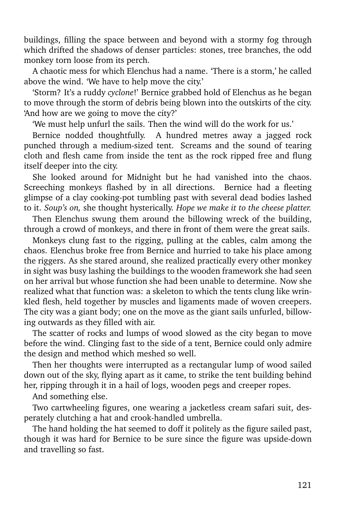buildings, filling the space between and beyond with a stormy fog through which drifted the shadows of denser particles: stones, tree branches, the odd monkey torn loose from its perch.

A chaotic mess for which Elenchus had a name. 'There is a storm,' he called above the wind. 'We have to help move the city.'

'Storm? It's a ruddy *cyclone*!' Bernice grabbed hold of Elenchus as he began to move through the storm of debris being blown into the outskirts of the city. 'And how are we going to move the city?'

'We must help unfurl the sails. Then the wind will do the work for us.'

Bernice nodded thoughtfully. A hundred metres away a jagged rock punched through a medium-sized tent. Screams and the sound of tearing cloth and flesh came from inside the tent as the rock ripped free and flung itself deeper into the city.

She looked around for Midnight but he had vanished into the chaos. Screeching monkeys flashed by in all directions. Bernice had a fleeting glimpse of a clay cooking-pot tumbling past with several dead bodies lashed to it. *Soup's on,* she thought hysterically. *Hope we make it to the cheese platter.*

Then Elenchus swung them around the billowing wreck of the building, through a crowd of monkeys, and there in front of them were the great sails.

Monkeys clung fast to the rigging, pulling at the cables, calm among the chaos. Elenchus broke free from Bernice and hurried to take his place among the riggers. As she stared around, she realized practically every other monkey in sight was busy lashing the buildings to the wooden framework she had seen on her arrival but whose function she had been unable to determine. Now she realized what that function was: a skeleton to which the tents clung like wrinkled flesh, held together by muscles and ligaments made of woven creepers. The city was a giant body; one on the move as the giant sails unfurled, billowing outwards as they filled with air.

The scatter of rocks and lumps of wood slowed as the city began to move before the wind. Clinging fast to the side of a tent, Bernice could only admire the design and method which meshed so well.

Then her thoughts were interrupted as a rectangular lump of wood sailed down out of the sky, flying apart as it came, to strike the tent building behind her, ripping through it in a hail of logs, wooden pegs and creeper ropes.

And something else.

Two cartwheeling figures, one wearing a jacketless cream safari suit, desperately clutching a hat and crook-handled umbrella.

The hand holding the hat seemed to doff it politely as the figure sailed past, though it was hard for Bernice to be sure since the figure was upside-down and travelling so fast.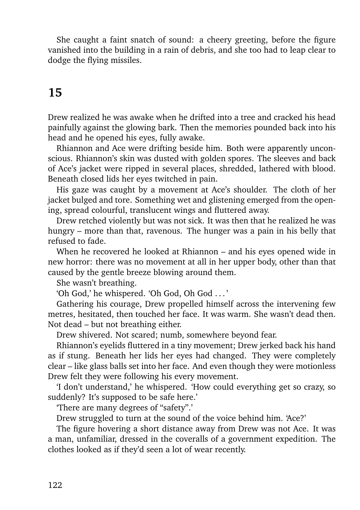She caught a faint snatch of sound: a cheery greeting, before the figure vanished into the building in a rain of debris, and she too had to leap clear to dodge the flying missiles.

## **15**

Drew realized he was awake when he drifted into a tree and cracked his head painfully against the glowing bark. Then the memories pounded back into his head and he opened his eyes, fully awake.

Rhiannon and Ace were drifting beside him. Both were apparently unconscious. Rhiannon's skin was dusted with golden spores. The sleeves and back of Ace's jacket were ripped in several places, shredded, lathered with blood. Beneath closed lids her eyes twitched in pain.

His gaze was caught by a movement at Ace's shoulder. The cloth of her jacket bulged and tore. Something wet and glistening emerged from the opening, spread colourful, translucent wings and fluttered away.

Drew retched violently but was not sick. It was then that he realized he was hungry – more than that, ravenous. The hunger was a pain in his belly that refused to fade.

When he recovered he looked at Rhiannon – and his eyes opened wide in new horror: there was no movement at all in her upper body, other than that caused by the gentle breeze blowing around them.

She wasn't breathing.

'Oh God,' he whispered. 'Oh God, Oh God . . . '

Gathering his courage, Drew propelled himself across the intervening few metres, hesitated, then touched her face. It was warm. She wasn't dead then. Not dead – but not breathing either.

Drew shivered. Not scared; numb, somewhere beyond fear.

Rhiannon's eyelids fluttered in a tiny movement; Drew jerked back his hand as if stung. Beneath her lids her eyes had changed. They were completely clear – like glass balls set into her face. And even though they were motionless Drew felt they were following his every movement.

'I don't understand,' he whispered. 'How could everything get so crazy, so suddenly? It's supposed to be safe here.'

'There are many degrees of "safety".'

Drew struggled to turn at the sound of the voice behind him. 'Ace?'

The figure hovering a short distance away from Drew was not Ace. It was a man, unfamiliar, dressed in the coveralls of a government expedition. The clothes looked as if they'd seen a lot of wear recently.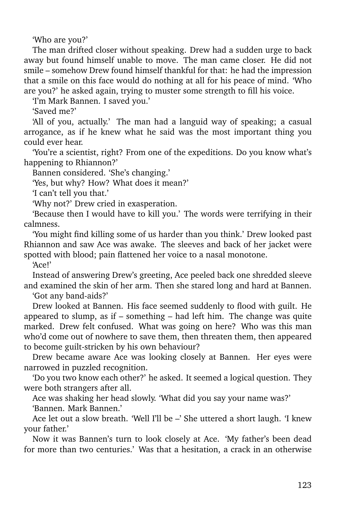'Who are you?'

The man drifted closer without speaking. Drew had a sudden urge to back away but found himself unable to move. The man came closer. He did not smile – somehow Drew found himself thankful for that: he had the impression that a smile on this face would do nothing at all for his peace of mind. 'Who are you?' he asked again, trying to muster some strength to fill his voice.

'I'm Mark Bannen. I saved you.'

'Saved me?'

'All of you, actually.' The man had a languid way of speaking; a casual arrogance, as if he knew what he said was the most important thing you could ever hear.

'You're a scientist, right? From one of the expeditions. Do you know what's happening to Rhiannon?'

Bannen considered. 'She's changing.'

'Yes, but why? How? What does it mean?'

'I can't tell you that.'

'Why not?' Drew cried in exasperation.

'Because then I would have to kill you.' The words were terrifying in their calmness.

'You might find killing some of us harder than you think.' Drew looked past Rhiannon and saw Ace was awake. The sleeves and back of her jacket were spotted with blood; pain flattened her voice to a nasal monotone.

'Ace!'

Instead of answering Drew's greeting, Ace peeled back one shredded sleeve and examined the skin of her arm. Then she stared long and hard at Bannen.

'Got any band-aids?'

Drew looked at Bannen. His face seemed suddenly to flood with guilt. He appeared to slump, as if – something – had left him. The change was quite marked. Drew felt confused. What was going on here? Who was this man who'd come out of nowhere to save them, then threaten them, then appeared to become guilt-stricken by his own behaviour?

Drew became aware Ace was looking closely at Bannen. Her eyes were narrowed in puzzled recognition.

'Do you two know each other?' he asked. It seemed a logical question. They were both strangers after all.

Ace was shaking her head slowly. 'What did you say your name was?'

'Bannen. Mark Bannen.'

Ace let out a slow breath. 'Well I'll be –' She uttered a short laugh. 'I knew your father.'

Now it was Bannen's turn to look closely at Ace. 'My father's been dead for more than two centuries.' Was that a hesitation, a crack in an otherwise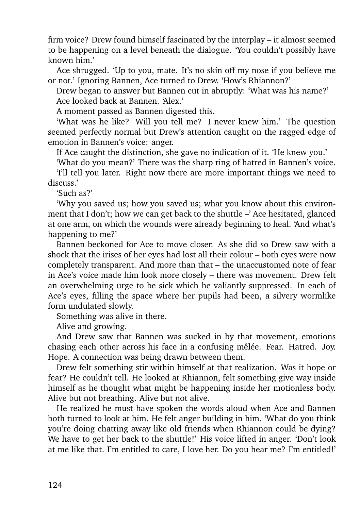firm voice? Drew found himself fascinated by the interplay – it almost seemed to be happening on a level beneath the dialogue. 'You couldn't possibly have known him.'

Ace shrugged. 'Up to you, mate. It's no skin off my nose if you believe me or not.' Ignoring Bannen, Ace turned to Drew. 'How's Rhiannon?'

Drew began to answer but Bannen cut in abruptly: 'What was his name?' Ace looked back at Bannen. 'Alex.'

A moment passed as Bannen digested this.

'What was he like? Will you tell me? I never knew him.' The question seemed perfectly normal but Drew's attention caught on the ragged edge of emotion in Bannen's voice: anger.

If Ace caught the distinction, she gave no indication of it. 'He knew you.'

'What do you mean?' There was the sharp ring of hatred in Bannen's voice.

'I'll tell you later. Right now there are more important things we need to discuss<sup>'</sup>

'Such as?'

'Why you saved us; how you saved us; what you know about this environment that I don't: how we can get back to the shuttle  $-$ ' Ace hesitated, glanced at one arm, on which the wounds were already beginning to heal. 'And what's happening to me?'

Bannen beckoned for Ace to move closer. As she did so Drew saw with a shock that the irises of her eyes had lost all their colour – both eyes were now completely transparent. And more than that – the unaccustomed note of fear in Ace's voice made him look more closely – there was movement. Drew felt an overwhelming urge to be sick which he valiantly suppressed. In each of Ace's eyes, filling the space where her pupils had been, a silvery wormlike form undulated slowly.

Something was alive in there.

Alive and growing.

And Drew saw that Bannen was sucked in by that movement, emotions chasing each other across his face in a confusing mêlée. Fear. Hatred. Joy. Hope. A connection was being drawn between them.

Drew felt something stir within himself at that realization. Was it hope or fear? He couldn't tell. He looked at Rhiannon, felt something give way inside himself as he thought what might be happening inside her motionless body. Alive but not breathing. Alive but not alive.

He realized he must have spoken the words aloud when Ace and Bannen both turned to look at him. He felt anger building in him. 'What do you think you're doing chatting away like old friends when Rhiannon could be dying? We have to get her back to the shuttle!' His voice lifted in anger. 'Don't look at me like that. I'm entitled to care, I love her. Do you hear me? I'm entitled!'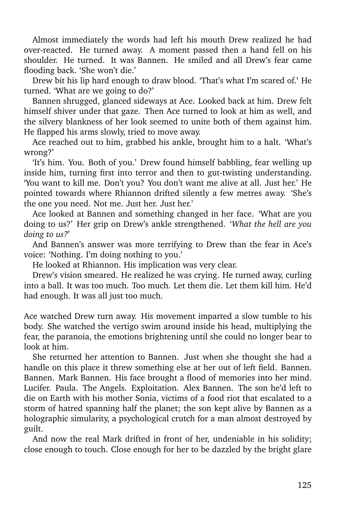Almost immediately the words had left his mouth Drew realized he had over-reacted. He turned away. A moment passed then a hand fell on his shoulder. He turned. It was Bannen. He smiled and all Drew's fear came flooding back. 'She won't die.'

Drew bit his lip hard enough to draw blood. 'That's what I'm scared of.' He turned. 'What are we going to do?'

Bannen shrugged, glanced sideways at Ace. Looked back at him. Drew felt himself shiver under that gaze. Then Ace turned to look at him as well, and the silvery blankness of her look seemed to unite both of them against him. He flapped his arms slowly, tried to move away.

Ace reached out to him, grabbed his ankle, brought him to a halt. 'What's wrong?'

'It's him. You. Both of you.' Drew found himself babbling, fear welling up inside him, turning first into terror and then to gut-twisting understanding. 'You want to kill me. Don't you? You don't want me alive at all. Just her.' He pointed towards where Rhiannon drifted silently a few metres away. 'She's the one you need. Not me. Just her. Just her.'

Ace looked at Bannen and something changed in her face. 'What are you doing to us?' Her grip on Drew's ankle strengthened. '*What the hell are you doing to us?*'

And Bannen's answer was more terrifying to Drew than the fear in Ace's voice: 'Nothing. I'm doing nothing to you.'

He looked at Rhiannon. His implication was very clear.

Drew's vision smeared. He realized he was crying. He turned away, curling into a ball. It was too much. Too much. Let them die. Let them kill him. He'd had enough. It was all just too much.

Ace watched Drew turn away. His movement imparted a slow tumble to his body. She watched the vertigo swim around inside his head, multiplying the fear, the paranoia, the emotions brightening until she could no longer bear to look at him.

She returned her attention to Bannen. Just when she thought she had a handle on this place it threw something else at her out of left field. Bannen. Bannen. Mark Bannen. His face brought a flood of memories into her mind. Lucifer. Paula. The Angels. Exploitation. Alex Bannen. The son he'd left to die on Earth with his mother Sonia, victims of a food riot that escalated to a storm of hatred spanning half the planet; the son kept alive by Bannen as a holographic simularity, a psychological crutch for a man almost destroyed by guilt.

And now the real Mark drifted in front of her, undeniable in his solidity; close enough to touch. Close enough for her to be dazzled by the bright glare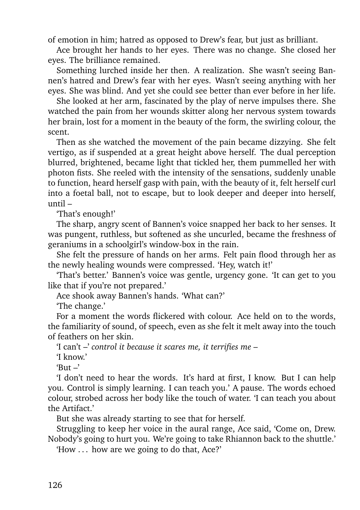of emotion in him; hatred as opposed to Drew's fear, but just as brilliant.

Ace brought her hands to her eyes. There was no change. She closed her eyes. The brilliance remained.

Something lurched inside her then. A realization. She wasn't seeing Bannen's hatred and Drew's fear with her eyes. Wasn't seeing anything with her eyes. She was blind. And yet she could see better than ever before in her life.

She looked at her arm, fascinated by the play of nerve impulses there. She watched the pain from her wounds skitter along her nervous system towards her brain, lost for a moment in the beauty of the form, the swirling colour, the scent.

Then as she watched the movement of the pain became dizzying. She felt vertigo, as if suspended at a great height above herself. The dual perception blurred, brightened, became light that tickled her, them pummelled her with photon fists. She reeled with the intensity of the sensations, suddenly unable to function, heard herself gasp with pain, with the beauty of it, felt herself curl into a foetal ball, not to escape, but to look deeper and deeper into herself,  $u$ ntil  $-$ 

'That's enough!'

The sharp, angry scent of Bannen's voice snapped her back to her senses. It was pungent, ruthless, but softened as she uncurled, became the freshness of geraniums in a schoolgirl's window-box in the rain.

She felt the pressure of hands on her arms. Felt pain flood through her as the newly healing wounds were compressed. 'Hey, watch it!'

'That's better.' Bannen's voice was gentle, urgency gone. 'It can get to you like that if you're not prepared.'

Ace shook away Bannen's hands. 'What can?'

'The change.'

For a moment the words flickered with colour. Ace held on to the words, the familiarity of sound, of speech, even as she felt it melt away into the touch of feathers on her skin.

'I can't –' *control it because it scares me, it terrifies me –*

'I know.'

'But  $-$ '

'I don't need to hear the words. It's hard at first, I know. But I can help you. Control is simply learning. I can teach you.' A pause. The words echoed colour, strobed across her body like the touch of water. 'I can teach you about the Artifact.'

But she was already starting to see that for herself.

Struggling to keep her voice in the aural range, Ace said, 'Come on, Drew. Nobody's going to hurt you. We're going to take Rhiannon back to the shuttle.'

'How . . . how are we going to do that, Ace?'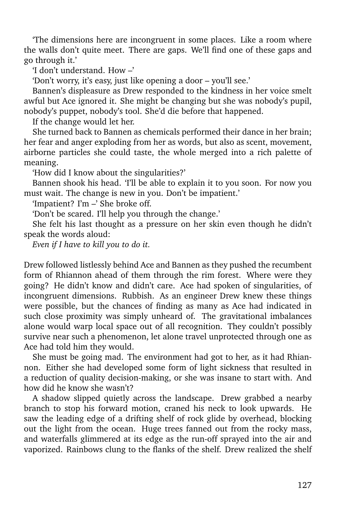'The dimensions here are incongruent in some places. Like a room where the walls don't quite meet. There are gaps. We'll find one of these gaps and go through it.'

'I don't understand. How –'

'Don't worry, it's easy, just like opening a door – you'll see.'

Bannen's displeasure as Drew responded to the kindness in her voice smelt awful but Ace ignored it. She might be changing but she was nobody's pupil, nobody's puppet, nobody's tool. She'd die before that happened.

If the change would let her.

She turned back to Bannen as chemicals performed their dance in her brain; her fear and anger exploding from her as words, but also as scent, movement, airborne particles she could taste, the whole merged into a rich palette of meaning.

'How did I know about the singularities?'

Bannen shook his head. 'I'll be able to explain it to you soon. For now you must wait. The change is new in you. Don't be impatient.'

'Impatient? I'm –' She broke off.

'Don't be scared. I'll help you through the change.'

She felt his last thought as a pressure on her skin even though he didn't speak the words aloud:

*Even if I have to kill you to do it.*

Drew followed listlessly behind Ace and Bannen as they pushed the recumbent form of Rhiannon ahead of them through the rim forest. Where were they going? He didn't know and didn't care. Ace had spoken of singularities, of incongruent dimensions. Rubbish. As an engineer Drew knew these things were possible, but the chances of finding as many as Ace had indicated in such close proximity was simply unheard of. The gravitational imbalances alone would warp local space out of all recognition. They couldn't possibly survive near such a phenomenon, let alone travel unprotected through one as Ace had told him they would.

She must be going mad. The environment had got to her, as it had Rhiannon. Either she had developed some form of light sickness that resulted in a reduction of quality decision-making, or she was insane to start with. And how did he know she wasn't?

A shadow slipped quietly across the landscape. Drew grabbed a nearby branch to stop his forward motion, craned his neck to look upwards. He saw the leading edge of a drifting shelf of rock glide by overhead, blocking out the light from the ocean. Huge trees fanned out from the rocky mass, and waterfalls glimmered at its edge as the run-off sprayed into the air and vaporized. Rainbows clung to the flanks of the shelf. Drew realized the shelf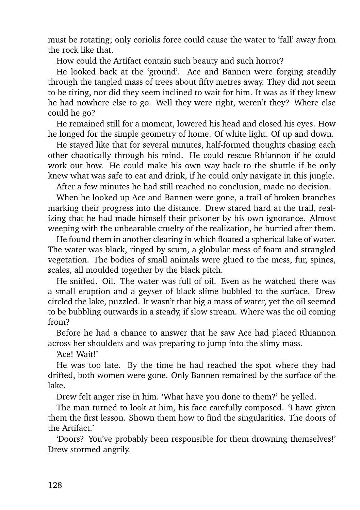must be rotating; only coriolis force could cause the water to 'fall' away from the rock like that.

How could the Artifact contain such beauty and such horror?

He looked back at the 'ground'. Ace and Bannen were forging steadily through the tangled mass of trees about fifty metres away. They did not seem to be tiring, nor did they seem inclined to wait for him. It was as if they knew he had nowhere else to go. Well they were right, weren't they? Where else could he go?

He remained still for a moment, lowered his head and closed his eyes. How he longed for the simple geometry of home. Of white light. Of up and down.

He stayed like that for several minutes, half-formed thoughts chasing each other chaotically through his mind. He could rescue Rhiannon if he could work out how. He could make his own way back to the shuttle if he only knew what was safe to eat and drink, if he could only navigate in this jungle.

After a few minutes he had still reached no conclusion, made no decision.

When he looked up Ace and Bannen were gone, a trail of broken branches marking their progress into the distance. Drew stared hard at the trail, realizing that he had made himself their prisoner by his own ignorance. Almost weeping with the unbearable cruelty of the realization, he hurried after them.

He found them in another clearing in which floated a spherical lake of water. The water was black, ringed by scum, a globular mess of foam and strangled vegetation. The bodies of small animals were glued to the mess, fur, spines, scales, all moulded together by the black pitch.

He sniffed. Oil. The water was full of oil. Even as he watched there was a small eruption and a geyser of black slime bubbled to the surface. Drew circled the lake, puzzled. It wasn't that big a mass of water, yet the oil seemed to be bubbling outwards in a steady, if slow stream. Where was the oil coming from?

Before he had a chance to answer that he saw Ace had placed Rhiannon across her shoulders and was preparing to jump into the slimy mass.

'Ace! Wait!'

He was too late. By the time he had reached the spot where they had drifted, both women were gone. Only Bannen remained by the surface of the lake.

Drew felt anger rise in him. 'What have you done to them?' he yelled.

The man turned to look at him, his face carefully composed. 'I have given them the first lesson. Shown them how to find the singularities. The doors of the Artifact.'

'Doors? You've probably been responsible for them drowning themselves!' Drew stormed angrily.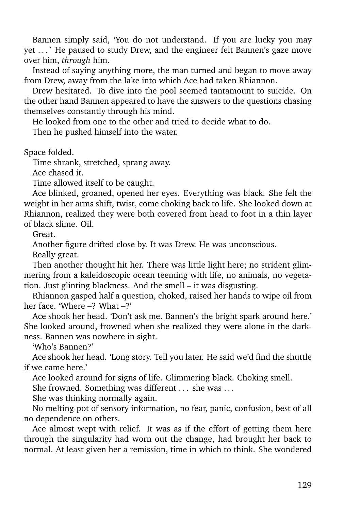Bannen simply said, 'You do not understand. If you are lucky you may yet . . . ' He paused to study Drew, and the engineer felt Bannen's gaze move over him, *through* him.

Instead of saying anything more, the man turned and began to move away from Drew, away from the lake into which Ace had taken Rhiannon.

Drew hesitated. To dive into the pool seemed tantamount to suicide. On the other hand Bannen appeared to have the answers to the questions chasing themselves constantly through his mind.

He looked from one to the other and tried to decide what to do.

Then he pushed himself into the water.

Space folded.

Time shrank, stretched, sprang away.

Ace chased it.

Time allowed itself to be caught.

Ace blinked, groaned, opened her eyes. Everything was black. She felt the weight in her arms shift, twist, come choking back to life. She looked down at Rhiannon, realized they were both covered from head to foot in a thin layer of black slime. Oil.

Great.

Another figure drifted close by. It was Drew. He was unconscious.

Really great.

Then another thought hit her. There was little light here; no strident glimmering from a kaleidoscopic ocean teeming with life, no animals, no vegetation. Just glinting blackness. And the smell – it was disgusting.

Rhiannon gasped half a question, choked, raised her hands to wipe oil from her face. 'Where –? What –?'

Ace shook her head. 'Don't ask me. Bannen's the bright spark around here.' She looked around, frowned when she realized they were alone in the darkness. Bannen was nowhere in sight.

'Who's Bannen?'

Ace shook her head. 'Long story. Tell you later. He said we'd find the shuttle if we came here.'

Ace looked around for signs of life. Glimmering black. Choking smell.

She frowned. Something was different ... she was ...

She was thinking normally again.

No melting-pot of sensory information, no fear, panic, confusion, best of all no dependence on others.

Ace almost wept with relief. It was as if the effort of getting them here through the singularity had worn out the change, had brought her back to normal. At least given her a remission, time in which to think. She wondered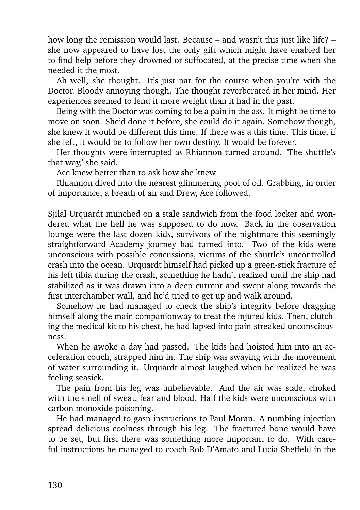how long the remission would last. Because – and wasn't this just like life? – she now appeared to have lost the only gift which might have enabled her to find help before they drowned or suffocated, at the precise time when she needed it the most.

Ah well, she thought. It's just par for the course when you're with the Doctor. Bloody annoying though. The thought reverberated in her mind. Her experiences seemed to lend it more weight than it had in the past.

Being with the Doctor was coming to be a pain in the ass. It might be time to move on soon. She'd done it before, she could do it again. Somehow though, she knew it would be different this time. If there was a this time. This time, if she left, it would be to follow her own destiny. It would be forever.

Her thoughts were interrupted as Rhiannon turned around. 'The shuttle's that way,' she said.

Ace knew better than to ask how she knew.

Rhiannon dived into the nearest glimmering pool of oil. Grabbing, in order of importance, a breath of air and Drew, Ace followed.

Siilal Urquardt munched on a stale sandwich from the food locker and wondered what the hell he was supposed to do now. Back in the observation lounge were the last dozen kids, survivors of the nightmare this seemingly straightforward Academy journey had turned into. Two of the kids were unconscious with possible concussions, victims of the shuttle's uncontrolled crash into the ocean. Urquardt himself had picked up a green-stick fracture of his left tibia during the crash, something he hadn't realized until the ship had stabilized as it was drawn into a deep current and swept along towards the first interchamber wall, and he'd tried to get up and walk around.

Somehow he had managed to check the ship's integrity before dragging himself along the main companionway to treat the injured kids. Then, clutching the medical kit to his chest, he had lapsed into pain-streaked unconsciousness.

When he awoke a day had passed. The kids had hoisted him into an acceleration couch, strapped him in. The ship was swaying with the movement of water surrounding it. Urquardt almost laughed when he realized he was feeling seasick.

The pain from his leg was unbelievable. And the air was stale, choked with the smell of sweat, fear and blood. Half the kids were unconscious with carbon monoxide poisoning.

He had managed to gasp instructions to Paul Moran. A numbing injection spread delicious coolness through his leg. The fractured bone would have to be set, but first there was something more important to do. With careful instructions he managed to coach Rob D'Amato and Lucia Sheffeld in the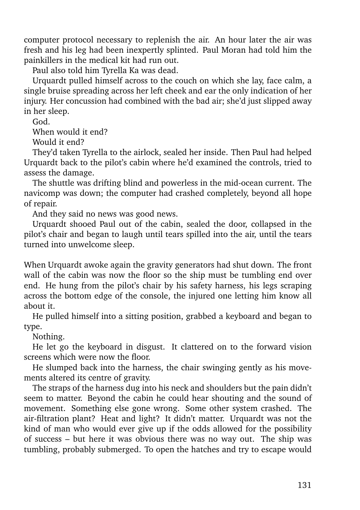computer protocol necessary to replenish the air. An hour later the air was fresh and his leg had been inexpertly splinted. Paul Moran had told him the painkillers in the medical kit had run out.

Paul also told him Tyrella Ka was dead.

Urquardt pulled himself across to the couch on which she lay, face calm, a single bruise spreading across her left cheek and ear the only indication of her injury. Her concussion had combined with the bad air; she'd just slipped away in her sleep.

God.

When would it end?

Would it end?

They'd taken Tyrella to the airlock, sealed her inside. Then Paul had helped Urquardt back to the pilot's cabin where he'd examined the controls, tried to assess the damage.

The shuttle was drifting blind and powerless in the mid-ocean current. The navicomp was down; the computer had crashed completely, beyond all hope of repair.

And they said no news was good news.

Urquardt shooed Paul out of the cabin, sealed the door, collapsed in the pilot's chair and began to laugh until tears spilled into the air, until the tears turned into unwelcome sleep.

When Urquardt awoke again the gravity generators had shut down. The front wall of the cabin was now the floor so the ship must be tumbling end over end. He hung from the pilot's chair by his safety harness, his legs scraping across the bottom edge of the console, the injured one letting him know all about it.

He pulled himself into a sitting position, grabbed a keyboard and began to type.

Nothing.

He let go the keyboard in disgust. It clattered on to the forward vision screens which were now the floor.

He slumped back into the harness, the chair swinging gently as his movements altered its centre of gravity.

The straps of the harness dug into his neck and shoulders but the pain didn't seem to matter. Beyond the cabin he could hear shouting and the sound of movement. Something else gone wrong. Some other system crashed. The air-filtration plant? Heat and light? It didn't matter. Urquardt was not the kind of man who would ever give up if the odds allowed for the possibility of success – but here it was obvious there was no way out. The ship was tumbling, probably submerged. To open the hatches and try to escape would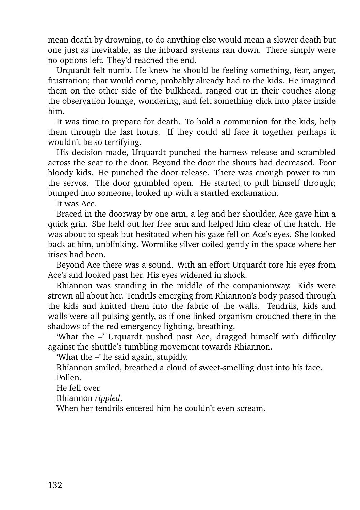mean death by drowning, to do anything else would mean a slower death but one just as inevitable, as the inboard systems ran down. There simply were no options left. They'd reached the end.

Urquardt felt numb. He knew he should be feeling something, fear, anger, frustration; that would come, probably already had to the kids. He imagined them on the other side of the bulkhead, ranged out in their couches along the observation lounge, wondering, and felt something click into place inside him.

It was time to prepare for death. To hold a communion for the kids, help them through the last hours. If they could all face it together perhaps it wouldn't be so terrifying.

His decision made, Urquardt punched the harness release and scrambled across the seat to the door. Beyond the door the shouts had decreased. Poor bloody kids. He punched the door release. There was enough power to run the servos. The door grumbled open. He started to pull himself through; bumped into someone, looked up with a startled exclamation.

It was Ace.

Braced in the doorway by one arm, a leg and her shoulder, Ace gave him a quick grin. She held out her free arm and helped him clear of the hatch. He was about to speak but hesitated when his gaze fell on Ace's eyes. She looked back at him, unblinking. Wormlike silver coiled gently in the space where her irises had been.

Beyond Ace there was a sound. With an effort Urquardt tore his eyes from Ace's and looked past her. His eyes widened in shock.

Rhiannon was standing in the middle of the companionway. Kids were strewn all about her. Tendrils emerging from Rhiannon's body passed through the kids and knitted them into the fabric of the walls. Tendrils, kids and walls were all pulsing gently, as if one linked organism crouched there in the shadows of the red emergency lighting, breathing.

'What the –' Urquardt pushed past Ace, dragged himself with difficulty against the shuttle's tumbling movement towards Rhiannon.

'What the –' he said again, stupidly.

Rhiannon smiled, breathed a cloud of sweet-smelling dust into his face. Pollen.

He fell over.

Rhiannon *rippled*.

When her tendrils entered him he couldn't even scream.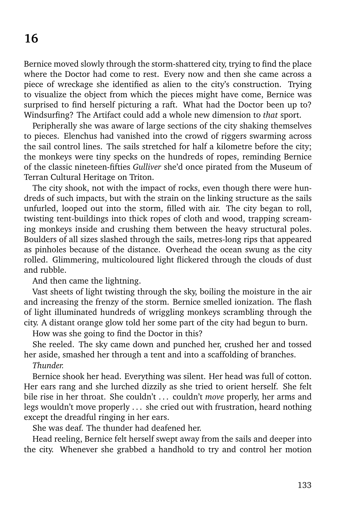Bernice moved slowly through the storm-shattered city, trying to find the place where the Doctor had come to rest. Every now and then she came across a piece of wreckage she identified as alien to the city's construction. Trying to visualize the object from which the pieces might have come, Bernice was surprised to find herself picturing a raft. What had the Doctor been up to? Windsurfing? The Artifact could add a whole new dimension to *that* sport.

Peripherally she was aware of large sections of the city shaking themselves to pieces. Elenchus had vanished into the crowd of riggers swarming across the sail control lines. The sails stretched for half a kilometre before the city; the monkeys were tiny specks on the hundreds of ropes, reminding Bernice of the classic nineteen-fifties *Gulliver* she'd once pirated from the Museum of Terran Cultural Heritage on Triton.

The city shook, not with the impact of rocks, even though there were hundreds of such impacts, but with the strain on the linking structure as the sails unfurled, looped out into the storm, filled with air. The city began to roll, twisting tent-buildings into thick ropes of cloth and wood, trapping screaming monkeys inside and crushing them between the heavy structural poles. Boulders of all sizes slashed through the sails, metres-long rips that appeared as pinholes because of the distance. Overhead the ocean swung as the city rolled. Glimmering, multicoloured light flickered through the clouds of dust and rubble.

And then came the lightning.

Vast sheets of light twisting through the sky, boiling the moisture in the air and increasing the frenzy of the storm. Bernice smelled ionization. The flash of light illuminated hundreds of wriggling monkeys scrambling through the city. A distant orange glow told her some part of the city had begun to burn.

How was she going to find the Doctor in this?

She reeled. The sky came down and punched her, crushed her and tossed her aside, smashed her through a tent and into a scaffolding of branches.

*Thunder.*

Bernice shook her head. Everything was silent. Her head was full of cotton. Her ears rang and she lurched dizzily as she tried to orient herself. She felt bile rise in her throat. She couldn't . . . couldn't *move* properly, her arms and legs wouldn't move properly . . . she cried out with frustration, heard nothing except the dreadful ringing in her ears.

She was deaf. The thunder had deafened her.

Head reeling, Bernice felt herself swept away from the sails and deeper into the city. Whenever she grabbed a handhold to try and control her motion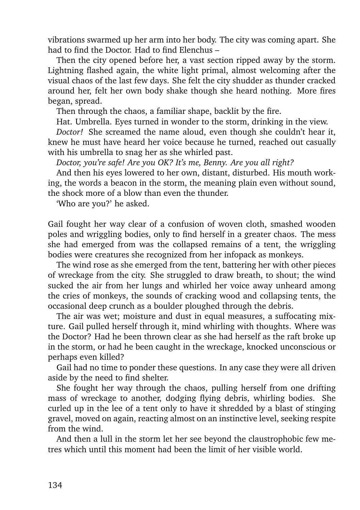vibrations swarmed up her arm into her body. The city was coming apart. She had to find the Doctor. Had to find Elenchus –

Then the city opened before her, a vast section ripped away by the storm. Lightning flashed again, the white light primal, almost welcoming after the visual chaos of the last few days. She felt the city shudder as thunder cracked around her, felt her own body shake though she heard nothing. More fires began, spread.

Then through the chaos, a familiar shape, backlit by the fire.

Hat. Umbrella. Eyes turned in wonder to the storm, drinking in the view.

*Doctor!* She screamed the name aloud, even though she couldn't hear it, knew he must have heard her voice because he turned, reached out casually with his umbrella to snag her as she whirled past.

*Doctor, you're safe! Are you OK? It's me, Benny. Are you all right?*

And then his eyes lowered to her own, distant, disturbed. His mouth working, the words a beacon in the storm, the meaning plain even without sound, the shock more of a blow than even the thunder.

'Who are you?' he asked.

Gail fought her way clear of a confusion of woven cloth, smashed wooden poles and wriggling bodies, only to find herself in a greater chaos. The mess she had emerged from was the collapsed remains of a tent, the wriggling bodies were creatures she recognized from her infopack as monkeys.

The wind rose as she emerged from the tent, battering her with other pieces of wreckage from the city. She struggled to draw breath, to shout; the wind sucked the air from her lungs and whirled her voice away unheard among the cries of monkeys, the sounds of cracking wood and collapsing tents, the occasional deep crunch as a boulder ploughed through the debris.

The air was wet; moisture and dust in equal measures, a suffocating mixture. Gail pulled herself through it, mind whirling with thoughts. Where was the Doctor? Had he been thrown clear as she had herself as the raft broke up in the storm, or had he been caught in the wreckage, knocked unconscious or perhaps even killed?

Gail had no time to ponder these questions. In any case they were all driven aside by the need to find shelter.

She fought her way through the chaos, pulling herself from one drifting mass of wreckage to another, dodging flying debris, whirling bodies. She curled up in the lee of a tent only to have it shredded by a blast of stinging gravel, moved on again, reacting almost on an instinctive level, seeking respite from the wind.

And then a lull in the storm let her see beyond the claustrophobic few metres which until this moment had been the limit of her visible world.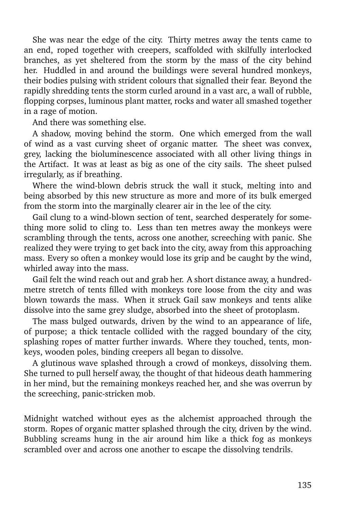She was near the edge of the city. Thirty metres away the tents came to an end, roped together with creepers, scaffolded with skilfully interlocked branches, as yet sheltered from the storm by the mass of the city behind her. Huddled in and around the buildings were several hundred monkeys, their bodies pulsing with strident colours that signalled their fear. Beyond the rapidly shredding tents the storm curled around in a vast arc, a wall of rubble, flopping corpses, luminous plant matter, rocks and water all smashed together in a rage of motion.

And there was something else.

A shadow, moving behind the storm. One which emerged from the wall of wind as a vast curving sheet of organic matter. The sheet was convex, grey, lacking the bioluminescence associated with all other living things in the Artifact. It was at least as big as one of the city sails. The sheet pulsed irregularly, as if breathing.

Where the wind-blown debris struck the wall it stuck, melting into and being absorbed by this new structure as more and more of its bulk emerged from the storm into the marginally clearer air in the lee of the city.

Gail clung to a wind-blown section of tent, searched desperately for something more solid to cling to. Less than ten metres away the monkeys were scrambling through the tents, across one another, screeching with panic. She realized they were trying to get back into the city, away from this approaching mass. Every so often a monkey would lose its grip and be caught by the wind, whirled away into the mass.

Gail felt the wind reach out and grab her. A short distance away, a hundredmetre stretch of tents filled with monkeys tore loose from the city and was blown towards the mass. When it struck Gail saw monkeys and tents alike dissolve into the same grey sludge, absorbed into the sheet of protoplasm.

The mass bulged outwards, driven by the wind to an appearance of life, of purpose; a thick tentacle collided with the ragged boundary of the city, splashing ropes of matter further inwards. Where they touched, tents, monkeys, wooden poles, binding creepers all began to dissolve.

A glutinous wave splashed through a crowd of monkeys, dissolving them. She turned to pull herself away, the thought of that hideous death hammering in her mind, but the remaining monkeys reached her, and she was overrun by the screeching, panic-stricken mob.

Midnight watched without eyes as the alchemist approached through the storm. Ropes of organic matter splashed through the city, driven by the wind. Bubbling screams hung in the air around him like a thick fog as monkeys scrambled over and across one another to escape the dissolving tendrils.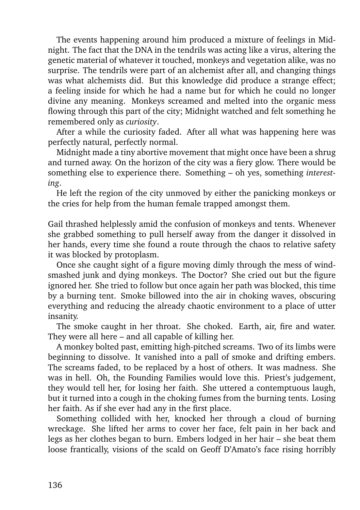The events happening around him produced a mixture of feelings in Midnight. The fact that the DNA in the tendrils was acting like a virus, altering the genetic material of whatever it touched, monkeys and vegetation alike, was no surprise. The tendrils were part of an alchemist after all, and changing things was what alchemists did. But this knowledge did produce a strange effect; a feeling inside for which he had a name but for which he could no longer divine any meaning. Monkeys screamed and melted into the organic mess flowing through this part of the city; Midnight watched and felt something he remembered only as *curiosity*.

After a while the curiosity faded. After all what was happening here was perfectly natural, perfectly normal.

Midnight made a tiny abortive movement that might once have been a shrug and turned away. On the horizon of the city was a fiery glow. There would be something else to experience there. Something – oh yes, something *interesting*.

He left the region of the city unmoved by either the panicking monkeys or the cries for help from the human female trapped amongst them.

Gail thrashed helplessly amid the confusion of monkeys and tents. Whenever she grabbed something to pull herself away from the danger it dissolved in her hands, every time she found a route through the chaos to relative safety it was blocked by protoplasm.

Once she caught sight of a figure moving dimly through the mess of windsmashed junk and dying monkeys. The Doctor? She cried out but the figure ignored her. She tried to follow but once again her path was blocked, this time by a burning tent. Smoke billowed into the air in choking waves, obscuring everything and reducing the already chaotic environment to a place of utter insanity.

The smoke caught in her throat. She choked. Earth, air, fire and water. They were all here – and all capable of killing her.

A monkey bolted past, emitting high-pitched screams. Two of its limbs were beginning to dissolve. It vanished into a pall of smoke and drifting embers. The screams faded, to be replaced by a host of others. It was madness. She was in hell. Oh, the Founding Families would love this. Priest's judgement, they would tell her, for losing her faith. She uttered a contemptuous laugh, but it turned into a cough in the choking fumes from the burning tents. Losing her faith. As if she ever had any in the first place.

Something collided with her, knocked her through a cloud of burning wreckage. She lifted her arms to cover her face, felt pain in her back and legs as her clothes began to burn. Embers lodged in her hair – she beat them loose frantically, visions of the scald on Geoff D'Amato's face rising horribly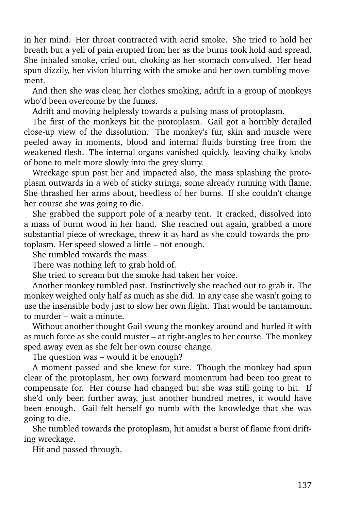in her mind. Her throat contracted with acrid smoke. She tried to hold her breath but a yell of pain erupted from her as the burns took hold and spread. She inhaled smoke, cried out, choking as her stomach convulsed. Her head spun dizzily, her vision blurring with the smoke and her own tumbling movement.

And then she was clear, her clothes smoking, adrift in a group of monkeys who'd been overcome by the fumes.

Adrift and moving helplessly towards a pulsing mass of protoplasm.

The first of the monkeys hit the protoplasm. Gail got a horribly detailed close-up view of the dissolution. The monkey's fur, skin and muscle were peeled away in moments, blood and internal fluids bursting free from the weakened flesh. The internal organs vanished quickly, leaving chalky knobs of bone to melt more slowly into the grey slurry.

Wreckage spun past her and impacted also, the mass splashing the protoplasm outwards in a web of sticky strings, some already running with flame. She thrashed her arms about, heedless of her burns. If she couldn't change her course she was going to die.

She grabbed the support pole of a nearby tent. It cracked, dissolved into a mass of burnt wood in her hand. She reached out again, grabbed a more substantial piece of wreckage, threw it as hard as she could towards the protoplasm. Her speed slowed a little – not enough.

She tumbled towards the mass.

There was nothing left to grab hold of.

She tried to scream but the smoke had taken her voice.

Another monkey tumbled past. Instinctively she reached out to grab it. The monkey weighed only half as much as she did. In any case she wasn't going to use the insensible body just to slow her own flight. That would be tantamount to murder – wait a minute.

Without another thought Gail swung the monkey around and hurled it with as much force as she could muster – at right-angles to her course. The monkey sped away even as she felt her own course change.

The question was – would it be enough?

A moment passed and she knew for sure. Though the monkey had spun clear of the protoplasm, her own forward momentum had been too great to compensate for. Her course had changed but she was still going to hit. If she'd only been further away, just another hundred metres, it would have been enough. Gail felt herself go numb with the knowledge that she was going to die.

She tumbled towards the protoplasm, hit amidst a burst of flame from drifting wreckage.

Hit and passed through.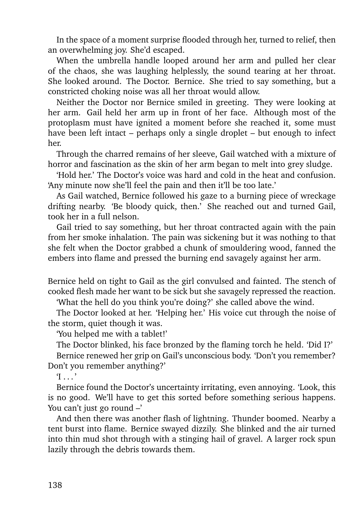In the space of a moment surprise flooded through her, turned to relief, then an overwhelming joy. She'd escaped.

When the umbrella handle looped around her arm and pulled her clear of the chaos, she was laughing helplessly, the sound tearing at her throat. She looked around. The Doctor. Bernice. She tried to say something, but a constricted choking noise was all her throat would allow.

Neither the Doctor nor Bernice smiled in greeting. They were looking at her arm. Gail held her arm up in front of her face. Although most of the protoplasm must have ignited a moment before she reached it, some must have been left intact – perhaps only a single droplet – but enough to infect her.

Through the charred remains of her sleeve, Gail watched with a mixture of horror and fascination as the skin of her arm began to melt into grey sludge.

'Hold her.' The Doctor's voice was hard and cold in the heat and confusion. 'Any minute now she'll feel the pain and then it'll be too late.'

As Gail watched, Bernice followed his gaze to a burning piece of wreckage drifting nearby. 'Be bloody quick, then.' She reached out and turned Gail, took her in a full nelson.

Gail tried to say something, but her throat contracted again with the pain from her smoke inhalation. The pain was sickening but it was nothing to that she felt when the Doctor grabbed a chunk of smouldering wood, fanned the embers into flame and pressed the burning end savagely against her arm.

Bernice held on tight to Gail as the girl convulsed and fainted. The stench of cooked flesh made her want to be sick but she savagely repressed the reaction.

'What the hell do you think you're doing?' she called above the wind.

The Doctor looked at her. 'Helping her.' His voice cut through the noise of the storm, quiet though it was.

'You helped me with a tablet!'

The Doctor blinked, his face bronzed by the flaming torch he held. 'Did I?'

Bernice renewed her grip on Gail's unconscious body. 'Don't you remember? Don't you remember anything?'

'I . . . '

Bernice found the Doctor's uncertainty irritating, even annoying. 'Look, this is no good. We'll have to get this sorted before something serious happens. You can't just go round  $-$ '

And then there was another flash of lightning. Thunder boomed. Nearby a tent burst into flame. Bernice swayed dizzily. She blinked and the air turned into thin mud shot through with a stinging hail of gravel. A larger rock spun lazily through the debris towards them.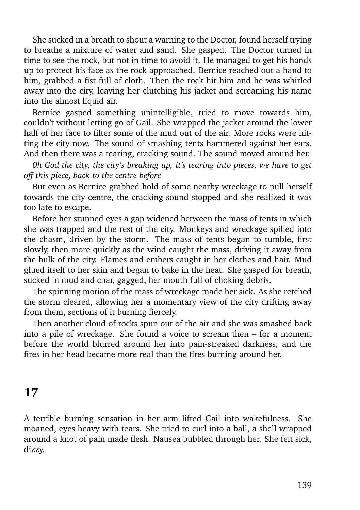She sucked in a breath to shout a warning to the Doctor, found herself trying to breathe a mixture of water and sand. She gasped. The Doctor turned in time to see the rock, but not in time to avoid it. He managed to get his hands up to protect his face as the rock approached. Bernice reached out a hand to him, grabbed a fist full of cloth. Then the rock hit him and he was whirled away into the city, leaving her clutching his jacket and screaming his name into the almost liquid air.

Bernice gasped something unintelligible, tried to move towards him, couldn't without letting go of Gail. She wrapped the jacket around the lower half of her face to filter some of the mud out of the air. More rocks were hitting the city now. The sound of smashing tents hammered against her ears. And then there was a tearing, cracking sound. The sound moved around her.

*0h God the city, the city's breaking up, it's tearing into pieces, we have to get off this piece, back to the centre before –*

But even as Bernice grabbed hold of some nearby wreckage to pull herself towards the city centre, the cracking sound stopped and she realized it was too late to escape.

Before her stunned eyes a gap widened between the mass of tents in which she was trapped and the rest of the city. Monkeys and wreckage spilled into the chasm, driven by the storm. The mass of tents began to tumble, first slowly, then more quickly as the wind caught the mass, driving it away from the bulk of the city. Flames and embers caught in her clothes and hair. Mud glued itself to her skin and began to bake in the heat. She gasped for breath, sucked in mud and char, gagged, her mouth full of choking debris.

The spinning motion of the mass of wreckage made her sick. As she retched the storm cleared, allowing her a momentary view of the city drifting away from them, sections of it burning fiercely.

Then another cloud of rocks spun out of the air and she was smashed back into a pile of wreckage. She found a voice to scream then – for a moment before the world blurred around her into pain-streaked darkness, and the fires in her head became more real than the fires burning around her.

#### **17**

A terrible burning sensation in her arm lifted Gail into wakefulness. She moaned, eyes heavy with tears. She tried to curl into a ball, a shell wrapped around a knot of pain made flesh. Nausea bubbled through her. She felt sick, dizzy.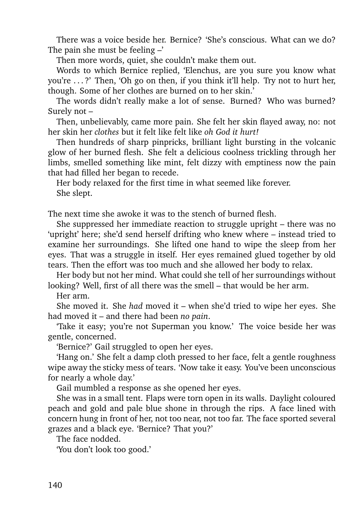There was a voice beside her. Bernice? 'She's conscious. What can we do? The pain she must be feeling  $-$ '

Then more words, quiet, she couldn't make them out.

Words to which Bernice replied, 'Elenchus, are you sure you know what you're . . . ?' Then, 'Oh go on then, if you think it'll help. Try not to hurt her, though. Some of her clothes are burned on to her skin.'

The words didn't really make a lot of sense. Burned? Who was burned? Surely not –

Then, unbelievably, came more pain. She felt her skin flayed away, no: not her skin her *clothes* but it felt like felt like *oh God it hurt!*

Then hundreds of sharp pinpricks, brilliant light bursting in the volcanic glow of her burned flesh. She felt a delicious coolness trickling through her limbs, smelled something like mint, felt dizzy with emptiness now the pain that had filled her began to recede.

Her body relaxed for the first time in what seemed like forever. She slept.

The next time she awoke it was to the stench of burned flesh.

She suppressed her immediate reaction to struggle upright – there was no 'upright' here; she'd send herself drifting who knew where – instead tried to examine her surroundings. She lifted one hand to wipe the sleep from her eyes. That was a struggle in itself. Her eyes remained glued together by old tears. Then the effort was too much and she allowed her body to relax.

Her body but not her mind. What could she tell of her surroundings without looking? Well, first of all there was the smell – that would be her arm.

Her arm.

She moved it. She *had* moved it – when she'd tried to wipe her eyes. She had moved it – and there had been *no pain*.

'Take it easy; you're not Superman you know.' The voice beside her was gentle, concerned.

'Bernice?' Gail struggled to open her eyes.

'Hang on.' She felt a damp cloth pressed to her face, felt a gentle roughness wipe away the sticky mess of tears. 'Now take it easy. You've been unconscious for nearly a whole day.'

Gail mumbled a response as she opened her eyes.

She was in a small tent. Flaps were torn open in its walls. Daylight coloured peach and gold and pale blue shone in through the rips. A face lined with concern hung in front of her, not too near, not too far. The face sported several grazes and a black eye. 'Bernice? That you?'

The face nodded.

'You don't look too good.'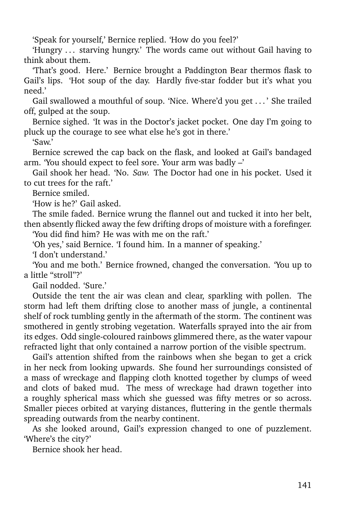'Speak for yourself,' Bernice replied. 'How do you feel?'

'Hungry . . . starving hungry.' The words came out without Gail having to think about them.

'That's good. Here.' Bernice brought a Paddington Bear thermos flask to Gail's lips. 'Hot soup of the day. Hardly five-star fodder but it's what you need.'

Gail swallowed a mouthful of soup. 'Nice. Where'd you get . . . ' She trailed off, gulped at the soup.

Bernice sighed. 'It was in the Doctor's jacket pocket. One day I'm going to pluck up the courage to see what else he's got in there.'

'Saw.'

Bernice screwed the cap back on the flask, and looked at Gail's bandaged arm. 'You should expect to feel sore. Your arm was badly –'

Gail shook her head. 'No. *Saw.* The Doctor had one in his pocket. Used it to cut trees for the raft.'

Bernice smiled.

'How is he?' Gail asked.

The smile faded. Bernice wrung the flannel out and tucked it into her belt, then absently flicked away the few drifting drops of moisture with a forefinger. 'You did find him? He was with me on the raft.'

'Oh yes,' said Bernice. 'I found him. In a manner of speaking.'

'I don't understand.'

'You and me both.' Bernice frowned, changed the conversation. 'You up to a little "stroll"?'

Gail nodded. 'Sure.'

Outside the tent the air was clean and clear, sparkling with pollen. The storm had left them drifting close to another mass of jungle, a continental shelf of rock tumbling gently in the aftermath of the storm. The continent was smothered in gently strobing vegetation. Waterfalls sprayed into the air from its edges. Odd single-coloured rainbows glimmered there, as the water vapour refracted light that only contained a narrow portion of the visible spectrum.

Gail's attention shifted from the rainbows when she began to get a crick in her neck from looking upwards. She found her surroundings consisted of a mass of wreckage and flapping cloth knotted together by clumps of weed and clots of baked mud. The mess of wreckage had drawn together into a roughly spherical mass which she guessed was fifty metres or so across. Smaller pieces orbited at varying distances, fluttering in the gentle thermals spreading outwards from the nearby continent.

As she looked around, Gail's expression changed to one of puzzlement. 'Where's the city?'

Bernice shook her head.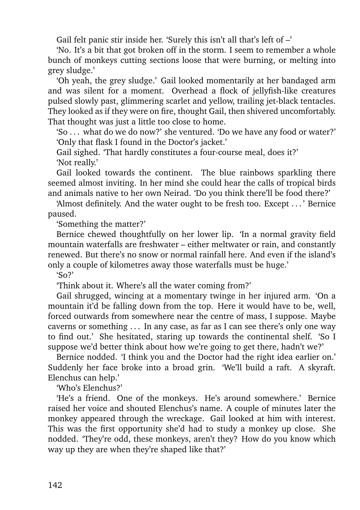Gail felt panic stir inside her. 'Surely this isn't all that's left of –'

'No. It's a bit that got broken off in the storm. I seem to remember a whole bunch of monkeys cutting sections loose that were burning, or melting into grey sludge.'

'Oh yeah, the grey sludge.' Gail looked momentarily at her bandaged arm and was silent for a moment. Overhead a flock of jellyfish-like creatures pulsed slowly past, glimmering scarlet and yellow, trailing jet-black tentacles. They looked as if they were on fire, thought Gail, then shivered uncomfortably. That thought was just a little too close to home.

'So . . . what do we do now?' she ventured. 'Do we have any food or water?' 'Only that flask I found in the Doctor's jacket.'

Gail sighed. 'That hardly constitutes a four-course meal, does it?' 'Not really.'

Gail looked towards the continent. The blue rainbows sparkling there seemed almost inviting. In her mind she could hear the calls of tropical birds and animals native to her own Neirad. 'Do you think there'll be food there?'

'Almost definitely. And the water ought to be fresh too. Except . . . ' Bernice paused.

'Something the matter?'

Bernice chewed thoughtfully on her lower lip. 'In a normal gravity field mountain waterfalls are freshwater – either meltwater or rain, and constantly renewed. But there's no snow or normal rainfall here. And even if the island's only a couple of kilometres away those waterfalls must be huge.'

'So?'

'Think about it. Where's all the water coming from?'

Gail shrugged, wincing at a momentary twinge in her injured arm. 'On a mountain it'd be falling down from the top. Here it would have to be, well, forced outwards from somewhere near the centre of mass, I suppose. Maybe caverns or something . . . In any case, as far as I can see there's only one way to find out.' She hesitated, staring up towards the continental shelf. 'So I suppose we'd better think about how we're going to get there, hadn't we?'

Bernice nodded. 'I think you and the Doctor had the right idea earlier on.' Suddenly her face broke into a broad grin. 'We'll build a raft. A skyraft. Elenchus can help.'

'Who's Elenchus?'

'He's a friend. One of the monkeys. He's around somewhere.' Bernice raised her voice and shouted Elenchus's name. A couple of minutes later the monkey appeared through the wreckage. Gail looked at him with interest. This was the first opportunity she'd had to study a monkey up close. She nodded. 'They're odd, these monkeys, aren't they? How do you know which way up they are when they're shaped like that?'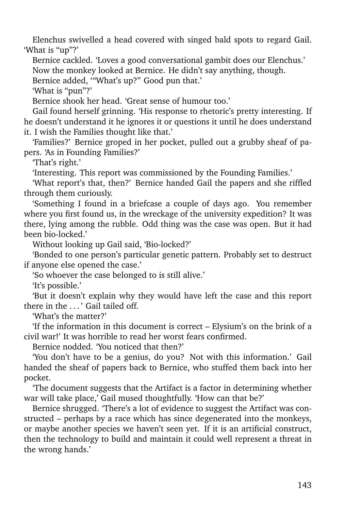Elenchus swivelled a head covered with singed bald spots to regard Gail. 'What is "up"?'

Bernice cackled. 'Loves a good conversational gambit does our Elenchus.' Now the monkey looked at Bernice. He didn't say anything, though.

Bernice added, '"What's up?" Good pun that.'

'What is "pun"?'

Bernice shook her head. 'Great sense of humour too.'

Gail found herself grinning. 'His response to rhetoric's pretty interesting. If he doesn't understand it he ignores it or questions it until he does understand it. I wish the Families thought like that.'

'Families?' Bernice groped in her pocket, pulled out a grubby sheaf of papers. 'As in Founding Families?'

'That's right.'

'Interesting. This report was commissioned by the Founding Families.'

'What report's that, then?' Bernice handed Gail the papers and she riffled through them curiously.

'Something I found in a briefcase a couple of days ago. You remember where you first found us, in the wreckage of the university expedition? It was there, lying among the rubble. Odd thing was the case was open. But it had been bio-locked.'

Without looking up Gail said, 'Bio-locked?'

'Bonded to one person's particular genetic pattern. Probably set to destruct if anyone else opened the case.'

'So whoever the case belonged to is still alive.'

'It's possible.'

'But it doesn't explain why they would have left the case and this report there in the . . . ' Gail tailed off.

'What's the matter?'

'If the information in this document is correct – Elysium's on the brink of a civil war!' It was horrible to read her worst fears confirmed.

Bernice nodded. 'You noticed that then?'

'You don't have to be a genius, do you? Not with this information.' Gail handed the sheaf of papers back to Bernice, who stuffed them back into her pocket.

'The document suggests that the Artifact is a factor in determining whether war will take place,' Gail mused thoughtfully. 'How can that be?'

Bernice shrugged. 'There's a lot of evidence to suggest the Artifact was constructed – perhaps by a race which has since degenerated into the monkeys, or maybe another species we haven't seen yet. If it is an artificial construct, then the technology to build and maintain it could well represent a threat in the wrong hands.'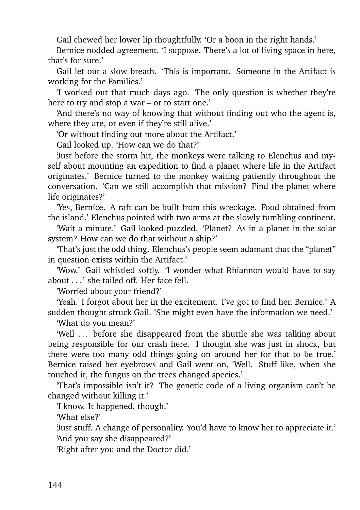Gail chewed her lower lip thoughtfully. 'Or a boon in the right hands.'

Bernice nodded agreement. 'I suppose. There's a lot of living space in here, that's for sure.'

Gail let out a slow breath. 'This is important. Someone in the Artifact is working for the Families.'

'I worked out that much days ago. The only question is whether they're here to try and stop a war – or to start one.'

'And there's no way of knowing that without finding out who the agent is, where they are, or even if they're still alive.'

'Or without finding out more about the Artifact.'

Gail looked up. 'How can we do that?'

'Just before the storm hit, the monkeys were talking to Elenchus and myself about mounting an expedition to find a planet where life in the Artifact originates.' Bernice turned to the monkey waiting patiently throughout the conversation. 'Can we still accomplish that mission? Find the planet where life originates?'

'Yes, Bernice. A raft can be built from this wreckage. Food obtained from the island.' Elenchus pointed with two arms at the slowly tumbling continent.

'Wait a minute.' Gail looked puzzled. 'Planet? As in a planet in the solar system? How can we do that without a ship?'

'That's just the odd thing. Elenchus's people seem adamant that the "planet" in question exists within the Artifact.'

'Wow.' Gail whistled softly. 'I wonder what Rhiannon would have to say about . . . ' she tailed off. Her face fell.

'Worried about your friend?'

'Yeah. I forgot about her in the excitement. I've got to find her, Bernice.' A sudden thought struck Gail. 'She might even have the information we need.'

'What do you mean?'

'Well . . . before she disappeared from the shuttle she was talking about being responsible for our crash here. I thought she was just in shock, but there were too many odd things going on around her for that to be true.' Bernice raised her eyebrows and Gail went on, 'Well. Stuff like, when she touched it, the fungus on the trees changed species.'

'That's impossible isn't it? The genetic code of a living organism can't be changed without killing it.'

'I know. It happened, though.'

'What else?'

'Just stuff. A change of personality. You'd have to know her to appreciate it.' 'And you say she disappeared?'

'Right after you and the Doctor did.'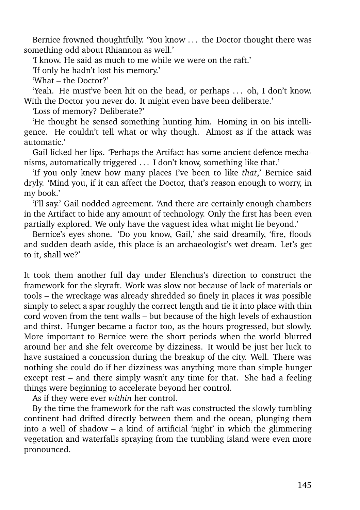Bernice frowned thoughtfully. 'You know . . . the Doctor thought there was something odd about Rhiannon as well.'

'I know. He said as much to me while we were on the raft.'

'If only he hadn't lost his memory.'

'What – the Doctor?'

'Yeah. He must've been hit on the head, or perhaps . . . oh, I don't know. With the Doctor you never do. It might even have been deliberate.'

'Loss of memory? Deliberate?'

'He thought he sensed something hunting him. Homing in on his intelligence. He couldn't tell what or why though. Almost as if the attack was automatic.'

Gail licked her lips. 'Perhaps the Artifact has some ancient defence mechanisms, automatically triggered . . . I don't know, something like that.'

'If you only knew how many places I've been to like *that*,' Bernice said dryly. 'Mind you, if it can affect the Doctor, that's reason enough to worry, in my book.'

'I'll say.' Gail nodded agreement. 'And there are certainly enough chambers in the Artifact to hide any amount of technology. Only the first has been even partially explored. We only have the vaguest idea what might lie beyond.'

Bernice's eyes shone. 'Do you know, Gail,' she said dreamily, 'fire, floods and sudden death aside, this place is an archaeologist's wet dream. Let's get to it, shall we?'

It took them another full day under Elenchus's direction to construct the framework for the skyraft. Work was slow not because of lack of materials or tools – the wreckage was already shredded so finely in places it was possible simply to select a spar roughly the correct length and tie it into place with thin cord woven from the tent walls – but because of the high levels of exhaustion and thirst. Hunger became a factor too, as the hours progressed, but slowly. More important to Bernice were the short periods when the world blurred around her and she felt overcome by dizziness. It would be just her luck to have sustained a concussion during the breakup of the city. Well. There was nothing she could do if her dizziness was anything more than simple hunger except rest – and there simply wasn't any time for that. She had a feeling things were beginning to accelerate beyond her control.

As if they were ever *within* her control.

By the time the framework for the raft was constructed the slowly tumbling continent had drifted directly between them and the ocean, plunging them into a well of shadow – a kind of artificial 'night' in which the glimmering vegetation and waterfalls spraying from the tumbling island were even more pronounced.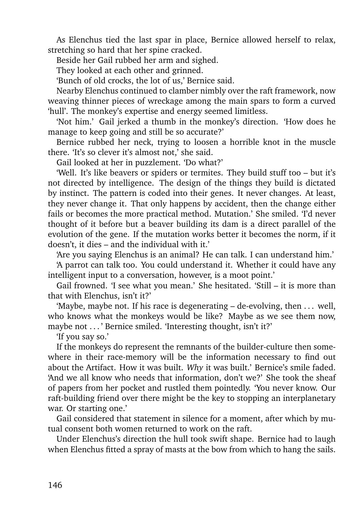As Elenchus tied the last spar in place, Bernice allowed herself to relax, stretching so hard that her spine cracked.

Beside her Gail rubbed her arm and sighed.

They looked at each other and grinned.

'Bunch of old crocks, the lot of us,' Bernice said.

Nearby Elenchus continued to clamber nimbly over the raft framework, now weaving thinner pieces of wreckage among the main spars to form a curved 'hull'. The monkey's expertise and energy seemed limitless.

'Not him.' Gail jerked a thumb in the monkey's direction. 'How does he manage to keep going and still be so accurate?'

Bernice rubbed her neck, trying to loosen a horrible knot in the muscle there. 'It's so clever it's almost not,' she said.

Gail looked at her in puzzlement. 'Do what?'

'Well. It's like beavers or spiders or termites. They build stuff too – but it's not directed by intelligence. The design of the things they build is dictated by instinct. The pattern is coded into their genes. It never changes. At least, they never change it. That only happens by accident, then the change either fails or becomes the more practical method. Mutation.' She smiled. 'I'd never thought of it before but a beaver building its dam is a direct parallel of the evolution of the gene. If the mutation works better it becomes the norm, if it doesn't, it dies – and the individual with it.'

'Are you saying Elenchus is an animal? He can talk. I can understand him.'

'A parrot can talk too. You could understand it. Whether it could have any intelligent input to a conversation, however, is a moot point.'

Gail frowned. 'I see what you mean.' She hesitated. 'Still – it is more than that with Elenchus, isn't it?'

'Maybe, maybe not. If his race is degenerating – de-evolving, then . . . well, who knows what the monkeys would be like? Maybe as we see them now, maybe not ...' Bernice smiled. 'Interesting thought, isn't it?'

'If you say so.'

If the monkeys do represent the remnants of the builder-culture then somewhere in their race-memory will be the information necessary to find out about the Artifact. How it was built. *Why* it was built.' Bernice's smile faded. 'And we all know who needs that information, don't we?' She took the sheaf of papers from her pocket and rustled them pointedly. 'You never know. Our raft-building friend over there might be the key to stopping an interplanetary war. Or starting one.'

Gail considered that statement in silence for a moment, after which by mutual consent both women returned to work on the raft.

Under Elenchus's direction the hull took swift shape. Bernice had to laugh when Elenchus fitted a spray of masts at the bow from which to hang the sails.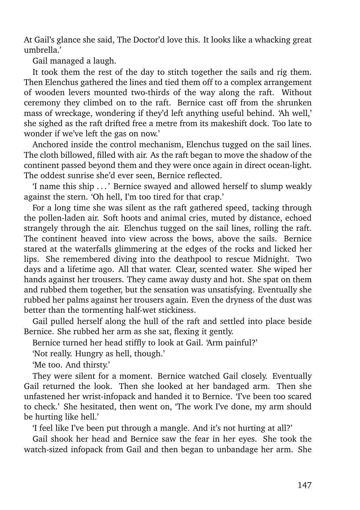At Gail's glance she said, The Doctor'd love this. It looks like a whacking great umbrella.'

Gail managed a laugh.

It took them the rest of the day to stitch together the sails and rig them. Then Elenchus gathered the lines and tied them off to a complex arrangement of wooden levers mounted two-thirds of the way along the raft. Without ceremony they climbed on to the raft. Bernice cast off from the shrunken mass of wreckage, wondering if they'd left anything useful behind. 'Ah well,' she sighed as the raft drifted free a metre from its makeshift dock. Too late to wonder if we've left the gas on now.'

Anchored inside the control mechanism, Elenchus tugged on the sail lines. The cloth billowed, filled with air. As the raft began to move the shadow of the continent passed beyond them and they were once again in direct ocean-light. The oddest sunrise she'd ever seen, Bernice reflected.

'I name this ship . . . ' Bernice swayed and allowed herself to slump weakly against the stern. 'Oh hell, I'm too tired for that crap.'

For a long time she was silent as the raft gathered speed, tacking through the pollen-laden air. Soft hoots and animal cries, muted by distance, echoed strangely through the air. Elenchus tugged on the sail lines, rolling the raft. The continent heaved into view across the bows, above the sails. Bernice stared at the waterfalls glimmering at the edges of the rocks and licked her lips. She remembered diving into the deathpool to rescue Midnight. Two days and a lifetime ago. All that water. Clear, scented water. She wiped her hands against her trousers. They came away dusty and hot. She spat on them and rubbed them together, but the sensation was unsatisfying. Eventually she rubbed her palms against her trousers again. Even the dryness of the dust was better than the tormenting half-wet stickiness.

Gail pulled herself along the hull of the raft and settled into place beside Bernice. She rubbed her arm as she sat, flexing it gently.

Bernice turned her head stiffly to look at Gail. 'Arm painful?'

'Not really. Hungry as hell, though.'

'Me too. And thirsty.'

They were silent for a moment. Bernice watched Gail closely. Eventually Gail returned the look. Then she looked at her bandaged arm. Then she unfastened her wrist-infopack and handed it to Bernice. 'I've been too scared to check.' She hesitated, then went on, 'The work I've done, my arm should be hurting like hell.'

'I feel like I've been put through a mangle. And it's not hurting at all?'

Gail shook her head and Bernice saw the fear in her eyes. She took the watch-sized infopack from Gail and then began to unbandage her arm. She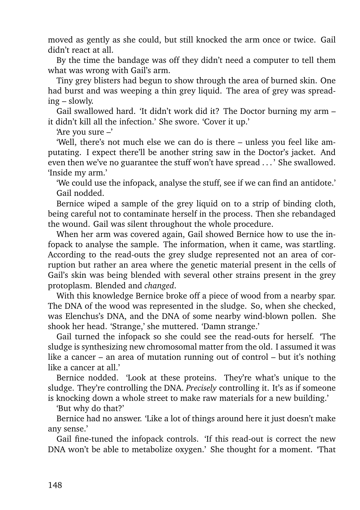moved as gently as she could, but still knocked the arm once or twice. Gail didn't react at all.

By the time the bandage was off they didn't need a computer to tell them what was wrong with Gail's arm.

Tiny grey blisters had begun to show through the area of burned skin. One had burst and was weeping a thin grey liquid. The area of grey was spreading – slowly.

Gail swallowed hard. 'It didn't work did it? The Doctor burning my arm – it didn't kill all the infection.' She swore. 'Cover it up.'

'Are you sure –'

'Well, there's not much else we can do is there – unless you feel like amputating. I expect there'll be another string saw in the Doctor's jacket. And even then we've no guarantee the stuff won't have spread . . . ' She swallowed. 'Inside my arm.'

'We could use the infopack, analyse the stuff, see if we can find an antidote.' Gail nodded.

Bernice wiped a sample of the grey liquid on to a strip of binding cloth, being careful not to contaminate herself in the process. Then she rebandaged the wound. Gail was silent throughout the whole procedure.

When her arm was covered again, Gail showed Bernice how to use the infopack to analyse the sample. The information, when it came, was startling. According to the read-outs the grey sludge represented not an area of corruption but rather an area where the genetic material present in the cells of Gail's skin was being blended with several other strains present in the grey protoplasm. Blended and *changed*.

With this knowledge Bernice broke off a piece of wood from a nearby spar. The DNA of the wood was represented in the sludge. So, when she checked, was Elenchus's DNA, and the DNA of some nearby wind-blown pollen. She shook her head. 'Strange,' she muttered. 'Damn strange.'

Gail turned the infopack so she could see the read-outs for herself. 'The sludge is synthesizing new chromosomal matter from the old. I assumed it was like a cancer – an area of mutation running out of control – but it's nothing like a cancer at all.'

Bernice nodded. 'Look at these proteins. They're what's unique to the sludge. They're controlling the DNA. *Precisely* controlling it. It's as if someone is knocking down a whole street to make raw materials for a new building.'

'But why do that?'

Bernice had no answer. 'Like a lot of things around here it just doesn't make any sense.'

Gail fine-tuned the infopack controls. 'If this read-out is correct the new DNA won't be able to metabolize oxygen.' She thought for a moment. 'That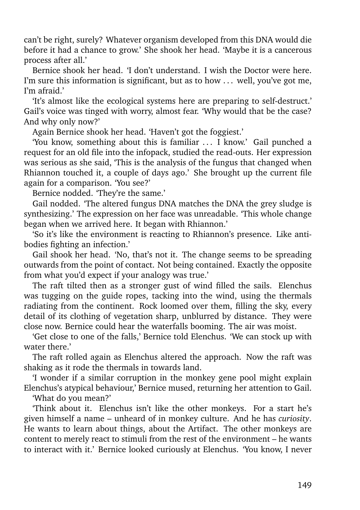can't be right, surely? Whatever organism developed from this DNA would die before it had a chance to grow.' She shook her head. 'Maybe it is a cancerous process after all.'

Bernice shook her head. 'I don't understand. I wish the Doctor were here. I'm sure this information is significant, but as to how ... well, you've got me, I'm afraid.'

'It's almost like the ecological systems here are preparing to self-destruct.' Gail's voice was tinged with worry, almost fear. 'Why would that be the case? And why only now?'

Again Bernice shook her head. 'Haven't got the foggiest.'

'You know, something about this is familiar . . . I know.' Gail punched a request for an old file into the infopack, studied the read-outs. Her expression was serious as she said, 'This is the analysis of the fungus that changed when Rhiannon touched it, a couple of days ago.' She brought up the current file again for a comparison. 'You see?'

Bernice nodded. 'They're the same.'

Gail nodded. 'The altered fungus DNA matches the DNA the grey sludge is synthesizing.' The expression on her face was unreadable. 'This whole change began when we arrived here. It began with Rhiannon.'

'So it's like the environment is reacting to Rhiannon's presence. Like antibodies fighting an infection.'

Gail shook her head. 'No, that's not it. The change seems to be spreading outwards from the point of contact. Not being contained. Exactly the opposite from what you'd expect if your analogy was true.'

The raft tilted then as a stronger gust of wind filled the sails. Elenchus was tugging on the guide ropes, tacking into the wind, using the thermals radiating from the continent. Rock loomed over them, filling the sky, every detail of its clothing of vegetation sharp, unblurred by distance. They were close now. Bernice could hear the waterfalls booming. The air was moist.

'Get close to one of the falls,' Bernice told Elenchus. 'We can stock up with water there.'

The raft rolled again as Elenchus altered the approach. Now the raft was shaking as it rode the thermals in towards land.

'I wonder if a similar corruption in the monkey gene pool might explain Elenchus's atypical behaviour,' Bernice mused, returning her attention to Gail.

'What do you mean?'

'Think about it. Elenchus isn't like the other monkeys. For a start he's given himself a name – unheard of in monkey culture. And he has *curiosity*. He wants to learn about things, about the Artifact. The other monkeys are content to merely react to stimuli from the rest of the environment – he wants to interact with it.' Bernice looked curiously at Elenchus. 'You know, I never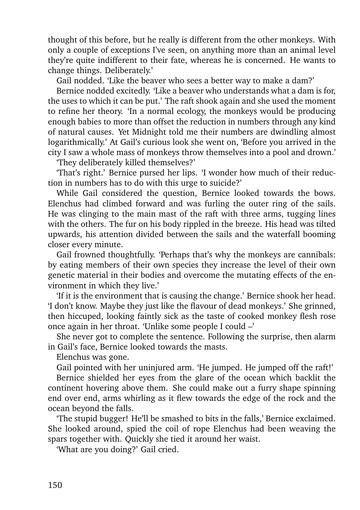thought of this before, but he really is different from the other monkeys. With only a couple of exceptions I've seen, on anything more than an animal level they're quite indifferent to their fate, whereas he is concerned. He wants to change things. Deliberately.'

Gail nodded. 'Like the beaver who sees a better way to make a dam?'

Bernice nodded excitedly. 'Like a beaver who understands what a dam is for, the uses to which it can be put.' The raft shook again and she used the moment to refine her theory. 'In a normal ecology, the monkeys would be producing enough babies to more than offset the reduction in numbers through any kind of natural causes. Yet Midnight told me their numbers are dwindling almost logarithmically.' At Gail's curious look she went on, 'Before you arrived in the city I saw a whole mass of monkeys throw themselves into a pool and drown.'

'They deliberately killed themselves?'

'That's right.' Bernice pursed her lips. 'I wonder how much of their reduction in numbers has to do with this urge to suicide?'

While Gail considered the question, Bernice looked towards the bows. Elenchus had climbed forward and was furling the outer ring of the sails. He was clinging to the main mast of the raft with three arms, tugging lines with the others. The fur on his body rippled in the breeze. His head was tilted upwards, his attention divided between the sails and the waterfall booming closer every minute.

Gail frowned thoughtfully. 'Perhaps that's why the monkeys are cannibals: by eating members of their own species they increase the level of their own genetic material in their bodies and overcome the mutating effects of the environment in which they live.'

'If it is the environment that is causing the change.' Bernice shook her head. 'I don't know. Maybe they just like the flavour of dead monkeys.' She grinned, then hiccuped, looking faintly sick as the taste of cooked monkey flesh rose once again in her throat. 'Unlike some people I could –'

She never got to complete the sentence. Following the surprise, then alarm in Gail's face, Bernice looked towards the masts.

Elenchus was gone.

Gail pointed with her uninjured arm. 'He jumped. He jumped off the raft!' Bernice shielded her eyes from the glare of the ocean which backlit the continent hovering above them. She could make out a furry shape spinning end over end, arms whirling as it flew towards the edge of the rock and the ocean beyond the falls.

'The stupid bugger! He'll be smashed to bits in the falls,' Bernice exclaimed. She looked around, spied the coil of rope Elenchus had been weaving the spars together with. Quickly she tied it around her waist.

'What are you doing?' Gail cried.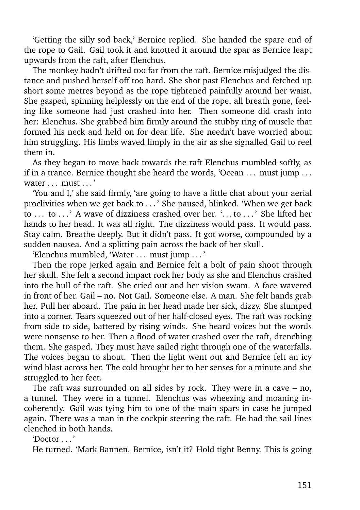'Getting the silly sod back,' Bernice replied. She handed the spare end of the rope to Gail. Gail took it and knotted it around the spar as Bernice leapt upwards from the raft, after Elenchus.

The monkey hadn't drifted too far from the raft. Bernice misjudged the distance and pushed herself off too hard. She shot past Elenchus and fetched up short some metres beyond as the rope tightened painfully around her waist. She gasped, spinning helplessly on the end of the rope, all breath gone, feeling like someone had just crashed into her. Then someone did crash into her: Elenchus. She grabbed him firmly around the stubby ring of muscle that formed his neck and held on for dear life. She needn't have worried about him struggling. His limbs waved limply in the air as she signalled Gail to reel them in.

As they began to move back towards the raft Elenchus mumbled softly, as if in a trance. Bernice thought she heard the words, 'Ocean . . . must jump . . . water . . . must . . . '

'You and I,' she said firmly, 'are going to have a little chat about your aerial proclivities when we get back to . . . ' She paused, blinked. 'When we get back to . . . to . . . ' A wave of dizziness crashed over her. '. . . to . . . ' She lifted her hands to her head. It was all right. The dizziness would pass. It would pass. Stay calm. Breathe deeply. But it didn't pass. It got worse, compounded by a sudden nausea. And a splitting pain across the back of her skull.

'Elenchus mumbled, 'Water . . . must jump . . . '

Then the rope jerked again and Bernice felt a bolt of pain shoot through her skull. She felt a second impact rock her body as she and Elenchus crashed into the hull of the raft. She cried out and her vision swam. A face wavered in front of her. Gail – no. Not Gail. Someone else. A man. She felt hands grab her. Pull her aboard. The pain in her head made her sick, dizzy. She slumped into a corner. Tears squeezed out of her half-closed eyes. The raft was rocking from side to side, battered by rising winds. She heard voices but the words were nonsense to her. Then a flood of water crashed over the raft, drenching them. She gasped. They must have sailed right through one of the waterfalls. The voices began to shout. Then the light went out and Bernice felt an icy wind blast across her. The cold brought her to her senses for a minute and she struggled to her feet.

The raft was surrounded on all sides by rock. They were in a cave  $-$  no, a tunnel. They were in a tunnel. Elenchus was wheezing and moaning incoherently. Gail was tying him to one of the main spars in case he jumped again. There was a man in the cockpit steering the raft. He had the sail lines clenched in both hands.

'Doctor . . . '

He turned. 'Mark Bannen. Bernice, isn't it? Hold tight Benny. This is going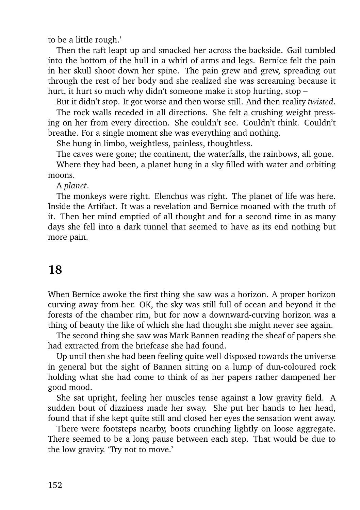to be a little rough.'

Then the raft leapt up and smacked her across the backside. Gail tumbled into the bottom of the hull in a whirl of arms and legs. Bernice felt the pain in her skull shoot down her spine. The pain grew and grew, spreading out through the rest of her body and she realized she was screaming because it hurt, it hurt so much why didn't someone make it stop hurting, stop –

But it didn't stop. It got worse and then worse still. And then reality *twisted*.

The rock walls receded in all directions. She felt a crushing weight pressing on her from every direction. She couldn't see. Couldn't think. Couldn't breathe. For a single moment she was everything and nothing.

She hung in limbo, weightless, painless, thoughtless.

The caves were gone; the continent, the waterfalls, the rainbows, all gone.

Where they had been, a planet hung in a sky filled with water and orbiting moons.

A *planet*.

The monkeys were right. Elenchus was right. The planet of life was here. Inside the Artifact. It was a revelation and Bernice moaned with the truth of it. Then her mind emptied of all thought and for a second time in as many days she fell into a dark tunnel that seemed to have as its end nothing but more pain.

### **18**

When Bernice awoke the first thing she saw was a horizon. A proper horizon curving away from her. OK, the sky was still full of ocean and beyond it the forests of the chamber rim, but for now a downward-curving horizon was a thing of beauty the like of which she had thought she might never see again.

The second thing she saw was Mark Bannen reading the sheaf of papers she had extracted from the briefcase she had found.

Up until then she had been feeling quite well-disposed towards the universe in general but the sight of Bannen sitting on a lump of dun-coloured rock holding what she had come to think of as her papers rather dampened her good mood.

She sat upright, feeling her muscles tense against a low gravity field. A sudden bout of dizziness made her sway. She put her hands to her head, found that if she kept quite still and closed her eyes the sensation went away.

There were footsteps nearby, boots crunching lightly on loose aggregate. There seemed to be a long pause between each step. That would be due to the low gravity. 'Try not to move.'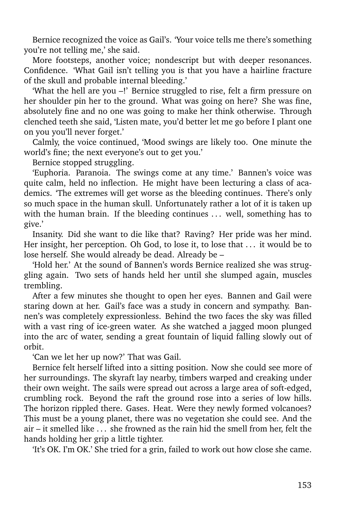Bernice recognized the voice as Gail's. 'Your voice tells me there's something you're not telling me,' she said.

More footsteps, another voice; nondescript but with deeper resonances. Confidence. 'What Gail isn't telling you is that you have a hairline fracture of the skull and probable internal bleeding.'

'What the hell are you –!' Bernice struggled to rise, felt a firm pressure on her shoulder pin her to the ground. What was going on here? She was fine, absolutely fine and no one was going to make her think otherwise. Through clenched teeth she said, 'Listen mate, you'd better let me go before I plant one on you you'll never forget.'

Calmly, the voice continued, 'Mood swings are likely too. One minute the world's fine; the next everyone's out to get you.'

Bernice stopped struggling.

'Euphoria. Paranoia. The swings come at any time.' Bannen's voice was quite calm, held no inflection. He might have been lecturing a class of academics. 'The extremes will get worse as the bleeding continues. There's only so much space in the human skull. Unfortunately rather a lot of it is taken up with the human brain. If the bleeding continues  $\ldots$  well, something has to give.'

Insanity. Did she want to die like that? Raving? Her pride was her mind. Her insight, her perception. Oh God, to lose it, to lose that . . . it would be to lose herself. She would already be dead. Already be -

'Hold her.' At the sound of Bannen's words Bernice realized she was struggling again. Two sets of hands held her until she slumped again, muscles trembling.

After a few minutes she thought to open her eyes. Bannen and Gail were staring down at her. Gail's face was a study in concern and sympathy. Bannen's was completely expressionless. Behind the two faces the sky was filled with a vast ring of ice-green water. As she watched a jagged moon plunged into the arc of water, sending a great fountain of liquid falling slowly out of orbit.

'Can we let her up now?' That was Gail.

Bernice felt herself lifted into a sitting position. Now she could see more of her surroundings. The skyraft lay nearby, timbers warped and creaking under their own weight. The sails were spread out across a large area of soft-edged, crumbling rock. Beyond the raft the ground rose into a series of low hills. The horizon rippled there. Gases. Heat. Were they newly formed volcanoes? This must be a young planet, there was no vegetation she could see. And the air – it smelled like  $\ldots$  she frowned as the rain hid the smell from her, felt the hands holding her grip a little tighter.

'It's OK. I'm OK.' She tried for a grin, failed to work out how close she came.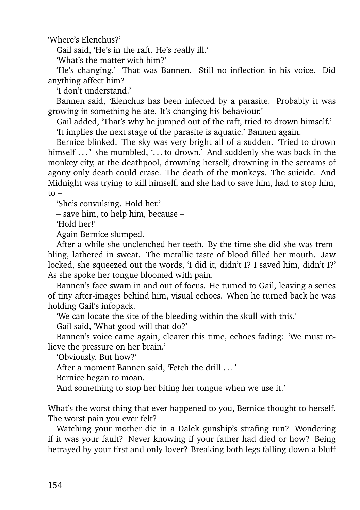'Where's Elenchus?'

Gail said, 'He's in the raft. He's really ill.'

'What's the matter with him?'

'He's changing.' That was Bannen. Still no inflection in his voice. Did anything affect him?

'I don't understand.'

Bannen said, 'Elenchus has been infected by a parasite. Probably it was growing in something he ate. It's changing his behaviour.'

Gail added, 'That's why he jumped out of the raft, tried to drown himself.'

'It implies the next stage of the parasite is aquatic.' Bannen again.

Bernice blinked. The sky was very bright all of a sudden. 'Tried to drown himself ...' she mumbled, '... to drown.' And suddenly she was back in the monkey city, at the deathpool, drowning herself, drowning in the screams of agony only death could erase. The death of the monkeys. The suicide. And Midnight was trying to kill himself, and she had to save him, had to stop him,  $to -$ 

'She's convulsing. Hold her.'

– save him, to help him, because –

'Hold her!'

Again Bernice slumped.

After a while she unclenched her teeth. By the time she did she was trembling, lathered in sweat. The metallic taste of blood filled her mouth. Jaw locked, she squeezed out the words, 'I did it, didn't I? I saved him, didn't I?' As she spoke her tongue bloomed with pain.

Bannen's face swam in and out of focus. He turned to Gail, leaving a series of tiny after-images behind him, visual echoes. When he turned back he was holding Gail's infopack.

'We can locate the site of the bleeding within the skull with this.'

Gail said, 'What good will that do?'

Bannen's voice came again, clearer this time, echoes fading: 'We must relieve the pressure on her brain.'

'Obviously. But how?'

After a moment Bannen said, 'Fetch the drill . . . '

Bernice began to moan.

'And something to stop her biting her tongue when we use it.'

What's the worst thing that ever happened to you, Bernice thought to herself. The worst pain you ever felt?

Watching your mother die in a Dalek gunship's strafing run? Wondering if it was your fault? Never knowing if your father had died or how? Being betrayed by your first and only lover? Breaking both legs falling down a bluff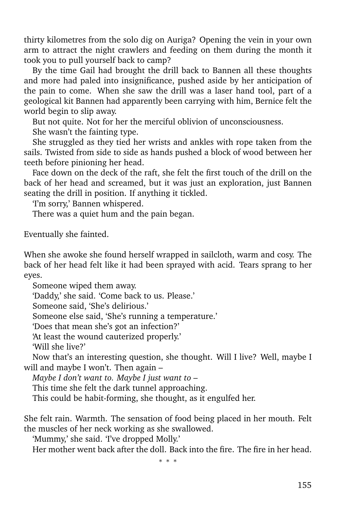thirty kilometres from the solo dig on Auriga? Opening the vein in your own arm to attract the night crawlers and feeding on them during the month it took you to pull yourself back to camp?

By the time Gail had brought the drill back to Bannen all these thoughts and more had paled into insignificance, pushed aside by her anticipation of the pain to come. When she saw the drill was a laser hand tool, part of a geological kit Bannen had apparently been carrying with him, Bernice felt the world begin to slip away.

But not quite. Not for her the merciful oblivion of unconsciousness.

She wasn't the fainting type.

She struggled as they tied her wrists and ankles with rope taken from the sails. Twisted from side to side as hands pushed a block of wood between her teeth before pinioning her head.

Face down on the deck of the raft, she felt the first touch of the drill on the back of her head and screamed, but it was just an exploration, just Bannen seating the drill in position. If anything it tickled.

'I'm sorry,' Bannen whispered.

There was a quiet hum and the pain began.

Eventually she fainted.

When she awoke she found herself wrapped in sailcloth, warm and cosy. The back of her head felt like it had been sprayed with acid. Tears sprang to her eyes.

Someone wiped them away. 'Daddy,' she said. 'Come back to us. Please.'

Someone said, 'She's delirious.'

Someone else said, 'She's running a temperature.'

'Does that mean she's got an infection?'

'At least the wound cauterized properly.'

'Will she live?'

Now that's an interesting question, she thought. Will I live? Well, maybe I will and maybe I won't. Then again –

*Maybe I don't want to. Maybe I just want to –*

This time she felt the dark tunnel approaching.

This could be habit-forming, she thought, as it engulfed her.

She felt rain. Warmth. The sensation of food being placed in her mouth. Felt the muscles of her neck working as she swallowed.

'Mummy,' she said. 'I've dropped Molly.'

Her mother went back after the doll. Back into the fire. The fire in her head.

∗ ∗ ∗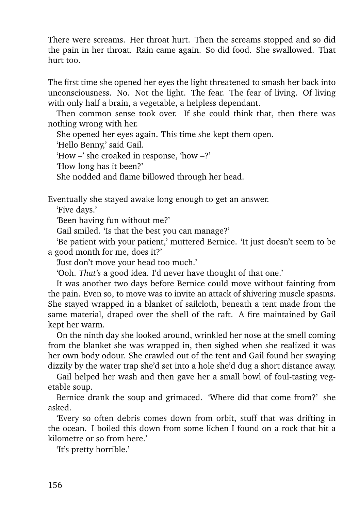There were screams. Her throat hurt. Then the screams stopped and so did the pain in her throat. Rain came again. So did food. She swallowed. That hurt too.

The first time she opened her eyes the light threatened to smash her back into unconsciousness. No. Not the light. The fear. The fear of living. Of living with only half a brain, a vegetable, a helpless dependant.

Then common sense took over. If she could think that, then there was nothing wrong with her.

She opened her eyes again. This time she kept them open.

'Hello Benny,' said Gail.

'How –' she croaked in response, 'how –?'

'How long has it been?'

She nodded and flame billowed through her head.

Eventually she stayed awake long enough to get an answer.

'Five days.'

'Been having fun without me?'

Gail smiled. 'Is that the best you can manage?'

'Be patient with your patient,' muttered Bernice. 'It just doesn't seem to be a good month for me, does it?'

'Just don't move your head too much.'

'Ooh. *That's* a good idea. I'd never have thought of that one.'

It was another two days before Bernice could move without fainting from the pain. Even so, to move was to invite an attack of shivering muscle spasms. She stayed wrapped in a blanket of sailcloth, beneath a tent made from the same material, draped over the shell of the raft. A fire maintained by Gail kept her warm.

On the ninth day she looked around, wrinkled her nose at the smell coming from the blanket she was wrapped in, then sighed when she realized it was her own body odour. She crawled out of the tent and Gail found her swaying dizzily by the water trap she'd set into a hole she'd dug a short distance away.

Gail helped her wash and then gave her a small bowl of foul-tasting vegetable soup.

Bernice drank the soup and grimaced. 'Where did that come from?' she asked.

'Every so often debris comes down from orbit, stuff that was drifting in the ocean. I boiled this down from some lichen I found on a rock that hit a kilometre or so from here.'

'It's pretty horrible.'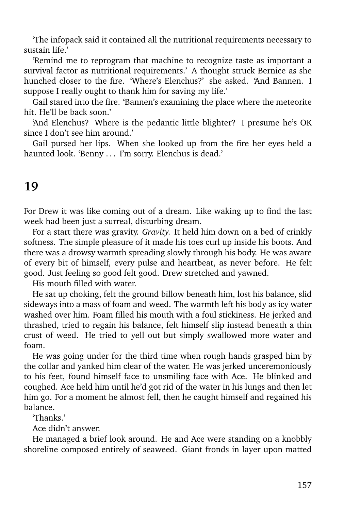'The infopack said it contained all the nutritional requirements necessary to sustain life.'

'Remind me to reprogram that machine to recognize taste as important a survival factor as nutritional requirements.' A thought struck Bernice as she hunched closer to the fire. 'Where's Elenchus?' she asked. 'And Bannen. I suppose I really ought to thank him for saving my life.'

Gail stared into the fire. 'Bannen's examining the place where the meteorite hit. He'll be back soon.'

'And Elenchus? Where is the pedantic little blighter? I presume he's OK since I don't see him around.'

Gail pursed her lips. When she looked up from the fire her eyes held a haunted look. 'Benny . . . I'm sorry. Elenchus is dead.'

### **19**

For Drew it was like coming out of a dream. Like waking up to find the last week had been just a surreal, disturbing dream.

For a start there was gravity. *Gravity.* It held him down on a bed of crinkly softness. The simple pleasure of it made his toes curl up inside his boots. And there was a drowsy warmth spreading slowly through his body. He was aware of every bit of himself, every pulse and heartbeat, as never before. He felt good. Just feeling so good felt good. Drew stretched and yawned.

His mouth filled with water.

He sat up choking, felt the ground billow beneath him, lost his balance, slid sideways into a mass of foam and weed. The warmth left his body as icy water washed over him. Foam filled his mouth with a foul stickiness. He jerked and thrashed, tried to regain his balance, felt himself slip instead beneath a thin crust of weed. He tried to yell out but simply swallowed more water and foam.

He was going under for the third time when rough hands grasped him by the collar and yanked him clear of the water. He was jerked unceremoniously to his feet, found himself face to unsmiling face with Ace. He blinked and coughed. Ace held him until he'd got rid of the water in his lungs and then let him go. For a moment he almost fell, then he caught himself and regained his balance.

'Thanks.'

Ace didn't answer.

He managed a brief look around. He and Ace were standing on a knobbly shoreline composed entirely of seaweed. Giant fronds in layer upon matted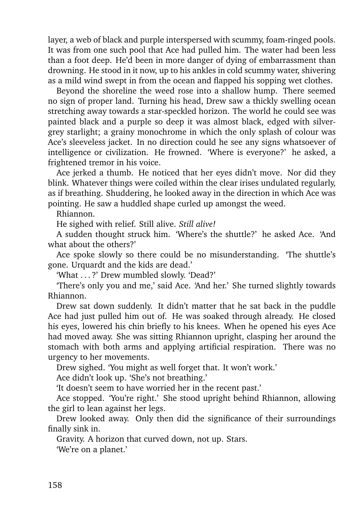layer, a web of black and purple interspersed with scummy, foam-ringed pools. It was from one such pool that Ace had pulled him. The water had been less than a foot deep. He'd been in more danger of dying of embarrassment than drowning. He stood in it now, up to his ankles in cold scummy water, shivering as a mild wind swept in from the ocean and flapped his sopping wet clothes.

Beyond the shoreline the weed rose into a shallow hump. There seemed no sign of proper land. Turning his head, Drew saw a thickly swelling ocean stretching away towards a star-speckled horizon. The world he could see was painted black and a purple so deep it was almost black, edged with silvergrey starlight; a grainy monochrome in which the only splash of colour was Ace's sleeveless jacket. In no direction could he see any signs whatsoever of intelligence or civilization. He frowned. 'Where is everyone?' he asked, a frightened tremor in his voice.

Ace jerked a thumb. He noticed that her eyes didn't move. Nor did they blink. Whatever things were coiled within the clear irises undulated regularly, as if breathing. Shuddering, he looked away in the direction in which Ace was pointing. He saw a huddled shape curled up amongst the weed.

Rhiannon.

He sighed with relief. Still alive. *Still alive!*

A sudden thought struck him. 'Where's the shuttle?' he asked Ace. 'And what about the others?'

Ace spoke slowly so there could be no misunderstanding. 'The shuttle's gone. Urquardt and the kids are dead.'

'What . . . ?' Drew mumbled slowly. 'Dead?'

'There's only you and me,' said Ace. 'And her.' She turned slightly towards Rhiannon.

Drew sat down suddenly. It didn't matter that he sat back in the puddle Ace had just pulled him out of. He was soaked through already. He closed his eyes, lowered his chin briefly to his knees. When he opened his eyes Ace had moved away. She was sitting Rhiannon upright, clasping her around the stomach with both arms and applying artificial respiration. There was no urgency to her movements.

Drew sighed. 'You might as well forget that. It won't work.'

Ace didn't look up. 'She's not breathing.'

'It doesn't seem to have worried her in the recent past.'

Ace stopped. 'You're right.' She stood upright behind Rhiannon, allowing the girl to lean against her legs.

Drew looked away. Only then did the significance of their surroundings finally sink in.

Gravity. A horizon that curved down, not up. Stars.

'We're on a planet.'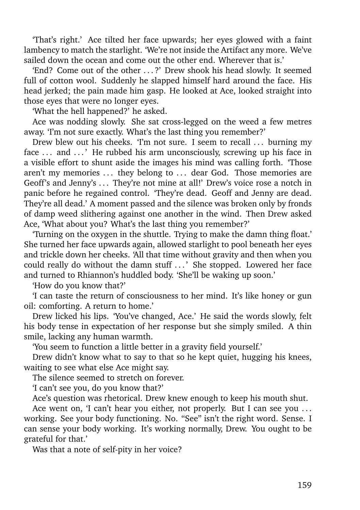'That's right.' Ace tilted her face upwards; her eyes glowed with a faint lambency to match the starlight. 'We're not inside the Artifact any more. We've sailed down the ocean and come out the other end. Wherever that is.'

'End? Come out of the other . . . ?' Drew shook his head slowly. It seemed full of cotton wool. Suddenly he slapped himself hard around the face. His head jerked; the pain made him gasp. He looked at Ace, looked straight into those eyes that were no longer eyes.

'What the hell happened?' he asked.

Ace was nodding slowly. She sat cross-legged on the weed a few metres away. 'I'm not sure exactly. What's the last thing you remember?'

Drew blew out his cheeks. 'I'm not sure. I seem to recall ... burning my face ... and ...' He rubbed his arm unconsciously, screwing up his face in a visible effort to shunt aside the images his mind was calling forth. 'Those aren't my memories ... they belong to ... dear God. Those memories are Geoff's and Jenny's . . . They're not mine at all!' Drew's voice rose a notch in panic before he regained control. 'They're dead. Geoff and Jenny are dead. They're all dead.' A moment passed and the silence was broken only by fronds of damp weed slithering against one another in the wind. Then Drew asked Ace, 'What about you? What's the last thing you remember?'

'Turning on the oxygen in the shuttle. Trying to make the damn thing float.' She turned her face upwards again, allowed starlight to pool beneath her eyes and trickle down her cheeks. 'All that time without gravity and then when you could really do without the damn stuff ...' She stopped. Lowered her face and turned to Rhiannon's huddled body. 'She'll be waking up soon.'

'How do you know that?'

'I can taste the return of consciousness to her mind. It's like honey or gun oil: comforting. A return to home.'

Drew licked his lips. 'You've changed, Ace.' He said the words slowly, felt his body tense in expectation of her response but she simply smiled. A thin smile, lacking any human warmth.

'You seem to function a little better in a gravity field yourself.'

Drew didn't know what to say to that so he kept quiet, hugging his knees, waiting to see what else Ace might say.

The silence seemed to stretch on forever.

'I can't see you, do you know that?'

Ace's question was rhetorical. Drew knew enough to keep his mouth shut.

Ace went on, 'I can't hear you either, not properly. But I can see you ... working. See your body functioning. No. "See" isn't the right word. Sense. I can sense your body working. It's working normally, Drew. You ought to be grateful for that.'

Was that a note of self-pity in her voice?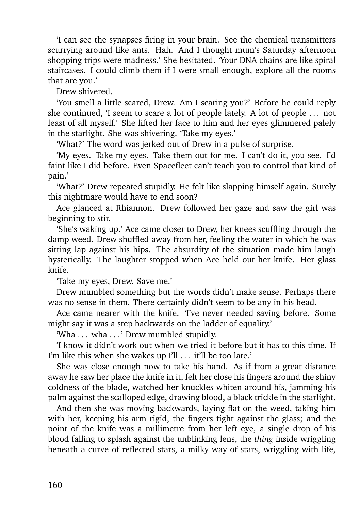'I can see the synapses firing in your brain. See the chemical transmitters scurrying around like ants. Hah. And I thought mum's Saturday afternoon shopping trips were madness.' She hesitated. 'Your DNA chains are like spiral staircases. I could climb them if I were small enough, explore all the rooms that are you.'

Drew shivered.

'You smell a little scared, Drew. Am I scaring you?' Before he could reply she continued, 'I seem to scare a lot of people lately. A lot of people . . . not least of all myself.' She lifted her face to him and her eyes glimmered palely in the starlight. She was shivering. 'Take my eyes.'

'What?' The word was jerked out of Drew in a pulse of surprise.

'My eyes. Take my eyes. Take them out for me. I can't do it, you see. I'd faint like I did before. Even Spacefleet can't teach you to control that kind of pain.'

'What?' Drew repeated stupidly. He felt like slapping himself again. Surely this nightmare would have to end soon?

Ace glanced at Rhiannon. Drew followed her gaze and saw the girl was beginning to stir.

'She's waking up.' Ace came closer to Drew, her knees scuffling through the damp weed. Drew shuffled away from her, feeling the water in which he was sitting lap against his hips. The absurdity of the situation made him laugh hysterically. The laughter stopped when Ace held out her knife. Her glass knife.

'Take my eyes, Drew. Save me.'

Drew mumbled something but the words didn't make sense. Perhaps there was no sense in them. There certainly didn't seem to be any in his head.

Ace came nearer with the knife. 'I've never needed saving before. Some might say it was a step backwards on the ladder of equality.'

'Wha . . . wha . . . ' Drew mumbled stupidly.

'I know it didn't work out when we tried it before but it has to this time. If I'm like this when she wakes up I'll . . . it'll be too late.'

She was close enough now to take his hand. As if from a great distance away he saw her place the knife in it, felt her close his fingers around the shiny coldness of the blade, watched her knuckles whiten around his, jamming his palm against the scalloped edge, drawing blood, a black trickle in the starlight.

And then she was moving backwards, laying flat on the weed, taking him with her, keeping his arm rigid, the fingers tight against the glass; and the point of the knife was a millimetre from her left eye, a single drop of his blood falling to splash against the unblinking lens, the *thing* inside wriggling beneath a curve of reflected stars, a milky way of stars, wriggling with life,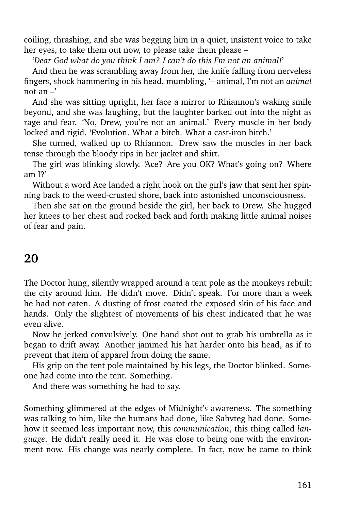coiling, thrashing, and she was begging him in a quiet, insistent voice to take her eyes, to take them out now, to please take them please –

'*Dear God what do you think I am? I can't do this I'm not an animal!*'

And then he was scrambling away from her, the knife falling from nerveless fingers, shock hammering in his head, mumbling, '– animal, I'm not an *animal* not an  $-$ '

And she was sitting upright, her face a mirror to Rhiannon's waking smile beyond, and she was laughing, but the laughter barked out into the night as rage and fear. 'No, Drew, you're not an animal.' Every muscle in her body locked and rigid. 'Evolution. What a bitch. What a cast-iron bitch.'

She turned, walked up to Rhiannon. Drew saw the muscles in her back tense through the bloody rips in her jacket and shirt.

The girl was blinking slowly. 'Ace? Are you OK? What's going on? Where am I?'

Without a word Ace landed a right hook on the girl's jaw that sent her spinning back to the weed-crusted shore, back into astonished unconsciousness.

Then she sat on the ground beside the girl, her back to Drew. She hugged her knees to her chest and rocked back and forth making little animal noises of fear and pain.

# **20**

The Doctor hung, silently wrapped around a tent pole as the monkeys rebuilt the city around him. He didn't move. Didn't speak. For more than a week he had not eaten. A dusting of frost coated the exposed skin of his face and hands. Only the slightest of movements of his chest indicated that he was even alive.

Now he jerked convulsively. One hand shot out to grab his umbrella as it began to drift away. Another jammed his hat harder onto his head, as if to prevent that item of apparel from doing the same.

His grip on the tent pole maintained by his legs, the Doctor blinked. Someone had come into the tent. Something.

And there was something he had to say.

Something glimmered at the edges of Midnight's awareness. The something was talking to him, like the humans had done, like Sahvteg had done. Somehow it seemed less important now, this *communication*, this thing called *language*. He didn't really need it. He was close to being one with the environment now. His change was nearly complete. In fact, now he came to think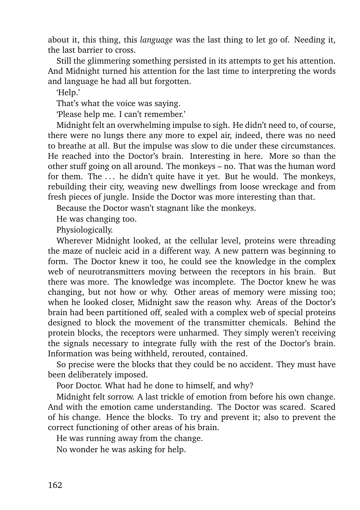about it, this thing, this *language* was the last thing to let go of. Needing it, the last barrier to cross.

Still the glimmering something persisted in its attempts to get his attention. And Midnight turned his attention for the last time to interpreting the words and language he had all but forgotten.

'Help.'

That's what the voice was saying.

'Please help me. I can't remember.'

Midnight felt an overwhelming impulse to sigh. He didn't need to, of course, there were no lungs there any more to expel air, indeed, there was no need to breathe at all. But the impulse was slow to die under these circumstances. He reached into the Doctor's brain. Interesting in here. More so than the other stuff going on all around. The monkeys – no. That was the human word for them. The ... he didn't quite have it yet. But he would. The monkeys, rebuilding their city, weaving new dwellings from loose wreckage and from fresh pieces of jungle. Inside the Doctor was more interesting than that.

Because the Doctor wasn't stagnant like the monkeys.

He was changing too.

Physiologically.

Wherever Midnight looked, at the cellular level, proteins were threading the maze of nucleic acid in a different way. A new pattern was beginning to form. The Doctor knew it too, he could see the knowledge in the complex web of neurotransmitters moving between the receptors in his brain. But there was more. The knowledge was incomplete. The Doctor knew he was changing, but not how or why. Other areas of memory were missing too; when he looked closer, Midnight saw the reason why. Areas of the Doctor's brain had been partitioned off, sealed with a complex web of special proteins designed to block the movement of the transmitter chemicals. Behind the protein blocks, the receptors were unharmed. They simply weren't receiving the signals necessary to integrate fully with the rest of the Doctor's brain. Information was being withheld, rerouted, contained.

So precise were the blocks that they could be no accident. They must have been deliberately imposed.

Poor Doctor. What had he done to himself, and why?

Midnight felt sorrow. A last trickle of emotion from before his own change. And with the emotion came understanding. The Doctor was scared. Scared of his change. Hence the blocks. To try and prevent it; also to prevent the correct functioning of other areas of his brain.

He was running away from the change.

No wonder he was asking for help.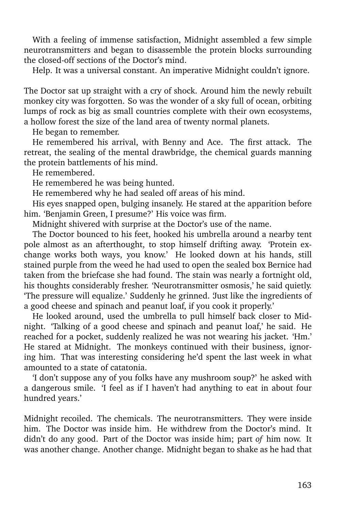With a feeling of immense satisfaction, Midnight assembled a few simple neurotransmitters and began to disassemble the protein blocks surrounding the closed-off sections of the Doctor's mind.

Help. It was a universal constant. An imperative Midnight couldn't ignore.

The Doctor sat up straight with a cry of shock. Around him the newly rebuilt monkey city was forgotten. So was the wonder of a sky full of ocean, orbiting lumps of rock as big as small countries complete with their own ecosystems, a hollow forest the size of the land area of twenty normal planets.

He began to remember.

He remembered his arrival, with Benny and Ace. The first attack. The retreat, the sealing of the mental drawbridge, the chemical guards manning the protein battlements of his mind.

He remembered.

He remembered he was being hunted.

He remembered why he had sealed off areas of his mind.

His eyes snapped open, bulging insanely. He stared at the apparition before him. 'Benjamin Green, I presume?' His voice was firm.

Midnight shivered with surprise at the Doctor's use of the name.

The Doctor bounced to his feet, hooked his umbrella around a nearby tent pole almost as an afterthought, to stop himself drifting away. 'Protein exchange works both ways, you know.' He looked down at his hands, still stained purple from the weed he had used to open the sealed box Bernice had taken from the briefcase she had found. The stain was nearly a fortnight old, his thoughts considerably fresher. 'Neurotransmitter osmosis,' he said quietly. 'The pressure will equalize.' Suddenly he grinned. 'Just like the ingredients of a good cheese and spinach and peanut loaf, if you cook it properly.'

He looked around, used the umbrella to pull himself back closer to Midnight. 'Talking of a good cheese and spinach and peanut loaf,' he said. He reached for a pocket, suddenly realized he was not wearing his jacket. 'Hm.' He stared at Midnight. The monkeys continued with their business, ignoring him. That was interesting considering he'd spent the last week in what amounted to a state of catatonia.

'I don't suppose any of you folks have any mushroom soup?' he asked with a dangerous smile. 'I feel as if I haven't had anything to eat in about four hundred years.'

Midnight recoiled. The chemicals. The neurotransmitters. They were inside him. The Doctor was inside him. He withdrew from the Doctor's mind. It didn't do any good. Part of the Doctor was inside him; part *of* him now. It was another change. Another change. Midnight began to shake as he had that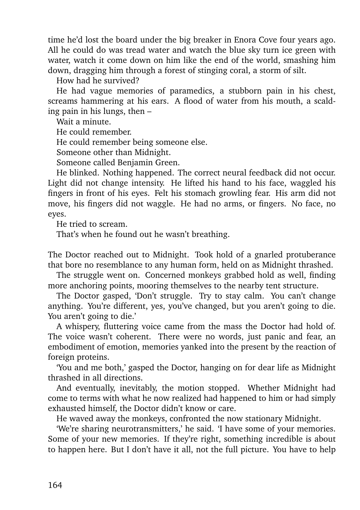time he'd lost the board under the big breaker in Enora Cove four years ago. All he could do was tread water and watch the blue sky turn ice green with water, watch it come down on him like the end of the world, smashing him down, dragging him through a forest of stinging coral, a storm of silt.

How had he survived?

He had vague memories of paramedics, a stubborn pain in his chest, screams hammering at his ears. A flood of water from his mouth, a scalding pain in his lungs, then –

Wait a minute.

He could remember.

He could remember being someone else.

Someone other than Midnight.

Someone called Benjamin Green.

He blinked. Nothing happened. The correct neural feedback did not occur. Light did not change intensity. He lifted his hand to his face, waggled his fingers in front of his eyes. Felt his stomach growling fear. His arm did not move, his fingers did not waggle. He had no arms, or fingers. No face, no eyes.

He tried to scream.

That's when he found out he wasn't breathing.

The Doctor reached out to Midnight. Took hold of a gnarled protuberance that bore no resemblance to any human form, held on as Midnight thrashed.

The struggle went on. Concerned monkeys grabbed hold as well, finding more anchoring points, mooring themselves to the nearby tent structure.

The Doctor gasped, 'Don't struggle. Try to stay calm. You can't change anything. You're different, yes, you've changed, but you aren't going to die. You aren't going to die.'

A whispery, fluttering voice came from the mass the Doctor had hold of. The voice wasn't coherent. There were no words, just panic and fear, an embodiment of emotion, memories yanked into the present by the reaction of foreign proteins.

'You and me both,' gasped the Doctor, hanging on for dear life as Midnight thrashed in all directions.

And eventually, inevitably, the motion stopped. Whether Midnight had come to terms with what he now realized had happened to him or had simply exhausted himself, the Doctor didn't know or care.

He waved away the monkeys, confronted the now stationary Midnight.

'We're sharing neurotransmitters,' he said. 'I have some of your memories. Some of your new memories. If they're right, something incredible is about to happen here. But I don't have it all, not the full picture. You have to help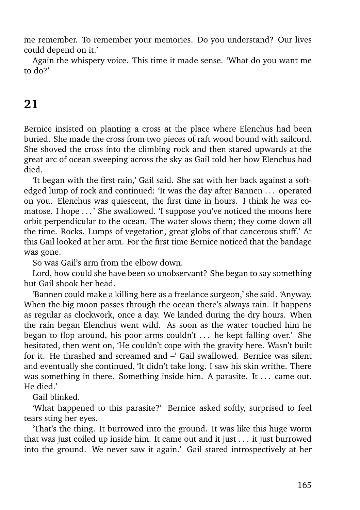me remember. To remember your memories. Do you understand? Our lives could depend on it.'

Again the whispery voice. This time it made sense. 'What do you want me to do?'

## **21**

Bernice insisted on planting a cross at the place where Elenchus had been buried. She made the cross from two pieces of raft wood bound with sailcord. She shoved the cross into the climbing rock and then stared upwards at the great arc of ocean sweeping across the sky as Gail told her how Elenchus had died.

'It began with the first rain,' Gail said. She sat with her back against a softedged lump of rock and continued: 'It was the day after Bannen . . . operated on you. Elenchus was quiescent, the first time in hours. I think he was comatose. I hope . . . ' She swallowed. 'I suppose you've noticed the moons here orbit perpendicular to the ocean. The water slows them; they come down all the time. Rocks. Lumps of vegetation, great globs of that cancerous stuff.' At this Gail looked at her arm. For the first time Bernice noticed that the bandage was gone.

So was Gail's arm from the elbow down.

Lord, how could she have been so unobservant? She began to say something but Gail shook her head.

'Bannen could make a killing here as a freelance surgeon,' she said. 'Anyway. When the big moon passes through the ocean there's always rain. It happens as regular as clockwork, once a day. We landed during the dry hours. When the rain began Elenchus went wild. As soon as the water touched him he began to flop around, his poor arms couldn't . . . he kept falling over.' She hesitated, then went on, 'He couldn't cope with the gravity here. Wasn't built for it. He thrashed and screamed and –' Gail swallowed. Bernice was silent and eventually she continued, 'It didn't take long. I saw his skin writhe. There was something in there. Something inside him. A parasite. It ... came out. He died.'

Gail blinked.

'What happened to this parasite?' Bernice asked softly, surprised to feel tears sting her eyes.

'That's the thing. It burrowed into the ground. It was like this huge worm that was just coiled up inside him. It came out and it just . . . it just burrowed into the ground. We never saw it again.' Gail stared introspectively at her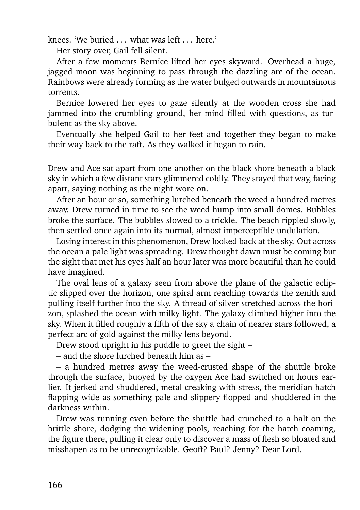knees. 'We buried . . . what was left . . . here.'

Her story over, Gail fell silent.

After a few moments Bernice lifted her eyes skyward. Overhead a huge, jagged moon was beginning to pass through the dazzling arc of the ocean. Rainbows were already forming as the water bulged outwards in mountainous torrents.

Bernice lowered her eyes to gaze silently at the wooden cross she had jammed into the crumbling ground, her mind filled with questions, as turbulent as the sky above.

Eventually she helped Gail to her feet and together they began to make their way back to the raft. As they walked it began to rain.

Drew and Ace sat apart from one another on the black shore beneath a black sky in which a few distant stars glimmered coldly. They stayed that way, facing apart, saying nothing as the night wore on.

After an hour or so, something lurched beneath the weed a hundred metres away. Drew turned in time to see the weed hump into small domes. Bubbles broke the surface. The bubbles slowed to a trickle. The beach rippled slowly, then settled once again into its normal, almost imperceptible undulation.

Losing interest in this phenomenon, Drew looked back at the sky. Out across the ocean a pale light was spreading. Drew thought dawn must be coming but the sight that met his eyes half an hour later was more beautiful than he could have imagined.

The oval lens of a galaxy seen from above the plane of the galactic ecliptic slipped over the horizon, one spiral arm reaching towards the zenith and pulling itself further into the sky. A thread of silver stretched across the horizon, splashed the ocean with milky light. The galaxy climbed higher into the sky. When it filled roughly a fifth of the sky a chain of nearer stars followed, a perfect arc of gold against the milky lens beyond.

Drew stood upright in his puddle to greet the sight –

– and the shore lurched beneath him as –

– a hundred metres away the weed-crusted shape of the shuttle broke through the surface, buoyed by the oxygen Ace had switched on hours earlier. It jerked and shuddered, metal creaking with stress, the meridian hatch flapping wide as something pale and slippery flopped and shuddered in the darkness within.

Drew was running even before the shuttle had crunched to a halt on the brittle shore, dodging the widening pools, reaching for the hatch coaming, the figure there, pulling it clear only to discover a mass of flesh so bloated and misshapen as to be unrecognizable. Geoff? Paul? Jenny? Dear Lord.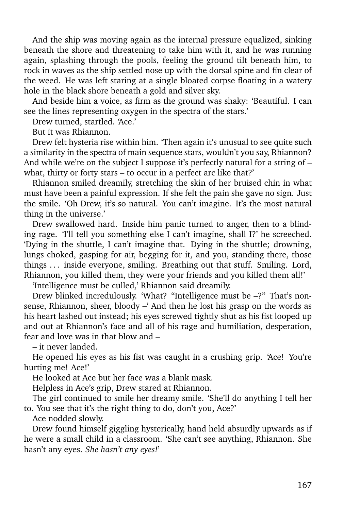And the ship was moving again as the internal pressure equalized, sinking beneath the shore and threatening to take him with it, and he was running again, splashing through the pools, feeling the ground tilt beneath him, to rock in waves as the ship settled nose up with the dorsal spine and fin clear of the weed. He was left staring at a single bloated corpse floating in a watery hole in the black shore beneath a gold and silver sky.

And beside him a voice, as firm as the ground was shaky: 'Beautiful. I can see the lines representing oxygen in the spectra of the stars.'

Drew turned, startled. 'Ace.'

But it was Rhiannon.

Drew felt hysteria rise within him. 'Then again it's unusual to see quite such a similarity in the spectra of main sequence stars, wouldn't you say, Rhiannon? And while we're on the subject I suppose it's perfectly natural for a string of – what, thirty or forty stars – to occur in a perfect arc like that?'

Rhiannon smiled dreamily, stretching the skin of her bruised chin in what must have been a painful expression. If she felt the pain she gave no sign. Just the smile. 'Oh Drew, it's so natural. You can't imagine. It's the most natural thing in the universe.'

Drew swallowed hard. Inside him panic turned to anger, then to a blinding rage. 'I'll tell you something else I can't imagine, shall I?' he screeched. 'Dying in the shuttle, I can't imagine that. Dying in the shuttle; drowning, lungs choked, gasping for air, begging for it, and you, standing there, those things ... inside everyone, smiling. Breathing out that stuff. Smiling. Lord, Rhiannon, you killed them, they were your friends and you killed them all!'

'Intelligence must be culled,' Rhiannon said dreamily.

Drew blinked incredulously. 'What? "Intelligence must be –?" That's nonsense, Rhiannon, sheer, bloody –' And then he lost his grasp on the words as his heart lashed out instead; his eyes screwed tightly shut as his fist looped up and out at Rhiannon's face and all of his rage and humiliation, desperation, fear and love was in that blow and –

– it never landed.

He opened his eyes as his fist was caught in a crushing grip. 'Ace! You're hurting me! Ace!'

He looked at Ace but her face was a blank mask.

Helpless in Ace's grip, Drew stared at Rhiannon.

The girl continued to smile her dreamy smile. 'She'll do anything I tell her to. You see that it's the right thing to do, don't you, Ace?'

Ace nodded slowly.

Drew found himself giggling hysterically, hand held absurdly upwards as if he were a small child in a classroom. 'She can't see anything, Rhiannon. She hasn't any eyes. *She hasn't any eyes!*'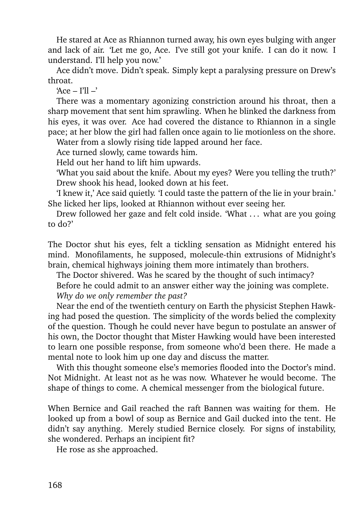He stared at Ace as Rhiannon turned away, his own eyes bulging with anger and lack of air. 'Let me go, Ace. I've still got your knife. I can do it now. I understand. I'll help you now.'

Ace didn't move. Didn't speak. Simply kept a paralysing pressure on Drew's throat.

'Ace –  $I'll -'$ 

There was a momentary agonizing constriction around his throat, then a sharp movement that sent him sprawling. When he blinked the darkness from his eyes, it was over. Ace had covered the distance to Rhiannon in a single pace; at her blow the girl had fallen once again to lie motionless on the shore.

Water from a slowly rising tide lapped around her face.

Ace turned slowly, came towards him.

Held out her hand to lift him upwards.

'What you said about the knife. About my eyes? Were you telling the truth?' Drew shook his head, looked down at his feet.

'I knew it,' Ace said quietly. 'I could taste the pattern of the lie in your brain.' She licked her lips, looked at Rhiannon without ever seeing her.

Drew followed her gaze and felt cold inside. 'What . . . what are you going to do?'

The Doctor shut his eyes, felt a tickling sensation as Midnight entered his mind. Monofilaments, he supposed, molecule-thin extrusions of Midnight's brain, chemical highways joining them more intimately than brothers.

The Doctor shivered. Was he scared by the thought of such intimacy?

Before he could admit to an answer either way the joining was complete. *Why do we only remember the past?*

Near the end of the twentieth century on Earth the physicist Stephen Hawking had posed the question. The simplicity of the words belied the complexity of the question. Though he could never have begun to postulate an answer of his own, the Doctor thought that Mister Hawking would have been interested to learn one possible response, from someone who'd been there. He made a mental note to look him up one day and discuss the matter.

With this thought someone else's memories flooded into the Doctor's mind. Not Midnight. At least not as he was now. Whatever he would become. The shape of things to come. A chemical messenger from the biological future.

When Bernice and Gail reached the raft Bannen was waiting for them. He looked up from a bowl of soup as Bernice and Gail ducked into the tent. He didn't say anything. Merely studied Bernice closely. For signs of instability, she wondered. Perhaps an incipient fit?

He rose as she approached.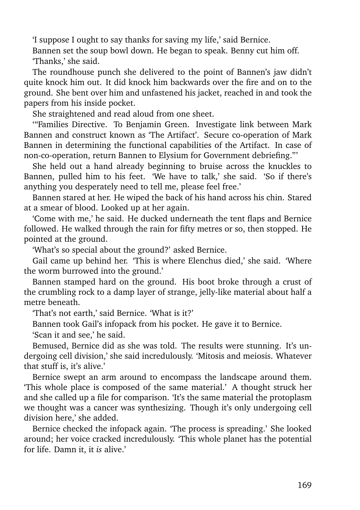'I suppose I ought to say thanks for saving my life,' said Bernice.

Bannen set the soup bowl down. He began to speak. Benny cut him off. 'Thanks,' she said.

The roundhouse punch she delivered to the point of Bannen's jaw didn't quite knock him out. It did knock him backwards over the fire and on to the ground. She bent over him and unfastened his jacket, reached in and took the papers from his inside pocket.

She straightened and read aloud from one sheet.

'"Families Directive. To Benjamin Green. Investigate link between Mark Bannen and construct known as 'The Artifact'. Secure co-operation of Mark Bannen in determining the functional capabilities of the Artifact. In case of non-co-operation, return Bannen to Elysium for Government debriefing."'

She held out a hand already beginning to bruise across the knuckles to Bannen, pulled him to his feet. 'We have to talk,' she said. 'So if there's anything you desperately need to tell me, please feel free.'

Bannen stared at her. He wiped the back of his hand across his chin. Stared at a smear of blood. Looked up at her again.

'Come with me,' he said. He ducked underneath the tent flaps and Bernice followed. He walked through the rain for fifty metres or so, then stopped. He pointed at the ground.

'What's so special about the ground?' asked Bernice.

Gail came up behind her. 'This is where Elenchus died,' she said. 'Where the worm burrowed into the ground.'

Bannen stamped hard on the ground. His boot broke through a crust of the crumbling rock to a damp layer of strange, jelly-like material about half a metre beneath.

'That's not earth,' said Bernice. 'What is it?'

Bannen took Gail's infopack from his pocket. He gave it to Bernice.

'Scan it and see,' he said.

Bemused, Bernice did as she was told. The results were stunning. It's undergoing cell division,' she said incredulously. 'Mitosis and meiosis. Whatever that stuff is, it's alive.'

Bernice swept an arm around to encompass the landscape around them. 'This whole place is composed of the same material.' A thought struck her and she called up a file for comparison. 'It's the same material the protoplasm we thought was a cancer was synthesizing. Though it's only undergoing cell division here,' she added.

Bernice checked the infopack again. 'The process is spreading.' She looked around; her voice cracked incredulously. 'This whole planet has the potential for life. Damn it, it *is* alive.'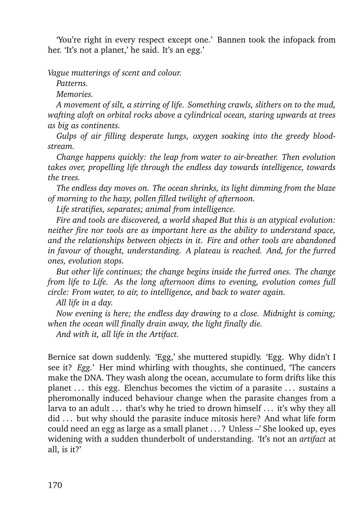'You're right in every respect except one.' Bannen took the infopack from her. 'It's not a planet,' he said. It's an egg.'

*Vague mutterings of scent and colour.*

*Patterns.*

*Memories.*

*A movement of silt, a stirring of life. Something crawls, slithers on to the mud, wafting aloft on orbital rocks above a cylindrical ocean, staring upwards at trees as big as continents.*

*Gulps of air filling desperate lungs, oxygen soaking into the greedy bloodstream.*

*Change happens quickly: the leap from water to air-breather. Then evolution takes over, propelling life through the endless day towards intelligence, towards the trees.*

*The endless day moves on. The ocean shrinks, its light dimming from the blaze of morning to the hazy, pollen filled twilight of afternoon.*

*Life stratifies, separates; animal from intelligence.*

*Fire and tools are discovered, a world shaped But this is an atypical evolution: neither fire nor tools are as important here as the ability to understand space, and the relationships between objects in it. Fire and other tools are abandoned in favour of thought, understanding. A plateau is reached. And, for the furred ones, evolution stops.*

*But other life continues; the change begins inside the furred ones. The change from life to Life. As the long afternoon dims to evening, evolution comes full circle: From water, to air, to intelligence, and back to water again.*

*All life in a day.*

*Now evening is here; the endless day drawing to a close. Midnight is coming; when the ocean will finally drain away, the light finally die.*

*And with it, all life in the Artifact.*

Bernice sat down suddenly. 'Egg,' she muttered stupidly. 'Egg. Why didn't I see it? *Egg.*' Her mind whirling with thoughts, she continued, 'The cancers make the DNA. They wash along the ocean, accumulate to form drifts like this planet ... this egg. Elenchus becomes the victim of a parasite ... sustains a pheromonally induced behaviour change when the parasite changes from a larva to an adult  $\ldots$  that's why he tried to drown himself  $\ldots$  it's why they all did ... but why should the parasite induce mitosis here? And what life form could need an egg as large as a small planet . . . ? Unless –' She looked up, eyes widening with a sudden thunderbolt of understanding. 'It's not an *artifact* at all, is it?'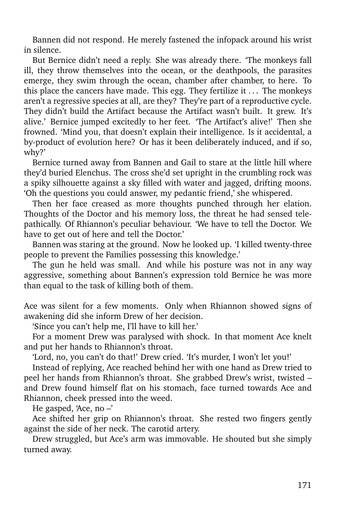Bannen did not respond. He merely fastened the infopack around his wrist in silence.

But Bernice didn't need a reply. She was already there. 'The monkeys fall ill, they throw themselves into the ocean, or the deathpools, the parasites emerge, they swim through the ocean, chamber after chamber, to here. To this place the cancers have made. This egg. They fertilize it . . . The monkeys aren't a regressive species at all, are they? They're part of a reproductive cycle. They didn't build the Artifact because the Artifact wasn't built. It grew. It's alive.' Bernice jumped excitedly to her feet. 'The Artifact's alive!' Then she frowned. 'Mind you, that doesn't explain their intelligence. Is it accidental, a by-product of evolution here? Or has it been deliberately induced, and if so, why?'

Bernice turned away from Bannen and Gail to stare at the little hill where they'd buried Elenchus. The cross she'd set upright in the crumbling rock was a spiky silhouette against a sky filled with water and jagged, drifting moons. 'Oh the questions you could answer, my pedantic friend,' she whispered.

Then her face creased as more thoughts punched through her elation. Thoughts of the Doctor and his memory loss, the threat he had sensed telepathically. Of Rhiannon's peculiar behaviour. 'We have to tell the Doctor. We have to get out of here and tell the Doctor.'

Bannen was staring at the ground. Now he looked up. 'I killed twenty-three people to prevent the Families possessing this knowledge.'

The gun he held was small. And while his posture was not in any way aggressive, something about Bannen's expression told Bernice he was more than equal to the task of killing both of them.

Ace was silent for a few moments. Only when Rhiannon showed signs of awakening did she inform Drew of her decision.

'Since you can't help me, I'll have to kill her.'

For a moment Drew was paralysed with shock. In that moment Ace knelt and put her hands to Rhiannon's throat.

'Lord, no, you can't do that!' Drew cried. 'It's murder, I won't let you!'

Instead of replying, Ace reached behind her with one hand as Drew tried to peel her hands from Rhiannon's throat. She grabbed Drew's wrist, twisted – and Drew found himself flat on his stomach, face turned towards Ace and Rhiannon, cheek pressed into the weed.

He gasped, 'Ace, no –'

Ace shifted her grip on Rhiannon's throat. She rested two fingers gently against the side of her neck. The carotid artery.

Drew struggled, but Ace's arm was immovable. He shouted but she simply turned away.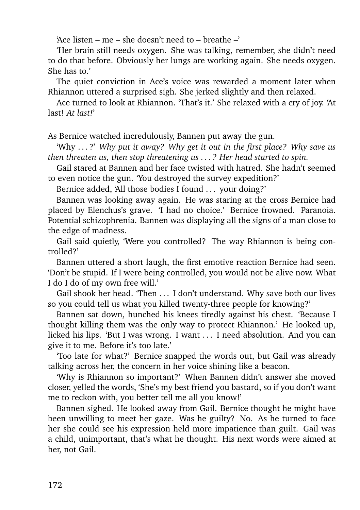'Ace listen – me – she doesn't need to – breathe –'

'Her brain still needs oxygen. She was talking, remember, she didn't need to do that before. Obviously her lungs are working again. She needs oxygen. She has to.'

The quiet conviction in Ace's voice was rewarded a moment later when Rhiannon uttered a surprised sigh. She jerked slightly and then relaxed.

Ace turned to look at Rhiannon. 'That's it.' She relaxed with a cry of joy. 'At last! *At last!*'

As Bernice watched incredulously, Bannen put away the gun.

'Why . . . ?' *Why put it away? Why get it out in the first place? Why save us then threaten us, then stop threatening us . . . ? Her head started to spin.*

Gail stared at Bannen and her face twisted with hatred. She hadn't seemed to even notice the gun. 'You destroyed the survey expedition?'

Bernice added, 'All those bodies I found . . . your doing?'

Bannen was looking away again. He was staring at the cross Bernice had placed by Elenchus's grave. 'I had no choice.' Bernice frowned. Paranoia. Potential schizophrenia. Bannen was displaying all the signs of a man close to the edge of madness.

Gail said quietly, 'Were you controlled? The way Rhiannon is being controlled?'

Bannen uttered a short laugh, the first emotive reaction Bernice had seen. 'Don't be stupid. If I were being controlled, you would not be alive now. What I do I do of my own free will.'

Gail shook her head. 'Then ... I don't understand. Why save both our lives so you could tell us what you killed twenty-three people for knowing?'

Bannen sat down, hunched his knees tiredly against his chest. 'Because I thought killing them was the only way to protect Rhiannon.' He looked up, licked his lips. 'But I was wrong. I want . . . I need absolution. And you can give it to me. Before it's too late.'

'Too late for what?' Bernice snapped the words out, but Gail was already talking across her, the concern in her voice shining like a beacon.

'Why is Rhiannon so important?' When Bannen didn't answer she moved closer, yelled the words, 'She's my best friend you bastard, so if you don't want me to reckon with, you better tell me all you know!'

Bannen sighed. He looked away from Gail. Bernice thought he might have been unwilling to meet her gaze. Was he guilty? No. As he turned to face her she could see his expression held more impatience than guilt. Gail was a child, unimportant, that's what he thought. His next words were aimed at her, not Gail.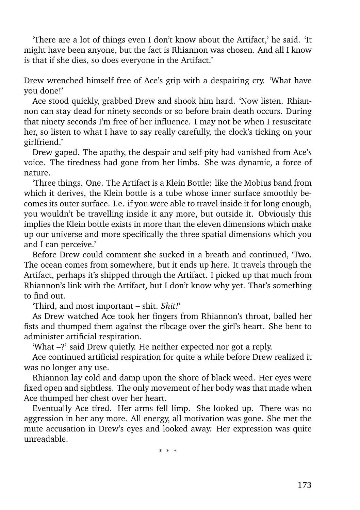'There are a lot of things even I don't know about the Artifact,' he said. 'It might have been anyone, but the fact is Rhiannon was chosen. And all I know is that if she dies, so does everyone in the Artifact.'

Drew wrenched himself free of Ace's grip with a despairing cry. 'What have you done!'

Ace stood quickly, grabbed Drew and shook him hard. 'Now listen. Rhiannon can stay dead for ninety seconds or so before brain death occurs. During that ninety seconds I'm free of her influence. I may not be when I resuscitate her, so listen to what I have to say really carefully, the clock's ticking on your girlfriend.'

Drew gaped. The apathy, the despair and self-pity had vanished from Ace's voice. The tiredness had gone from her limbs. She was dynamic, a force of nature.

'Three things. One. The Artifact is a Klein Bottle: like the Mobius band from which it derives, the Klein bottle is a tube whose inner surface smoothly becomes its outer surface. I.e. if you were able to travel inside it for long enough, you wouldn't be travelling inside it any more, but outside it. Obviously this implies the Klein bottle exists in more than the eleven dimensions which make up our universe and more specifically the three spatial dimensions which you and I can perceive.'

Before Drew could comment she sucked in a breath and continued, 'Two. The ocean comes from somewhere, but it ends up here. It travels through the Artifact, perhaps it's shipped through the Artifact. I picked up that much from Rhiannon's link with the Artifact, but I don't know why yet. That's something to find out.

'Third, and most important – shit. *Shit!*'

As Drew watched Ace took her fingers from Rhiannon's throat, balled her fists and thumped them against the ribcage over the girl's heart. She bent to administer artificial respiration.

'What –?' said Drew quietly. He neither expected nor got a reply.

Ace continued artificial respiration for quite a while before Drew realized it was no longer any use.

Rhiannon lay cold and damp upon the shore of black weed. Her eyes were fixed open and sightless. The only movement of her body was that made when Ace thumped her chest over her heart.

Eventually Ace tired. Her arms fell limp. She looked up. There was no aggression in her any more. All energy, all motivation was gone. She met the mute accusation in Drew's eyes and looked away. Her expression was quite unreadable.

∗ ∗ ∗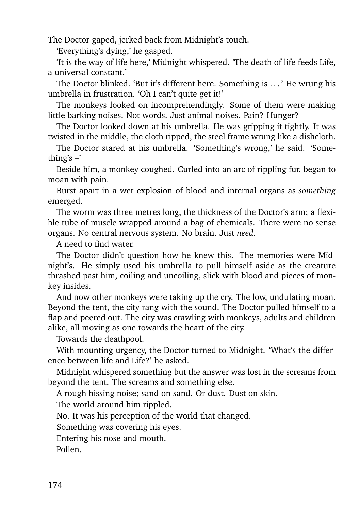The Doctor gaped, jerked back from Midnight's touch.

'Everything's dying,' he gasped.

'It is the way of life here,' Midnight whispered. 'The death of life feeds Life, a universal constant.'

The Doctor blinked. 'But it's different here. Something is . . . ' He wrung his umbrella in frustration. 'Oh I can't quite get it!'

The monkeys looked on incomprehendingly. Some of them were making little barking noises. Not words. Just animal noises. Pain? Hunger?

The Doctor looked down at his umbrella. He was gripping it tightly. It was twisted in the middle, the cloth ripped, the steel frame wrung like a dishcloth.

The Doctor stared at his umbrella. 'Something's wrong,' he said. 'Something's  $-$ '

Beside him, a monkey coughed. Curled into an arc of rippling fur, began to moan with pain.

Burst apart in a wet explosion of blood and internal organs as *something* emerged.

The worm was three metres long, the thickness of the Doctor's arm; a flexible tube of muscle wrapped around a bag of chemicals. There were no sense organs. No central nervous system. No brain. Just *need*.

A need to find water.

The Doctor didn't question how he knew this. The memories were Midnight's. He simply used his umbrella to pull himself aside as the creature thrashed past him, coiling and uncoiling, slick with blood and pieces of monkey insides.

And now other monkeys were taking up the cry. The low, undulating moan. Beyond the tent, the city rang with the sound. The Doctor pulled himself to a flap and peered out. The city was crawling with monkeys, adults and children alike, all moving as one towards the heart of the city.

Towards the deathpool.

With mounting urgency, the Doctor turned to Midnight. 'What's the difference between life and Life?' he asked.

Midnight whispered something but the answer was lost in the screams from beyond the tent. The screams and something else.

A rough hissing noise; sand on sand. Or dust. Dust on skin.

The world around him rippled.

No. It was his perception of the world that changed.

Something was covering his eyes.

Entering his nose and mouth.

Pollen.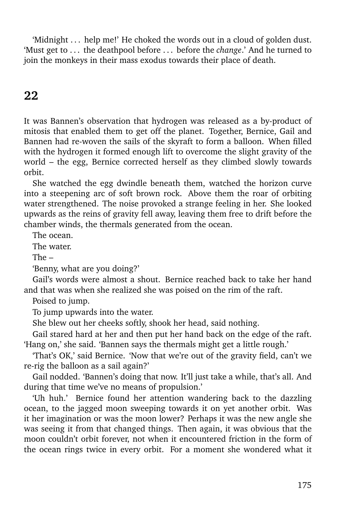'Midnight . . . help me!' He choked the words out in a cloud of golden dust. 'Must get to . . . the deathpool before . . . before the *change*.' And he turned to join the monkeys in their mass exodus towards their place of death.

## **22**

It was Bannen's observation that hydrogen was released as a by-product of mitosis that enabled them to get off the planet. Together, Bernice, Gail and Bannen had re-woven the sails of the skyraft to form a balloon. When filled with the hydrogen it formed enough lift to overcome the slight gravity of the world – the egg, Bernice corrected herself as they climbed slowly towards orbit.

She watched the egg dwindle beneath them, watched the horizon curve into a steepening arc of soft brown rock. Above them the roar of orbiting water strengthened. The noise provoked a strange feeling in her. She looked upwards as the reins of gravity fell away, leaving them free to drift before the chamber winds, the thermals generated from the ocean.

The ocean.

The water.

The –

'Benny, what are you doing?'

Gail's words were almost a shout. Bernice reached back to take her hand and that was when she realized she was poised on the rim of the raft.

Poised to jump.

To jump upwards into the water.

She blew out her cheeks softly, shook her head, said nothing.

Gail stared hard at her and then put her hand back on the edge of the raft. 'Hang on,' she said. 'Bannen says the thermals might get a little rough.'

'That's OK,' said Bernice. 'Now that we're out of the gravity field, can't we re-rig the balloon as a sail again?'

Gail nodded. 'Bannen's doing that now. It'll just take a while, that's all. And during that time we've no means of propulsion.'

'Uh huh.' Bernice found her attention wandering back to the dazzling ocean, to the jagged moon sweeping towards it on yet another orbit. Was it her imagination or was the moon lower? Perhaps it was the new angle she was seeing it from that changed things. Then again, it was obvious that the moon couldn't orbit forever, not when it encountered friction in the form of the ocean rings twice in every orbit. For a moment she wondered what it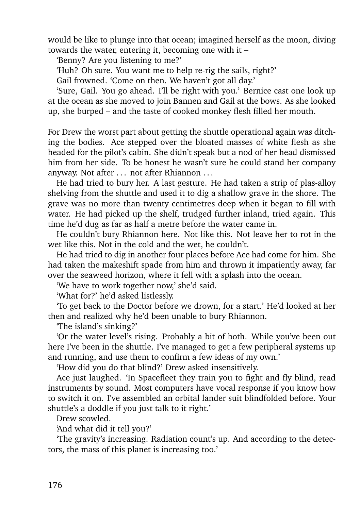would be like to plunge into that ocean; imagined herself as the moon, diving towards the water, entering it, becoming one with it –

'Benny? Are you listening to me?'

'Huh? Oh sure. You want me to help re-rig the sails, right?'

Gail frowned. 'Come on then. We haven't got all day.'

'Sure, Gail. You go ahead. I'll be right with you.' Bernice cast one look up at the ocean as she moved to join Bannen and Gail at the bows. As she looked up, she burped – and the taste of cooked monkey flesh filled her mouth.

For Drew the worst part about getting the shuttle operational again was ditching the bodies. Ace stepped over the bloated masses of white flesh as she headed for the pilot's cabin. She didn't speak but a nod of her head dismissed him from her side. To be honest he wasn't sure he could stand her company anyway. Not after . . . not after Rhiannon . . .

He had tried to bury her. A last gesture. He had taken a strip of plas-alloy shelving from the shuttle and used it to dig a shallow grave in the shore. The grave was no more than twenty centimetres deep when it began to fill with water. He had picked up the shelf, trudged further inland, tried again. This time he'd dug as far as half a metre before the water came in.

He couldn't bury Rhiannon here. Not like this. Not leave her to rot in the wet like this. Not in the cold and the wet, he couldn't.

He had tried to dig in another four places before Ace had come for him. She had taken the makeshift spade from him and thrown it impatiently away, far over the seaweed horizon, where it fell with a splash into the ocean.

'We have to work together now,' she'd said.

'What for?' he'd asked listlessly.

'To get back to the Doctor before we drown, for a start.' He'd looked at her then and realized why he'd been unable to bury Rhiannon.

'The island's sinking?'

'Or the water level's rising. Probably a bit of both. While you've been out here I've been in the shuttle. I've managed to get a few peripheral systems up and running, and use them to confirm a few ideas of my own.'

'How did you do that blind?' Drew asked insensitively.

Ace just laughed. 'In Spacefleet they train you to fight and fly blind, read instruments by sound. Most computers have vocal response if you know how to switch it on. I've assembled an orbital lander suit blindfolded before. Your shuttle's a doddle if you just talk to it right.'

Drew scowled.

'And what did it tell you?'

'The gravity's increasing. Radiation count's up. And according to the detectors, the mass of this planet is increasing too.'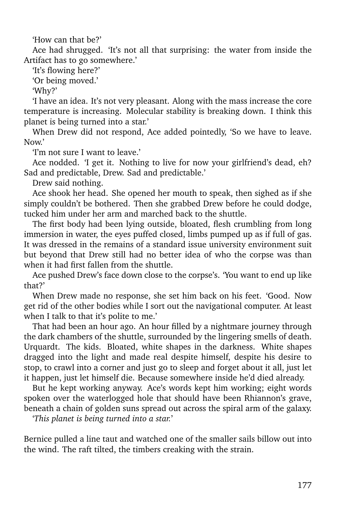'How can that be?'

Ace had shrugged. 'It's not all that surprising: the water from inside the Artifact has to go somewhere.'

'It's flowing here?'

'Or being moved.'

'Why?'

'I have an idea. It's not very pleasant. Along with the mass increase the core temperature is increasing. Molecular stability is breaking down. I think this planet is being turned into a star.'

When Drew did not respond, Ace added pointedly, 'So we have to leave. Now'

'I'm not sure I want to leave.'

Ace nodded. 'I get it. Nothing to live for now your girlfriend's dead, eh? Sad and predictable, Drew. Sad and predictable.'

Drew said nothing.

Ace shook her head. She opened her mouth to speak, then sighed as if she simply couldn't be bothered. Then she grabbed Drew before he could dodge, tucked him under her arm and marched back to the shuttle.

The first body had been lying outside, bloated, flesh crumbling from long immersion in water, the eyes puffed closed, limbs pumped up as if full of gas. It was dressed in the remains of a standard issue university environment suit but beyond that Drew still had no better idea of who the corpse was than when it had first fallen from the shuttle.

Ace pushed Drew's face down close to the corpse's. 'You want to end up like that?'

When Drew made no response, she set him back on his feet. 'Good. Now get rid of the other bodies while I sort out the navigational computer. At least when I talk to that it's polite to me.'

That had been an hour ago. An hour filled by a nightmare journey through the dark chambers of the shuttle, surrounded by the lingering smells of death. Urquardt. The kids. Bloated, white shapes in the darkness. White shapes dragged into the light and made real despite himself, despite his desire to stop, to crawl into a corner and just go to sleep and forget about it all, just let it happen, just let himself die. Because somewhere inside he'd died already.

But he kept working anyway. Ace's words kept him working; eight words spoken over the waterlogged hole that should have been Rhiannon's grave, beneath a chain of golden suns spread out across the spiral arm of the galaxy.

'*This planet is being turned into a star.*'

Bernice pulled a line taut and watched one of the smaller sails billow out into the wind. The raft tilted, the timbers creaking with the strain.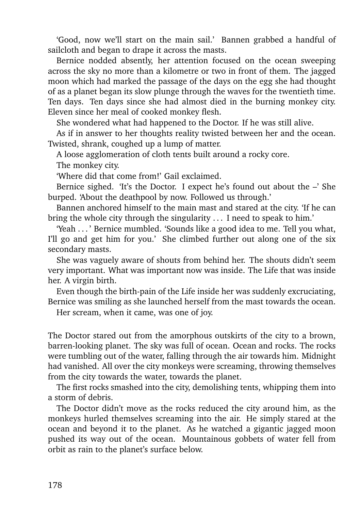'Good, now we'll start on the main sail.' Bannen grabbed a handful of sailcloth and began to drape it across the masts.

Bernice nodded absently, her attention focused on the ocean sweeping across the sky no more than a kilometre or two in front of them. The jagged moon which had marked the passage of the days on the egg she had thought of as a planet began its slow plunge through the waves for the twentieth time. Ten days. Ten days since she had almost died in the burning monkey city. Eleven since her meal of cooked monkey flesh.

She wondered what had happened to the Doctor. If he was still alive.

As if in answer to her thoughts reality twisted between her and the ocean. Twisted, shrank, coughed up a lump of matter.

A loose agglomeration of cloth tents built around a rocky core.

The monkey city.

'Where did that come from!' Gail exclaimed.

Bernice sighed. 'It's the Doctor. I expect he's found out about the –' She burped. 'About the deathpool by now. Followed us through.'

Bannen anchored himself to the main mast and stared at the city. 'If he can bring the whole city through the singularity ... I need to speak to him.'

'Yeah . . . ' Bernice mumbled. 'Sounds like a good idea to me. Tell you what, I'll go and get him for you.' She climbed further out along one of the six secondary masts.

She was vaguely aware of shouts from behind her. The shouts didn't seem very important. What was important now was inside. The Life that was inside her. A virgin birth.

Even though the birth-pain of the Life inside her was suddenly excruciating, Bernice was smiling as she launched herself from the mast towards the ocean.

Her scream, when it came, was one of joy.

The Doctor stared out from the amorphous outskirts of the city to a brown, barren-looking planet. The sky was full of ocean. Ocean and rocks. The rocks were tumbling out of the water, falling through the air towards him. Midnight had vanished. All over the city monkeys were screaming, throwing themselves from the city towards the water, towards the planet.

The first rocks smashed into the city, demolishing tents, whipping them into a storm of debris.

The Doctor didn't move as the rocks reduced the city around him, as the monkeys hurled themselves screaming into the air. He simply stared at the ocean and beyond it to the planet. As he watched a gigantic jagged moon pushed its way out of the ocean. Mountainous gobbets of water fell from orbit as rain to the planet's surface below.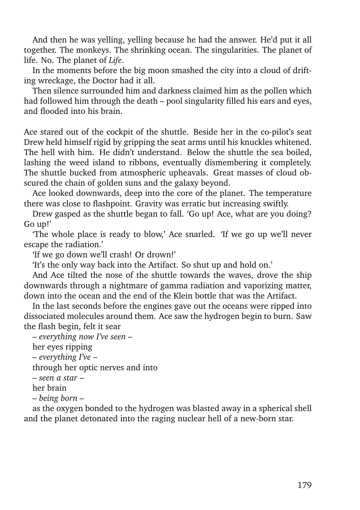And then he was yelling, yelling because he had the answer. He'd put it all together. The monkeys. The shrinking ocean. The singularities. The planet of life. No. The planet of *Life*.

In the moments before the big moon smashed the city into a cloud of drifting wreckage, the Doctor had it all.

Then silence surrounded him and darkness claimed him as the pollen which had followed him through the death – pool singularity filled his ears and eyes, and flooded into his brain.

Ace stared out of the cockpit of the shuttle. Beside her in the co-pilot's seat Drew held himself rigid by gripping the seat arms until his knuckles whitened. The hell with him. He didn't understand. Below the shuttle the sea boiled, lashing the weed island to ribbons, eventually dismembering it completely. The shuttle bucked from atmospheric upheavals. Great masses of cloud obscured the chain of golden suns and the galaxy beyond.

Ace looked downwards, deep into the core of the planet. The temperature there was close to flashpoint. Gravity was erratic but increasing swiftly.

Drew gasped as the shuttle began to fall. 'Go up! Ace, what are you doing? Go up!'

'The whole place is ready to blow,' Ace snarled. 'If we go up we'll never escape the radiation.'

'If we go down we'll crash! Or drown!'

'It's the only way back into the Artifact. So shut up and hold on.'

And Ace tilted the nose of the shuttle towards the waves, drove the ship downwards through a nightmare of gamma radiation and vaporizing matter, down into the ocean and the end of the Klein bottle that was the Artifact.

In the last seconds before the engines gave out the oceans were ripped into dissociated molecules around them. Ace saw the hydrogen begin to burn. Saw the flash begin, felt it sear

*– everything now I've seen –* her eyes ripping *– everything I've –* through her optic nerves and into *– seen a star –* her brain *– being born –*

as the oxygen bonded to the hydrogen was blasted away in a spherical shell and the planet detonated into the raging nuclear hell of a new-born star.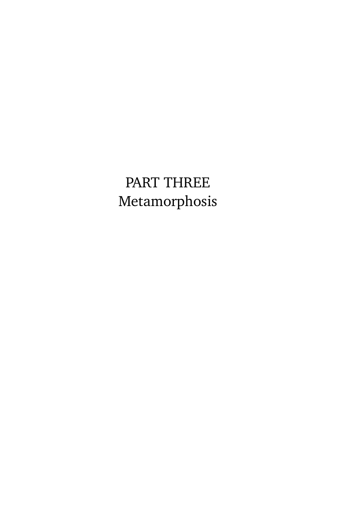PART THREE Metamorphosis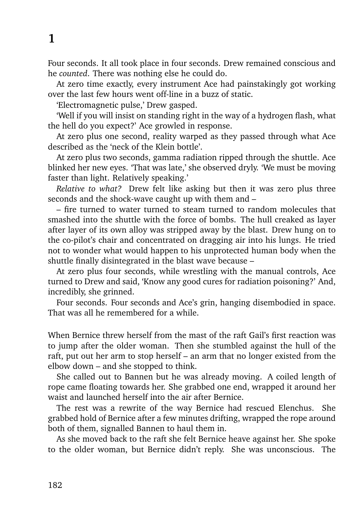Four seconds. It all took place in four seconds. Drew remained conscious and he *counted*. There was nothing else he could do.

At zero time exactly, every instrument Ace had painstakingly got working over the last few hours went off-line in a buzz of static.

'Electromagnetic pulse,' Drew gasped.

'Well if you will insist on standing right in the way of a hydrogen flash, what the hell do you expect?' Ace growled in response.

At zero plus one second, reality warped as they passed through what Ace described as the 'neck of the Klein bottle'.

At zero plus two seconds, gamma radiation ripped through the shuttle. Ace blinked her new eyes. 'That was late,' she observed dryly. 'We must be moving faster than light. Relatively speaking.'

*Relative to what?* Drew felt like asking but then it was zero plus three seconds and the shock-wave caught up with them and –

– fire turned to water turned to steam turned to random molecules that smashed into the shuttle with the force of bombs. The hull creaked as layer after layer of its own alloy was stripped away by the blast. Drew hung on to the co-pilot's chair and concentrated on dragging air into his lungs. He tried not to wonder what would happen to his unprotected human body when the shuttle finally disintegrated in the blast wave because –

At zero plus four seconds, while wrestling with the manual controls, Ace turned to Drew and said, 'Know any good cures for radiation poisoning?' And, incredibly, she grinned.

Four seconds. Four seconds and Ace's grin, hanging disembodied in space. That was all he remembered for a while.

When Bernice threw herself from the mast of the raft Gail's first reaction was to jump after the older woman. Then she stumbled against the hull of the raft, put out her arm to stop herself – an arm that no longer existed from the elbow down – and she stopped to think.

She called out to Bannen but he was already moving. A coiled length of rope came floating towards her. She grabbed one end, wrapped it around her waist and launched herself into the air after Bernice.

The rest was a rewrite of the way Bernice had rescued Elenchus. She grabbed hold of Bernice after a few minutes drifting, wrapped the rope around both of them, signalled Bannen to haul them in.

As she moved back to the raft she felt Bernice heave against her. She spoke to the older woman, but Bernice didn't reply. She was unconscious. The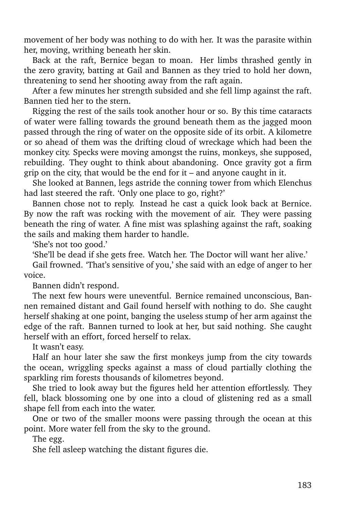movement of her body was nothing to do with her. It was the parasite within her, moving, writhing beneath her skin.

Back at the raft, Bernice began to moan. Her limbs thrashed gently in the zero gravity, batting at Gail and Bannen as they tried to hold her down, threatening to send her shooting away from the raft again.

After a few minutes her strength subsided and she fell limp against the raft. Bannen tied her to the stern.

Rigging the rest of the sails took another hour or so. By this time cataracts of water were falling towards the ground beneath them as the jagged moon passed through the ring of water on the opposite side of its orbit. A kilometre or so ahead of them was the drifting cloud of wreckage which had been the monkey city. Specks were moving amongst the ruins, monkeys, she supposed, rebuilding. They ought to think about abandoning. Once gravity got a firm grip on the city, that would be the end for it – and anyone caught in it.

She looked at Bannen, legs astride the conning tower from which Elenchus had last steered the raft. 'Only one place to go, right?'

Bannen chose not to reply. Instead he cast a quick look back at Bernice. By now the raft was rocking with the movement of air. They were passing beneath the ring of water. A fine mist was splashing against the raft, soaking the sails and making them harder to handle.

'She's not too good.'

'She'll be dead if she gets free. Watch her. The Doctor will want her alive.'

Gail frowned. 'That's sensitive of you,' she said with an edge of anger to her voice.

Bannen didn't respond.

The next few hours were uneventful. Bernice remained unconscious, Bannen remained distant and Gail found herself with nothing to do. She caught herself shaking at one point, banging the useless stump of her arm against the edge of the raft. Bannen turned to look at her, but said nothing. She caught herself with an effort, forced herself to relax.

It wasn't easy.

Half an hour later she saw the first monkeys jump from the city towards the ocean, wriggling specks against a mass of cloud partially clothing the sparkling rim forests thousands of kilometres beyond.

She tried to look away but the figures held her attention effortlessly. They fell, black blossoming one by one into a cloud of glistening red as a small shape fell from each into the water.

One or two of the smaller moons were passing through the ocean at this point. More water fell from the sky to the ground.

The egg.

She fell asleep watching the distant figures die.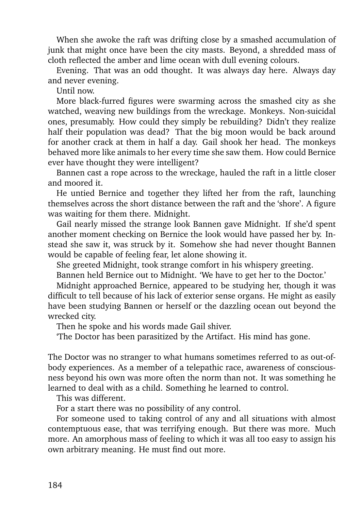When she awoke the raft was drifting close by a smashed accumulation of junk that might once have been the city masts. Beyond, a shredded mass of cloth reflected the amber and lime ocean with dull evening colours.

Evening. That was an odd thought. It was always day here. Always day and never evening.

Until now.

More black-furred figures were swarming across the smashed city as she watched, weaving new buildings from the wreckage. Monkeys. Non-suicidal ones, presumably. How could they simply be rebuilding? Didn't they realize half their population was dead? That the big moon would be back around for another crack at them in half a day. Gail shook her head. The monkeys behaved more like animals to her every time she saw them. How could Bernice ever have thought they were intelligent?

Bannen cast a rope across to the wreckage, hauled the raft in a little closer and moored it.

He untied Bernice and together they lifted her from the raft, launching themselves across the short distance between the raft and the 'shore'. A figure was waiting for them there. Midnight.

Gail nearly missed the strange look Bannen gave Midnight. If she'd spent another moment checking on Bernice the look would have passed her by. Instead she saw it, was struck by it. Somehow she had never thought Bannen would be capable of feeling fear, let alone showing it.

She greeted Midnight, took strange comfort in his whispery greeting.

Bannen held Bernice out to Midnight. 'We have to get her to the Doctor.'

Midnight approached Bernice, appeared to be studying her, though it was difficult to tell because of his lack of exterior sense organs. He might as easily have been studying Bannen or herself or the dazzling ocean out beyond the wrecked city.

Then he spoke and his words made Gail shiver.

'The Doctor has been parasitized by the Artifact. His mind has gone.

The Doctor was no stranger to what humans sometimes referred to as out-ofbody experiences. As a member of a telepathic race, awareness of consciousness beyond his own was more often the norm than not. It was something he learned to deal with as a child. Something he learned to control.

This was different.

For a start there was no possibility of any control.

For someone used to taking control of any and all situations with almost contemptuous ease, that was terrifying enough. But there was more. Much more. An amorphous mass of feeling to which it was all too easy to assign his own arbitrary meaning. He must find out more.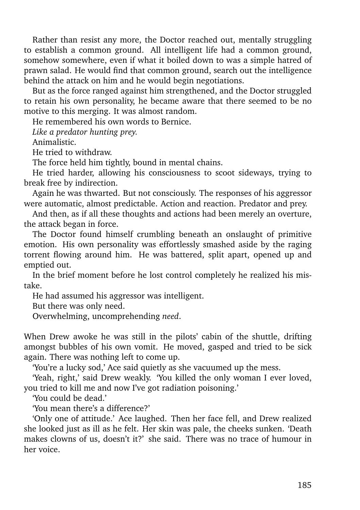Rather than resist any more, the Doctor reached out, mentally struggling to establish a common ground. All intelligent life had a common ground, somehow somewhere, even if what it boiled down to was a simple hatred of prawn salad. He would find that common ground, search out the intelligence behind the attack on him and he would begin negotiations.

But as the force ranged against him strengthened, and the Doctor struggled to retain his own personality, he became aware that there seemed to be no motive to this merging. It was almost random.

He remembered his own words to Bernice.

*Like a predator hunting prey.*

Animalistic.

He tried to withdraw.

The force held him tightly, bound in mental chains.

He tried harder, allowing his consciousness to scoot sideways, trying to break free by indirection.

Again he was thwarted. But not consciously. The responses of his aggressor were automatic, almost predictable. Action and reaction. Predator and prey.

And then, as if all these thoughts and actions had been merely an overture, the attack began in force.

The Doctor found himself crumbling beneath an onslaught of primitive emotion. His own personality was effortlessly smashed aside by the raging torrent flowing around him. He was battered, split apart, opened up and emptied out.

In the brief moment before he lost control completely he realized his mistake.

He had assumed his aggressor was intelligent.

But there was only need.

Overwhelming, uncomprehending *need*.

When Drew awoke he was still in the pilots' cabin of the shuttle, drifting amongst bubbles of his own vomit. He moved, gasped and tried to be sick again. There was nothing left to come up.

'You're a lucky sod,' Ace said quietly as she vacuumed up the mess.

'Yeah, right,' said Drew weakly. 'You killed the only woman I ever loved, you tried to kill me and now I've got radiation poisoning.'

'You could be dead.'

'You mean there's a difference?'

'Only one of attitude.' Ace laughed. Then her face fell, and Drew realized she looked just as ill as he felt. Her skin was pale, the cheeks sunken. 'Death makes clowns of us, doesn't it?' she said. There was no trace of humour in her voice.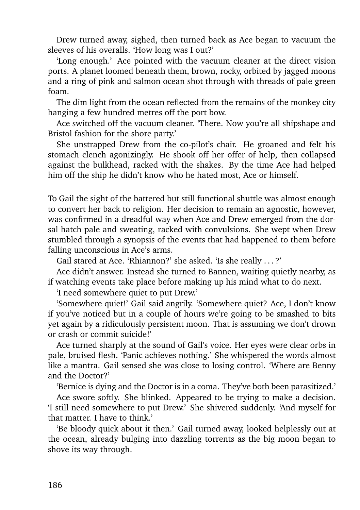Drew turned away, sighed, then turned back as Ace began to vacuum the sleeves of his overalls. 'How long was I out?'

'Long enough.' Ace pointed with the vacuum cleaner at the direct vision ports. A planet loomed beneath them, brown, rocky, orbited by jagged moons and a ring of pink and salmon ocean shot through with threads of pale green foam.

The dim light from the ocean reflected from the remains of the monkey city hanging a few hundred metres off the port bow.

Ace switched off the vacuum cleaner. 'There. Now you're all shipshape and Bristol fashion for the shore party.'

She unstrapped Drew from the co-pilot's chair. He groaned and felt his stomach clench agonizingly. He shook off her offer of help, then collapsed against the bulkhead, racked with the shakes. By the time Ace had helped him off the ship he didn't know who he hated most, Ace or himself.

To Gail the sight of the battered but still functional shuttle was almost enough to convert her back to religion. Her decision to remain an agnostic, however, was confirmed in a dreadful way when Ace and Drew emerged from the dorsal hatch pale and sweating, racked with convulsions. She wept when Drew stumbled through a synopsis of the events that had happened to them before falling unconscious in Ace's arms.

Gail stared at Ace. 'Rhiannon?' she asked. 'Is she really . . . ?'

Ace didn't answer. Instead she turned to Bannen, waiting quietly nearby, as if watching events take place before making up his mind what to do next.

'I need somewhere quiet to put Drew.'

'Somewhere quiet!' Gail said angrily. 'Somewhere quiet? Ace, I don't know if you've noticed but in a couple of hours we're going to be smashed to bits yet again by a ridiculously persistent moon. That is assuming we don't drown or crash or commit suicide!'

Ace turned sharply at the sound of Gail's voice. Her eyes were clear orbs in pale, bruised flesh. 'Panic achieves nothing.' She whispered the words almost like a mantra. Gail sensed she was close to losing control. 'Where are Benny and the Doctor?'

'Bernice is dying and the Doctor is in a coma. They've both been parasitized.'

Ace swore softly. She blinked. Appeared to be trying to make a decision. 'I still need somewhere to put Drew.' She shivered suddenly. 'And myself for that matter. I have to think.'

'Be bloody quick about it then.' Gail turned away, looked helplessly out at the ocean, already bulging into dazzling torrents as the big moon began to shove its way through.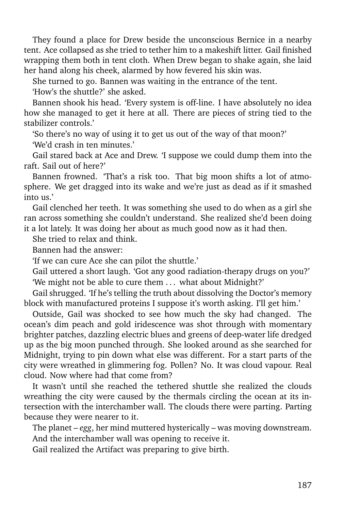They found a place for Drew beside the unconscious Bernice in a nearby tent. Ace collapsed as she tried to tether him to a makeshift litter. Gail finished wrapping them both in tent cloth. When Drew began to shake again, she laid her hand along his cheek, alarmed by how fevered his skin was.

She turned to go. Bannen was waiting in the entrance of the tent.

'How's the shuttle?' she asked.

Bannen shook his head. 'Every system is off-line. I have absolutely no idea how she managed to get it here at all. There are pieces of string tied to the stabilizer controls.'

'So there's no way of using it to get us out of the way of that moon?'

'We'd crash in ten minutes.'

Gail stared back at Ace and Drew. 'I suppose we could dump them into the raft. Sail out of here?'

Bannen frowned. 'That's a risk too. That big moon shifts a lot of atmosphere. We get dragged into its wake and we're just as dead as if it smashed  $int_{0}$   $\frac{1}{10}$ 

Gail clenched her teeth. It was something she used to do when as a girl she ran across something she couldn't understand. She realized she'd been doing it a lot lately. It was doing her about as much good now as it had then.

She tried to relax and think.

Bannen had the answer:

'If we can cure Ace she can pilot the shuttle.'

Gail uttered a short laugh. 'Got any good radiation-therapy drugs on you?' 'We might not be able to cure them . . . what about Midnight?'

Gail shrugged. 'If he's telling the truth about dissolving the Doctor's memory block with manufactured proteins I suppose it's worth asking. I'll get him.'

Outside, Gail was shocked to see how much the sky had changed. The ocean's dim peach and gold iridescence was shot through with momentary brighter patches, dazzling electric blues and greens of deep-water life dredged up as the big moon punched through. She looked around as she searched for Midnight, trying to pin down what else was different. For a start parts of the city were wreathed in glimmering fog. Pollen? No. It was cloud vapour. Real cloud. Now where had that come from?

It wasn't until she reached the tethered shuttle she realized the clouds wreathing the city were caused by the thermals circling the ocean at its intersection with the interchamber wall. The clouds there were parting. Parting because they were nearer to it.

The planet – *egg*, her mind muttered hysterically – was moving downstream. And the interchamber wall was opening to receive it.

Gail realized the Artifact was preparing to give birth.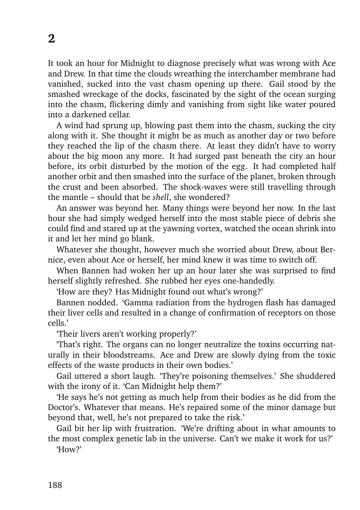It took an hour for Midnight to diagnose precisely what was wrong with Ace and Drew. In that time the clouds wreathing the interchamber membrane had vanished, sucked into the vast chasm opening up there. Gail stood by the smashed wreckage of the docks, fascinated by the sight of the ocean surging into the chasm, flickering dimly and vanishing from sight like water poured into a darkened cellar.

A wind had sprung up, blowing past them into the chasm, sucking the city along with it. She thought it might be as much as another day or two before they reached the lip of the chasm there. At least they didn't have to worry about the big moon any more. It had surged past beneath the city an hour before, its orbit disturbed by the motion of the egg. It had completed half another orbit and then smashed into the surface of the planet, broken through the crust and been absorbed. The shock-waves were still travelling through the mantle – should that be *shell*, she wondered?

An answer was beyond her. Many things were beyond her now. In the last hour she had simply wedged herself into the most stable piece of debris she could find and stared up at the yawning vortex, watched the ocean shrink into it and let her mind go blank.

Whatever she thought, however much she worried about Drew, about Bernice, even about Ace or herself, her mind knew it was time to switch off.

When Bannen had woken her up an hour later she was surprised to find herself slightly refreshed. She rubbed her eyes one-handedly.

'How are they? Has Midnight found out what's wrong?'

Bannen nodded. 'Gamma radiation from the hydrogen flash has damaged their liver cells and resulted in a change of confirmation of receptors on those cells.'

'Their livers aren't working properly?'

'That's right. The organs can no longer neutralize the toxins occurring naturally in their bloodstreams. Ace and Drew are slowly dying from the toxic effects of the waste products in their own bodies.'

Gail uttered a short laugh. 'They're poisoning themselves.' She shuddered with the irony of it. 'Can Midnight help them?'

'He says he's not getting as much help from their bodies as he did from the Doctor's. Whatever that means. He's repaired some of the minor damage but beyond that, well, he's not prepared to take the risk.'

Gail bit her lip with frustration. 'We're drifting about in what amounts to the most complex genetic lab in the universe. Can't we make it work for us?'

'How?'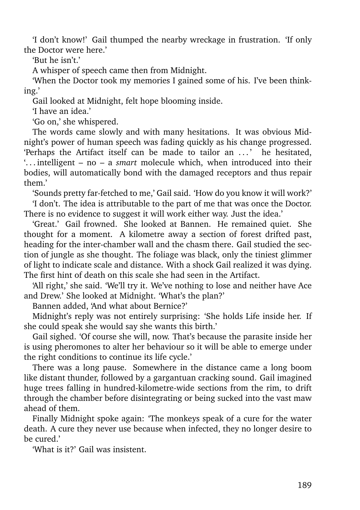'I don't know!' Gail thumped the nearby wreckage in frustration. 'If only the Doctor were here.'

'But he isn't.'

A whisper of speech came then from Midnight.

'When the Doctor took my memories I gained some of his. I've been thinking.'

Gail looked at Midnight, felt hope blooming inside.

'I have an idea.'

'Go on,' she whispered.

The words came slowly and with many hesitations. It was obvious Midnight's power of human speech was fading quickly as his change progressed. 'Perhaps the Artifact itself can be made to tailor an . . . ' he hesitated, '. . . intelligent – no – a *smart* molecule which, when introduced into their bodies, will automatically bond with the damaged receptors and thus repair them.'

'Sounds pretty far-fetched to me,' Gail said. 'How do you know it will work?' 'I don't. The idea is attributable to the part of me that was once the Doctor. There is no evidence to suggest it will work either way. Just the idea.'

'Great.' Gail frowned. She looked at Bannen. He remained quiet. She thought for a moment. A kilometre away a section of forest drifted past, heading for the inter-chamber wall and the chasm there. Gail studied the section of jungle as she thought. The foliage was black, only the tiniest glimmer of light to indicate scale and distance. With a shock Gail realized it was dying. The first hint of death on this scale she had seen in the Artifact.

'All right,' she said. 'We'll try it. We've nothing to lose and neither have Ace and Drew.' She looked at Midnight. 'What's the plan?'

Bannen added, 'And what about Bernice?'

Midnight's reply was not entirely surprising: 'She holds Life inside her. If she could speak she would say she wants this birth.'

Gail sighed. 'Of course she will, now. That's because the parasite inside her is using pheromones to alter her behaviour so it will be able to emerge under the right conditions to continue its life cycle.'

There was a long pause. Somewhere in the distance came a long boom like distant thunder, followed by a gargantuan cracking sound. Gail imagined huge trees falling in hundred-kilometre-wide sections from the rim, to drift through the chamber before disintegrating or being sucked into the vast maw ahead of them.

Finally Midnight spoke again: 'The monkeys speak of a cure for the water death. A cure they never use because when infected, they no longer desire to be cured<sup>'</sup>

'What is it?' Gail was insistent.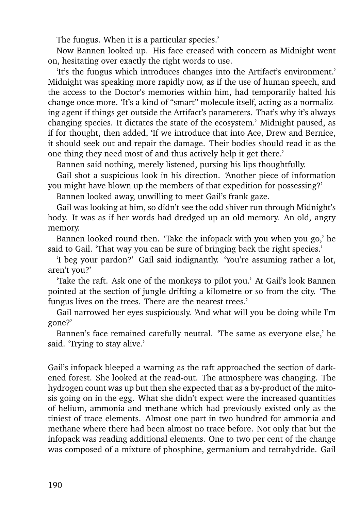The fungus. When it is a particular species.'

Now Bannen looked up. His face creased with concern as Midnight went on, hesitating over exactly the right words to use.

'It's the fungus which introduces changes into the Artifact's environment.' Midnight was speaking more rapidly now, as if the use of human speech, and the access to the Doctor's memories within him, had temporarily halted his change once more. 'It's a kind of "smart" molecule itself, acting as a normalizing agent if things get outside the Artifact's parameters. That's why it's always changing species. It dictates the state of the ecosystem.' Midnight paused, as if for thought, then added, 'If we introduce that into Ace, Drew and Bernice, it should seek out and repair the damage. Their bodies should read it as the one thing they need most of and thus actively help it get there.'

Bannen said nothing, merely listened, pursing his lips thoughtfully.

Gail shot a suspicious look in his direction. 'Another piece of information you might have blown up the members of that expedition for possessing?'

Bannen looked away, unwilling to meet Gail's frank gaze.

Gail was looking at him, so didn't see the odd shiver run through Midnight's body. It was as if her words had dredged up an old memory. An old, angry memory.

Bannen looked round then. 'Take the infopack with you when you go,' he said to Gail. 'That way you can be sure of bringing back the right species.'

'I beg your pardon?' Gail said indignantly. 'You're assuming rather a lot, aren't you?'

'Take the raft. Ask one of the monkeys to pilot you.' At Gail's look Bannen pointed at the section of jungle drifting a kilometre or so from the city. 'The fungus lives on the trees. There are the nearest trees.'

Gail narrowed her eyes suspiciously. 'And what will you be doing while I'm gone?'

Bannen's face remained carefully neutral. 'The same as everyone else,' he said. 'Trying to stay alive.'

Gail's infopack bleeped a warning as the raft approached the section of darkened forest. She looked at the read-out. The atmosphere was changing. The hydrogen count was up but then she expected that as a by-product of the mitosis going on in the egg. What she didn't expect were the increased quantities of helium, ammonia and methane which had previously existed only as the tiniest of trace elements. Almost one part in two hundred for ammonia and methane where there had been almost no trace before. Not only that but the infopack was reading additional elements. One to two per cent of the change was composed of a mixture of phosphine, germanium and tetrahydride. Gail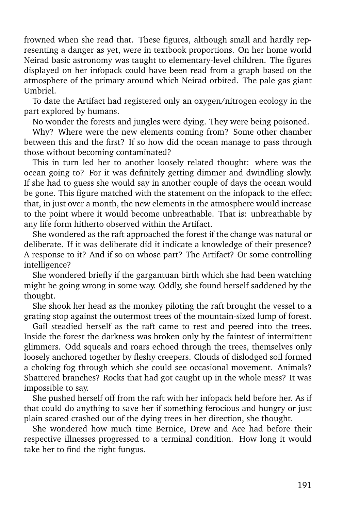frowned when she read that. These figures, although small and hardly representing a danger as yet, were in textbook proportions. On her home world Neirad basic astronomy was taught to elementary-level children. The figures displayed on her infopack could have been read from a graph based on the atmosphere of the primary around which Neirad orbited. The pale gas giant Umbriel.

To date the Artifact had registered only an oxygen/nitrogen ecology in the part explored by humans.

No wonder the forests and jungles were dying. They were being poisoned.

Why? Where were the new elements coming from? Some other chamber between this and the first? If so how did the ocean manage to pass through those without becoming contaminated?

This in turn led her to another loosely related thought: where was the ocean going to? For it was definitely getting dimmer and dwindling slowly. If she had to guess she would say in another couple of days the ocean would be gone. This figure matched with the statement on the infopack to the effect that, in just over a month, the new elements in the atmosphere would increase to the point where it would become unbreathable. That is: unbreathable by any life form hitherto observed within the Artifact.

She wondered as the raft approached the forest if the change was natural or deliberate. If it was deliberate did it indicate a knowledge of their presence? A response to it? And if so on whose part? The Artifact? Or some controlling intelligence?

She wondered briefly if the gargantuan birth which she had been watching might be going wrong in some way. Oddly, she found herself saddened by the thought.

She shook her head as the monkey piloting the raft brought the vessel to a grating stop against the outermost trees of the mountain-sized lump of forest.

Gail steadied herself as the raft came to rest and peered into the trees. Inside the forest the darkness was broken only by the faintest of intermittent glimmers. Odd squeals and roars echoed through the trees, themselves only loosely anchored together by fleshy creepers. Clouds of dislodged soil formed a choking fog through which she could see occasional movement. Animals? Shattered branches? Rocks that had got caught up in the whole mess? It was impossible to say.

She pushed herself off from the raft with her infopack held before her. As if that could do anything to save her if something ferocious and hungry or just plain scared crashed out of the dying trees in her direction, she thought.

She wondered how much time Bernice, Drew and Ace had before their respective illnesses progressed to a terminal condition. How long it would take her to find the right fungus.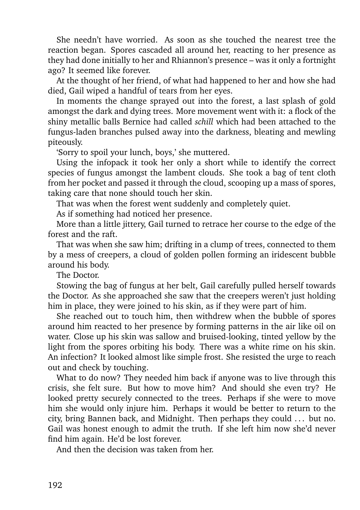She needn't have worried. As soon as she touched the nearest tree the reaction began. Spores cascaded all around her, reacting to her presence as they had done initially to her and Rhiannon's presence – was it only a fortnight ago? It seemed like forever.

At the thought of her friend, of what had happened to her and how she had died, Gail wiped a handful of tears from her eyes.

In moments the change sprayed out into the forest, a last splash of gold amongst the dark and dying trees. More movement went with it: a flock of the shiny metallic balls Bernice had called *schill* which had been attached to the fungus-laden branches pulsed away into the darkness, bleating and mewling piteously.

'Sorry to spoil your lunch, boys,' she muttered.

Using the infopack it took her only a short while to identify the correct species of fungus amongst the lambent clouds. She took a bag of tent cloth from her pocket and passed it through the cloud, scooping up a mass of spores, taking care that none should touch her skin.

That was when the forest went suddenly and completely quiet.

As if something had noticed her presence.

More than a little jittery, Gail turned to retrace her course to the edge of the forest and the raft.

That was when she saw him; drifting in a clump of trees, connected to them by a mess of creepers, a cloud of golden pollen forming an iridescent bubble around his body.

The Doctor.

Stowing the bag of fungus at her belt, Gail carefully pulled herself towards the Doctor. As she approached she saw that the creepers weren't just holding him in place, they were joined to his skin, as if they were part of him.

She reached out to touch him, then withdrew when the bubble of spores around him reacted to her presence by forming patterns in the air like oil on water. Close up his skin was sallow and bruised-looking, tinted yellow by the light from the spores orbiting his body. There was a white rime on his skin. An infection? It looked almost like simple frost. She resisted the urge to reach out and check by touching.

What to do now? They needed him back if anyone was to live through this crisis, she felt sure. But how to move him? And should she even try? He looked pretty securely connected to the trees. Perhaps if she were to move him she would only injure him. Perhaps it would be better to return to the city, bring Bannen back, and Midnight. Then perhaps they could . . . but no. Gail was honest enough to admit the truth. If she left him now she'd never find him again. He'd be lost forever.

And then the decision was taken from her.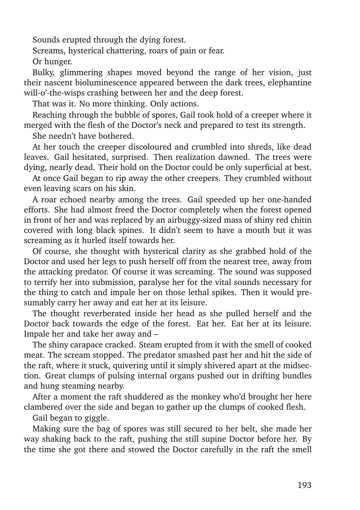Sounds erupted through the dying forest.

Screams, hysterical chattering, roars of pain or fear.

Or hunger.

Bulky, glimmering shapes moved beyond the range of her vision, just their nascent bioluminescence appeared between the dark trees, elephantine will-o'-the-wisps crashing between her and the deep forest.

That was it. No more thinking. Only actions.

Reaching through the bubble of spores, Gail took hold of a creeper where it merged with the flesh of the Doctor's neck and prepared to test its strength.

She needn't have bothered.

At her touch the creeper discoloured and crumbled into shreds, like dead leaves. Gail hesitated, surprised. Then realization dawned. The trees were dying, nearly dead. Their hold on the Doctor could be only superficial at best.

At once Gail began to rip away the other creepers. They crumbled without even leaving scars on his skin.

A roar echoed nearby among the trees. Gail speeded up her one-handed efforts. She had almost freed the Doctor completely when the forest opened in front of her and was replaced by an airbuggy-sized mass of shiny red chitin covered with long black spines. It didn't seem to have a mouth but it was screaming as it hurled itself towards her.

Of course, she thought with hysterical clarity as she grabbed hold of the Doctor and used her legs to push herself off from the nearest tree, away from the attacking predator. Of course it was screaming. The sound was supposed to terrify her into submission, paralyse her for the vital sounds necessary for the thing to catch and impale her on those lethal spikes. Then it would presumably carry her away and eat her at its leisure.

The thought reverberated inside her head as she pulled herself and the Doctor back towards the edge of the forest. Eat her. Eat her at its leisure. Impale her and take her away and –

The shiny carapace cracked. Steam erupted from it with the smell of cooked meat. The scream stopped. The predator smashed past her and hit the side of the raft, where it stuck, quivering until it simply shivered apart at the midsection. Great clumps of pulsing internal organs pushed out in drifting bundles and hung steaming nearby.

After a moment the raft shuddered as the monkey who'd brought her here clambered over the side and began to gather up the clumps of cooked flesh.

Gail began to giggle.

Making sure the bag of spores was still secured to her belt, she made her way shaking back to the raft, pushing the still supine Doctor before her. By the time she got there and stowed the Doctor carefully in the raft the smell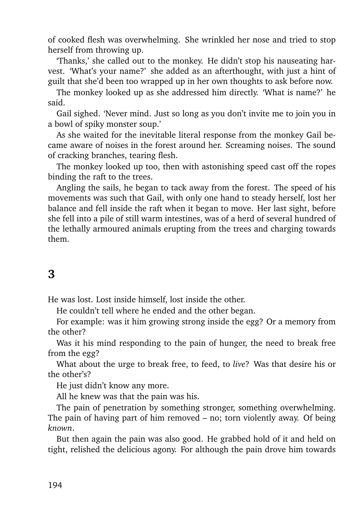of cooked flesh was overwhelming. She wrinkled her nose and tried to stop herself from throwing up.

'Thanks,' she called out to the monkey. He didn't stop his nauseating harvest. 'What's your name?' she added as an afterthought, with just a hint of guilt that she'd been too wrapped up in her own thoughts to ask before now.

The monkey looked up as she addressed him directly. 'What is name?' he said.

Gail sighed. 'Never mind. Just so long as you don't invite me to join you in a bowl of spiky monster soup.'

As she waited for the inevitable literal response from the monkey Gail became aware of noises in the forest around her. Screaming noises. The sound of cracking branches, tearing flesh.

The monkey looked up too, then with astonishing speed cast off the ropes binding the raft to the trees.

Angling the sails, he began to tack away from the forest. The speed of his movements was such that Gail, with only one hand to steady herself, lost her balance and fell inside the raft when it began to move. Her last sight, before she fell into a pile of still warm intestines, was of a herd of several hundred of the lethally armoured animals erupting from the trees and charging towards them.

## **3**

He was lost. Lost inside himself, lost inside the other.

He couldn't tell where he ended and the other began.

For example: was it him growing strong inside the egg? Or a memory from the other?

Was it his mind responding to the pain of hunger, the need to break free from the egg?

What about the urge to break free, to feed, to *live*? Was that desire his or the other's?

He just didn't know any more.

All he knew was that the pain was his.

The pain of penetration by something stronger, something overwhelming. The pain of having part of him removed – no; torn violently away. Of being *known*.

But then again the pain was also good. He grabbed hold of it and held on tight, relished the delicious agony. For although the pain drove him towards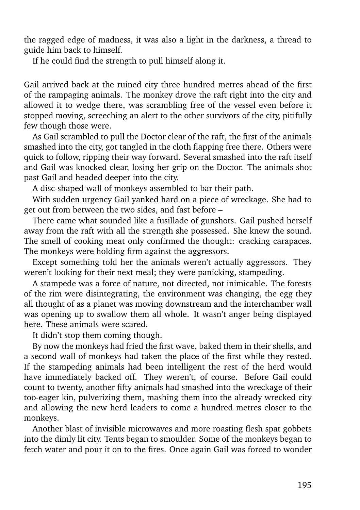the ragged edge of madness, it was also a light in the darkness, a thread to guide him back to himself.

If he could find the strength to pull himself along it.

Gail arrived back at the ruined city three hundred metres ahead of the first of the rampaging animals. The monkey drove the raft right into the city and allowed it to wedge there, was scrambling free of the vessel even before it stopped moving, screeching an alert to the other survivors of the city, pitifully few though those were.

As Gail scrambled to pull the Doctor clear of the raft, the first of the animals smashed into the city, got tangled in the cloth flapping free there. Others were quick to follow, ripping their way forward. Several smashed into the raft itself and Gail was knocked clear, losing her grip on the Doctor. The animals shot past Gail and headed deeper into the city.

A disc-shaped wall of monkeys assembled to bar their path.

With sudden urgency Gail yanked hard on a piece of wreckage. She had to get out from between the two sides, and fast before –

There came what sounded like a fusillade of gunshots. Gail pushed herself away from the raft with all the strength she possessed. She knew the sound. The smell of cooking meat only confirmed the thought: cracking carapaces. The monkeys were holding firm against the aggressors.

Except something told her the animals weren't actually aggressors. They weren't looking for their next meal; they were panicking, stampeding.

A stampede was a force of nature, not directed, not inimicable. The forests of the rim were disintegrating, the environment was changing, the egg they all thought of as a planet was moving downstream and the interchamber wall was opening up to swallow them all whole. It wasn't anger being displayed here. These animals were scared.

It didn't stop them coming though.

By now the monkeys had fried the first wave, baked them in their shells, and a second wall of monkeys had taken the place of the first while they rested. If the stampeding animals had been intelligent the rest of the herd would have immediately backed off. They weren't, of course. Before Gail could count to twenty, another fifty animals had smashed into the wreckage of their too-eager kin, pulverizing them, mashing them into the already wrecked city and allowing the new herd leaders to come a hundred metres closer to the monkeys.

Another blast of invisible microwaves and more roasting flesh spat gobbets into the dimly lit city. Tents began to smoulder. Some of the monkeys began to fetch water and pour it on to the fires. Once again Gail was forced to wonder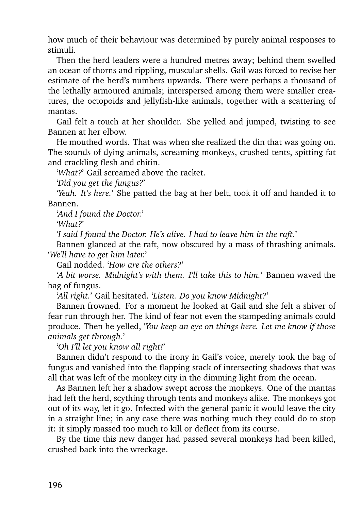how much of their behaviour was determined by purely animal responses to stimuli.

Then the herd leaders were a hundred metres away; behind them swelled an ocean of thorns and rippling, muscular shells. Gail was forced to revise her estimate of the herd's numbers upwards. There were perhaps a thousand of the lethally armoured animals; interspersed among them were smaller creatures, the octopoids and jellyfish-like animals, together with a scattering of mantas.

Gail felt a touch at her shoulder. She yelled and jumped, twisting to see Bannen at her elbow.

He mouthed words. That was when she realized the din that was going on. The sounds of dying animals, screaming monkeys, crushed tents, spitting fat and crackling flesh and chitin.

'*What?*' Gail screamed above the racket.

'*Did you get the fungus?*'

'*Yeah. It's here.*' She patted the bag at her belt, took it off and handed it to Bannen.

'*And I found the Doctor.*'

'*What?*'

'*I said I found the Doctor. He's alive. I had to leave him in the raft.*'

Bannen glanced at the raft, now obscured by a mass of thrashing animals. '*We'll have to get him later.*'

Gail nodded. '*How are the others?*'

'*A bit worse. Midnight's with them. I'll take this to him.*' Bannen waved the bag of fungus.

'*All right.*' Gail hesitated. '*Listen. Do you know Midnight?*'

Bannen frowned. For a moment he looked at Gail and she felt a shiver of fear run through her. The kind of fear not even the stampeding animals could produce. Then he yelled, '*You keep an eye on things here. Let me know if those animals get through.*'

'*Oh I'll let you know all right!*'

Bannen didn't respond to the irony in Gail's voice, merely took the bag of fungus and vanished into the flapping stack of intersecting shadows that was all that was left of the monkey city in the dimming light from the ocean.

As Bannen left her a shadow swept across the monkeys. One of the mantas had left the herd, scything through tents and monkeys alike. The monkeys got out of its way, let it go. Infected with the general panic it would leave the city in a straight line; in any case there was nothing much they could do to stop it: it simply massed too much to kill or deflect from its course.

By the time this new danger had passed several monkeys had been killed, crushed back into the wreckage.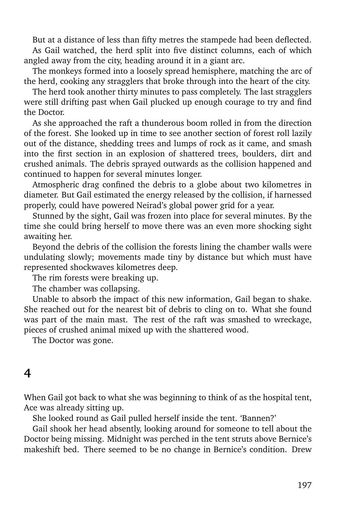But at a distance of less than fifty metres the stampede had been deflected.

As Gail watched, the herd split into five distinct columns, each of which angled away from the city, heading around it in a giant arc.

The monkeys formed into a loosely spread hemisphere, matching the arc of the herd, cooking any stragglers that broke through into the heart of the city.

The herd took another thirty minutes to pass completely. The last stragglers were still drifting past when Gail plucked up enough courage to try and find the Doctor.

As she approached the raft a thunderous boom rolled in from the direction of the forest. She looked up in time to see another section of forest roll lazily out of the distance, shedding trees and lumps of rock as it came, and smash into the first section in an explosion of shattered trees, boulders, dirt and crushed animals. The debris sprayed outwards as the collision happened and continued to happen for several minutes longer.

Atmospheric drag confined the debris to a globe about two kilometres in diameter. But Gail estimated the energy released by the collision, if harnessed properly, could have powered Neirad's global power grid for a year.

Stunned by the sight, Gail was frozen into place for several minutes. By the time she could bring herself to move there was an even more shocking sight awaiting her.

Beyond the debris of the collision the forests lining the chamber walls were undulating slowly; movements made tiny by distance but which must have represented shockwaves kilometres deep.

The rim forests were breaking up.

The chamber was collapsing.

Unable to absorb the impact of this new information, Gail began to shake. She reached out for the nearest bit of debris to cling on to. What she found was part of the main mast. The rest of the raft was smashed to wreckage, pieces of crushed animal mixed up with the shattered wood.

The Doctor was gone.

## **4**

When Gail got back to what she was beginning to think of as the hospital tent, Ace was already sitting up.

She looked round as Gail pulled herself inside the tent. 'Bannen?'

Gail shook her head absently, looking around for someone to tell about the Doctor being missing. Midnight was perched in the tent struts above Bernice's makeshift bed. There seemed to be no change in Bernice's condition. Drew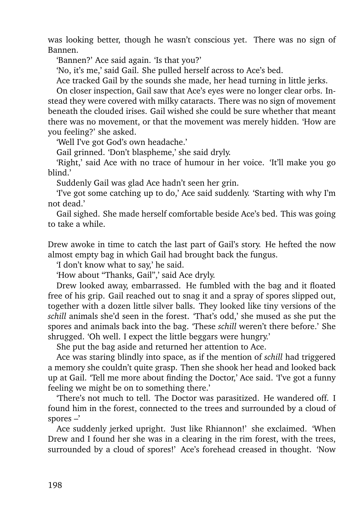was looking better, though he wasn't conscious yet. There was no sign of Bannen.

'Bannen?' Ace said again. 'Is that you?'

'No, it's me,' said Gail. She pulled herself across to Ace's bed.

Ace tracked Gail by the sounds she made, her head turning in little jerks.

On closer inspection, Gail saw that Ace's eyes were no longer clear orbs. Instead they were covered with milky cataracts. There was no sign of movement beneath the clouded irises. Gail wished she could be sure whether that meant there was no movement, or that the movement was merely hidden. 'How are you feeling?' she asked.

'Well I've got God's own headache.'

Gail grinned. 'Don't blaspheme,' she said dryly.

'Right,' said Ace with no trace of humour in her voice. 'It'll make you go blind.'

Suddenly Gail was glad Ace hadn't seen her grin.

'I've got some catching up to do,' Ace said suddenly. 'Starting with why I'm not dead.'

Gail sighed. She made herself comfortable beside Ace's bed. This was going to take a while.

Drew awoke in time to catch the last part of Gail's story. He hefted the now almost empty bag in which Gail had brought back the fungus.

'I don't know what to say,' he said.

'How about "Thanks, Gail",' said Ace dryly.

Drew looked away, embarrassed. He fumbled with the bag and it floated free of his grip. Gail reached out to snag it and a spray of spores slipped out, together with a dozen little silver balls. They looked like tiny versions of the *schill* animals she'd seen in the forest. 'That's odd,' she mused as she put the spores and animals back into the bag. 'These *schill* weren't there before.' She shrugged. 'Oh well. I expect the little beggars were hungry.'

She put the bag aside and returned her attention to Ace.

Ace was staring blindly into space, as if the mention of *schill* had triggered a memory she couldn't quite grasp. Then she shook her head and looked back up at Gail. 'Tell me more about finding the Doctor,' Ace said. 'I've got a funny feeling we might be on to something there.'

'There's not much to tell. The Doctor was parasitized. He wandered off. I found him in the forest, connected to the trees and surrounded by a cloud of spores  $-$ '

Ace suddenly jerked upright. 'Just like Rhiannon!' she exclaimed. 'When Drew and I found her she was in a clearing in the rim forest, with the trees, surrounded by a cloud of spores!' Ace's forehead creased in thought. 'Now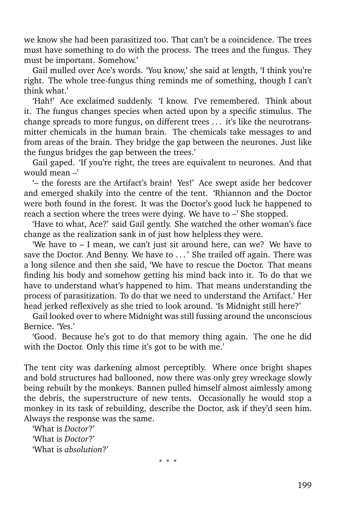we know she had been parasitized too. That can't be a coincidence. The trees must have something to do with the process. The trees and the fungus. They must be important. Somehow.'

Gail mulled over Ace's words. 'You know,' she said at length, 'I think you're right. The whole tree-fungus thing reminds me of something, though I can't think what.'

'Hah!' Ace exclaimed suddenly. 'I know. I've remembered. Think about it. The fungus changes species when acted upon by a specific stimulus. The change spreads to more fungus, on different trees . . . it's like the neurotransmitter chemicals in the human brain. The chemicals take messages to and from areas of the brain. They bridge the gap between the neurones. Just like the fungus bridges the gap between the trees.'

Gail gaped. 'If you're right, the trees are equivalent to neurones. And that would mean –'

'– the forests are the Artifact's brain! Yes!' Ace swept aside her bedcover and emerged shakily into the centre of the tent. 'Rhiannon and the Doctor were both found in the forest. It was the Doctor's good luck he happened to reach a section where the trees were dying. We have to –' She stopped.

'Have to what, Ace?' said Gail gently. She watched the other woman's face change as the realization sank in of just how helpless they were.

'We have to – I mean, we can't just sit around here, can we? We have to save the Doctor. And Benny. We have to . . . ' She trailed off again. There was a long silence and then she said, 'We have to rescue the Doctor. That means finding his body and somehow getting his mind back into it. To do that we have to understand what's happened to him. That means understanding the process of parasitization. To do that we need to understand the Artifact.' Her head jerked reflexively as she tried to look around. 'Is Midnight still here?'

Gail looked over to where Midnight was still fussing around the unconscious Bernice. 'Yes.'

'Good. Because he's got to do that memory thing again. The one he did with the Doctor. Only this time it's got to be with me.'

The tent city was darkening almost perceptibly. Where once bright shapes and bold structures had ballooned, now there was only grey wreckage slowly being rebuilt by the monkeys. Bannen pulled himself almost aimlessly among the debris, the superstructure of new tents. Occasionally he would stop a monkey in its task of rebuilding, describe the Doctor, ask if they'd seen him. Always the response was the same.

'What is *Doctor*?' 'What is *Doctor*?' 'What is *absolution*?'

∗ ∗ ∗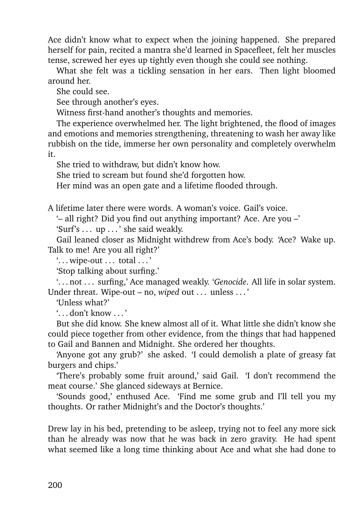Ace didn't know what to expect when the joining happened. She prepared herself for pain, recited a mantra she'd learned in Spacefleet, felt her muscles tense, screwed her eyes up tightly even though she could see nothing.

What she felt was a tickling sensation in her ears. Then light bloomed around her.

She could see.

See through another's eyes.

Witness first-hand another's thoughts and memories.

The experience overwhelmed her. The light brightened, the flood of images and emotions and memories strengthening, threatening to wash her away like rubbish on the tide, immerse her own personality and completely overwhelm it.

She tried to withdraw, but didn't know how.

She tried to scream but found she'd forgotten how.

Her mind was an open gate and a lifetime flooded through.

A lifetime later there were words. A woman's voice. Gail's voice.

'– all right? Did you find out anything important? Ace. Are you –' 'Surf's . . . up . . . ' she said weakly.

Gail leaned closer as Midnight withdrew from Ace's body. 'Ace? Wake up. Talk to me! Are you all right?'

 $'$ ... wipe-out ... total ...'

'Stop talking about surfing.'

'. . . not . . . surfing,' Ace managed weakly. '*Genocide*. All life in solar system. Under threat. Wipe-out – no, *wiped* out . . . unless . . . '

'Unless what?'

'. . . don't know . . . '

But she did know. She knew almost all of it. What little she didn't know she could piece together from other evidence, from the things that had happened to Gail and Bannen and Midnight. She ordered her thoughts.

'Anyone got any grub?' she asked. 'I could demolish a plate of greasy fat burgers and chips.'

'There's probably some fruit around,' said Gail. 'I don't recommend the meat course.' She glanced sideways at Bernice.

'Sounds good,' enthused Ace. 'Find me some grub and I'll tell you my thoughts. Or rather Midnight's and the Doctor's thoughts.'

Drew lay in his bed, pretending to be asleep, trying not to feel any more sick than he already was now that he was back in zero gravity. He had spent what seemed like a long time thinking about Ace and what she had done to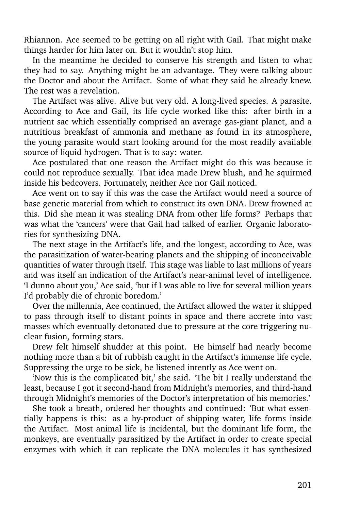Rhiannon. Ace seemed to be getting on all right with Gail. That might make things harder for him later on. But it wouldn't stop him.

In the meantime he decided to conserve his strength and listen to what they had to say. Anything might be an advantage. They were talking about the Doctor and about the Artifact. Some of what they said he already knew. The rest was a revelation.

The Artifact was alive. Alive but very old. A long-lived species. A parasite. According to Ace and Gail, its life cycle worked like this: after birth in a nutrient sac which essentially comprised an average gas-giant planet, and a nutritious breakfast of ammonia and methane as found in its atmosphere, the young parasite would start looking around for the most readily available source of liquid hydrogen. That is to say: water.

Ace postulated that one reason the Artifact might do this was because it could not reproduce sexually. That idea made Drew blush, and he squirmed inside his bedcovers. Fortunately, neither Ace nor Gail noticed.

Ace went on to say if this was the case the Artifact would need a source of base genetic material from which to construct its own DNA. Drew frowned at this. Did she mean it was stealing DNA from other life forms? Perhaps that was what the 'cancers' were that Gail had talked of earlier. Organic laboratories for synthesizing DNA.

The next stage in the Artifact's life, and the longest, according to Ace, was the parasitization of water-bearing planets and the shipping of inconceivable quantities of water through itself. This stage was liable to last millions of years and was itself an indication of the Artifact's near-animal level of intelligence. 'I dunno about you,' Ace said, 'but if I was able to live for several million years I'd probably die of chronic boredom.'

Over the millennia, Ace continued, the Artifact allowed the water it shipped to pass through itself to distant points in space and there accrete into vast masses which eventually detonated due to pressure at the core triggering nuclear fusion, forming stars.

Drew felt himself shudder at this point. He himself had nearly become nothing more than a bit of rubbish caught in the Artifact's immense life cycle. Suppressing the urge to be sick, he listened intently as Ace went on.

'Now this is the complicated bit,' she said. 'The bit I really understand the least, because I got it second-hand from Midnight's memories, and third-hand through Midnight's memories of the Doctor's interpretation of his memories.'

She took a breath, ordered her thoughts and continued: 'But what essentially happens is this: as a by-product of shipping water, life forms inside the Artifact. Most animal life is incidental, but the dominant life form, the monkeys, are eventually parasitized by the Artifact in order to create special enzymes with which it can replicate the DNA molecules it has synthesized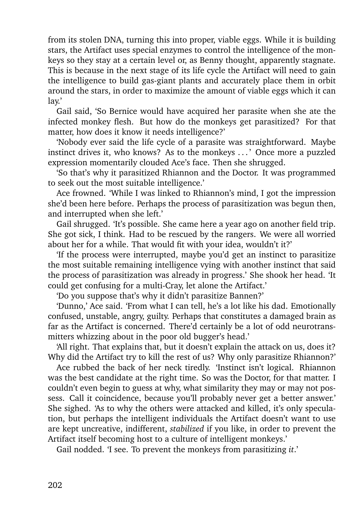from its stolen DNA, turning this into proper, viable eggs. While it is building stars, the Artifact uses special enzymes to control the intelligence of the monkeys so they stay at a certain level or, as Benny thought, apparently stagnate. This is because in the next stage of its life cycle the Artifact will need to gain the intelligence to build gas-giant plants and accurately place them in orbit around the stars, in order to maximize the amount of viable eggs which it can lay.'

Gail said, 'So Bernice would have acquired her parasite when she ate the infected monkey flesh. But how do the monkeys get parasitized? For that matter, how does it know it needs intelligence?'

'Nobody ever said the life cycle of a parasite was straightforward. Maybe instinct drives it, who knows? As to the monkeys . . . ' Once more a puzzled expression momentarily clouded Ace's face. Then she shrugged.

'So that's why it parasitized Rhiannon and the Doctor. It was programmed to seek out the most suitable intelligence.'

Ace frowned. 'While I was linked to Rhiannon's mind, I got the impression she'd been here before. Perhaps the process of parasitization was begun then, and interrupted when she left.'

Gail shrugged. 'It's possible. She came here a year ago on another field trip. She got sick, I think. Had to be rescued by the rangers. We were all worried about her for a while. That would fit with your idea, wouldn't it?'

'If the process were interrupted, maybe you'd get an instinct to parasitize the most suitable remaining intelligence vying with another instinct that said the process of parasitization was already in progress.' She shook her head. 'It could get confusing for a multi-Cray, let alone the Artifact.'

'Do you suppose that's why it didn't parasitize Bannen?'

'Dunno,' Ace said. 'From what I can tell, he's a lot like his dad. Emotionally confused, unstable, angry, guilty. Perhaps that constitutes a damaged brain as far as the Artifact is concerned. There'd certainly be a lot of odd neurotransmitters whizzing about in the poor old bugger's head.'

'All right. That explains that, but it doesn't explain the attack on us, does it? Why did the Artifact try to kill the rest of us? Why only parasitize Rhiannon?'

Ace rubbed the back of her neck tiredly. 'Instinct isn't logical. Rhiannon was the best candidate at the right time. So was the Doctor, for that matter. I couldn't even begin to guess at why, what similarity they may or may not possess. Call it coincidence, because you'll probably never get a better answer.' She sighed. 'As to why the others were attacked and killed, it's only speculation, but perhaps the intelligent individuals the Artifact doesn't want to use are kept uncreative, indifferent, *stabilized* if you like, in order to prevent the Artifact itself becoming host to a culture of intelligent monkeys.'

Gail nodded. 'I see. To prevent the monkeys from parasitizing *it*.'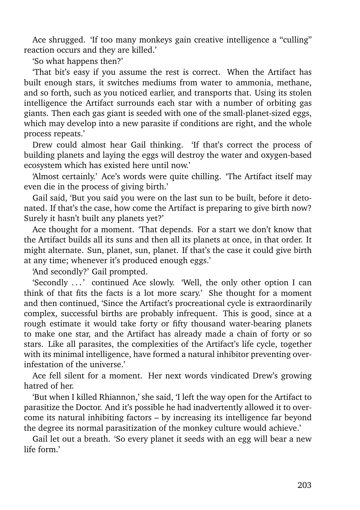Ace shrugged. 'If too many monkeys gain creative intelligence a "culling" reaction occurs and they are killed.'

'So what happens then?'

'That bit's easy if you assume the rest is correct. When the Artifact has built enough stars, it switches mediums from water to ammonia, methane, and so forth, such as you noticed earlier, and transports that. Using its stolen intelligence the Artifact surrounds each star with a number of orbiting gas giants. Then each gas giant is seeded with one of the small-planet-sized eggs, which may develop into a new parasite if conditions are right, and the whole process repeats.'

Drew could almost hear Gail thinking. 'If that's correct the process of building planets and laying the eggs will destroy the water and oxygen-based ecosystem which has existed here until now.'

'Almost certainly.' Ace's words were quite chilling. 'The Artifact itself may even die in the process of giving birth.'

Gail said, 'But you said you were on the last sun to be built, before it detonated. If that's the case, how come the Artifact is preparing to give birth now? Surely it hasn't built any planets yet?'

Ace thought for a moment. 'That depends. For a start we don't know that the Artifact builds all its suns and then all its planets at once, in that order. It might alternate. Sun, planet, sun, planet. If that's the case it could give birth at any time; whenever it's produced enough eggs.'

'And secondly?' Gail prompted.

'Secondly . . . ' continued Ace slowly. 'Well, the only other option I can think of that fits the facts is a lot more scary.' She thought for a moment and then continued, 'Since the Artifact's procreational cycle is extraordinarily complex, successful births are probably infrequent. This is good, since at a rough estimate it would take forty or fifty thousand water-bearing planets to make one star, and the Artifact has already made a chain of forty or so stars. Like all parasites, the complexities of the Artifact's life cycle, together with its minimal intelligence, have formed a natural inhibitor preventing overinfestation of the universe.'

Ace fell silent for a moment. Her next words vindicated Drew's growing hatred of her.

'But when I killed Rhiannon,' she said, 'I left the way open for the Artifact to parasitize the Doctor. And it's possible he had inadvertently allowed it to overcome its natural inhibiting factors – by increasing its intelligence far beyond the degree its normal parasitization of the monkey culture would achieve.'

Gail let out a breath. 'So every planet it seeds with an egg will bear a new life form<sup>'</sup>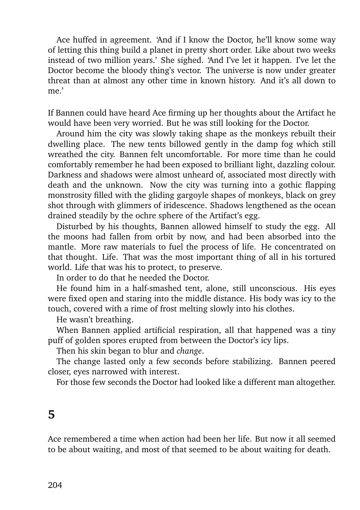Ace huffed in agreement. 'And if I know the Doctor, he'll know some way of letting this thing build a planet in pretty short order. Like about two weeks instead of two million years.' She sighed. 'And I've let it happen. I've let the Doctor become the bloody thing's vector. The universe is now under greater threat than at almost any other time in known history. And it's all down to me.'

If Bannen could have heard Ace firming up her thoughts about the Artifact he would have been very worried. But he was still looking for the Doctor.

Around him the city was slowly taking shape as the monkeys rebuilt their dwelling place. The new tents billowed gently in the damp fog which still wreathed the city. Bannen felt uncomfortable. For more time than he could comfortably remember he had been exposed to brilliant light, dazzling colour. Darkness and shadows were almost unheard of, associated most directly with death and the unknown. Now the city was turning into a gothic flapping monstrosity filled with the gliding gargoyle shapes of monkeys, black on grey shot through with glimmers of iridescence. Shadows lengthened as the ocean drained steadily by the ochre sphere of the Artifact's egg.

Disturbed by his thoughts, Bannen allowed himself to study the egg. All the moons had fallen from orbit by now, and had been absorbed into the mantle. More raw materials to fuel the process of life. He concentrated on that thought. Life. That was the most important thing of all in his tortured world. Life that was his to protect, to preserve.

In order to do that he needed the Doctor.

He found him in a half-smashed tent, alone, still unconscious. His eyes were fixed open and staring into the middle distance. His body was icy to the touch, covered with a rime of frost melting slowly into his clothes.

He wasn't breathing.

When Bannen applied artificial respiration, all that happened was a tiny puff of golden spores erupted from between the Doctor's icy lips.

Then his skin began to blur and *change*.

The change lasted only a few seconds before stabilizing. Bannen peered closer, eyes narrowed with interest.

For those few seconds the Doctor had looked like a different man altogether.

## **5**

Ace remembered a time when action had been her life. But now it all seemed to be about waiting, and most of that seemed to be about waiting for death.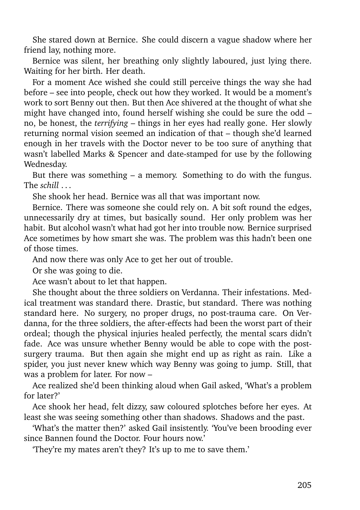She stared down at Bernice. She could discern a vague shadow where her friend lay, nothing more.

Bernice was silent, her breathing only slightly laboured, just lying there. Waiting for her birth. Her death.

For a moment Ace wished she could still perceive things the way she had before – see into people, check out how they worked. It would be a moment's work to sort Benny out then. But then Ace shivered at the thought of what she might have changed into, found herself wishing she could be sure the odd – no, be honest, the *terrifying* – things in her eyes had really gone. Her slowly returning normal vision seemed an indication of that – though she'd learned enough in her travels with the Doctor never to be too sure of anything that wasn't labelled Marks & Spencer and date-stamped for use by the following Wednesday.

But there was something – a memory. Something to do with the fungus. The *schill* . . .

She shook her head. Bernice was all that was important now.

Bernice. There was someone she could rely on. A bit soft round the edges, unnecessarily dry at times, but basically sound. Her only problem was her habit. But alcohol wasn't what had got her into trouble now. Bernice surprised Ace sometimes by how smart she was. The problem was this hadn't been one of those times.

And now there was only Ace to get her out of trouble.

Or she was going to die.

Ace wasn't about to let that happen.

She thought about the three soldiers on Verdanna. Their infestations. Medical treatment was standard there. Drastic, but standard. There was nothing standard here. No surgery, no proper drugs, no post-trauma care. On Verdanna, for the three soldiers, the after-effects had been the worst part of their ordeal; though the physical injuries healed perfectly, the mental scars didn't fade. Ace was unsure whether Benny would be able to cope with the postsurgery trauma. But then again she might end up as right as rain. Like a spider, you just never knew which way Benny was going to jump. Still, that was a problem for later. For now –

Ace realized she'd been thinking aloud when Gail asked, 'What's a problem for later?'

Ace shook her head, felt dizzy, saw coloured splotches before her eyes. At least she was seeing something other than shadows. Shadows and the past.

'What's the matter then?' asked Gail insistently. 'You've been brooding ever since Bannen found the Doctor. Four hours now.'

'They're my mates aren't they? It's up to me to save them.'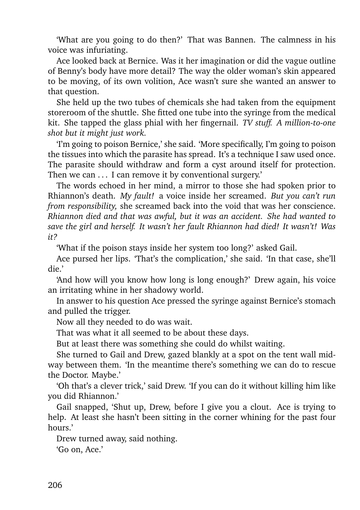'What are you going to do then?' That was Bannen. The calmness in his voice was infuriating.

Ace looked back at Bernice. Was it her imagination or did the vague outline of Benny's body have more detail? The way the older woman's skin appeared to be moving, of its own volition, Ace wasn't sure she wanted an answer to that question.

She held up the two tubes of chemicals she had taken from the equipment storeroom of the shuttle. She fitted one tube into the syringe from the medical kit. She tapped the glass phial with her fingernail. *TV stuff. A million-to-one shot but it might just work.*

'I'm going to poison Bernice,' she said. 'More specifically, I'm going to poison the tissues into which the parasite has spread. It's a technique I saw used once. The parasite should withdraw and form a cyst around itself for protection. Then we can ... I can remove it by conventional surgery.'

The words echoed in her mind, a mirror to those she had spoken prior to Rhiannon's death. *My fault!* a voice inside her screamed. *But you can't run from responsibility,* she screamed back into the void that was her conscience. *Rhiannon died and that was awful, but it was an accident. She had wanted to save the girl and herself. It wasn't her fault Rhiannon had died! It wasn't! Was it?*

'What if the poison stays inside her system too long?' asked Gail.

Ace pursed her lips. 'That's the complication,' she said. 'In that case, she'll die.'

'And how will you know how long is long enough?' Drew again, his voice an irritating whine in her shadowy world.

In answer to his question Ace pressed the syringe against Bernice's stomach and pulled the trigger.

Now all they needed to do was wait.

That was what it all seemed to be about these days.

But at least there was something she could do whilst waiting.

She turned to Gail and Drew, gazed blankly at a spot on the tent wall midway between them. 'In the meantime there's something we can do to rescue the Doctor. Maybe.'

'Oh that's a clever trick,' said Drew. 'If you can do it without killing him like you did Rhiannon.'

Gail snapped, 'Shut up, Drew, before I give you a clout. Ace is trying to help. At least she hasn't been sitting in the corner whining for the past four hours.'

Drew turned away, said nothing.

'Go on, Ace.'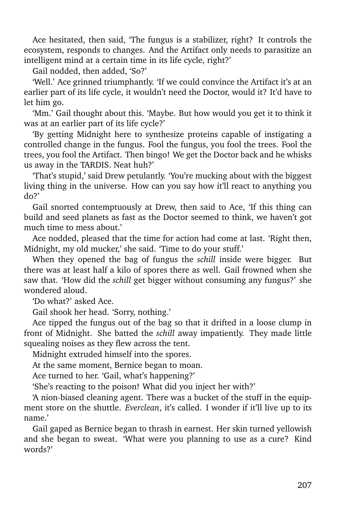Ace hesitated, then said, 'The fungus is a stabilizer, right? It controls the ecosystem, responds to changes. And the Artifact only needs to parasitize an intelligent mind at a certain time in its life cycle, right?'

Gail nodded, then added, 'So?'

'Well.' Ace grinned triumphantly. 'If we could convince the Artifact it's at an earlier part of its life cycle, it wouldn't need the Doctor, would it? It'd have to let him go.

'Mm.' Gail thought about this. 'Maybe. But how would you get it to think it was at an earlier part of its life cycle?'

'By getting Midnight here to synthesize proteins capable of instigating a controlled change in the fungus. Fool the fungus, you fool the trees. Fool the trees, you fool the Artifact. Then bingo! We get the Doctor back and he whisks us away in the TARDIS. Neat huh?'

'That's stupid,' said Drew petulantly. 'You're mucking about with the biggest living thing in the universe. How can you say how it'll react to anything you do?'

Gail snorted contemptuously at Drew, then said to Ace, 'If this thing can build and seed planets as fast as the Doctor seemed to think, we haven't got much time to mess about.'

Ace nodded, pleased that the time for action had come at last. 'Right then, Midnight, my old mucker,' she said. 'Time to do your stuff.'

When they opened the bag of fungus the *schill* inside were bigger. But there was at least half a kilo of spores there as well. Gail frowned when she saw that. 'How did the *schill* get bigger without consuming any fungus?' she wondered aloud.

'Do what?' asked Ace.

Gail shook her head. 'Sorry, nothing.'

Ace tipped the fungus out of the bag so that it drifted in a loose clump in front of Midnight. She batted the *schill* away impatiently. They made little squealing noises as they flew across the tent.

Midnight extruded himself into the spores.

At the same moment, Bernice began to moan.

Ace turned to her. 'Gail, what's happening?'

'She's reacting to the poison! What did you inject her with?'

'A nion-biased cleaning agent. There was a bucket of the stuff in the equipment store on the shuttle. *Everclean*, it's called. I wonder if it'll live up to its name.'

Gail gaped as Bernice began to thrash in earnest. Her skin turned yellowish and she began to sweat. 'What were you planning to use as a cure? Kind words?'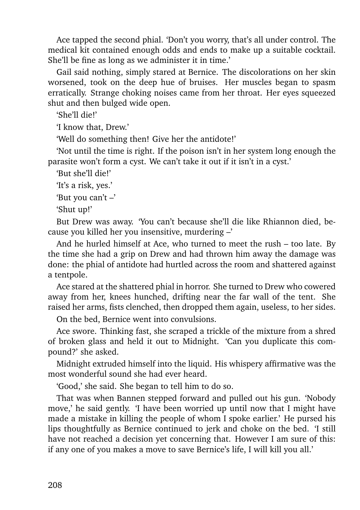Ace tapped the second phial. 'Don't you worry, that's all under control. The medical kit contained enough odds and ends to make up a suitable cocktail. She'll be fine as long as we administer it in time.'

Gail said nothing, simply stared at Bernice. The discolorations on her skin worsened, took on the deep hue of bruises. Her muscles began to spasm erratically. Strange choking noises came from her throat. Her eyes squeezed shut and then bulged wide open.

'She'll die!'

'I know that, Drew.'

'Well do something then! Give her the antidote!'

'Not until the time is right. If the poison isn't in her system long enough the parasite won't form a cyst. We can't take it out if it isn't in a cyst.'

'But she'll die!'

'It's a risk, yes.'

'But you can't –'

'Shut up!'

But Drew was away. 'You can't because she'll die like Rhiannon died, because you killed her you insensitive, murdering –'

And he hurled himself at Ace, who turned to meet the rush – too late. By the time she had a grip on Drew and had thrown him away the damage was done: the phial of antidote had hurtled across the room and shattered against a tentpole.

Ace stared at the shattered phial in horror. She turned to Drew who cowered away from her, knees hunched, drifting near the far wall of the tent. She raised her arms, fists clenched, then dropped them again, useless, to her sides.

On the bed, Bernice went into convulsions.

Ace swore. Thinking fast, she scraped a trickle of the mixture from a shred of broken glass and held it out to Midnight. 'Can you duplicate this compound?' she asked.

Midnight extruded himself into the liquid. His whispery affirmative was the most wonderful sound she had ever heard.

'Good,' she said. She began to tell him to do so.

That was when Bannen stepped forward and pulled out his gun. 'Nobody move,' he said gently. 'I have been worried up until now that I might have made a mistake in killing the people of whom I spoke earlier.' He pursed his lips thoughtfully as Bernice continued to jerk and choke on the bed. 'I still have not reached a decision yet concerning that. However I am sure of this: if any one of you makes a move to save Bernice's life, I will kill you all.'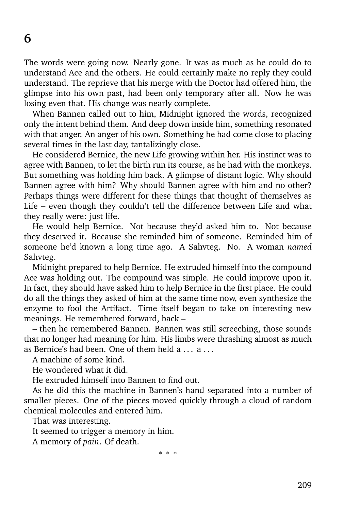The words were going now. Nearly gone. It was as much as he could do to understand Ace and the others. He could certainly make no reply they could understand. The reprieve that his merge with the Doctor had offered him, the glimpse into his own past, had been only temporary after all. Now he was losing even that. His change was nearly complete.

When Bannen called out to him, Midnight ignored the words, recognized only the intent behind them. And deep down inside him, something resonated with that anger. An anger of his own. Something he had come close to placing several times in the last day, tantalizingly close.

He considered Bernice, the new Life growing within her. His instinct was to agree with Bannen, to let the birth run its course, as he had with the monkeys. But something was holding him back. A glimpse of distant logic. Why should Bannen agree with him? Why should Bannen agree with him and no other? Perhaps things were different for these things that thought of themselves as Life – even though they couldn't tell the difference between Life and what they really were: just life.

He would help Bernice. Not because they'd asked him to. Not because they deserved it. Because she reminded him of someone. Reminded him of someone he'd known a long time ago. A Sahvteg. No. A woman *named* Sahvteg.

Midnight prepared to help Bernice. He extruded himself into the compound Ace was holding out. The compound was simple. He could improve upon it. In fact, they should have asked him to help Bernice in the first place. He could do all the things they asked of him at the same time now, even synthesize the enzyme to fool the Artifact. Time itself began to take on interesting new meanings. He remembered forward, back –

– then he remembered Bannen. Bannen was still screeching, those sounds that no longer had meaning for him. His limbs were thrashing almost as much as Bernice's had been. One of them held a ... . a

A machine of some kind.

He wondered what it did.

He extruded himself into Bannen to find out.

As he did this the machine in Bannen's hand separated into a number of smaller pieces. One of the pieces moved quickly through a cloud of random chemical molecules and entered him.

That was interesting.

It seemed to trigger a memory in him.

A memory of *pain*. Of death.

∗ ∗ ∗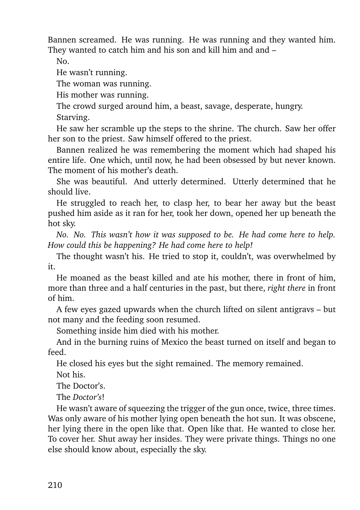Bannen screamed. He was running. He was running and they wanted him. They wanted to catch him and his son and kill him and and –

No.

He wasn't running.

The woman was running.

His mother was running.

The crowd surged around him, a beast, savage, desperate, hungry.

Starving.

He saw her scramble up the steps to the shrine. The church. Saw her offer her son to the priest. Saw himself offered to the priest.

Bannen realized he was remembering the moment which had shaped his entire life. One which, until now, he had been obsessed by but never known. The moment of his mother's death.

She was beautiful. And utterly determined. Utterly determined that he should live.

He struggled to reach her, to clasp her, to bear her away but the beast pushed him aside as it ran for her, took her down, opened her up beneath the hot sky.

*No. No. This wasn't how it was supposed to be. He had come here to help. How could this be happening? He had come here to help!*

The thought wasn't his. He tried to stop it, couldn't, was overwhelmed by it.

He moaned as the beast killed and ate his mother, there in front of him, more than three and a half centuries in the past, but there, *right there* in front of him.

A few eyes gazed upwards when the church lifted on silent antigravs – but not many and the feeding soon resumed.

Something inside him died with his mother.

And in the burning ruins of Mexico the beast turned on itself and began to feed.

He closed his eyes but the sight remained. The memory remained.

Not his.

The Doctor's.

The *Doctor's*!

He wasn't aware of squeezing the trigger of the gun once, twice, three times. Was only aware of his mother lying open beneath the hot sun. It was obscene, her lying there in the open like that. Open like that. He wanted to close her. To cover her. Shut away her insides. They were private things. Things no one else should know about, especially the sky.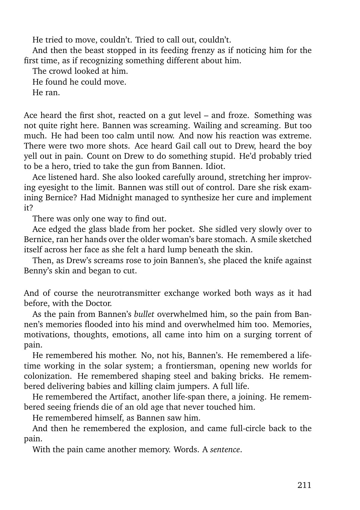He tried to move, couldn't. Tried to call out, couldn't.

And then the beast stopped in its feeding frenzy as if noticing him for the first time, as if recognizing something different about him.

The crowd looked at him.

He found he could move.

He ran.

Ace heard the first shot, reacted on a gut level – and froze. Something was not quite right here. Bannen was screaming. Wailing and screaming. But too much. He had been too calm until now. And now his reaction was extreme. There were two more shots. Ace heard Gail call out to Drew, heard the boy yell out in pain. Count on Drew to do something stupid. He'd probably tried to be a hero, tried to take the gun from Bannen. Idiot.

Ace listened hard. She also looked carefully around, stretching her improving eyesight to the limit. Bannen was still out of control. Dare she risk examining Bernice? Had Midnight managed to synthesize her cure and implement it?

There was only one way to find out.

Ace edged the glass blade from her pocket. She sidled very slowly over to Bernice, ran her hands over the older woman's bare stomach. A smile sketched itself across her face as she felt a hard lump beneath the skin.

Then, as Drew's screams rose to join Bannen's, she placed the knife against Benny's skin and began to cut.

And of course the neurotransmitter exchange worked both ways as it had before, with the Doctor.

As the pain from Bannen's *bullet* overwhelmed him, so the pain from Bannen's memories flooded into his mind and overwhelmed him too. Memories, motivations, thoughts, emotions, all came into him on a surging torrent of pain.

He remembered his mother. No, not his, Bannen's. He remembered a lifetime working in the solar system; a frontiersman, opening new worlds for colonization. He remembered shaping steel and baking bricks. He remembered delivering babies and killing claim jumpers. A full life.

He remembered the Artifact, another life-span there, a joining. He remembered seeing friends die of an old age that never touched him.

He remembered himself, as Bannen saw him.

And then he remembered the explosion, and came full-circle back to the pain.

With the pain came another memory. Words. A *sentence*.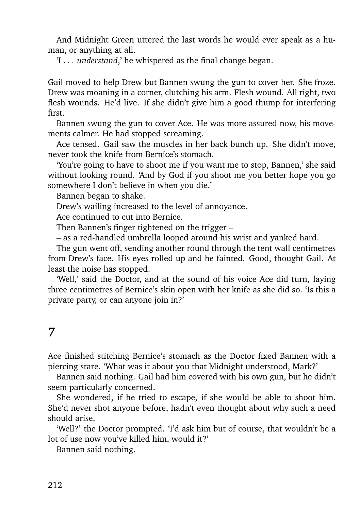And Midnight Green uttered the last words he would ever speak as a human, or anything at all.

'I . . . *understand*,' he whispered as the final change began.

Gail moved to help Drew but Bannen swung the gun to cover her. She froze. Drew was moaning in a corner, clutching his arm. Flesh wound. All right, two flesh wounds. He'd live. If she didn't give him a good thump for interfering first.

Bannen swung the gun to cover Ace. He was more assured now, his movements calmer. He had stopped screaming.

Ace tensed. Gail saw the muscles in her back bunch up. She didn't move, never took the knife from Bernice's stomach.

'You're going to have to shoot me if you want me to stop, Bannen,' she said without looking round. 'And by God if you shoot me you better hope you go somewhere I don't believe in when you die.'

Bannen began to shake.

Drew's wailing increased to the level of annoyance.

Ace continued to cut into Bernice.

Then Bannen's finger tightened on the trigger –

– as a red-handled umbrella looped around his wrist and yanked hard.

The gun went off, sending another round through the tent wall centimetres from Drew's face. His eyes rolled up and he fainted. Good, thought Gail. At least the noise has stopped.

'Well,' said the Doctor, and at the sound of his voice Ace did turn, laying three centimetres of Bernice's skin open with her knife as she did so. 'Is this a private party, or can anyone join in?'

## **7**

Ace finished stitching Bernice's stomach as the Doctor fixed Bannen with a piercing stare. 'What was it about you that Midnight understood, Mark?'

Bannen said nothing. Gail had him covered with his own gun, but he didn't seem particularly concerned.

She wondered, if he tried to escape, if she would be able to shoot him. She'd never shot anyone before, hadn't even thought about why such a need should arise.

'Well?' the Doctor prompted. 'I'd ask him but of course, that wouldn't be a lot of use now you've killed him, would it?'

Bannen said nothing.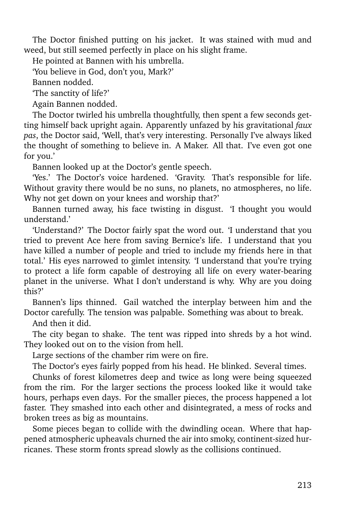The Doctor finished putting on his jacket. It was stained with mud and weed, but still seemed perfectly in place on his slight frame.

He pointed at Bannen with his umbrella.

'You believe in God, don't you, Mark?'

Bannen nodded.

'The sanctity of life?'

Again Bannen nodded.

The Doctor twirled his umbrella thoughtfully, then spent a few seconds getting himself back upright again. Apparently unfazed by his gravitational *faux pas*, the Doctor said, 'Well, that's very interesting. Personally I've always liked the thought of something to believe in. A Maker. All that. I've even got one for you.'

Bannen looked up at the Doctor's gentle speech.

'Yes.' The Doctor's voice hardened. 'Gravity. That's responsible for life. Without gravity there would be no suns, no planets, no atmospheres, no life. Why not get down on your knees and worship that?'

Bannen turned away, his face twisting in disgust. 'I thought you would understand.'

'Understand?' The Doctor fairly spat the word out. 'I understand that you tried to prevent Ace here from saving Bernice's life. I understand that you have killed a number of people and tried to include my friends here in that total.' His eyes narrowed to gimlet intensity. 'I understand that you're trying to protect a life form capable of destroying all life on every water-bearing planet in the universe. What I don't understand is why. Why are you doing this?'

Bannen's lips thinned. Gail watched the interplay between him and the Doctor carefully. The tension was palpable. Something was about to break.

And then it did.

The city began to shake. The tent was ripped into shreds by a hot wind. They looked out on to the vision from hell.

Large sections of the chamber rim were on fire.

The Doctor's eyes fairly popped from his head. He blinked. Several times.

Chunks of forest kilometres deep and twice as long were being squeezed from the rim. For the larger sections the process looked like it would take hours, perhaps even days. For the smaller pieces, the process happened a lot faster. They smashed into each other and disintegrated, a mess of rocks and broken trees as big as mountains.

Some pieces began to collide with the dwindling ocean. Where that happened atmospheric upheavals churned the air into smoky, continent-sized hurricanes. These storm fronts spread slowly as the collisions continued.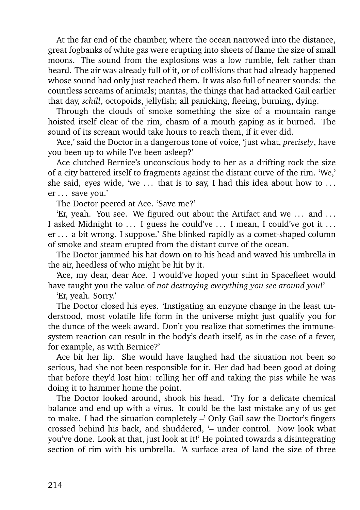At the far end of the chamber, where the ocean narrowed into the distance, great fogbanks of white gas were erupting into sheets of flame the size of small moons. The sound from the explosions was a low rumble, felt rather than heard. The air was already full of it, or of collisions that had already happened whose sound had only just reached them. It was also full of nearer sounds: the countless screams of animals; mantas, the things that had attacked Gail earlier that day, *schill*, octopoids, jellyfish; all panicking, fleeing, burning, dying.

Through the clouds of smoke something the size of a mountain range hoisted itself clear of the rim, chasm of a mouth gaping as it burned. The sound of its scream would take hours to reach them, if it ever did.

'Ace,' said the Doctor in a dangerous tone of voice, 'just what, *precisely*, have you been up to while I've been asleep?'

Ace clutched Bernice's unconscious body to her as a drifting rock the size of a city battered itself to fragments against the distant curve of the rim. 'We,' she said, eyes wide, 'we ... that is to say, I had this idea about how to ... er . . . save you.'

The Doctor peered at Ace. 'Save me?'

'Er, yeah. You see. We figured out about the Artifact and we . . . and . . . I asked Midnight to ... I guess he could've ... I mean, I could've got it ... er ... a bit wrong. I suppose.' She blinked rapidly as a comet-shaped column of smoke and steam erupted from the distant curve of the ocean.

The Doctor jammed his hat down on to his head and waved his umbrella in the air, heedless of who might be hit by it.

'Ace, my dear, dear Ace. I would've hoped your stint in Spacefleet would have taught you the value of *not destroying everything you see around you*!'

'Er, yeah. Sorry.'

The Doctor closed his eyes. 'Instigating an enzyme change in the least understood, most volatile life form in the universe might just qualify you for the dunce of the week award. Don't you realize that sometimes the immunesystem reaction can result in the body's death itself, as in the case of a fever, for example, as with Bernice?'

Ace bit her lip. She would have laughed had the situation not been so serious, had she not been responsible for it. Her dad had been good at doing that before they'd lost him: telling her off and taking the piss while he was doing it to hammer home the point.

The Doctor looked around, shook his head. 'Try for a delicate chemical balance and end up with a virus. It could be the last mistake any of us get to make. I had the situation completely –' Only Gail saw the Doctor's fingers crossed behind his back, and shuddered, '– under control. Now look what you've done. Look at that, just look at it!' He pointed towards a disintegrating section of rim with his umbrella. 'A surface area of land the size of three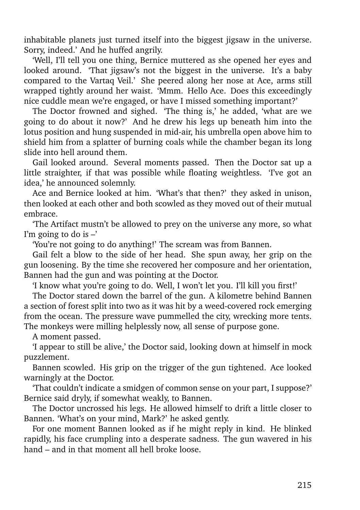inhabitable planets just turned itself into the biggest jigsaw in the universe. Sorry, indeed.' And he huffed angrily.

'Well, I'll tell you one thing, Bernice muttered as she opened her eyes and looked around. 'That jigsaw's not the biggest in the universe. It's a baby compared to the Vartaq Veil.' She peered along her nose at Ace, arms still wrapped tightly around her waist. 'Mmm. Hello Ace. Does this exceedingly nice cuddle mean we're engaged, or have I missed something important?'

The Doctor frowned and sighed. 'The thing is,' he added, 'what are we going to do about it now?' And he drew his legs up beneath him into the lotus position and hung suspended in mid-air, his umbrella open above him to shield him from a splatter of burning coals while the chamber began its long slide into hell around them.

Gail looked around. Several moments passed. Then the Doctor sat up a little straighter, if that was possible while floating weightless. 'I've got an idea,' he announced solemnly.

Ace and Bernice looked at him. 'What's that then?' they asked in unison, then looked at each other and both scowled as they moved out of their mutual embrace.

'The Artifact mustn't be allowed to prey on the universe any more, so what I'm going to do is  $-$ '

'You're not going to do anything!' The scream was from Bannen.

Gail felt a blow to the side of her head. She spun away, her grip on the gun loosening. By the time she recovered her composure and her orientation, Bannen had the gun and was pointing at the Doctor.

'I know what you're going to do. Well, I won't let you. I'll kill you first!'

The Doctor stared down the barrel of the gun. A kilometre behind Bannen a section of forest split into two as it was hit by a weed-covered rock emerging from the ocean. The pressure wave pummelled the city, wrecking more tents. The monkeys were milling helplessly now, all sense of purpose gone.

A moment passed.

'I appear to still be alive,' the Doctor said, looking down at himself in mock puzzlement.

Bannen scowled. His grip on the trigger of the gun tightened. Ace looked warningly at the Doctor.

'That couldn't indicate a smidgen of common sense on your part, I suppose?' Bernice said dryly, if somewhat weakly, to Bannen.

The Doctor uncrossed his legs. He allowed himself to drift a little closer to Bannen. 'What's on your mind, Mark?' he asked gently.

For one moment Bannen looked as if he might reply in kind. He blinked rapidly, his face crumpling into a desperate sadness. The gun wavered in his hand – and in that moment all hell broke loose.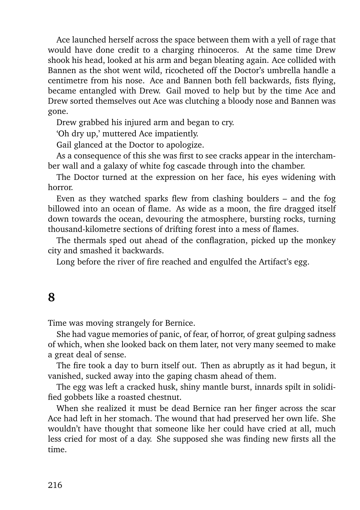Ace launched herself across the space between them with a yell of rage that would have done credit to a charging rhinoceros. At the same time Drew shook his head, looked at his arm and began bleating again. Ace collided with Bannen as the shot went wild, ricocheted off the Doctor's umbrella handle a centimetre from his nose. Ace and Bannen both fell backwards, fists flying, became entangled with Drew. Gail moved to help but by the time Ace and Drew sorted themselves out Ace was clutching a bloody nose and Bannen was gone.

Drew grabbed his injured arm and began to cry.

'Oh dry up,' muttered Ace impatiently.

Gail glanced at the Doctor to apologize.

As a consequence of this she was first to see cracks appear in the interchamber wall and a galaxy of white fog cascade through into the chamber.

The Doctor turned at the expression on her face, his eyes widening with horror.

Even as they watched sparks flew from clashing boulders – and the fog billowed into an ocean of flame. As wide as a moon, the fire dragged itself down towards the ocean, devouring the atmosphere, bursting rocks, turning thousand-kilometre sections of drifting forest into a mess of flames.

The thermals sped out ahead of the conflagration, picked up the monkey city and smashed it backwards.

Long before the river of fire reached and engulfed the Artifact's egg.

**8**

Time was moving strangely for Bernice.

She had vague memories of panic, of fear, of horror, of great gulping sadness of which, when she looked back on them later, not very many seemed to make a great deal of sense.

The fire took a day to burn itself out. Then as abruptly as it had begun, it vanished, sucked away into the gaping chasm ahead of them.

The egg was left a cracked husk, shiny mantle burst, innards spilt in solidified gobbets like a roasted chestnut.

When she realized it must be dead Bernice ran her finger across the scar Ace had left in her stomach. The wound that had preserved her own life. She wouldn't have thought that someone like her could have cried at all, much less cried for most of a day. She supposed she was finding new firsts all the time.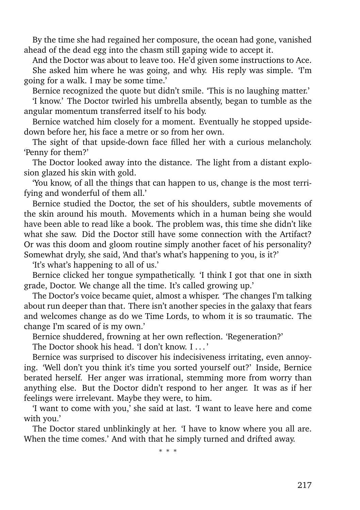By the time she had regained her composure, the ocean had gone, vanished ahead of the dead egg into the chasm still gaping wide to accept it.

And the Doctor was about to leave too. He'd given some instructions to Ace. She asked him where he was going, and why. His reply was simple. 'I'm going for a walk. I may be some time.'

Bernice recognized the quote but didn't smile. 'This is no laughing matter.'

'I know.' The Doctor twirled his umbrella absently, began to tumble as the angular momentum transferred itself to his body.

Bernice watched him closely for a moment. Eventually he stopped upsidedown before her, his face a metre or so from her own.

The sight of that upside-down face filled her with a curious melancholy. 'Penny for them?'

The Doctor looked away into the distance. The light from a distant explosion glazed his skin with gold.

'You know, of all the things that can happen to us, change is the most terrifying and wonderful of them all.'

Bernice studied the Doctor, the set of his shoulders, subtle movements of the skin around his mouth. Movements which in a human being she would have been able to read like a book. The problem was, this time she didn't like what she saw. Did the Doctor still have some connection with the Artifact? Or was this doom and gloom routine simply another facet of his personality? Somewhat dryly, she said, 'And that's what's happening to you, is it?'

'It's what's happening to all of us.'

Bernice clicked her tongue sympathetically. 'I think I got that one in sixth grade, Doctor. We change all the time. It's called growing up.'

The Doctor's voice became quiet, almost a whisper. 'The changes I'm talking about run deeper than that. There isn't another species in the galaxy that fears and welcomes change as do we Time Lords, to whom it is so traumatic. The change I'm scared of is my own.'

Bernice shuddered, frowning at her own reflection. 'Regeneration?'

The Doctor shook his head. 'I don't know. I . . . '

Bernice was surprised to discover his indecisiveness irritating, even annoying. 'Well don't you think it's time you sorted yourself out?' Inside, Bernice berated herself. Her anger was irrational, stemming more from worry than anything else. But the Doctor didn't respond to her anger. It was as if her feelings were irrelevant. Maybe they were, to him.

'I want to come with you,' she said at last. 'I want to leave here and come with you.'

The Doctor stared unblinkingly at her. 'I have to know where you all are. When the time comes.' And with that he simply turned and drifted away.

∗ ∗ ∗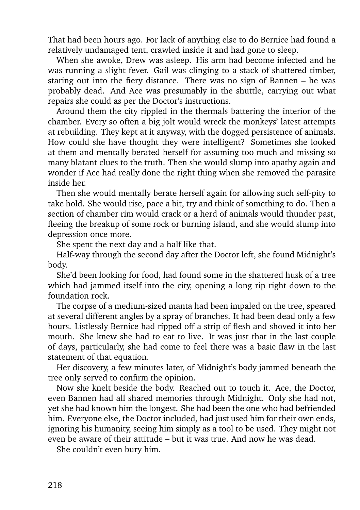That had been hours ago. For lack of anything else to do Bernice had found a relatively undamaged tent, crawled inside it and had gone to sleep.

When she awoke, Drew was asleep. His arm had become infected and he was running a slight fever. Gail was clinging to a stack of shattered timber, staring out into the fiery distance. There was no sign of Bannen – he was probably dead. And Ace was presumably in the shuttle, carrying out what repairs she could as per the Doctor's instructions.

Around them the city rippled in the thermals battering the interior of the chamber. Every so often a big jolt would wreck the monkeys' latest attempts at rebuilding. They kept at it anyway, with the dogged persistence of animals. How could she have thought they were intelligent? Sometimes she looked at them and mentally berated herself for assuming too much and missing so many blatant clues to the truth. Then she would slump into apathy again and wonder if Ace had really done the right thing when she removed the parasite inside her.

Then she would mentally berate herself again for allowing such self-pity to take hold. She would rise, pace a bit, try and think of something to do. Then a section of chamber rim would crack or a herd of animals would thunder past, fleeing the breakup of some rock or burning island, and she would slump into depression once more.

She spent the next day and a half like that.

Half-way through the second day after the Doctor left, she found Midnight's body.

She'd been looking for food, had found some in the shattered husk of a tree which had jammed itself into the city, opening a long rip right down to the foundation rock.

The corpse of a medium-sized manta had been impaled on the tree, speared at several different angles by a spray of branches. It had been dead only a few hours. Listlessly Bernice had ripped off a strip of flesh and shoved it into her mouth. She knew she had to eat to live. It was just that in the last couple of days, particularly, she had come to feel there was a basic flaw in the last statement of that equation.

Her discovery, a few minutes later, of Midnight's body jammed beneath the tree only served to confirm the opinion.

Now she knelt beside the body. Reached out to touch it. Ace, the Doctor, even Bannen had all shared memories through Midnight. Only she had not, yet she had known him the longest. She had been the one who had befriended him. Everyone else, the Doctor included, had just used him for their own ends, ignoring his humanity, seeing him simply as a tool to be used. They might not even be aware of their attitude – but it was true. And now he was dead.

She couldn't even bury him.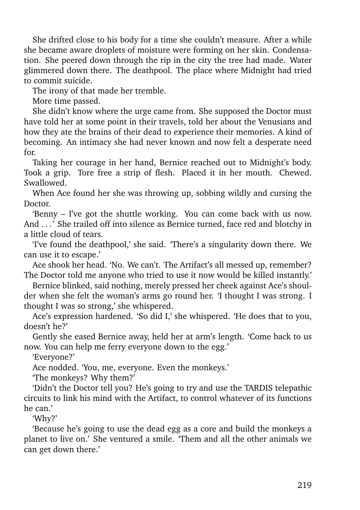She drifted close to his body for a time she couldn't measure. After a while she became aware droplets of moisture were forming on her skin. Condensation. She peered down through the rip in the city the tree had made. Water glimmered down there. The deathpool. The place where Midnight had tried to commit suicide.

The irony of that made her tremble.

More time passed.

She didn't know where the urge came from. She supposed the Doctor must have told her at some point in their travels, told her about the Venusians and how they ate the brains of their dead to experience their memories. A kind of becoming. An intimacy she had never known and now felt a desperate need for.

Taking her courage in her hand, Bernice reached out to Midnight's body. Took a grip. Tore free a strip of flesh. Placed it in her mouth. Chewed. Swallowed.

When Ace found her she was throwing up, sobbing wildly and cursing the Doctor.

'Benny – I've got the shuttle working. You can come back with us now. And . . . ' She trailed off into silence as Bernice turned, face red and blotchy in a little cloud of tears.

'I've found the deathpool,' she said. 'There's a singularity down there. We can use it to escape.'

Ace shook her head. 'No. We can't. The Artifact's all messed up, remember? The Doctor told me anyone who tried to use it now would be killed instantly.'

Bernice blinked, said nothing, merely pressed her cheek against Ace's shoulder when she felt the woman's arms go round her. 'I thought I was strong. I thought I was so strong,' she whispered.

Ace's expression hardened. 'So did I,' she whispered. 'He does that to you, doesn't he?'

Gently she eased Bernice away, held her at arm's length. 'Come back to us now. You can help me ferry everyone down to the egg.'

'Everyone?'

Ace nodded. 'You, me, everyone. Even the monkeys.'

'The monkeys? Why them?'

'Didn't the Doctor tell you? He's going to try and use the TARDIS telepathic circuits to link his mind with the Artifact, to control whatever of its functions he can.'

'Why?'

'Because he's going to use the dead egg as a core and build the monkeys a planet to live on.' She ventured a smile. 'Them and all the other animals we can get down there.'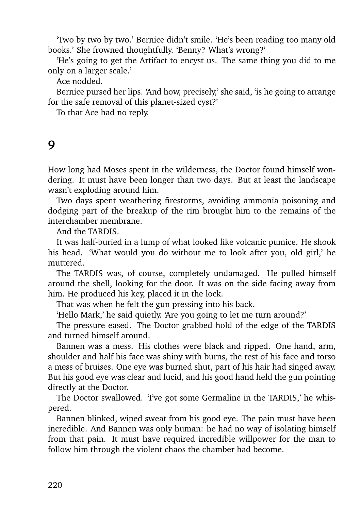'Two by two by two.' Bernice didn't smile. 'He's been reading too many old books.' She frowned thoughtfully. 'Benny? What's wrong?'

'He's going to get the Artifact to encyst us. The same thing you did to me only on a larger scale.'

Ace nodded.

Bernice pursed her lips. 'And how, precisely,' she said, 'is he going to arrange for the safe removal of this planet-sized cyst?'

To that Ace had no reply.

### **9**

How long had Moses spent in the wilderness, the Doctor found himself wondering. It must have been longer than two days. But at least the landscape wasn't exploding around him.

Two days spent weathering firestorms, avoiding ammonia poisoning and dodging part of the breakup of the rim brought him to the remains of the interchamber membrane.

And the TARDIS.

It was half-buried in a lump of what looked like volcanic pumice. He shook his head. 'What would you do without me to look after you, old girl,' he muttered.

The TARDIS was, of course, completely undamaged. He pulled himself around the shell, looking for the door. It was on the side facing away from him. He produced his key, placed it in the lock.

That was when he felt the gun pressing into his back.

'Hello Mark,' he said quietly. 'Are you going to let me turn around?'

The pressure eased. The Doctor grabbed hold of the edge of the TARDIS and turned himself around.

Bannen was a mess. His clothes were black and ripped. One hand, arm, shoulder and half his face was shiny with burns, the rest of his face and torso a mess of bruises. One eye was burned shut, part of his hair had singed away. But his good eye was clear and lucid, and his good hand held the gun pointing directly at the Doctor.

The Doctor swallowed. 'I've got some Germaline in the TARDIS,' he whispered.

Bannen blinked, wiped sweat from his good eye. The pain must have been incredible. And Bannen was only human: he had no way of isolating himself from that pain. It must have required incredible willpower for the man to follow him through the violent chaos the chamber had become.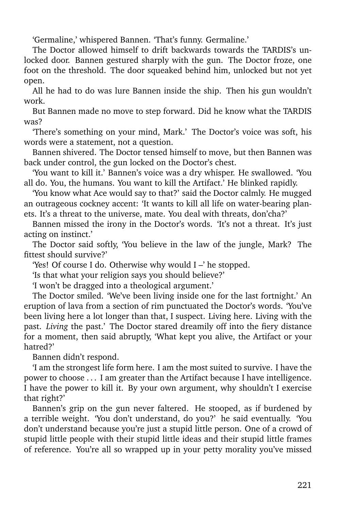'Germaline,' whispered Bannen. 'That's funny. Germaline.'

The Doctor allowed himself to drift backwards towards the TARDIS's unlocked door. Bannen gestured sharply with the gun. The Doctor froze, one foot on the threshold. The door squeaked behind him, unlocked but not yet open.

All he had to do was lure Bannen inside the ship. Then his gun wouldn't work.

But Bannen made no move to step forward. Did he know what the TARDIS was?

'There's something on your mind, Mark.' The Doctor's voice was soft, his words were a statement, not a question.

Bannen shivered. The Doctor tensed himself to move, but then Bannen was back under control, the gun locked on the Doctor's chest.

'You want to kill it.' Bannen's voice was a dry whisper. He swallowed. 'You all do. You, the humans. You want to kill the Artifact.' He blinked rapidly.

'You know what Ace would say to that?' said the Doctor calmly. He mugged an outrageous cockney accent: 'It wants to kill all life on water-bearing planets. It's a threat to the universe, mate. You deal with threats, don'cha?'

Bannen missed the irony in the Doctor's words. 'It's not a threat. It's just acting on instinct.'

The Doctor said softly, 'You believe in the law of the jungle, Mark? The fittest should survive?'

'Yes! Of course I do. Otherwise why would I –' he stopped.

'Is that what your religion says you should believe?'

'I won't be dragged into a theological argument.'

The Doctor smiled. 'We've been living inside one for the last fortnight.' An eruption of lava from a section of rim punctuated the Doctor's words. 'You've been living here a lot longer than that, I suspect. Living here. Living with the past. *Living* the past.' The Doctor stared dreamily off into the fiery distance for a moment, then said abruptly, 'What kept you alive, the Artifact or your hatred?'

Bannen didn't respond.

'I am the strongest life form here. I am the most suited to survive. I have the power to choose . . . I am greater than the Artifact because I have intelligence. I have the power to kill it. By your own argument, why shouldn't I exercise that right?'

Bannen's grip on the gun never faltered. He stooped, as if burdened by a terrible weight. 'You don't understand, do you?' he said eventually. 'You don't understand because you're just a stupid little person. One of a crowd of stupid little people with their stupid little ideas and their stupid little frames of reference. You're all so wrapped up in your petty morality you've missed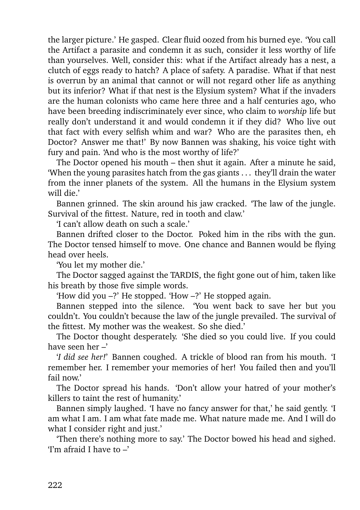the larger picture.' He gasped. Clear fluid oozed from his burned eye. 'You call the Artifact a parasite and condemn it as such, consider it less worthy of life than yourselves. Well, consider this: what if the Artifact already has a nest, a clutch of eggs ready to hatch? A place of safety. A paradise. What if that nest is overrun by an animal that cannot or will not regard other life as anything but its inferior? What if that nest is the Elysium system? What if the invaders are the human colonists who came here three and a half centuries ago, who have been breeding indiscriminately ever since, who claim to *worship* life but really don't understand it and would condemn it if they did? Who live out that fact with every selfish whim and war? Who are the parasites then, eh Doctor? Answer me that!' By now Bannen was shaking, his voice tight with fury and pain. 'And who is the most worthy of life?'

The Doctor opened his mouth – then shut it again. After a minute he said, 'When the young parasites hatch from the gas giants . . . they'll drain the water from the inner planets of the system. All the humans in the Elysium system will die.'

Bannen grinned. The skin around his jaw cracked. 'The law of the jungle. Survival of the fittest. Nature, red in tooth and claw.'

'I can't allow death on such a scale.'

Bannen drifted closer to the Doctor. Poked him in the ribs with the gun. The Doctor tensed himself to move. One chance and Bannen would be flying head over heels.

'You let my mother die.'

The Doctor sagged against the TARDIS, the fight gone out of him, taken like his breath by those five simple words.

'How did you –?' He stopped. 'How –?' He stopped again.

Bannen stepped into the silence. 'You went back to save her but you couldn't. You couldn't because the law of the jungle prevailed. The survival of the fittest. My mother was the weakest. So she died.'

The Doctor thought desperately. 'She died so you could live. If you could have seen her –'

'*I did see her!*' Bannen coughed. A trickle of blood ran from his mouth. 'I remember her. I remember your memories of her! You failed then and you'll fail now.'

The Doctor spread his hands. 'Don't allow your hatred of your mother's killers to taint the rest of humanity.'

Bannen simply laughed. 'I have no fancy answer for that,' he said gently. 'I am what I am. I am what fate made me. What nature made me. And I will do what I consider right and just.'

'Then there's nothing more to say.' The Doctor bowed his head and sighed. 'I'm afraid I have to –'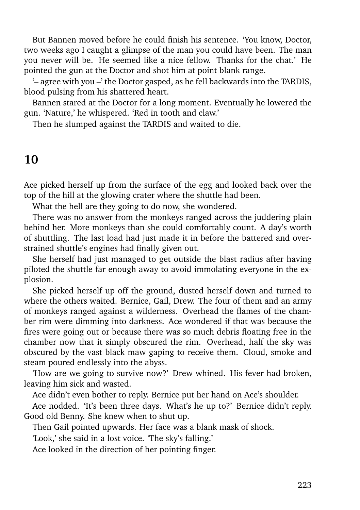But Bannen moved before he could finish his sentence. 'You know, Doctor, two weeks ago I caught a glimpse of the man you could have been. The man you never will be. He seemed like a nice fellow. Thanks for the chat.' He pointed the gun at the Doctor and shot him at point blank range.

'– agree with you –' the Doctor gasped, as he fell backwards into the TARDIS, blood pulsing from his shattered heart.

Bannen stared at the Doctor for a long moment. Eventually he lowered the gun. 'Nature,' he whispered. 'Red in tooth and claw.'

Then he slumped against the TARDIS and waited to die.

### **10**

Ace picked herself up from the surface of the egg and looked back over the top of the hill at the glowing crater where the shuttle had been.

What the hell are they going to do now, she wondered.

There was no answer from the monkeys ranged across the juddering plain behind her. More monkeys than she could comfortably count. A day's worth of shuttling. The last load had just made it in before the battered and overstrained shuttle's engines had finally given out.

She herself had just managed to get outside the blast radius after having piloted the shuttle far enough away to avoid immolating everyone in the explosion.

She picked herself up off the ground, dusted herself down and turned to where the others waited. Bernice, Gail, Drew. The four of them and an army of monkeys ranged against a wilderness. Overhead the flames of the chamber rim were dimming into darkness. Ace wondered if that was because the fires were going out or because there was so much debris floating free in the chamber now that it simply obscured the rim. Overhead, half the sky was obscured by the vast black maw gaping to receive them. Cloud, smoke and steam poured endlessly into the abyss.

'How are we going to survive now?' Drew whined. His fever had broken, leaving him sick and wasted.

Ace didn't even bother to reply. Bernice put her hand on Ace's shoulder.

Ace nodded. 'It's been three days. What's he up to?' Bernice didn't reply. Good old Benny. She knew when to shut up.

Then Gail pointed upwards. Her face was a blank mask of shock.

'Look,' she said in a lost voice. 'The sky's falling.'

Ace looked in the direction of her pointing finger.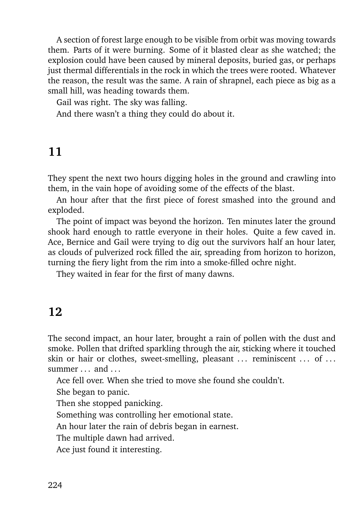A section of forest large enough to be visible from orbit was moving towards them. Parts of it were burning. Some of it blasted clear as she watched; the explosion could have been caused by mineral deposits, buried gas, or perhaps just thermal differentials in the rock in which the trees were rooted. Whatever the reason, the result was the same. A rain of shrapnel, each piece as big as a small hill, was heading towards them.

Gail was right. The sky was falling.

And there wasn't a thing they could do about it.

## **11**

They spent the next two hours digging holes in the ground and crawling into them, in the vain hope of avoiding some of the effects of the blast.

An hour after that the first piece of forest smashed into the ground and exploded.

The point of impact was beyond the horizon. Ten minutes later the ground shook hard enough to rattle everyone in their holes. Quite a few caved in. Ace, Bernice and Gail were trying to dig out the survivors half an hour later, as clouds of pulverized rock filled the air, spreading from horizon to horizon, turning the fiery light from the rim into a smoke-filled ochre night.

They waited in fear for the first of many dawns.

## **12**

The second impact, an hour later, brought a rain of pollen with the dust and smoke. Pollen that drifted sparkling through the air, sticking where it touched skin or hair or clothes, sweet-smelling, pleasant ... reminiscent ... of ... summer  $\ldots$  and  $\ldots$ 

Ace fell over. When she tried to move she found she couldn't.

She began to panic.

Then she stopped panicking.

Something was controlling her emotional state.

An hour later the rain of debris began in earnest.

The multiple dawn had arrived.

Ace just found it interesting.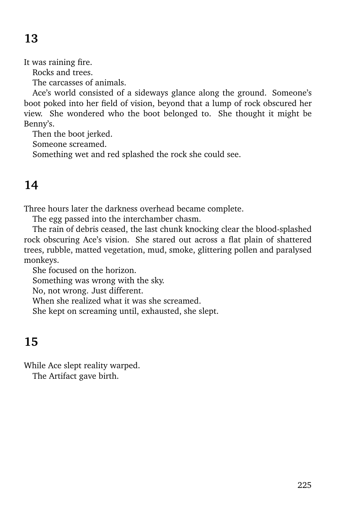It was raining fire.

Rocks and trees.

The carcasses of animals.

Ace's world consisted of a sideways glance along the ground. Someone's boot poked into her field of vision, beyond that a lump of rock obscured her view. She wondered who the boot belonged to. She thought it might be Benny's.

Then the boot jerked.

Someone screamed.

Something wet and red splashed the rock she could see.

# **14**

Three hours later the darkness overhead became complete.

The egg passed into the interchamber chasm.

The rain of debris ceased, the last chunk knocking clear the blood-splashed rock obscuring Ace's vision. She stared out across a flat plain of shattered trees, rubble, matted vegetation, mud, smoke, glittering pollen and paralysed monkeys.

She focused on the horizon.

Something was wrong with the sky.

No, not wrong. Just different.

When she realized what it was she screamed.

She kept on screaming until, exhausted, she slept.

# **15**

While Ace slept reality warped. The Artifact gave birth.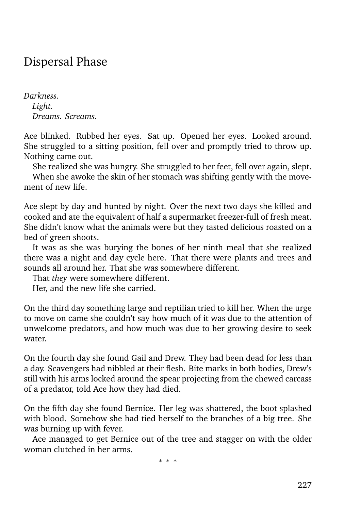## Dispersal Phase

*Darkness. Light. Dreams. Screams.*

Ace blinked. Rubbed her eyes. Sat up. Opened her eyes. Looked around. She struggled to a sitting position, fell over and promptly tried to throw up. Nothing came out.

She realized she was hungry. She struggled to her feet, fell over again, slept. When she awoke the skin of her stomach was shifting gently with the movement of new life.

Ace slept by day and hunted by night. Over the next two days she killed and cooked and ate the equivalent of half a supermarket freezer-full of fresh meat. She didn't know what the animals were but they tasted delicious roasted on a bed of green shoots.

It was as she was burying the bones of her ninth meal that she realized there was a night and day cycle here. That there were plants and trees and sounds all around her. That she was somewhere different.

That *they* were somewhere different.

Her, and the new life she carried.

On the third day something large and reptilian tried to kill her. When the urge to move on came she couldn't say how much of it was due to the attention of unwelcome predators, and how much was due to her growing desire to seek water.

On the fourth day she found Gail and Drew. They had been dead for less than a day. Scavengers had nibbled at their flesh. Bite marks in both bodies, Drew's still with his arms locked around the spear projecting from the chewed carcass of a predator, told Ace how they had died.

On the fifth day she found Bernice. Her leg was shattered, the boot splashed with blood. Somehow she had tied herself to the branches of a big tree. She was burning up with fever.

Ace managed to get Bernice out of the tree and stagger on with the older woman clutched in her arms.

∗ ∗ ∗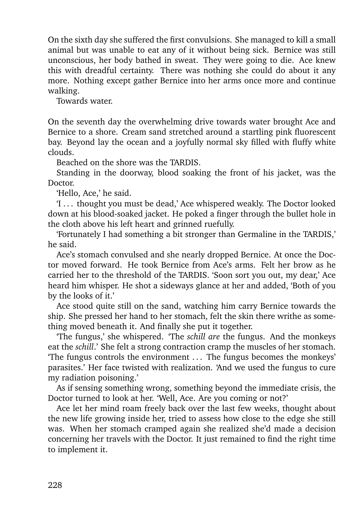On the sixth day she suffered the first convulsions. She managed to kill a small animal but was unable to eat any of it without being sick. Bernice was still unconscious, her body bathed in sweat. They were going to die. Ace knew this with dreadful certainty. There was nothing she could do about it any more. Nothing except gather Bernice into her arms once more and continue walking.

Towards water.

On the seventh day the overwhelming drive towards water brought Ace and Bernice to a shore. Cream sand stretched around a startling pink fluorescent bay. Beyond lay the ocean and a joyfully normal sky filled with fluffy white clouds.

Beached on the shore was the TARDIS.

Standing in the doorway, blood soaking the front of his jacket, was the Doctor.

'Hello, Ace,' he said.

'I . . . thought you must be dead,' Ace whispered weakly. The Doctor looked down at his blood-soaked jacket. He poked a finger through the bullet hole in the cloth above his left heart and grinned ruefully.

'Fortunately I had something a bit stronger than Germaline in the TARDIS,' he said.

Ace's stomach convulsed and she nearly dropped Bernice. At once the Doctor moved forward. He took Bernice from Ace's arms. Felt her brow as he carried her to the threshold of the TARDIS. 'Soon sort you out, my dear,' Ace heard him whisper. He shot a sideways glance at her and added, 'Both of you by the looks of it.'

Ace stood quite still on the sand, watching him carry Bernice towards the ship. She pressed her hand to her stomach, felt the skin there writhe as something moved beneath it. And finally she put it together.

'The fungus,' she whispered. 'The *schill are* the fungus. And the monkeys eat the *schill*.' She felt a strong contraction cramp the muscles of her stomach. 'The fungus controls the environment . . . The fungus becomes the monkeys' parasites.' Her face twisted with realization. 'And we used the fungus to cure my radiation poisoning.'

As if sensing something wrong, something beyond the immediate crisis, the Doctor turned to look at her. 'Well, Ace. Are you coming or not?'

Ace let her mind roam freely back over the last few weeks, thought about the new life growing inside her, tried to assess how close to the edge she still was. When her stomach cramped again she realized she'd made a decision concerning her travels with the Doctor. It just remained to find the right time to implement it.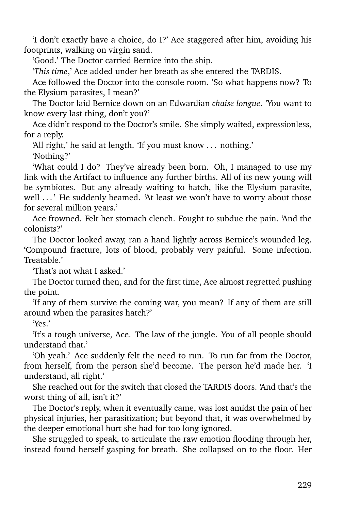'I don't exactly have a choice, do I?' Ace staggered after him, avoiding his footprints, walking on virgin sand.

'Good.' The Doctor carried Bernice into the ship.

'*This time*,' Ace added under her breath as she entered the TARDIS.

Ace followed the Doctor into the console room. 'So what happens now? To the Elysium parasites, I mean?'

The Doctor laid Bernice down on an Edwardian *chaise longue*. 'You want to know every last thing, don't you?'

Ace didn't respond to the Doctor's smile. She simply waited, expressionless, for a reply.

'All right,' he said at length. 'If you must know . . . nothing.'

'Nothing?'

'What could I do? They've already been born. Oh, I managed to use my link with the Artifact to influence any further births. All of its new young will be symbiotes. But any already waiting to hatch, like the Elysium parasite, well . . . ' He suddenly beamed. 'At least we won't have to worry about those for several million years.'

Ace frowned. Felt her stomach clench. Fought to subdue the pain. 'And the colonists?'

The Doctor looked away, ran a hand lightly across Bernice's wounded leg. 'Compound fracture, lots of blood, probably very painful. Some infection. Treatable.'

'That's not what I asked.'

The Doctor turned then, and for the first time, Ace almost regretted pushing the point.

'If any of them survive the coming war, you mean? If any of them are still around when the parasites hatch?'

'Yes.'

'It's a tough universe, Ace. The law of the jungle. You of all people should understand that.'

'Oh yeah.' Ace suddenly felt the need to run. To run far from the Doctor, from herself, from the person she'd become. The person he'd made her. 'I understand, all right.'

She reached out for the switch that closed the TARDIS doors. 'And that's the worst thing of all, isn't it?'

The Doctor's reply, when it eventually came, was lost amidst the pain of her physical injuries, her parasitization; but beyond that, it was overwhelmed by the deeper emotional hurt she had for too long ignored.

She struggled to speak, to articulate the raw emotion flooding through her, instead found herself gasping for breath. She collapsed on to the floor. Her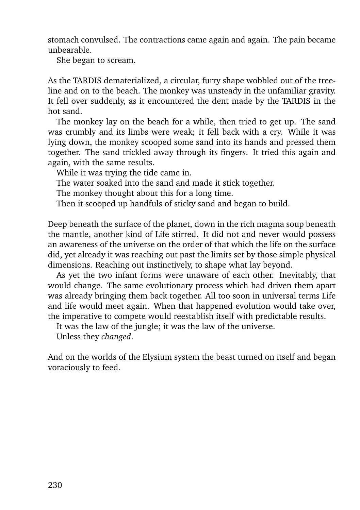stomach convulsed. The contractions came again and again. The pain became unbearable.

She began to scream.

As the TARDIS dematerialized, a circular, furry shape wobbled out of the treeline and on to the beach. The monkey was unsteady in the unfamiliar gravity. It fell over suddenly, as it encountered the dent made by the TARDIS in the hot sand.

The monkey lay on the beach for a while, then tried to get up. The sand was crumbly and its limbs were weak; it fell back with a cry. While it was lying down, the monkey scooped some sand into its hands and pressed them together. The sand trickled away through its fingers. It tried this again and again, with the same results.

While it was trying the tide came in.

The water soaked into the sand and made it stick together.

The monkey thought about this for a long time.

Then it scooped up handfuls of sticky sand and began to build.

Deep beneath the surface of the planet, down in the rich magma soup beneath the mantle, another kind of Life stirred. It did not and never would possess an awareness of the universe on the order of that which the life on the surface did, yet already it was reaching out past the limits set by those simple physical dimensions. Reaching out instinctively, to shape what lay beyond.

As yet the two infant forms were unaware of each other. Inevitably, that would change. The same evolutionary process which had driven them apart was already bringing them back together. All too soon in universal terms Life and life would meet again. When that happened evolution would take over, the imperative to compete would reestablish itself with predictable results.

It was the law of the jungle; it was the law of the universe.

Unless they *changed*.

And on the worlds of the Elysium system the beast turned on itself and began voraciously to feed.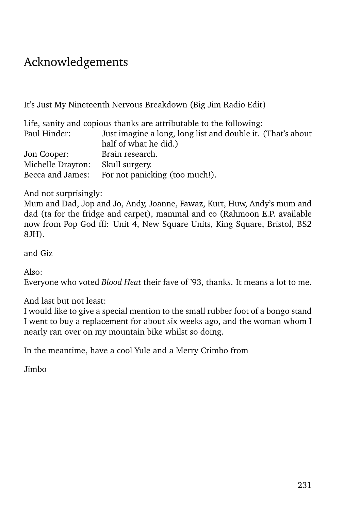# Acknowledgements

It's Just My Nineteenth Nervous Breakdown (Big Jim Radio Edit)

|                   | Life, sanity and copious thanks are attributable to the following: |
|-------------------|--------------------------------------------------------------------|
| Paul Hinder:      | Just imagine a long, long list and double it. (That's about        |
|                   | half of what he did.)                                              |
| Jon Cooper:       | Brain research.                                                    |
| Michelle Drayton: | Skull surgery.                                                     |
| Becca and James:  | For not panicking (too much!).                                     |

#### And not surprisingly:

Mum and Dad, Jop and Jo, Andy, Joanne, Fawaz, Kurt, Huw, Andy's mum and dad (ta for the fridge and carpet), mammal and co (Rahmoon E.P. available now from Pop God ffi: Unit 4, New Square Units, King Square, Bristol, BS2 8JH).

and Giz

Also:

Everyone who voted *Blood Heat* their fave of '93, thanks. It means a lot to me.

And last but not least:

I would like to give a special mention to the small rubber foot of a bongo stand I went to buy a replacement for about six weeks ago, and the woman whom I nearly ran over on my mountain bike whilst so doing.

In the meantime, have a cool Yule and a Merry Crimbo from

Jimbo